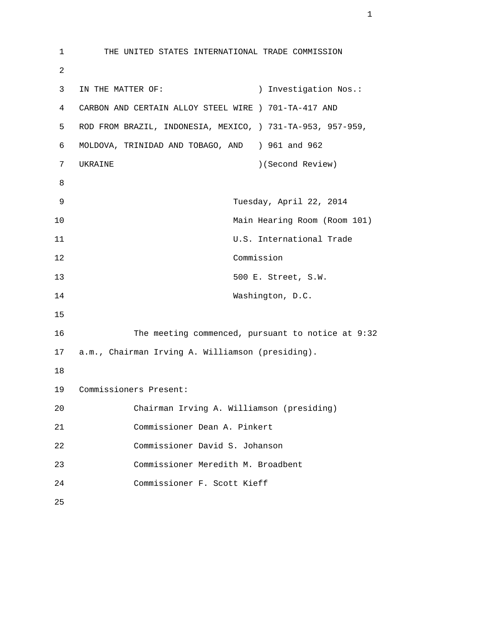1 THE UNITED STATES INTERNATIONAL TRADE COMMISSION 2 3 IN THE MATTER OF: ) Investigation Nos.: 4 CARBON AND CERTAIN ALLOY STEEL WIRE ) 701-TA-417 AND 5 ROD FROM BRAZIL, INDONESIA, MEXICO, ) 731-TA-953, 957-959, 6 MOLDOVA, TRINIDAD AND TOBAGO, AND ) 961 and 962 7 UKRAINE )(Second Review) 8 9 Tuesday, April 22, 2014 10 Main Hearing Room (Room 101) 11 U.S. International Trade 12 Commission 13 500 E. Street, S.W. 14 Washington, D.C. 15 16 The meeting commenced, pursuant to notice at 9:32 17 a.m., Chairman Irving A. Williamson (presiding). 18 19 Commissioners Present: 20 Chairman Irving A. Williamson (presiding) 21 Commissioner Dean A. Pinkert 22 Commissioner David S. Johanson 23 Commissioner Meredith M. Broadbent 24 Commissioner F. Scott Kieff 25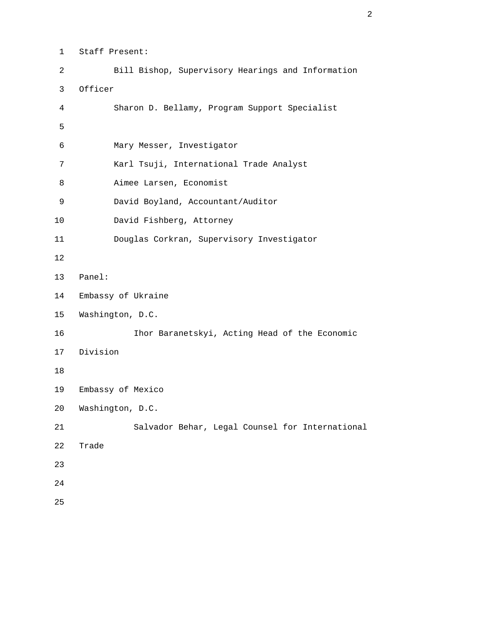1 Staff Present:

 2 Bill Bishop, Supervisory Hearings and Information 3 Officer 4 Sharon D. Bellamy, Program Support Specialist  $5<sub>5</sub>$  6 Mary Messer, Investigator 7 Karl Tsuji, International Trade Analyst 8 Aimee Larsen, Economist 9 David Boyland, Accountant/Auditor 10 David Fishberg, Attorney 11 Douglas Corkran, Supervisory Investigator 12 13 Panel: 14 Embassy of Ukraine 15 Washington, D.C. 16 Ihor Baranetskyi, Acting Head of the Economic 17 Division 18 19 Embassy of Mexico 20 Washington, D.C. 21 Salvador Behar, Legal Counsel for International 22 Trade 23 24 25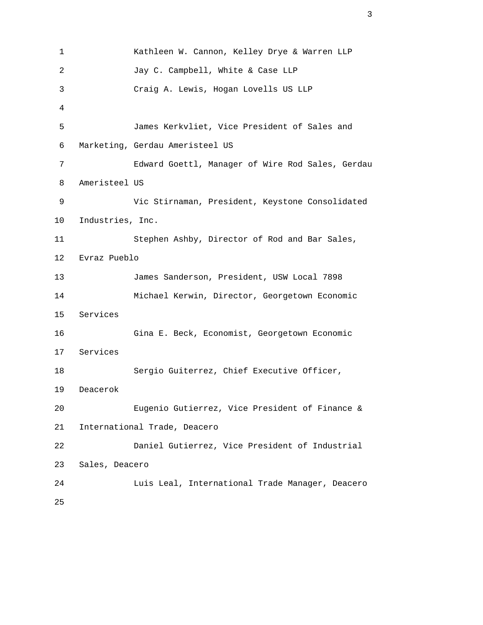```
 1 Kathleen W. Cannon, Kelley Drye & Warren LLP 
        2 Jay C. Campbell, White & Case LLP 
        3 Craig A. Lewis, Hogan Lovells US LLP 
4 
        5 James Kerkvliet, Vice President of Sales and 
        6 Marketing, Gerdau Ameristeel US 
        7 Edward Goettl, Manager of Wire Rod Sales, Gerdau 
        8 Ameristeel US 
        9 Vic Stirnaman, President, Keystone Consolidated 
       10 Industries, Inc. 
       11 Stephen Ashby, Director of Rod and Bar Sales, 
       12 Evraz Pueblo 
       13 James Sanderson, President, USW Local 7898 
       14 Michael Kerwin, Director, Georgetown Economic 
       15 Services 
       16 Gina E. Beck, Economist, Georgetown Economic 
       17 Services 
       18 Sergio Guiterrez, Chief Executive Officer, 
       19 Deacerok 
       20 Eugenio Gutierrez, Vice President of Finance & 
       21 International Trade, Deacero 
       22 Daniel Gutierrez, Vice President of Industrial 
       23 Sales, Deacero 
       24 Luis Leal, International Trade Manager, Deacero 
       25
```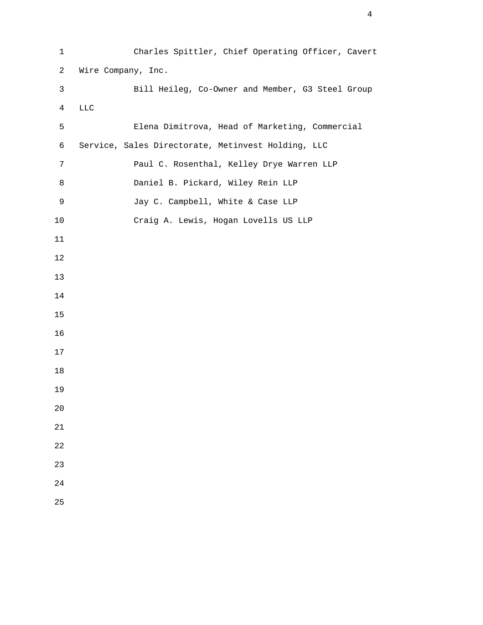| $\mathbf 1$     | Charles Spittler, Chief Operating Officer, Cavert  |
|-----------------|----------------------------------------------------|
| $\overline{2}$  | Wire Company, Inc.                                 |
| $\mathsf{3}$    | Bill Heileg, Co-Owner and Member, G3 Steel Group   |
| $\overline{4}$  | $_{\rm LLC}$                                       |
| 5               | Elena Dimitrova, Head of Marketing, Commercial     |
| $\epsilon$      | Service, Sales Directorate, Metinvest Holding, LLC |
| $7\phantom{.0}$ | Paul C. Rosenthal, Kelley Drye Warren LLP          |
| 8               | Daniel B. Pickard, Wiley Rein LLP                  |
| $\mathsf 9$     | Jay C. Campbell, White & Case LLP                  |
| $10$            | Craig A. Lewis, Hogan Lovells US LLP               |
| $11\,$          |                                                    |
| 12              |                                                    |
| 13              |                                                    |
| 14              |                                                    |
| 15              |                                                    |
| 16              |                                                    |
| 17              |                                                    |
| 18              |                                                    |
| 19              |                                                    |
| $20$            |                                                    |
| 21              |                                                    |
| 22              |                                                    |
| 23              |                                                    |
| 24              |                                                    |
| 25              |                                                    |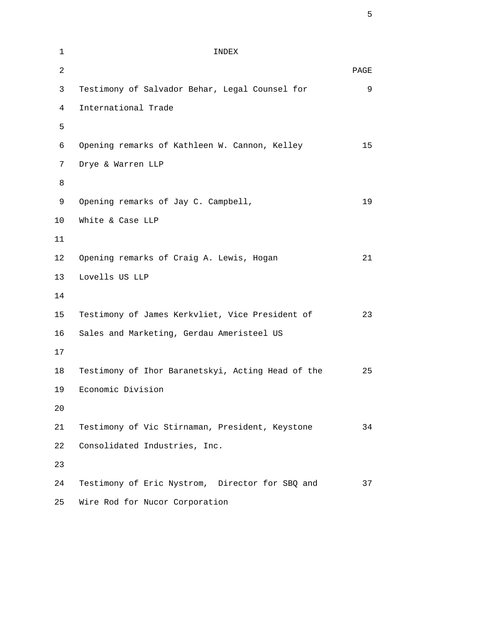| $\mathbf{1}$   | INDEX                                             |      |
|----------------|---------------------------------------------------|------|
| $\overline{2}$ |                                                   | PAGE |
| 3              | Testimony of Salvador Behar, Legal Counsel for    | 9    |
| $\overline{4}$ | International Trade                               |      |
| 5              |                                                   |      |
| 6              | Opening remarks of Kathleen W. Cannon, Kelley     | 15   |
| 7              | Drye & Warren LLP                                 |      |
| 8              |                                                   |      |
| 9              | Opening remarks of Jay C. Campbell,               | 19   |
| 10             | White & Case LLP                                  |      |
| 11             |                                                   |      |
| 12             | Opening remarks of Craig A. Lewis, Hogan          | 21   |
| 13             | Lovells US LLP                                    |      |
| 14             |                                                   |      |
| 15             | Testimony of James Kerkvliet, Vice President of   | 23   |
| 16             | Sales and Marketing, Gerdau Ameristeel US         |      |
| 17             |                                                   |      |
| 18             | Testimony of Ihor Baranetskyi, Acting Head of the | 25   |
| 19             | Economic Division                                 |      |
| 20             |                                                   |      |
| 21             | Testimony of Vic Stirnaman, President, Keystone   | 34   |
| 22             | Consolidated Industries, Inc.                     |      |
| 23             |                                                   |      |
| 24             | Testimony of Eric Nystrom, Director for SBQ and   | 37   |
| 25             | Wire Rod for Nucor Corporation                    |      |

 $\sim$  5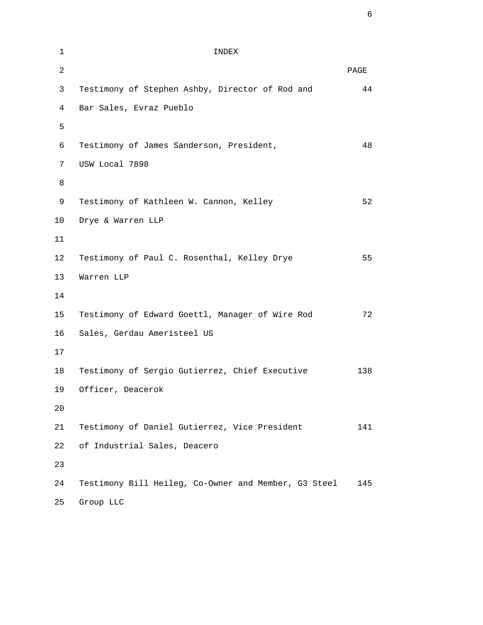| $\mathbf 1$    | INDEX                                                |      |
|----------------|------------------------------------------------------|------|
| $\overline{2}$ |                                                      | PAGE |
| 3              | Testimony of Stephen Ashby, Director of Rod and      | 44   |
| 4              | Bar Sales, Evraz Pueblo                              |      |
| 5              |                                                      |      |
| 6              | Testimony of James Sanderson, President,             | 48   |
| 7              | USW Local 7898                                       |      |
| 8              |                                                      |      |
| 9              | Testimony of Kathleen W. Cannon, Kelley              | 52   |
| 10             | Drye & Warren LLP                                    |      |
| 11             |                                                      |      |
| 12             | Testimony of Paul C. Rosenthal, Kelley Drye          | 55   |
| 13             | Warren LLP                                           |      |
| 14             |                                                      |      |
| 15             | Testimony of Edward Goettl, Manager of Wire Rod      | 72   |
| 16             | Sales, Gerdau Ameristeel US                          |      |
| 17             |                                                      |      |
| 18             | Testimony of Sergio Gutierrez, Chief Executive       | 138  |
| 19             | Officer, Deacerok                                    |      |
| 20             |                                                      |      |
| 21             | Testimony of Daniel Gutierrez, Vice President        | 141  |
| 22             | of Industrial Sales, Deacero                         |      |
| 23             |                                                      |      |
| 24             | Testimony Bill Heileg, Co-Owner and Member, G3 Steel | 145  |
| 25             | Group LLC                                            |      |

 $\overline{6}$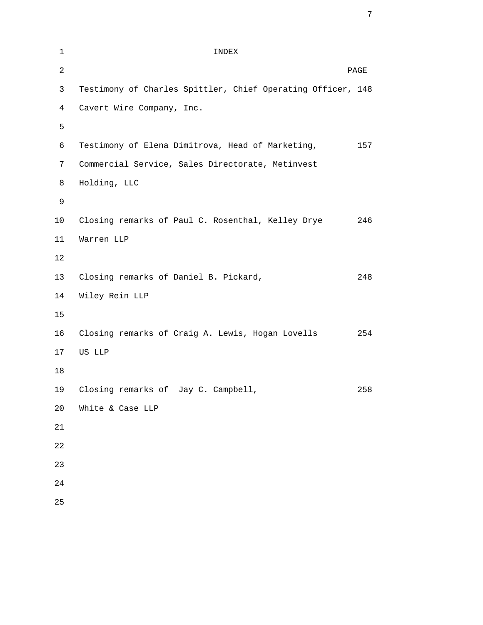| $\mathbf{1}$   | INDEX                                                       |      |
|----------------|-------------------------------------------------------------|------|
| $\overline{2}$ |                                                             | PAGE |
| 3              | Testimony of Charles Spittler, Chief Operating Officer, 148 |      |
| $\overline{4}$ | Cavert Wire Company, Inc.                                   |      |
| 5              |                                                             |      |
| 6              | Testimony of Elena Dimitrova, Head of Marketing,            | 157  |
| 7              | Commercial Service, Sales Directorate, Metinvest            |      |
| 8              | Holding, LLC                                                |      |
| 9              |                                                             |      |
| 10             | Closing remarks of Paul C. Rosenthal, Kelley Drye           | 246  |
| 11             | Warren LLP                                                  |      |
| 12             |                                                             |      |
| 13             | Closing remarks of Daniel B. Pickard,                       | 248  |
| 14             | Wiley Rein LLP                                              |      |
| 15             |                                                             |      |
| 16             | Closing remarks of Craig A. Lewis, Hogan Lovells            | 254  |
| 17             | US LLP                                                      |      |
| 18             |                                                             |      |
| 19             | Closing remarks of Jay C. Campbell,                         | 258  |
| 20             | White & Case LLP                                            |      |
| 21             |                                                             |      |
| 22             |                                                             |      |
| 23             |                                                             |      |
| 24             |                                                             |      |
| 25             |                                                             |      |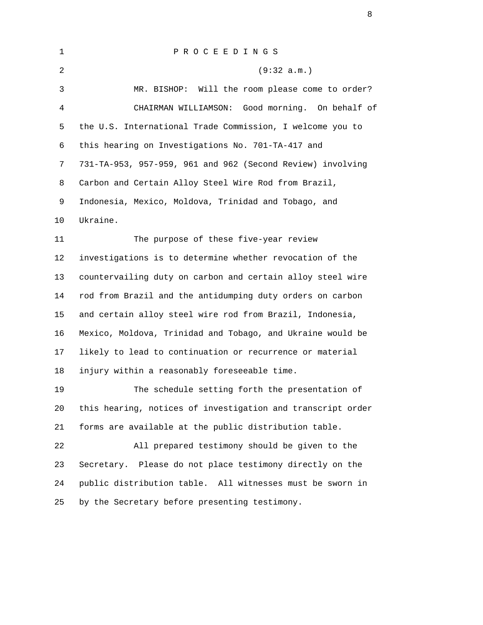| 1              | PROCEEDINGS                                                 |
|----------------|-------------------------------------------------------------|
| $\overline{2}$ | (9:32 a.m.)                                                 |
| 3              | MR. BISHOP: Will the room please come to order?             |
| $\overline{4}$ | CHAIRMAN WILLIAMSON: Good morning. On behalf of             |
| 5              | the U.S. International Trade Commission, I welcome you to   |
| 6              | this hearing on Investigations No. 701-TA-417 and           |
| 7              | 731-TA-953, 957-959, 961 and 962 (Second Review) involving  |
| 8              | Carbon and Certain Alloy Steel Wire Rod from Brazil,        |
| 9              | Indonesia, Mexico, Moldova, Trinidad and Tobago, and        |
| 10             | Ukraine.                                                    |
| 11             | The purpose of these five-year review                       |
| 12             | investigations is to determine whether revocation of the    |
| 13             | countervailing duty on carbon and certain alloy steel wire  |
| 14             | rod from Brazil and the antidumping duty orders on carbon   |
| 15             | and certain alloy steel wire rod from Brazil, Indonesia,    |
| 16             | Mexico, Moldova, Trinidad and Tobago, and Ukraine would be  |
| 17             | likely to lead to continuation or recurrence or material    |
| 18             | injury within a reasonably foreseeable time.                |
| 19             | The schedule setting forth the presentation of              |
| 20             | this hearing, notices of investigation and transcript order |
| 21             | forms are available at the public distribution table.       |
| 22             | All prepared testimony should be given to the               |
| 23             | Secretary. Please do not place testimony directly on the    |
| 24             | public distribution table. All witnesses must be sworn in   |
| 25             | by the Secretary before presenting testimony.               |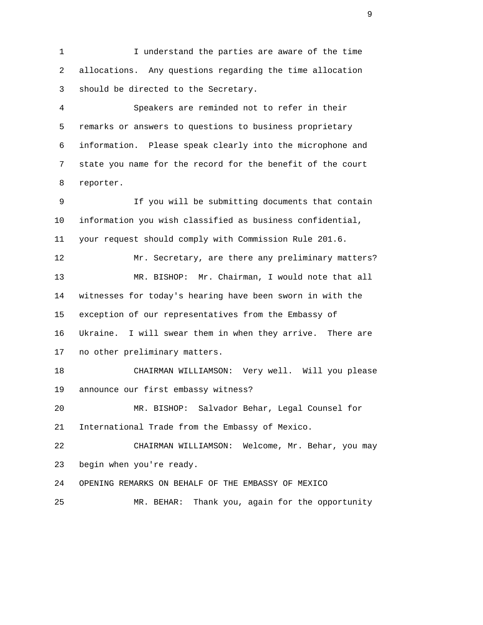1 I understand the parties are aware of the time 2 allocations. Any questions regarding the time allocation 3 should be directed to the Secretary.

 4 Speakers are reminded not to refer in their 5 remarks or answers to questions to business proprietary 6 information. Please speak clearly into the microphone and 7 state you name for the record for the benefit of the court 8 reporter.

 9 If you will be submitting documents that contain 10 information you wish classified as business confidential, 11 your request should comply with Commission Rule 201.6. 12 Mr. Secretary, are there any preliminary matters? 13 MR. BISHOP: Mr. Chairman, I would note that all 14 witnesses for today's hearing have been sworn in with the 15 exception of our representatives from the Embassy of 16 Ukraine. I will swear them in when they arrive. There are 17 no other preliminary matters.

 18 CHAIRMAN WILLIAMSON: Very well. Will you please 19 announce our first embassy witness?

 20 MR. BISHOP: Salvador Behar, Legal Counsel for 21 International Trade from the Embassy of Mexico.

 22 CHAIRMAN WILLIAMSON: Welcome, Mr. Behar, you may 23 begin when you're ready.

24 OPENING REMARKS ON BEHALF OF THE EMBASSY OF MEXICO

25 MR. BEHAR: Thank you, again for the opportunity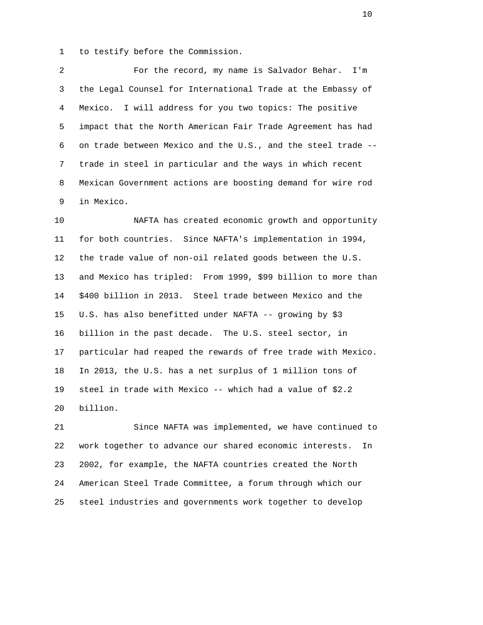1 to testify before the Commission.

 2 For the record, my name is Salvador Behar. I'm 3 the Legal Counsel for International Trade at the Embassy of 4 Mexico. I will address for you two topics: The positive 5 impact that the North American Fair Trade Agreement has had 6 on trade between Mexico and the U.S., and the steel trade -- 7 trade in steel in particular and the ways in which recent 8 Mexican Government actions are boosting demand for wire rod 9 in Mexico.

 10 NAFTA has created economic growth and opportunity 11 for both countries. Since NAFTA's implementation in 1994, 12 the trade value of non-oil related goods between the U.S. 13 and Mexico has tripled: From 1999, \$99 billion to more than 14 \$400 billion in 2013. Steel trade between Mexico and the 15 U.S. has also benefitted under NAFTA -- growing by \$3 16 billion in the past decade. The U.S. steel sector, in 17 particular had reaped the rewards of free trade with Mexico. 18 In 2013, the U.S. has a net surplus of 1 million tons of 19 steel in trade with Mexico -- which had a value of \$2.2 20 billion.

 21 Since NAFTA was implemented, we have continued to 22 work together to advance our shared economic interests. In 23 2002, for example, the NAFTA countries created the North 24 American Steel Trade Committee, a forum through which our 25 steel industries and governments work together to develop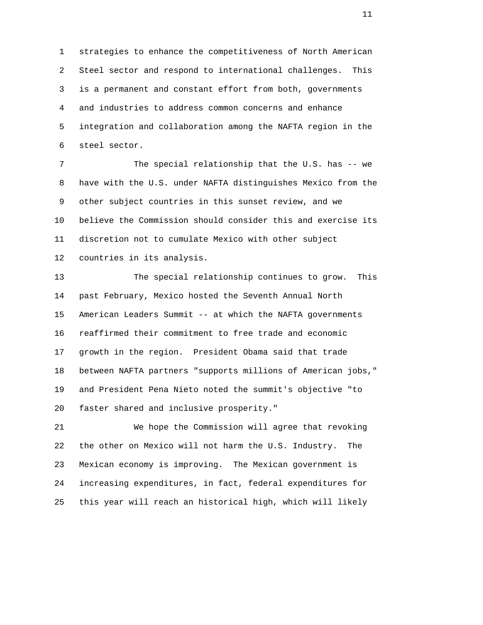1 strategies to enhance the competitiveness of North American 2 Steel sector and respond to international challenges. This 3 is a permanent and constant effort from both, governments 4 and industries to address common concerns and enhance 5 integration and collaboration among the NAFTA region in the 6 steel sector.

 7 The special relationship that the U.S. has -- we 8 have with the U.S. under NAFTA distinguishes Mexico from the 9 other subject countries in this sunset review, and we 10 believe the Commission should consider this and exercise its 11 discretion not to cumulate Mexico with other subject 12 countries in its analysis.

 13 The special relationship continues to grow. This 14 past February, Mexico hosted the Seventh Annual North 15 American Leaders Summit -- at which the NAFTA governments 16 reaffirmed their commitment to free trade and economic 17 growth in the region. President Obama said that trade 18 between NAFTA partners "supports millions of American jobs," 19 and President Pena Nieto noted the summit's objective "to 20 faster shared and inclusive prosperity."

 21 We hope the Commission will agree that revoking 22 the other on Mexico will not harm the U.S. Industry. The 23 Mexican economy is improving. The Mexican government is 24 increasing expenditures, in fact, federal expenditures for 25 this year will reach an historical high, which will likely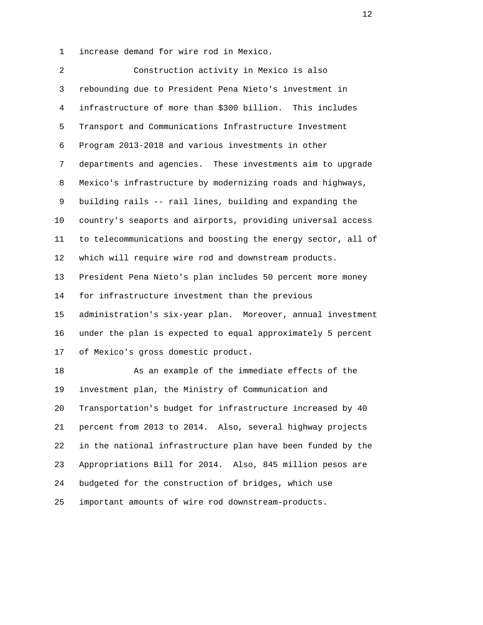1 increase demand for wire rod in Mexico.

 2 Construction activity in Mexico is also 3 rebounding due to President Pena Nieto's investment in 4 infrastructure of more than \$300 billion. This includes 5 Transport and Communications Infrastructure Investment 6 Program 2013-2018 and various investments in other 7 departments and agencies. These investments aim to upgrade 8 Mexico's infrastructure by modernizing roads and highways, 9 building rails -- rail lines, building and expanding the 10 country's seaports and airports, providing universal access 11 to telecommunications and boosting the energy sector, all of 12 which will require wire rod and downstream products. 13 President Pena Nieto's plan includes 50 percent more money 14 for infrastructure investment than the previous 15 administration's six-year plan. Moreover, annual investment 16 under the plan is expected to equal approximately 5 percent 17 of Mexico's gross domestic product. 18 As an example of the immediate effects of the 19 investment plan, the Ministry of Communication and 20 Transportation's budget for infrastructure increased by 40 21 percent from 2013 to 2014. Also, several highway projects 22 in the national infrastructure plan have been funded by the 23 Appropriations Bill for 2014. Also, 845 million pesos are 24 budgeted for the construction of bridges, which use

25 important amounts of wire rod downstream-products.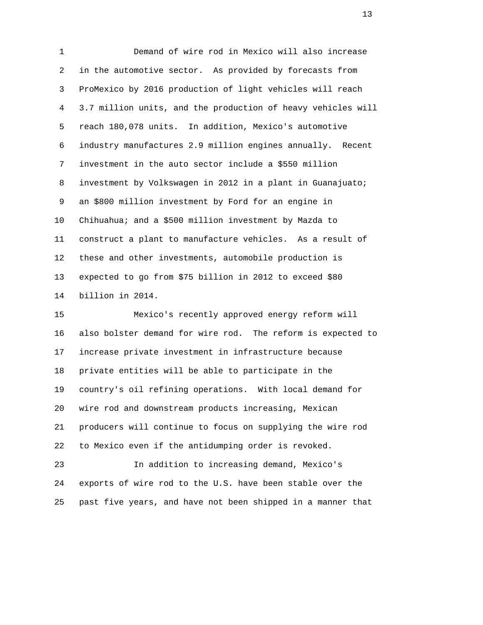1 Demand of wire rod in Mexico will also increase 2 in the automotive sector. As provided by forecasts from 3 ProMexico by 2016 production of light vehicles will reach 4 3.7 million units, and the production of heavy vehicles will 5 reach 180,078 units. In addition, Mexico's automotive 6 industry manufactures 2.9 million engines annually. Recent 7 investment in the auto sector include a \$550 million 8 investment by Volkswagen in 2012 in a plant in Guanajuato; 9 an \$800 million investment by Ford for an engine in 10 Chihuahua; and a \$500 million investment by Mazda to 11 construct a plant to manufacture vehicles. As a result of 12 these and other investments, automobile production is 13 expected to go from \$75 billion in 2012 to exceed \$80 14 billion in 2014.

 15 Mexico's recently approved energy reform will 16 also bolster demand for wire rod. The reform is expected to 17 increase private investment in infrastructure because 18 private entities will be able to participate in the 19 country's oil refining operations. With local demand for 20 wire rod and downstream products increasing, Mexican 21 producers will continue to focus on supplying the wire rod 22 to Mexico even if the antidumping order is revoked.

 23 In addition to increasing demand, Mexico's 24 exports of wire rod to the U.S. have been stable over the 25 past five years, and have not been shipped in a manner that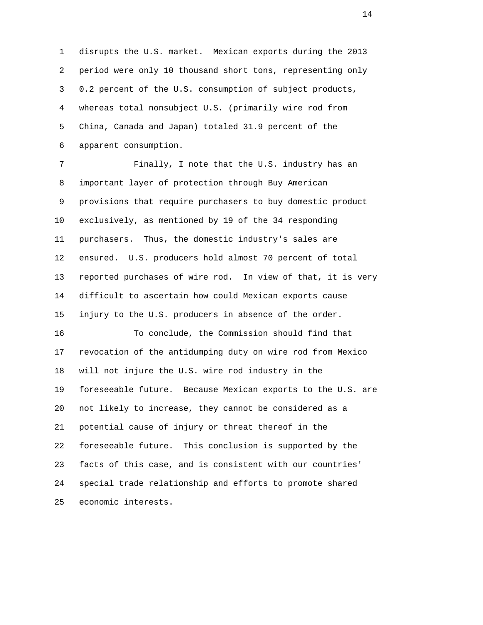1 disrupts the U.S. market. Mexican exports during the 2013 2 period were only 10 thousand short tons, representing only 3 0.2 percent of the U.S. consumption of subject products, 4 whereas total nonsubject U.S. (primarily wire rod from 5 China, Canada and Japan) totaled 31.9 percent of the 6 apparent consumption.

 7 Finally, I note that the U.S. industry has an 8 important layer of protection through Buy American 9 provisions that require purchasers to buy domestic product 10 exclusively, as mentioned by 19 of the 34 responding 11 purchasers. Thus, the domestic industry's sales are 12 ensured. U.S. producers hold almost 70 percent of total 13 reported purchases of wire rod. In view of that, it is very 14 difficult to ascertain how could Mexican exports cause 15 injury to the U.S. producers in absence of the order.

 16 To conclude, the Commission should find that 17 revocation of the antidumping duty on wire rod from Mexico 18 will not injure the U.S. wire rod industry in the 19 foreseeable future. Because Mexican exports to the U.S. are 20 not likely to increase, they cannot be considered as a 21 potential cause of injury or threat thereof in the 22 foreseeable future. This conclusion is supported by the 23 facts of this case, and is consistent with our countries' 24 special trade relationship and efforts to promote shared 25 economic interests.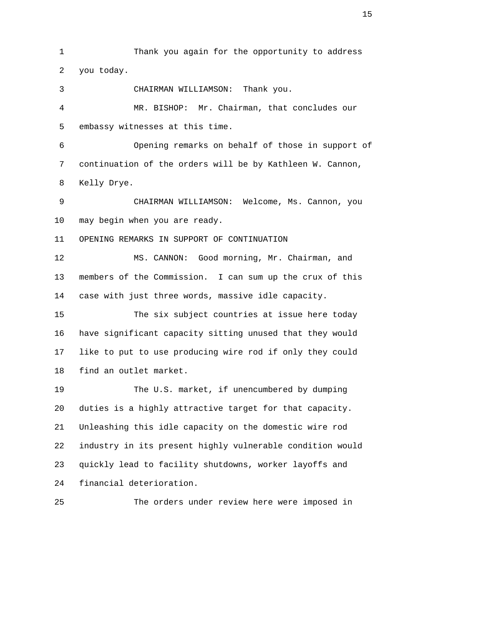1 Thank you again for the opportunity to address 2 you today. 3 CHAIRMAN WILLIAMSON: Thank you. 4 MR. BISHOP: Mr. Chairman, that concludes our 5 embassy witnesses at this time. 6 Opening remarks on behalf of those in support of 7 continuation of the orders will be by Kathleen W. Cannon, 8 Kelly Drye. 9 CHAIRMAN WILLIAMSON: Welcome, Ms. Cannon, you 10 may begin when you are ready. 11 OPENING REMARKS IN SUPPORT OF CONTINUATION 12 MS. CANNON: Good morning, Mr. Chairman, and 13 members of the Commission. I can sum up the crux of this 14 case with just three words, massive idle capacity. 15 The six subject countries at issue here today 16 have significant capacity sitting unused that they would 17 like to put to use producing wire rod if only they could 18 find an outlet market. 19 The U.S. market, if unencumbered by dumping 20 duties is a highly attractive target for that capacity. 21 Unleashing this idle capacity on the domestic wire rod 22 industry in its present highly vulnerable condition would 23 quickly lead to facility shutdowns, worker layoffs and 24 financial deterioration. 25 The orders under review here were imposed in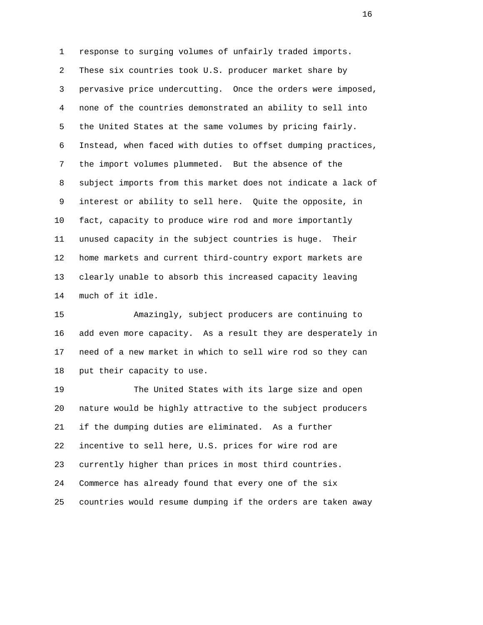1 response to surging volumes of unfairly traded imports. 2 These six countries took U.S. producer market share by 3 pervasive price undercutting. Once the orders were imposed, 4 none of the countries demonstrated an ability to sell into 5 the United States at the same volumes by pricing fairly. 6 Instead, when faced with duties to offset dumping practices, 7 the import volumes plummeted. But the absence of the 8 subject imports from this market does not indicate a lack of 9 interest or ability to sell here. Quite the opposite, in 10 fact, capacity to produce wire rod and more importantly 11 unused capacity in the subject countries is huge. Their 12 home markets and current third-country export markets are 13 clearly unable to absorb this increased capacity leaving 14 much of it idle.

 15 Amazingly, subject producers are continuing to 16 add even more capacity. As a result they are desperately in 17 need of a new market in which to sell wire rod so they can 18 put their capacity to use.

 19 The United States with its large size and open 20 nature would be highly attractive to the subject producers 21 if the dumping duties are eliminated. As a further 22 incentive to sell here, U.S. prices for wire rod are 23 currently higher than prices in most third countries. 24 Commerce has already found that every one of the six 25 countries would resume dumping if the orders are taken away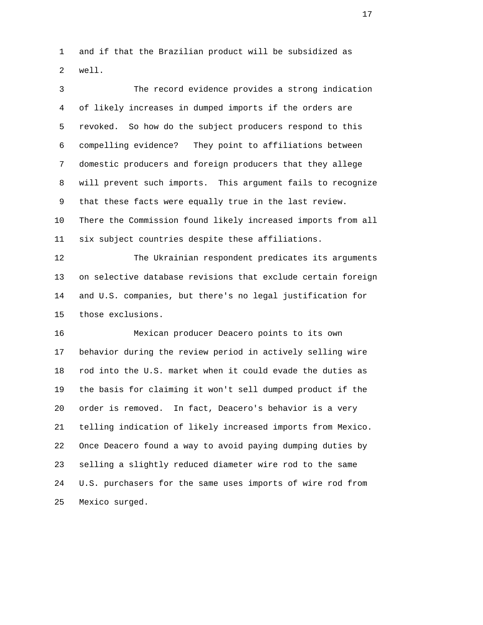1 and if that the Brazilian product will be subsidized as 2 well.

 3 The record evidence provides a strong indication 4 of likely increases in dumped imports if the orders are 5 revoked. So how do the subject producers respond to this 6 compelling evidence? They point to affiliations between 7 domestic producers and foreign producers that they allege 8 will prevent such imports. This argument fails to recognize 9 that these facts were equally true in the last review. 10 There the Commission found likely increased imports from all 11 six subject countries despite these affiliations.

 12 The Ukrainian respondent predicates its arguments 13 on selective database revisions that exclude certain foreign 14 and U.S. companies, but there's no legal justification for 15 those exclusions.

 16 Mexican producer Deacero points to its own 17 behavior during the review period in actively selling wire 18 rod into the U.S. market when it could evade the duties as 19 the basis for claiming it won't sell dumped product if the 20 order is removed. In fact, Deacero's behavior is a very 21 telling indication of likely increased imports from Mexico. 22 Once Deacero found a way to avoid paying dumping duties by 23 selling a slightly reduced diameter wire rod to the same 24 U.S. purchasers for the same uses imports of wire rod from 25 Mexico surged.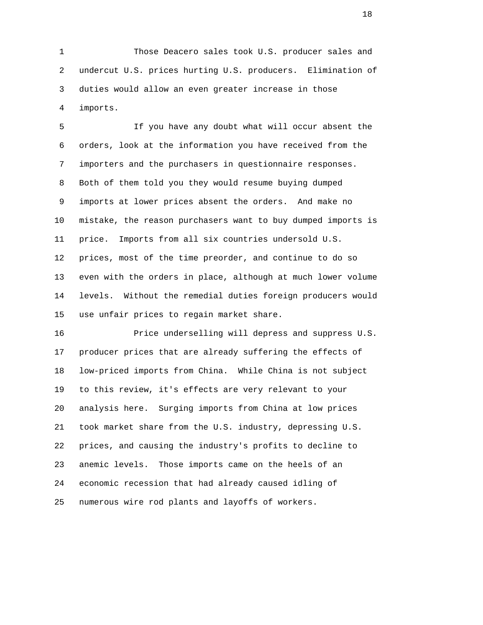1 Those Deacero sales took U.S. producer sales and 2 undercut U.S. prices hurting U.S. producers. Elimination of 3 duties would allow an even greater increase in those 4 imports.

 5 If you have any doubt what will occur absent the 6 orders, look at the information you have received from the 7 importers and the purchasers in questionnaire responses. 8 Both of them told you they would resume buying dumped 9 imports at lower prices absent the orders. And make no 10 mistake, the reason purchasers want to buy dumped imports is 11 price. Imports from all six countries undersold U.S. 12 prices, most of the time preorder, and continue to do so 13 even with the orders in place, although at much lower volume 14 levels. Without the remedial duties foreign producers would 15 use unfair prices to regain market share.

 16 Price underselling will depress and suppress U.S. 17 producer prices that are already suffering the effects of 18 low-priced imports from China. While China is not subject 19 to this review, it's effects are very relevant to your 20 analysis here. Surging imports from China at low prices 21 took market share from the U.S. industry, depressing U.S. 22 prices, and causing the industry's profits to decline to 23 anemic levels. Those imports came on the heels of an 24 economic recession that had already caused idling of 25 numerous wire rod plants and layoffs of workers.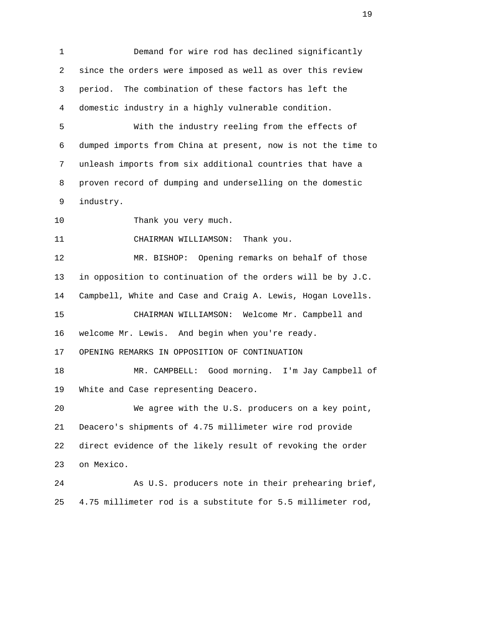1 Demand for wire rod has declined significantly 2 since the orders were imposed as well as over this review 3 period. The combination of these factors has left the 4 domestic industry in a highly vulnerable condition. 5 With the industry reeling from the effects of 6 dumped imports from China at present, now is not the time to 7 unleash imports from six additional countries that have a 8 proven record of dumping and underselling on the domestic 9 industry. 10 Thank you very much. 11 CHAIRMAN WILLIAMSON: Thank you. 12 MR. BISHOP: Opening remarks on behalf of those 13 in opposition to continuation of the orders will be by J.C. 14 Campbell, White and Case and Craig A. Lewis, Hogan Lovells. 15 CHAIRMAN WILLIAMSON: Welcome Mr. Campbell and 16 welcome Mr. Lewis. And begin when you're ready. 17 OPENING REMARKS IN OPPOSITION OF CONTINUATION 18 MR. CAMPBELL: Good morning. I'm Jay Campbell of 19 White and Case representing Deacero. 20 We agree with the U.S. producers on a key point, 21 Deacero's shipments of 4.75 millimeter wire rod provide 22 direct evidence of the likely result of revoking the order 23 on Mexico. 24 As U.S. producers note in their prehearing brief, 25 4.75 millimeter rod is a substitute for 5.5 millimeter rod,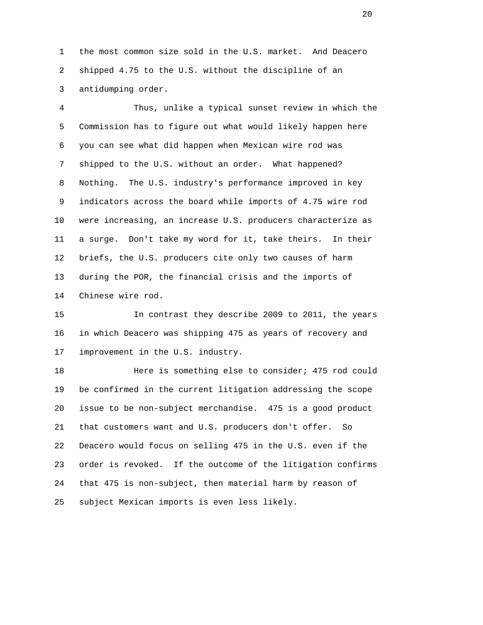1 the most common size sold in the U.S. market. And Deacero 2 shipped 4.75 to the U.S. without the discipline of an 3 antidumping order.

 4 Thus, unlike a typical sunset review in which the 5 Commission has to figure out what would likely happen here 6 you can see what did happen when Mexican wire rod was 7 shipped to the U.S. without an order. What happened? 8 Nothing. The U.S. industry's performance improved in key 9 indicators across the board while imports of 4.75 wire rod 10 were increasing, an increase U.S. producers characterize as 11 a surge. Don't take my word for it, take theirs. In their 12 briefs, the U.S. producers cite only two causes of harm 13 during the POR, the financial crisis and the imports of 14 Chinese wire rod.

 15 In contrast they describe 2009 to 2011, the years 16 in which Deacero was shipping 475 as years of recovery and 17 improvement in the U.S. industry.

 18 Here is something else to consider; 475 rod could 19 be confirmed in the current litigation addressing the scope 20 issue to be non-subject merchandise. 475 is a good product 21 that customers want and U.S. producers don't offer. So 22 Deacero would focus on selling 475 in the U.S. even if the 23 order is revoked. If the outcome of the litigation confirms 24 that 475 is non-subject, then material harm by reason of 25 subject Mexican imports is even less likely.

20 and 20 and 20 and 20 and 20 and 20 and 20 and 20 and 20 and 20 and 20 and 20 and 20 and 20 and 20 and 20 and 20 and 20 and 20 and 20 and 20 and 20 and 20 and 20 and 20 and 20 and 20 and 20 and 20 and 20 and 20 and 20 an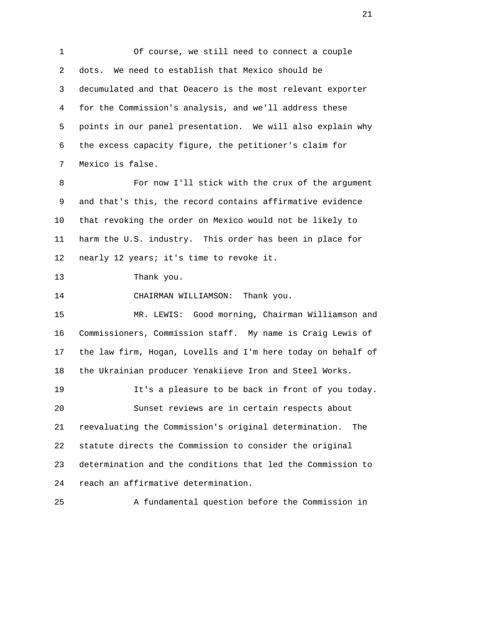1 Of course, we still need to connect a couple 2 dots. We need to establish that Mexico should be 3 decumulated and that Deacero is the most relevant exporter 4 for the Commission's analysis, and we'll address these 5 points in our panel presentation. We will also explain why 6 the excess capacity figure, the petitioner's claim for 7 Mexico is false.

 8 For now I'll stick with the crux of the argument 9 and that's this, the record contains affirmative evidence 10 that revoking the order on Mexico would not be likely to 11 harm the U.S. industry. This order has been in place for 12 nearly 12 years; it's time to revoke it.

13 Thank you.

14 CHAIRMAN WILLIAMSON: Thank you.

 15 MR. LEWIS: Good morning, Chairman Williamson and 16 Commissioners, Commission staff. My name is Craig Lewis of 17 the law firm, Hogan, Lovells and I'm here today on behalf of 18 the Ukrainian producer Yenakiieve Iron and Steel Works. 19 It's a pleasure to be back in front of you today. 20 Sunset reviews are in certain respects about 21 reevaluating the Commission's original determination. The 22 statute directs the Commission to consider the original 23 determination and the conditions that led the Commission to 24 reach an affirmative determination.

25 A fundamental question before the Commission in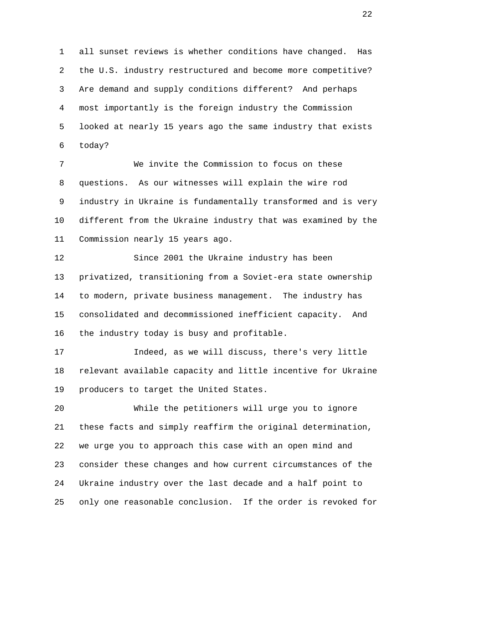1 all sunset reviews is whether conditions have changed. Has 2 the U.S. industry restructured and become more competitive? 3 Are demand and supply conditions different? And perhaps 4 most importantly is the foreign industry the Commission 5 looked at nearly 15 years ago the same industry that exists 6 today?

 7 We invite the Commission to focus on these 8 questions. As our witnesses will explain the wire rod 9 industry in Ukraine is fundamentally transformed and is very 10 different from the Ukraine industry that was examined by the 11 Commission nearly 15 years ago.

 12 Since 2001 the Ukraine industry has been 13 privatized, transitioning from a Soviet-era state ownership 14 to modern, private business management. The industry has 15 consolidated and decommissioned inefficient capacity. And 16 the industry today is busy and profitable.

 17 Indeed, as we will discuss, there's very little 18 relevant available capacity and little incentive for Ukraine 19 producers to target the United States.

 20 While the petitioners will urge you to ignore 21 these facts and simply reaffirm the original determination, 22 we urge you to approach this case with an open mind and 23 consider these changes and how current circumstances of the 24 Ukraine industry over the last decade and a half point to 25 only one reasonable conclusion. If the order is revoked for

22<sup>2</sup>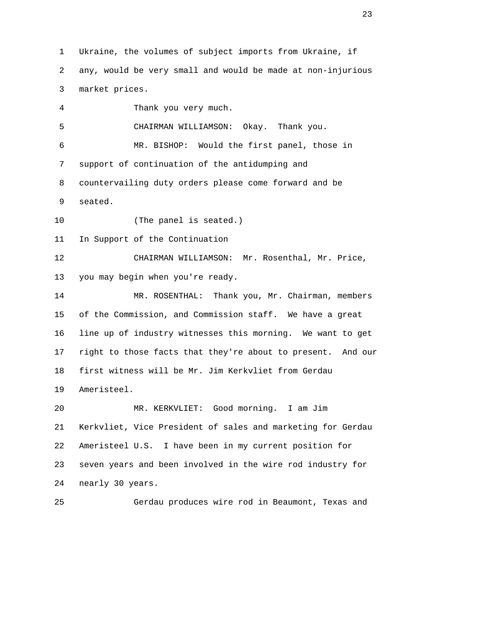1 Ukraine, the volumes of subject imports from Ukraine, if 2 any, would be very small and would be made at non-injurious 3 market prices. 4 Thank you very much. 5 CHAIRMAN WILLIAMSON: Okay. Thank you. 6 MR. BISHOP: Would the first panel, those in 7 support of continuation of the antidumping and 8 countervailing duty orders please come forward and be 9 seated. 10 (The panel is seated.) 11 In Support of the Continuation 12 CHAIRMAN WILLIAMSON: Mr. Rosenthal, Mr. Price, 13 you may begin when you're ready. 14 MR. ROSENTHAL: Thank you, Mr. Chairman, members 15 of the Commission, and Commission staff. We have a great 16 line up of industry witnesses this morning. We want to get 17 right to those facts that they're about to present. And our 18 first witness will be Mr. Jim Kerkvliet from Gerdau 19 Ameristeel. 20 MR. KERKVLIET: Good morning. I am Jim 21 Kerkvliet, Vice President of sales and marketing for Gerdau 22 Ameristeel U.S. I have been in my current position for 23 seven years and been involved in the wire rod industry for 24 nearly 30 years.

25 Gerdau produces wire rod in Beaumont, Texas and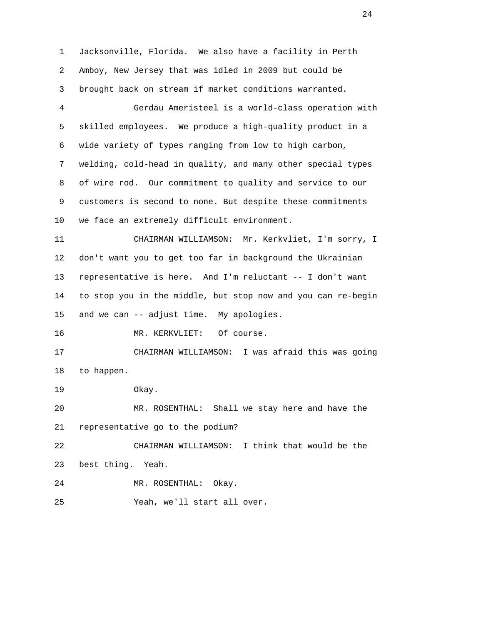1 Jacksonville, Florida. We also have a facility in Perth 2 Amboy, New Jersey that was idled in 2009 but could be 3 brought back on stream if market conditions warranted. 4 Gerdau Ameristeel is a world-class operation with 5 skilled employees. We produce a high-quality product in a 6 wide variety of types ranging from low to high carbon, 7 welding, cold-head in quality, and many other special types 8 of wire rod. Our commitment to quality and service to our 9 customers is second to none. But despite these commitments 10 we face an extremely difficult environment. 11 CHAIRMAN WILLIAMSON: Mr. Kerkvliet, I'm sorry, I 12 don't want you to get too far in background the Ukrainian 13 representative is here. And I'm reluctant -- I don't want 14 to stop you in the middle, but stop now and you can re-begin 15 and we can -- adjust time. My apologies. 16 MR. KERKVLIET: Of course. 17 CHAIRMAN WILLIAMSON: I was afraid this was going 18 to happen. 19 Okay. 20 MR. ROSENTHAL: Shall we stay here and have the 21 representative go to the podium? 22 CHAIRMAN WILLIAMSON: I think that would be the 23 best thing. Yeah. 24 MR. ROSENTHAL: Okay. 25 Yeah, we'll start all over.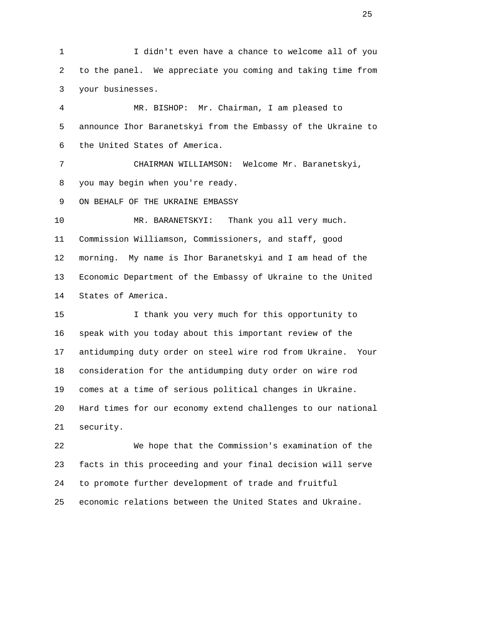1 I didn't even have a chance to welcome all of you 2 to the panel. We appreciate you coming and taking time from 3 your businesses.

 4 MR. BISHOP: Mr. Chairman, I am pleased to 5 announce Ihor Baranetskyi from the Embassy of the Ukraine to 6 the United States of America.

 7 CHAIRMAN WILLIAMSON: Welcome Mr. Baranetskyi, 8 you may begin when you're ready.

9 ON BEHALF OF THE UKRAINE EMBASSY

 10 MR. BARANETSKYI: Thank you all very much. 11 Commission Williamson, Commissioners, and staff, good 12 morning. My name is Ihor Baranetskyi and I am head of the 13 Economic Department of the Embassy of Ukraine to the United 14 States of America.

 15 I thank you very much for this opportunity to 16 speak with you today about this important review of the 17 antidumping duty order on steel wire rod from Ukraine. Your 18 consideration for the antidumping duty order on wire rod 19 comes at a time of serious political changes in Ukraine. 20 Hard times for our economy extend challenges to our national 21 security.

 22 We hope that the Commission's examination of the 23 facts in this proceeding and your final decision will serve 24 to promote further development of trade and fruitful 25 economic relations between the United States and Ukraine.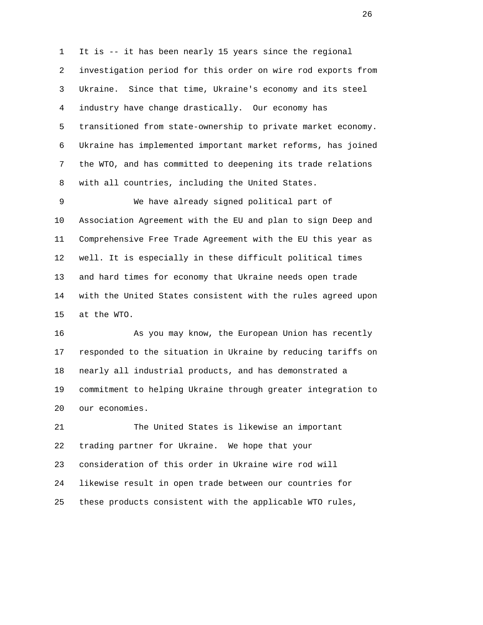1 It is -- it has been nearly 15 years since the regional 2 investigation period for this order on wire rod exports from 3 Ukraine. Since that time, Ukraine's economy and its steel 4 industry have change drastically. Our economy has 5 transitioned from state-ownership to private market economy. 6 Ukraine has implemented important market reforms, has joined 7 the WTO, and has committed to deepening its trade relations 8 with all countries, including the United States.

 9 We have already signed political part of 10 Association Agreement with the EU and plan to sign Deep and 11 Comprehensive Free Trade Agreement with the EU this year as 12 well. It is especially in these difficult political times 13 and hard times for economy that Ukraine needs open trade 14 with the United States consistent with the rules agreed upon 15 at the WTO.

16 As you may know, the European Union has recently 17 responded to the situation in Ukraine by reducing tariffs on 18 nearly all industrial products, and has demonstrated a 19 commitment to helping Ukraine through greater integration to 20 our economies.

 21 The United States is likewise an important 22 trading partner for Ukraine. We hope that your 23 consideration of this order in Ukraine wire rod will 24 likewise result in open trade between our countries for 25 these products consistent with the applicable WTO rules,

<u>26 дене</u> в 2014 године производство в 2014 године производство в 2014 године при в 2014 године при в 2014 године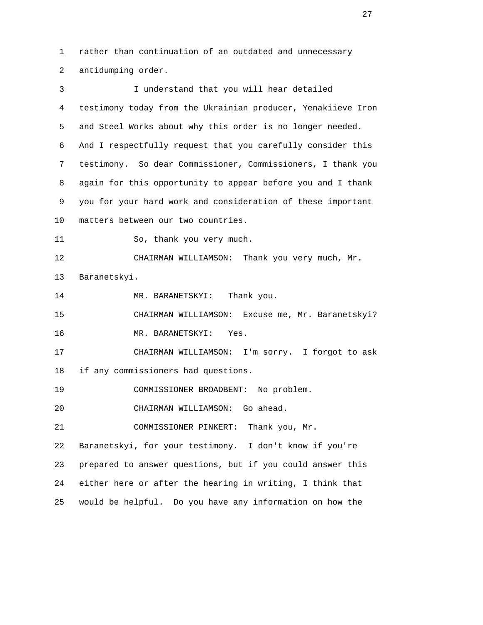1 rather than continuation of an outdated and unnecessary 2 antidumping order.

 3 I understand that you will hear detailed 4 testimony today from the Ukrainian producer, Yenakiieve Iron 5 and Steel Works about why this order is no longer needed. 6 And I respectfully request that you carefully consider this 7 testimony. So dear Commissioner, Commissioners, I thank you 8 again for this opportunity to appear before you and I thank 9 you for your hard work and consideration of these important 10 matters between our two countries. 11 So, thank you very much. 12 CHAIRMAN WILLIAMSON: Thank you very much, Mr. 13 Baranetskyi. 14 MR. BARANETSKYI: Thank you. 15 CHAIRMAN WILLIAMSON: Excuse me, Mr. Baranetskyi? 16 MR. BARANETSKYI: Yes. 17 CHAIRMAN WILLIAMSON: I'm sorry. I forgot to ask 18 if any commissioners had questions. 19 COMMISSIONER BROADBENT: No problem. 20 CHAIRMAN WILLIAMSON: Go ahead. 21 COMMISSIONER PINKERT: Thank you, Mr. 22 Baranetskyi, for your testimony. I don't know if you're 23 prepared to answer questions, but if you could answer this 24 either here or after the hearing in writing, I think that 25 would be helpful. Do you have any information on how the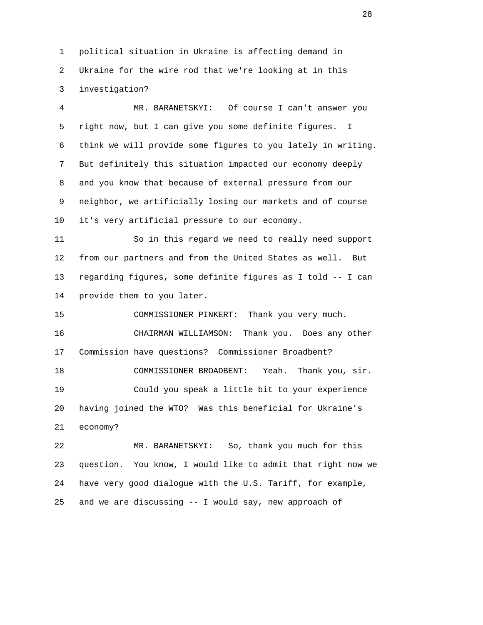1 political situation in Ukraine is affecting demand in 2 Ukraine for the wire rod that we're looking at in this 3 investigation?

 4 MR. BARANETSKYI: Of course I can't answer you 5 right now, but I can give you some definite figures. I 6 think we will provide some figures to you lately in writing. 7 But definitely this situation impacted our economy deeply 8 and you know that because of external pressure from our 9 neighbor, we artificially losing our markets and of course 10 it's very artificial pressure to our economy.

 11 So in this regard we need to really need support 12 from our partners and from the United States as well. But 13 regarding figures, some definite figures as I told -- I can 14 provide them to you later.

 15 COMMISSIONER PINKERT: Thank you very much. 16 CHAIRMAN WILLIAMSON: Thank you. Does any other 17 Commission have questions? Commissioner Broadbent? 18 COMMISSIONER BROADBENT: Yeah. Thank you, sir. 19 Could you speak a little bit to your experience 20 having joined the WTO? Was this beneficial for Ukraine's 21 economy?

 22 MR. BARANETSKYI: So, thank you much for this 23 question. You know, I would like to admit that right now we 24 have very good dialogue with the U.S. Tariff, for example, 25 and we are discussing -- I would say, new approach of

28 and 20 and 20 and 20 and 20 and 20 and 20 and 20 and 20 and 20 and 20 and 20 and 20 and 20 and 20 and 20 an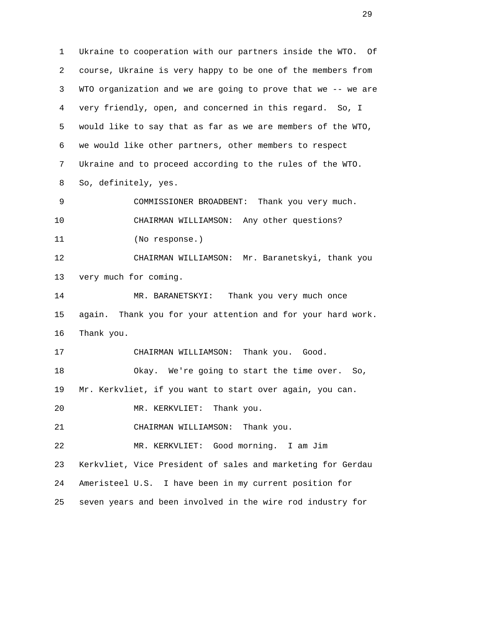1 Ukraine to cooperation with our partners inside the WTO. Of 2 course, Ukraine is very happy to be one of the members from 3 WTO organization and we are going to prove that we -- we are 4 very friendly, open, and concerned in this regard. So, I 5 would like to say that as far as we are members of the WTO, 6 we would like other partners, other members to respect 7 Ukraine and to proceed according to the rules of the WTO. 8 So, definitely, yes. 9 COMMISSIONER BROADBENT: Thank you very much. 10 CHAIRMAN WILLIAMSON: Any other questions? 11 (No response.) 12 CHAIRMAN WILLIAMSON: Mr. Baranetskyi, thank you 13 very much for coming. 14 MR. BARANETSKYI: Thank you very much once 15 again. Thank you for your attention and for your hard work. 16 Thank you. 17 CHAIRMAN WILLIAMSON: Thank you. Good. 18 Okay. We're going to start the time over. So, 19 Mr. Kerkvliet, if you want to start over again, you can. 20 MR. KERKVLIET: Thank you. 21 CHAIRMAN WILLIAMSON: Thank you. 22 MR. KERKVLIET: Good morning. I am Jim 23 Kerkvliet, Vice President of sales and marketing for Gerdau 24 Ameristeel U.S. I have been in my current position for 25 seven years and been involved in the wire rod industry for

29 and 20 and 20 and 20 and 20 and 20 and 20 and 20 and 20 and 20 and 20 and 20 and 20 and 20 and 20 and 20 an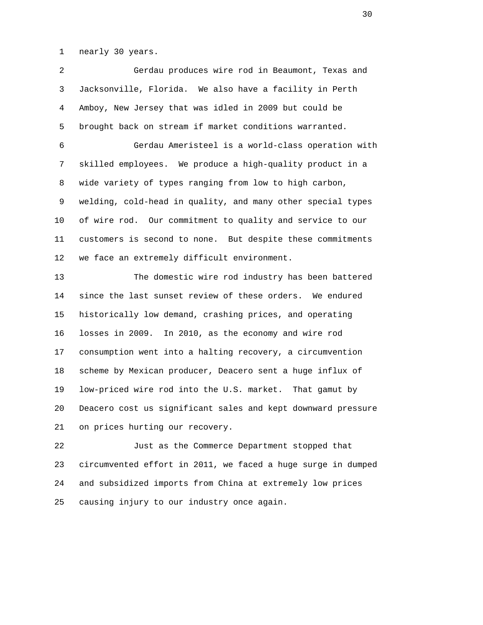1 nearly 30 years.

 2 Gerdau produces wire rod in Beaumont, Texas and 3 Jacksonville, Florida. We also have a facility in Perth 4 Amboy, New Jersey that was idled in 2009 but could be 5 brought back on stream if market conditions warranted. 6 Gerdau Ameristeel is a world-class operation with 7 skilled employees. We produce a high-quality product in a 8 wide variety of types ranging from low to high carbon, 9 welding, cold-head in quality, and many other special types 10 of wire rod. Our commitment to quality and service to our 11 customers is second to none. But despite these commitments 12 we face an extremely difficult environment. 13 The domestic wire rod industry has been battered 14 since the last sunset review of these orders. We endured

 15 historically low demand, crashing prices, and operating 16 losses in 2009. In 2010, as the economy and wire rod 17 consumption went into a halting recovery, a circumvention 18 scheme by Mexican producer, Deacero sent a huge influx of 19 low-priced wire rod into the U.S. market. That gamut by 20 Deacero cost us significant sales and kept downward pressure 21 on prices hurting our recovery.

 22 Just as the Commerce Department stopped that 23 circumvented effort in 2011, we faced a huge surge in dumped 24 and subsidized imports from China at extremely low prices 25 causing injury to our industry once again.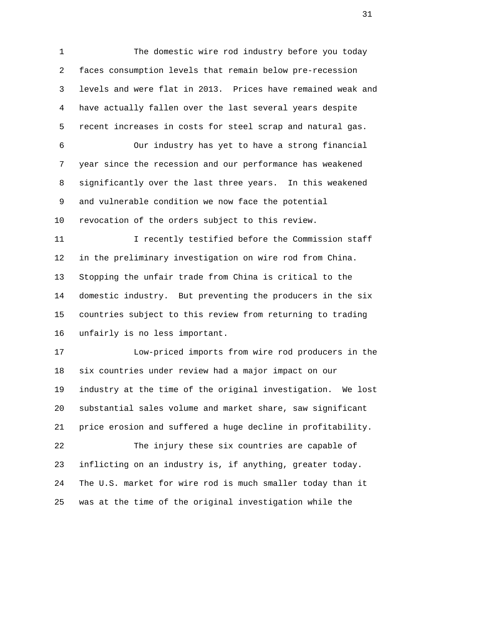1 The domestic wire rod industry before you today 2 faces consumption levels that remain below pre-recession 3 levels and were flat in 2013. Prices have remained weak and 4 have actually fallen over the last several years despite 5 recent increases in costs for steel scrap and natural gas. 6 Our industry has yet to have a strong financial 7 year since the recession and our performance has weakened 8 significantly over the last three years. In this weakened 9 and vulnerable condition we now face the potential 10 revocation of the orders subject to this review. 11 I recently testified before the Commission staff 12 in the preliminary investigation on wire rod from China. 13 Stopping the unfair trade from China is critical to the 14 domestic industry. But preventing the producers in the six 15 countries subject to this review from returning to trading 16 unfairly is no less important. 17 Low-priced imports from wire rod producers in the 18 six countries under review had a major impact on our 19 industry at the time of the original investigation. We lost 20 substantial sales volume and market share, saw significant 21 price erosion and suffered a huge decline in profitability. 22 The injury these six countries are capable of 23 inflicting on an industry is, if anything, greater today. 24 The U.S. market for wire rod is much smaller today than it

25 was at the time of the original investigation while the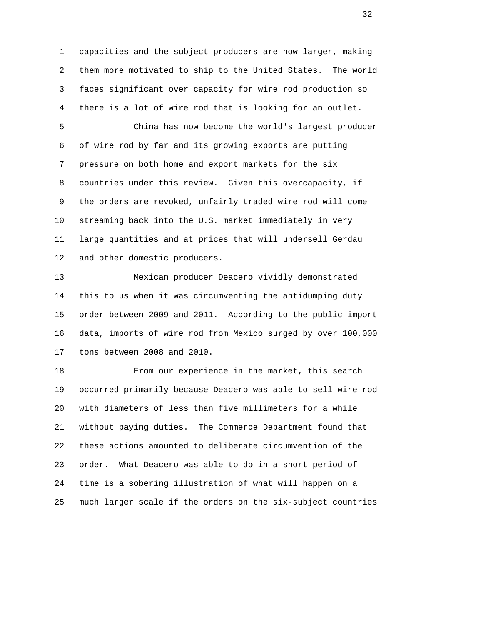1 capacities and the subject producers are now larger, making 2 them more motivated to ship to the United States. The world 3 faces significant over capacity for wire rod production so 4 there is a lot of wire rod that is looking for an outlet.

 5 China has now become the world's largest producer 6 of wire rod by far and its growing exports are putting 7 pressure on both home and export markets for the six 8 countries under this review. Given this overcapacity, if 9 the orders are revoked, unfairly traded wire rod will come 10 streaming back into the U.S. market immediately in very 11 large quantities and at prices that will undersell Gerdau 12 and other domestic producers.

 13 Mexican producer Deacero vividly demonstrated 14 this to us when it was circumventing the antidumping duty 15 order between 2009 and 2011. According to the public import 16 data, imports of wire rod from Mexico surged by over 100,000 17 tons between 2008 and 2010.

 18 From our experience in the market, this search 19 occurred primarily because Deacero was able to sell wire rod 20 with diameters of less than five millimeters for a while 21 without paying duties. The Commerce Department found that 22 these actions amounted to deliberate circumvention of the 23 order. What Deacero was able to do in a short period of 24 time is a sobering illustration of what will happen on a 25 much larger scale if the orders on the six-subject countries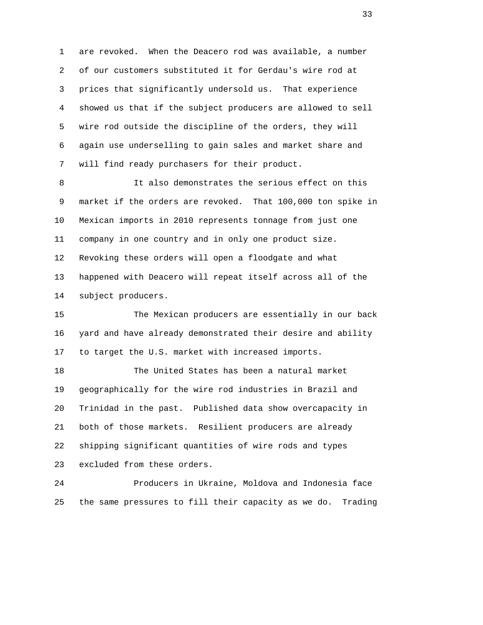1 are revoked. When the Deacero rod was available, a number 2 of our customers substituted it for Gerdau's wire rod at 3 prices that significantly undersold us. That experience 4 showed us that if the subject producers are allowed to sell 5 wire rod outside the discipline of the orders, they will 6 again use underselling to gain sales and market share and 7 will find ready purchasers for their product.

8 15 It also demonstrates the serious effect on this 9 market if the orders are revoked. That 100,000 ton spike in 10 Mexican imports in 2010 represents tonnage from just one 11 company in one country and in only one product size. 12 Revoking these orders will open a floodgate and what 13 happened with Deacero will repeat itself across all of the 14 subject producers.

 15 The Mexican producers are essentially in our back 16 yard and have already demonstrated their desire and ability 17 to target the U.S. market with increased imports.

 18 The United States has been a natural market 19 geographically for the wire rod industries in Brazil and 20 Trinidad in the past. Published data show overcapacity in 21 both of those markets. Resilient producers are already 22 shipping significant quantities of wire rods and types 23 excluded from these orders.

 24 Producers in Ukraine, Moldova and Indonesia face 25 the same pressures to fill their capacity as we do. Trading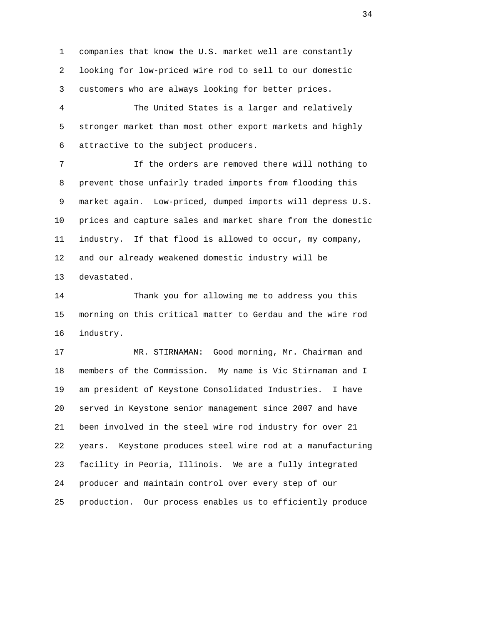1 companies that know the U.S. market well are constantly 2 looking for low-priced wire rod to sell to our domestic 3 customers who are always looking for better prices.

 4 The United States is a larger and relatively 5 stronger market than most other export markets and highly 6 attractive to the subject producers.

 7 If the orders are removed there will nothing to 8 prevent those unfairly traded imports from flooding this 9 market again. Low-priced, dumped imports will depress U.S. 10 prices and capture sales and market share from the domestic 11 industry. If that flood is allowed to occur, my company, 12 and our already weakened domestic industry will be 13 devastated.

 14 Thank you for allowing me to address you this 15 morning on this critical matter to Gerdau and the wire rod 16 industry.

 17 MR. STIRNAMAN: Good morning, Mr. Chairman and 18 members of the Commission. My name is Vic Stirnaman and I 19 am president of Keystone Consolidated Industries. I have 20 served in Keystone senior management since 2007 and have 21 been involved in the steel wire rod industry for over 21 22 years. Keystone produces steel wire rod at a manufacturing 23 facility in Peoria, Illinois. We are a fully integrated 24 producer and maintain control over every step of our 25 production. Our process enables us to efficiently produce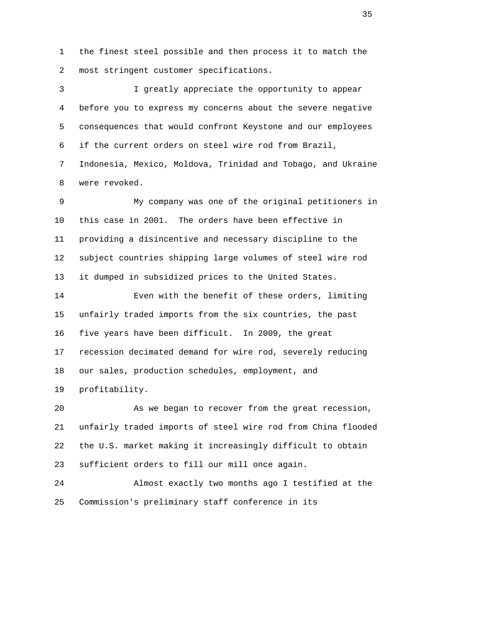1 the finest steel possible and then process it to match the 2 most stringent customer specifications.

 3 I greatly appreciate the opportunity to appear 4 before you to express my concerns about the severe negative 5 consequences that would confront Keystone and our employees 6 if the current orders on steel wire rod from Brazil, 7 Indonesia, Mexico, Moldova, Trinidad and Tobago, and Ukraine 8 were revoked.

 9 My company was one of the original petitioners in 10 this case in 2001. The orders have been effective in 11 providing a disincentive and necessary discipline to the 12 subject countries shipping large volumes of steel wire rod 13 it dumped in subsidized prices to the United States.

 14 Even with the benefit of these orders, limiting 15 unfairly traded imports from the six countries, the past 16 five years have been difficult. In 2009, the great 17 recession decimated demand for wire rod, severely reducing 18 our sales, production schedules, employment, and 19 profitability.

 20 As we began to recover from the great recession, 21 unfairly traded imports of steel wire rod from China flooded 22 the U.S. market making it increasingly difficult to obtain 23 sufficient orders to fill our mill once again.

 24 Almost exactly two months ago I testified at the 25 Commission's preliminary staff conference in its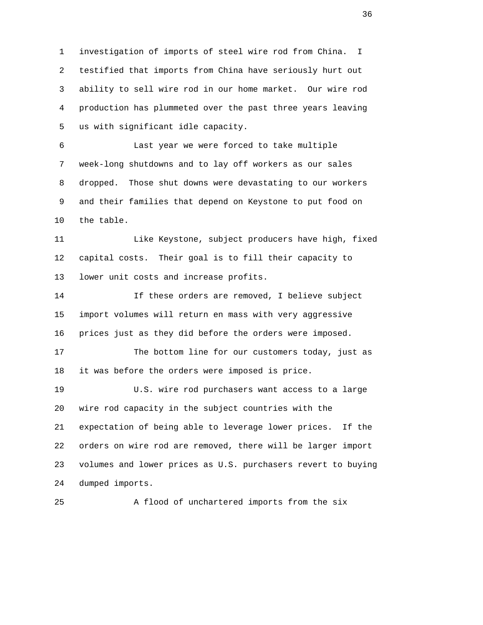1 investigation of imports of steel wire rod from China. I 2 testified that imports from China have seriously hurt out 3 ability to sell wire rod in our home market. Our wire rod 4 production has plummeted over the past three years leaving 5 us with significant idle capacity.

 6 Last year we were forced to take multiple 7 week-long shutdowns and to lay off workers as our sales 8 dropped. Those shut downs were devastating to our workers 9 and their families that depend on Keystone to put food on 10 the table.

 11 Like Keystone, subject producers have high, fixed 12 capital costs. Their goal is to fill their capacity to 13 lower unit costs and increase profits.

 14 If these orders are removed, I believe subject 15 import volumes will return en mass with very aggressive 16 prices just as they did before the orders were imposed.

 17 The bottom line for our customers today, just as 18 it was before the orders were imposed is price.

 19 U.S. wire rod purchasers want access to a large 20 wire rod capacity in the subject countries with the 21 expectation of being able to leverage lower prices. If the 22 orders on wire rod are removed, there will be larger import 23 volumes and lower prices as U.S. purchasers revert to buying 24 dumped imports.

25 A flood of unchartered imports from the six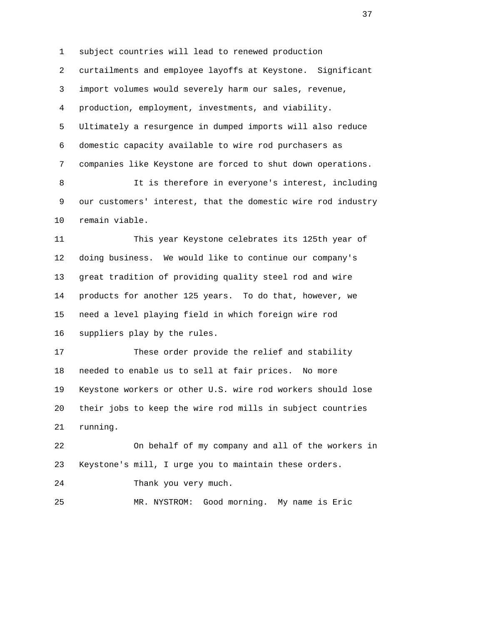1 subject countries will lead to renewed production 2 curtailments and employee layoffs at Keystone. Significant 3 import volumes would severely harm our sales, revenue, 4 production, employment, investments, and viability. 5 Ultimately a resurgence in dumped imports will also reduce 6 domestic capacity available to wire rod purchasers as 7 companies like Keystone are forced to shut down operations. 8 15 It is therefore in everyone's interest, including 9 our customers' interest, that the domestic wire rod industry 10 remain viable. 11 This year Keystone celebrates its 125th year of 12 doing business. We would like to continue our company's 13 great tradition of providing quality steel rod and wire 14 products for another 125 years. To do that, however, we 15 need a level playing field in which foreign wire rod 16 suppliers play by the rules. 17 These order provide the relief and stability 18 needed to enable us to sell at fair prices. No more 19 Keystone workers or other U.S. wire rod workers should lose 20 their jobs to keep the wire rod mills in subject countries 21 running. 22 On behalf of my company and all of the workers in 23 Keystone's mill, I urge you to maintain these orders. 24 Thank you very much. 25 MR. NYSTROM: Good morning. My name is Eric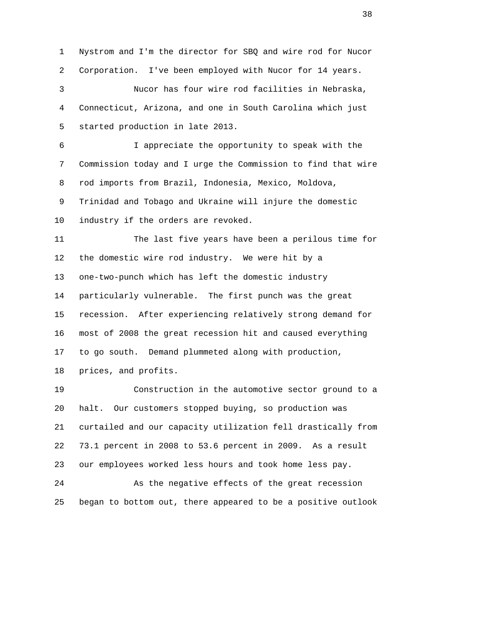2 Corporation. I've been employed with Nucor for 14 years. 3 Nucor has four wire rod facilities in Nebraska, 4 Connecticut, Arizona, and one in South Carolina which just 5 started production in late 2013. 6 I appreciate the opportunity to speak with the 7 Commission today and I urge the Commission to find that wire 8 rod imports from Brazil, Indonesia, Mexico, Moldova, 9 Trinidad and Tobago and Ukraine will injure the domestic 10 industry if the orders are revoked. 11 The last five years have been a perilous time for 12 the domestic wire rod industry. We were hit by a 13 one-two-punch which has left the domestic industry 14 particularly vulnerable. The first punch was the great 15 recession. After experiencing relatively strong demand for 16 most of 2008 the great recession hit and caused everything 17 to go south. Demand plummeted along with production, 18 prices, and profits.

1 Nystrom and I'm the director for SBQ and wire rod for Nucor

 19 Construction in the automotive sector ground to a 20 halt. Our customers stopped buying, so production was 21 curtailed and our capacity utilization fell drastically from 22 73.1 percent in 2008 to 53.6 percent in 2009. As a result 23 our employees worked less hours and took home less pay.

 24 As the negative effects of the great recession 25 began to bottom out, there appeared to be a positive outlook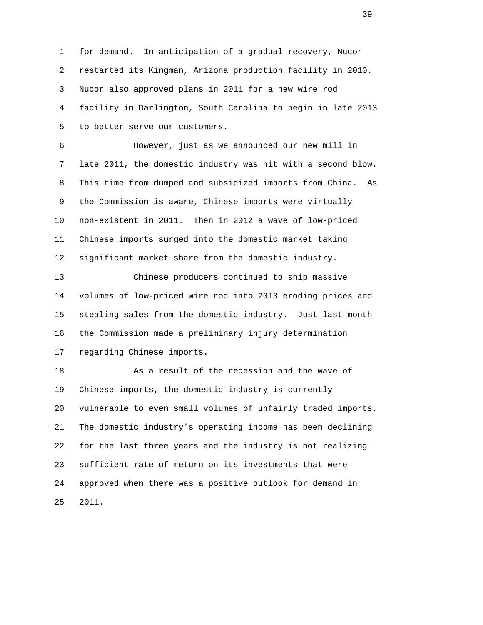1 for demand. In anticipation of a gradual recovery, Nucor 2 restarted its Kingman, Arizona production facility in 2010. 3 Nucor also approved plans in 2011 for a new wire rod 4 facility in Darlington, South Carolina to begin in late 2013 5 to better serve our customers.

 6 However, just as we announced our new mill in 7 late 2011, the domestic industry was hit with a second blow. 8 This time from dumped and subsidized imports from China. As 9 the Commission is aware, Chinese imports were virtually 10 non-existent in 2011. Then in 2012 a wave of low-priced 11 Chinese imports surged into the domestic market taking 12 significant market share from the domestic industry.

 13 Chinese producers continued to ship massive 14 volumes of low-priced wire rod into 2013 eroding prices and 15 stealing sales from the domestic industry. Just last month 16 the Commission made a preliminary injury determination 17 regarding Chinese imports.

 18 As a result of the recession and the wave of 19 Chinese imports, the domestic industry is currently 20 vulnerable to even small volumes of unfairly traded imports. 21 The domestic industry's operating income has been declining 22 for the last three years and the industry is not realizing 23 sufficient rate of return on its investments that were 24 approved when there was a positive outlook for demand in 25 2011.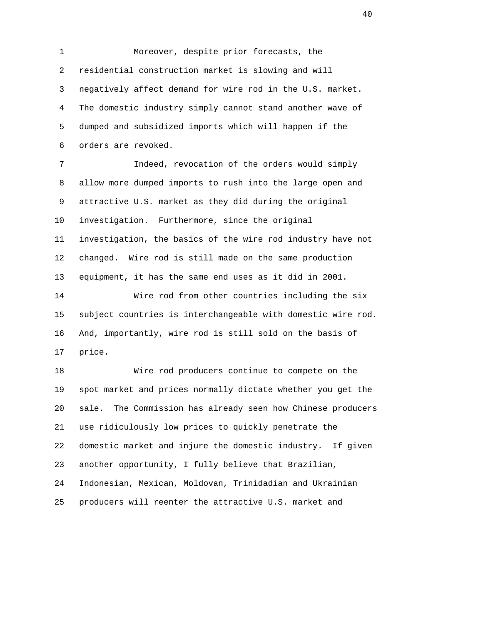1 Moreover, despite prior forecasts, the 2 residential construction market is slowing and will 3 negatively affect demand for wire rod in the U.S. market. 4 The domestic industry simply cannot stand another wave of 5 dumped and subsidized imports which will happen if the 6 orders are revoked. 7 Indeed, revocation of the orders would simply 8 allow more dumped imports to rush into the large open and 9 attractive U.S. market as they did during the original 10 investigation. Furthermore, since the original

 11 investigation, the basics of the wire rod industry have not 12 changed. Wire rod is still made on the same production 13 equipment, it has the same end uses as it did in 2001.

 14 Wire rod from other countries including the six 15 subject countries is interchangeable with domestic wire rod. 16 And, importantly, wire rod is still sold on the basis of 17 price.

 18 Wire rod producers continue to compete on the 19 spot market and prices normally dictate whether you get the 20 sale. The Commission has already seen how Chinese producers 21 use ridiculously low prices to quickly penetrate the 22 domestic market and injure the domestic industry. If given 23 another opportunity, I fully believe that Brazilian, 24 Indonesian, Mexican, Moldovan, Trinidadian and Ukrainian 25 producers will reenter the attractive U.S. market and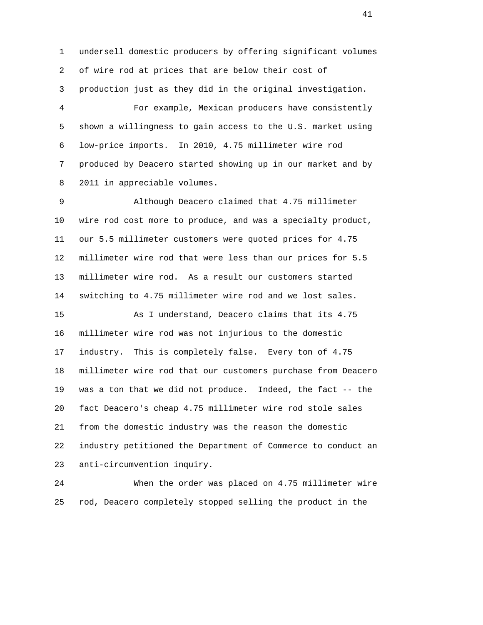1 undersell domestic producers by offering significant volumes 2 of wire rod at prices that are below their cost of 3 production just as they did in the original investigation. 4 For example, Mexican producers have consistently 5 shown a willingness to gain access to the U.S. market using 6 low-price imports. In 2010, 4.75 millimeter wire rod 7 produced by Deacero started showing up in our market and by

 9 Although Deacero claimed that 4.75 millimeter 10 wire rod cost more to produce, and was a specialty product, 11 our 5.5 millimeter customers were quoted prices for 4.75 12 millimeter wire rod that were less than our prices for 5.5 13 millimeter wire rod. As a result our customers started 14 switching to 4.75 millimeter wire rod and we lost sales. 15 As I understand, Deacero claims that its 4.75 16 millimeter wire rod was not injurious to the domestic

8 2011 in appreciable volumes.

 17 industry. This is completely false. Every ton of 4.75 18 millimeter wire rod that our customers purchase from Deacero 19 was a ton that we did not produce. Indeed, the fact -- the 20 fact Deacero's cheap 4.75 millimeter wire rod stole sales 21 from the domestic industry was the reason the domestic 22 industry petitioned the Department of Commerce to conduct an 23 anti-circumvention inquiry.

 24 When the order was placed on 4.75 millimeter wire 25 rod, Deacero completely stopped selling the product in the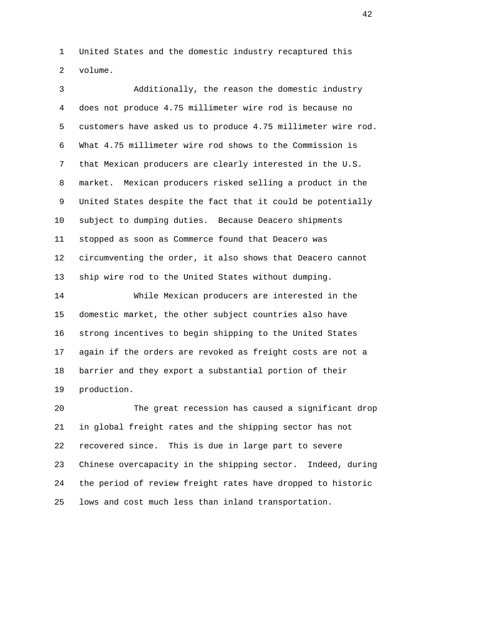1 United States and the domestic industry recaptured this 2 volume.

 3 Additionally, the reason the domestic industry 4 does not produce 4.75 millimeter wire rod is because no 5 customers have asked us to produce 4.75 millimeter wire rod. 6 What 4.75 millimeter wire rod shows to the Commission is 7 that Mexican producers are clearly interested in the U.S. 8 market. Mexican producers risked selling a product in the 9 United States despite the fact that it could be potentially 10 subject to dumping duties. Because Deacero shipments 11 stopped as soon as Commerce found that Deacero was 12 circumventing the order, it also shows that Deacero cannot 13 ship wire rod to the United States without dumping.

 14 While Mexican producers are interested in the 15 domestic market, the other subject countries also have 16 strong incentives to begin shipping to the United States 17 again if the orders are revoked as freight costs are not a 18 barrier and they export a substantial portion of their 19 production.

 20 The great recession has caused a significant drop 21 in global freight rates and the shipping sector has not 22 recovered since. This is due in large part to severe 23 Chinese overcapacity in the shipping sector. Indeed, during 24 the period of review freight rates have dropped to historic 25 lows and cost much less than inland transportation.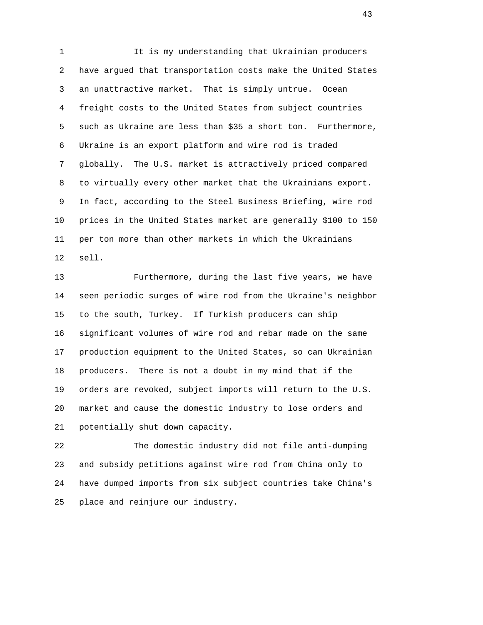1 It is my understanding that Ukrainian producers 2 have argued that transportation costs make the United States 3 an unattractive market. That is simply untrue. Ocean 4 freight costs to the United States from subject countries 5 such as Ukraine are less than \$35 a short ton. Furthermore, 6 Ukraine is an export platform and wire rod is traded 7 globally. The U.S. market is attractively priced compared 8 to virtually every other market that the Ukrainians export. 9 In fact, according to the Steel Business Briefing, wire rod 10 prices in the United States market are generally \$100 to 150 11 per ton more than other markets in which the Ukrainians 12 sell.

 13 Furthermore, during the last five years, we have 14 seen periodic surges of wire rod from the Ukraine's neighbor 15 to the south, Turkey. If Turkish producers can ship 16 significant volumes of wire rod and rebar made on the same 17 production equipment to the United States, so can Ukrainian 18 producers. There is not a doubt in my mind that if the 19 orders are revoked, subject imports will return to the U.S. 20 market and cause the domestic industry to lose orders and 21 potentially shut down capacity.

 22 The domestic industry did not file anti-dumping 23 and subsidy petitions against wire rod from China only to 24 have dumped imports from six subject countries take China's 25 place and reinjure our industry.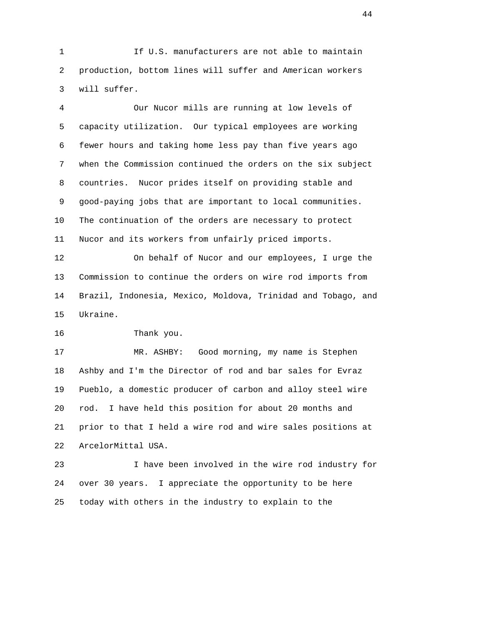1 If U.S. manufacturers are not able to maintain 2 production, bottom lines will suffer and American workers 3 will suffer.

 4 Our Nucor mills are running at low levels of 5 capacity utilization. Our typical employees are working 6 fewer hours and taking home less pay than five years ago 7 when the Commission continued the orders on the six subject 8 countries. Nucor prides itself on providing stable and 9 good-paying jobs that are important to local communities. 10 The continuation of the orders are necessary to protect 11 Nucor and its workers from unfairly priced imports.

 12 On behalf of Nucor and our employees, I urge the 13 Commission to continue the orders on wire rod imports from 14 Brazil, Indonesia, Mexico, Moldova, Trinidad and Tobago, and 15 Ukraine.

16 Thank you.

 17 MR. ASHBY: Good morning, my name is Stephen 18 Ashby and I'm the Director of rod and bar sales for Evraz 19 Pueblo, a domestic producer of carbon and alloy steel wire 20 rod. I have held this position for about 20 months and 21 prior to that I held a wire rod and wire sales positions at 22 ArcelorMittal USA.

 23 I have been involved in the wire rod industry for 24 over 30 years. I appreciate the opportunity to be here 25 today with others in the industry to explain to the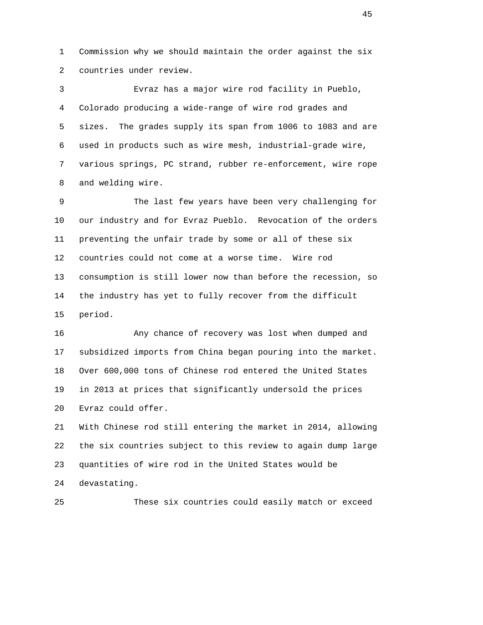1 Commission why we should maintain the order against the six 2 countries under review.

 3 Evraz has a major wire rod facility in Pueblo, 4 Colorado producing a wide-range of wire rod grades and 5 sizes. The grades supply its span from 1006 to 1083 and are 6 used in products such as wire mesh, industrial-grade wire, 7 various springs, PC strand, rubber re-enforcement, wire rope 8 and welding wire.

 9 The last few years have been very challenging for 10 our industry and for Evraz Pueblo. Revocation of the orders 11 preventing the unfair trade by some or all of these six 12 countries could not come at a worse time. Wire rod 13 consumption is still lower now than before the recession, so 14 the industry has yet to fully recover from the difficult 15 period.

 16 Any chance of recovery was lost when dumped and 17 subsidized imports from China began pouring into the market. 18 Over 600,000 tons of Chinese rod entered the United States 19 in 2013 at prices that significantly undersold the prices 20 Evraz could offer.

 21 With Chinese rod still entering the market in 2014, allowing 22 the six countries subject to this review to again dump large 23 quantities of wire rod in the United States would be 24 devastating.

25 These six countries could easily match or exceed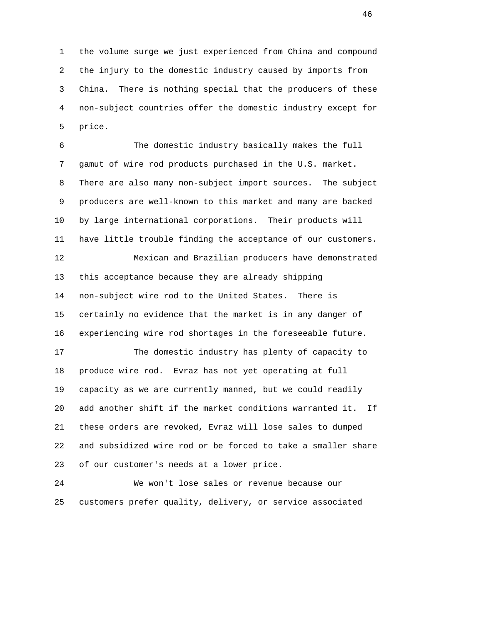1 the volume surge we just experienced from China and compound 2 the injury to the domestic industry caused by imports from 3 China. There is nothing special that the producers of these 4 non-subject countries offer the domestic industry except for 5 price.

 6 The domestic industry basically makes the full 7 gamut of wire rod products purchased in the U.S. market. 8 There are also many non-subject import sources. The subject 9 producers are well-known to this market and many are backed 10 by large international corporations. Their products will 11 have little trouble finding the acceptance of our customers. 12 Mexican and Brazilian producers have demonstrated 13 this acceptance because they are already shipping 14 non-subject wire rod to the United States. There is 15 certainly no evidence that the market is in any danger of 16 experiencing wire rod shortages in the foreseeable future. 17 The domestic industry has plenty of capacity to 18 produce wire rod. Evraz has not yet operating at full 19 capacity as we are currently manned, but we could readily 20 add another shift if the market conditions warranted it. If 21 these orders are revoked, Evraz will lose sales to dumped 22 and subsidized wire rod or be forced to take a smaller share 23 of our customer's needs at a lower price.

 24 We won't lose sales or revenue because our 25 customers prefer quality, delivery, or service associated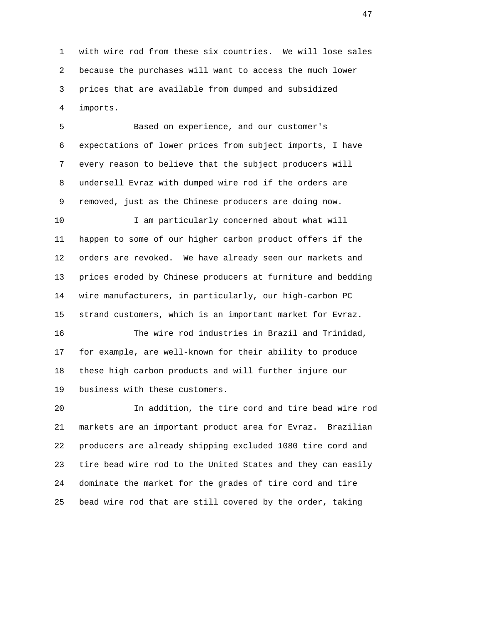1 with wire rod from these six countries. We will lose sales 2 because the purchases will want to access the much lower 3 prices that are available from dumped and subsidized 4 imports.

 5 Based on experience, and our customer's 6 expectations of lower prices from subject imports, I have 7 every reason to believe that the subject producers will 8 undersell Evraz with dumped wire rod if the orders are 9 removed, just as the Chinese producers are doing now.

10 I am particularly concerned about what will 11 happen to some of our higher carbon product offers if the 12 orders are revoked. We have already seen our markets and 13 prices eroded by Chinese producers at furniture and bedding 14 wire manufacturers, in particularly, our high-carbon PC 15 strand customers, which is an important market for Evraz.

 16 The wire rod industries in Brazil and Trinidad, 17 for example, are well-known for their ability to produce 18 these high carbon products and will further injure our 19 business with these customers.

 20 In addition, the tire cord and tire bead wire rod 21 markets are an important product area for Evraz. Brazilian 22 producers are already shipping excluded 1080 tire cord and 23 tire bead wire rod to the United States and they can easily 24 dominate the market for the grades of tire cord and tire 25 bead wire rod that are still covered by the order, taking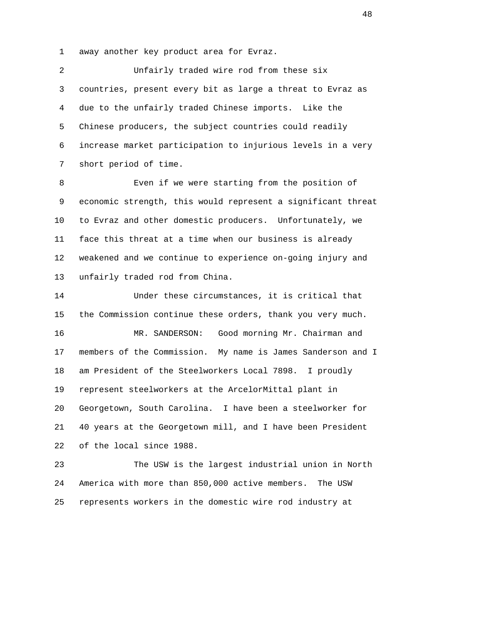1 away another key product area for Evraz.

 2 Unfairly traded wire rod from these six 3 countries, present every bit as large a threat to Evraz as 4 due to the unfairly traded Chinese imports. Like the 5 Chinese producers, the subject countries could readily 6 increase market participation to injurious levels in a very 7 short period of time.

 8 Even if we were starting from the position of 9 economic strength, this would represent a significant threat 10 to Evraz and other domestic producers. Unfortunately, we 11 face this threat at a time when our business is already 12 weakened and we continue to experience on-going injury and 13 unfairly traded rod from China.

 14 Under these circumstances, it is critical that 15 the Commission continue these orders, thank you very much. 16 MR. SANDERSON: Good morning Mr. Chairman and 17 members of the Commission. My name is James Sanderson and I 18 am President of the Steelworkers Local 7898. I proudly 19 represent steelworkers at the ArcelorMittal plant in 20 Georgetown, South Carolina. I have been a steelworker for 21 40 years at the Georgetown mill, and I have been President 22 of the local since 1988.

 23 The USW is the largest industrial union in North 24 America with more than 850,000 active members. The USW 25 represents workers in the domestic wire rod industry at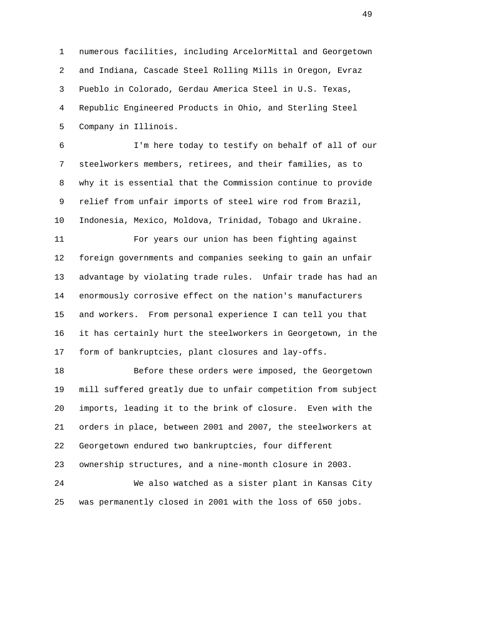1 numerous facilities, including ArcelorMittal and Georgetown 2 and Indiana, Cascade Steel Rolling Mills in Oregon, Evraz 3 Pueblo in Colorado, Gerdau America Steel in U.S. Texas, 4 Republic Engineered Products in Ohio, and Sterling Steel 5 Company in Illinois.

 6 I'm here today to testify on behalf of all of our 7 steelworkers members, retirees, and their families, as to 8 why it is essential that the Commission continue to provide 9 relief from unfair imports of steel wire rod from Brazil, 10 Indonesia, Mexico, Moldova, Trinidad, Tobago and Ukraine.

 11 For years our union has been fighting against 12 foreign governments and companies seeking to gain an unfair 13 advantage by violating trade rules. Unfair trade has had an 14 enormously corrosive effect on the nation's manufacturers 15 and workers. From personal experience I can tell you that 16 it has certainly hurt the steelworkers in Georgetown, in the 17 form of bankruptcies, plant closures and lay-offs.

 18 Before these orders were imposed, the Georgetown 19 mill suffered greatly due to unfair competition from subject 20 imports, leading it to the brink of closure. Even with the 21 orders in place, between 2001 and 2007, the steelworkers at 22 Georgetown endured two bankruptcies, four different 23 ownership structures, and a nine-month closure in 2003. 24 We also watched as a sister plant in Kansas City

25 was permanently closed in 2001 with the loss of 650 jobs.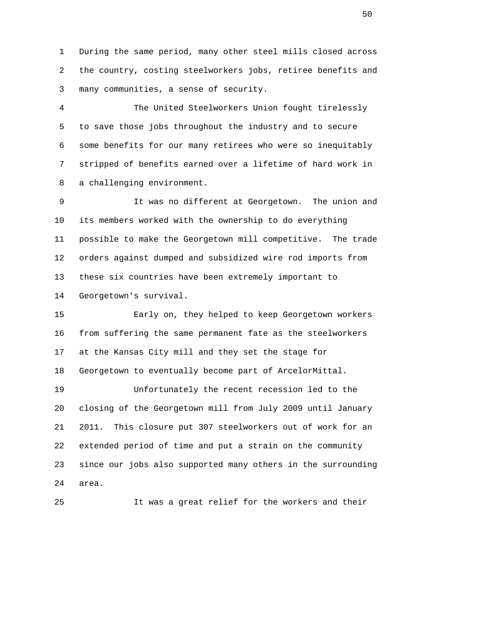1 During the same period, many other steel mills closed across 2 the country, costing steelworkers jobs, retiree benefits and 3 many communities, a sense of security.

 4 The United Steelworkers Union fought tirelessly 5 to save those jobs throughout the industry and to secure 6 some benefits for our many retirees who were so inequitably 7 stripped of benefits earned over a lifetime of hard work in 8 a challenging environment.

 9 It was no different at Georgetown. The union and 10 its members worked with the ownership to do everything 11 possible to make the Georgetown mill competitive. The trade 12 orders against dumped and subsidized wire rod imports from 13 these six countries have been extremely important to 14 Georgetown's survival.

 15 Early on, they helped to keep Georgetown workers 16 from suffering the same permanent fate as the steelworkers 17 at the Kansas City mill and they set the stage for 18 Georgetown to eventually become part of ArcelorMittal.

 19 Unfortunately the recent recession led to the 20 closing of the Georgetown mill from July 2009 until January 21 2011. This closure put 307 steelworkers out of work for an 22 extended period of time and put a strain on the community 23 since our jobs also supported many others in the surrounding 24 area.

25 It was a great relief for the workers and their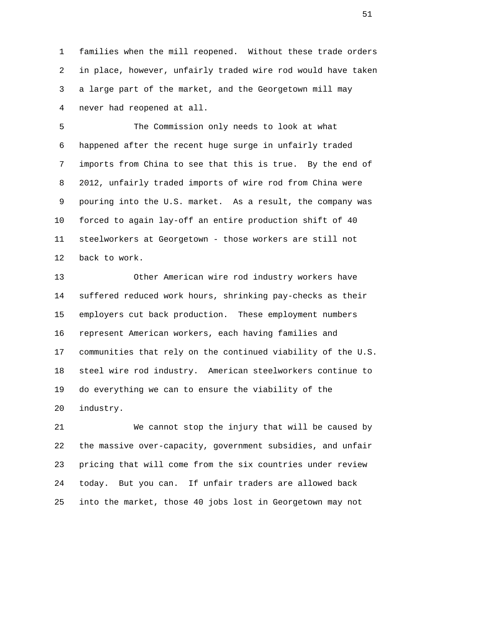1 families when the mill reopened. Without these trade orders 2 in place, however, unfairly traded wire rod would have taken 3 a large part of the market, and the Georgetown mill may 4 never had reopened at all.

 5 The Commission only needs to look at what 6 happened after the recent huge surge in unfairly traded 7 imports from China to see that this is true. By the end of 8 2012, unfairly traded imports of wire rod from China were 9 pouring into the U.S. market. As a result, the company was 10 forced to again lay-off an entire production shift of 40 11 steelworkers at Georgetown - those workers are still not 12 back to work.

 13 Other American wire rod industry workers have 14 suffered reduced work hours, shrinking pay-checks as their 15 employers cut back production. These employment numbers 16 represent American workers, each having families and 17 communities that rely on the continued viability of the U.S. 18 steel wire rod industry. American steelworkers continue to 19 do everything we can to ensure the viability of the 20 industry.

 21 We cannot stop the injury that will be caused by 22 the massive over-capacity, government subsidies, and unfair 23 pricing that will come from the six countries under review 24 today. But you can. If unfair traders are allowed back 25 into the market, those 40 jobs lost in Georgetown may not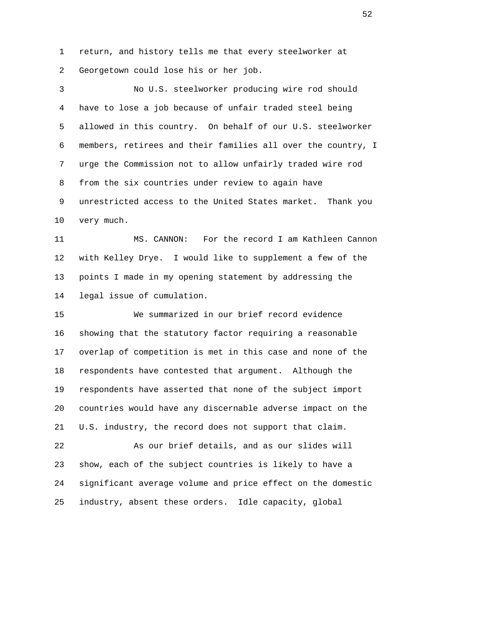1 return, and history tells me that every steelworker at 2 Georgetown could lose his or her job.

 3 No U.S. steelworker producing wire rod should 4 have to lose a job because of unfair traded steel being 5 allowed in this country. On behalf of our U.S. steelworker 6 members, retirees and their families all over the country, I 7 urge the Commission not to allow unfairly traded wire rod 8 from the six countries under review to again have 9 unrestricted access to the United States market. Thank you 10 very much.

 11 MS. CANNON: For the record I am Kathleen Cannon 12 with Kelley Drye. I would like to supplement a few of the 13 points I made in my opening statement by addressing the 14 legal issue of cumulation.

 15 We summarized in our brief record evidence 16 showing that the statutory factor requiring a reasonable 17 overlap of competition is met in this case and none of the 18 respondents have contested that argument. Although the 19 respondents have asserted that none of the subject import 20 countries would have any discernable adverse impact on the 21 U.S. industry, the record does not support that claim.

 22 As our brief details, and as our slides will 23 show, each of the subject countries is likely to have a 24 significant average volume and price effect on the domestic 25 industry, absent these orders. Idle capacity, global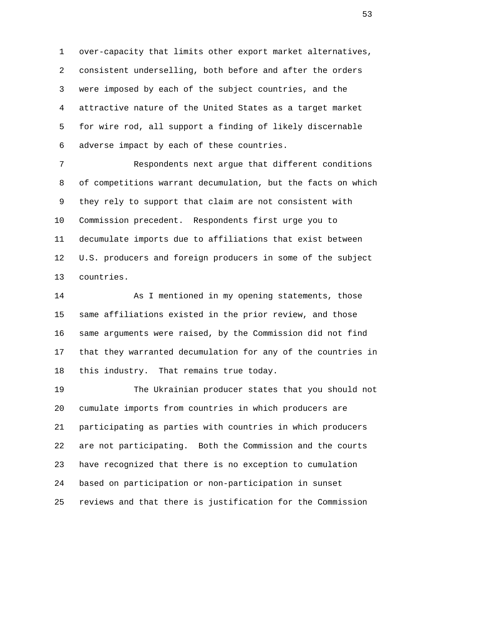1 over-capacity that limits other export market alternatives, 2 consistent underselling, both before and after the orders 3 were imposed by each of the subject countries, and the 4 attractive nature of the United States as a target market 5 for wire rod, all support a finding of likely discernable 6 adverse impact by each of these countries.

 7 Respondents next argue that different conditions 8 of competitions warrant decumulation, but the facts on which 9 they rely to support that claim are not consistent with 10 Commission precedent. Respondents first urge you to 11 decumulate imports due to affiliations that exist between 12 U.S. producers and foreign producers in some of the subject 13 countries.

 14 As I mentioned in my opening statements, those 15 same affiliations existed in the prior review, and those 16 same arguments were raised, by the Commission did not find 17 that they warranted decumulation for any of the countries in 18 this industry. That remains true today.

 19 The Ukrainian producer states that you should not 20 cumulate imports from countries in which producers are 21 participating as parties with countries in which producers 22 are not participating. Both the Commission and the courts 23 have recognized that there is no exception to cumulation 24 based on participation or non-participation in sunset 25 reviews and that there is justification for the Commission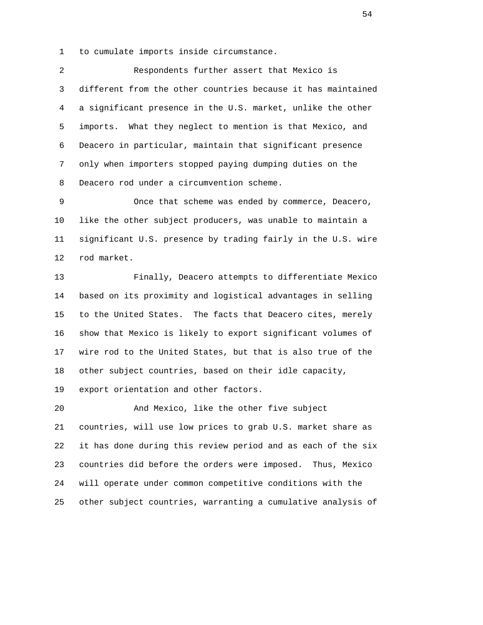1 to cumulate imports inside circumstance.

 2 Respondents further assert that Mexico is 3 different from the other countries because it has maintained 4 a significant presence in the U.S. market, unlike the other 5 imports. What they neglect to mention is that Mexico, and 6 Deacero in particular, maintain that significant presence 7 only when importers stopped paying dumping duties on the 8 Deacero rod under a circumvention scheme.

 9 Once that scheme was ended by commerce, Deacero, 10 like the other subject producers, was unable to maintain a 11 significant U.S. presence by trading fairly in the U.S. wire 12 rod market.

 13 Finally, Deacero attempts to differentiate Mexico 14 based on its proximity and logistical advantages in selling 15 to the United States. The facts that Deacero cites, merely 16 show that Mexico is likely to export significant volumes of 17 wire rod to the United States, but that is also true of the 18 other subject countries, based on their idle capacity,

19 export orientation and other factors.

 20 And Mexico, like the other five subject 21 countries, will use low prices to grab U.S. market share as 22 it has done during this review period and as each of the six 23 countries did before the orders were imposed. Thus, Mexico 24 will operate under common competitive conditions with the 25 other subject countries, warranting a cumulative analysis of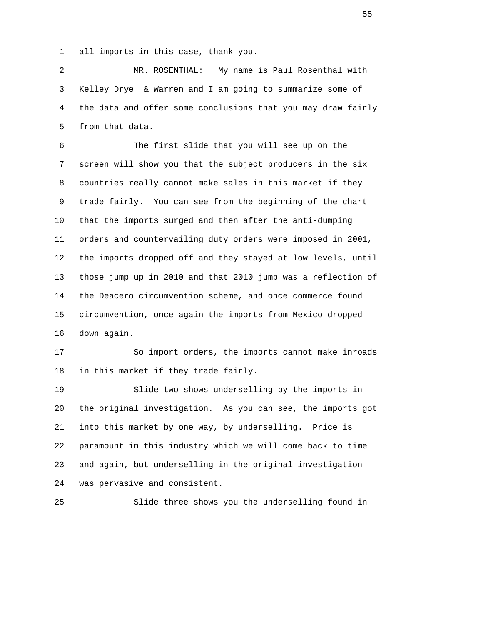1 all imports in this case, thank you.

 2 MR. ROSENTHAL: My name is Paul Rosenthal with 3 Kelley Drye & Warren and I am going to summarize some of 4 the data and offer some conclusions that you may draw fairly 5 from that data.

 6 The first slide that you will see up on the 7 screen will show you that the subject producers in the six 8 countries really cannot make sales in this market if they 9 trade fairly. You can see from the beginning of the chart 10 that the imports surged and then after the anti-dumping 11 orders and countervailing duty orders were imposed in 2001, 12 the imports dropped off and they stayed at low levels, until 13 those jump up in 2010 and that 2010 jump was a reflection of 14 the Deacero circumvention scheme, and once commerce found 15 circumvention, once again the imports from Mexico dropped 16 down again.

 17 So import orders, the imports cannot make inroads 18 in this market if they trade fairly.

 19 Slide two shows underselling by the imports in 20 the original investigation. As you can see, the imports got 21 into this market by one way, by underselling. Price is 22 paramount in this industry which we will come back to time 23 and again, but underselling in the original investigation 24 was pervasive and consistent.

25 Slide three shows you the underselling found in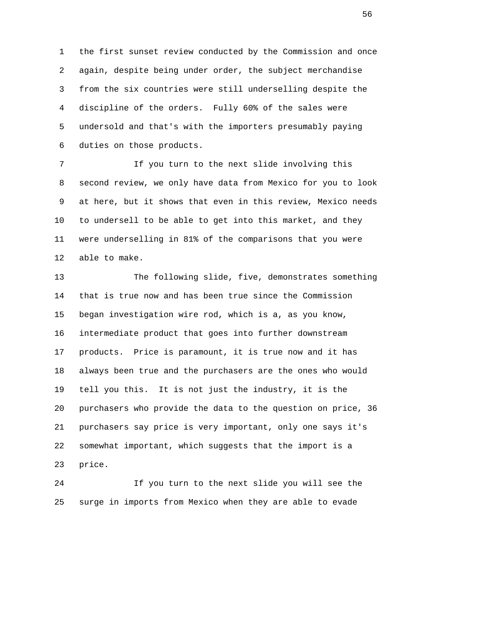1 the first sunset review conducted by the Commission and once 2 again, despite being under order, the subject merchandise 3 from the six countries were still underselling despite the 4 discipline of the orders. Fully 60% of the sales were 5 undersold and that's with the importers presumably paying 6 duties on those products.

 7 If you turn to the next slide involving this 8 second review, we only have data from Mexico for you to look 9 at here, but it shows that even in this review, Mexico needs 10 to undersell to be able to get into this market, and they 11 were underselling in 81% of the comparisons that you were 12 able to make.

 13 The following slide, five, demonstrates something 14 that is true now and has been true since the Commission 15 began investigation wire rod, which is a, as you know, 16 intermediate product that goes into further downstream 17 products. Price is paramount, it is true now and it has 18 always been true and the purchasers are the ones who would 19 tell you this. It is not just the industry, it is the 20 purchasers who provide the data to the question on price, 36 21 purchasers say price is very important, only one says it's 22 somewhat important, which suggests that the import is a 23 price.

 24 If you turn to the next slide you will see the 25 surge in imports from Mexico when they are able to evade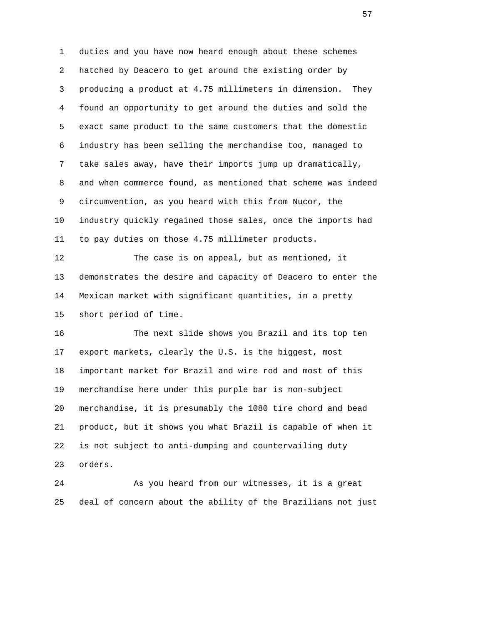1 duties and you have now heard enough about these schemes 2 hatched by Deacero to get around the existing order by 3 producing a product at 4.75 millimeters in dimension. They 4 found an opportunity to get around the duties and sold the 5 exact same product to the same customers that the domestic 6 industry has been selling the merchandise too, managed to 7 take sales away, have their imports jump up dramatically, 8 and when commerce found, as mentioned that scheme was indeed 9 circumvention, as you heard with this from Nucor, the 10 industry quickly regained those sales, once the imports had 11 to pay duties on those 4.75 millimeter products.

 12 The case is on appeal, but as mentioned, it 13 demonstrates the desire and capacity of Deacero to enter the 14 Mexican market with significant quantities, in a pretty 15 short period of time.

 16 The next slide shows you Brazil and its top ten 17 export markets, clearly the U.S. is the biggest, most 18 important market for Brazil and wire rod and most of this 19 merchandise here under this purple bar is non-subject 20 merchandise, it is presumably the 1080 tire chord and bead 21 product, but it shows you what Brazil is capable of when it 22 is not subject to anti-dumping and countervailing duty 23 orders.

 24 As you heard from our witnesses, it is a great 25 deal of concern about the ability of the Brazilians not just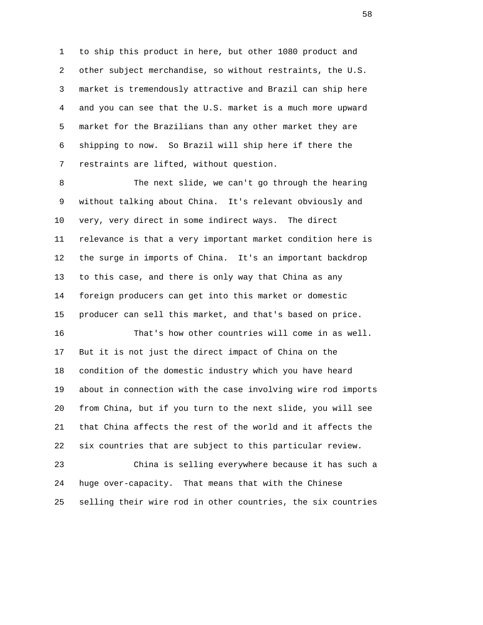1 to ship this product in here, but other 1080 product and 2 other subject merchandise, so without restraints, the U.S. 3 market is tremendously attractive and Brazil can ship here 4 and you can see that the U.S. market is a much more upward 5 market for the Brazilians than any other market they are 6 shipping to now. So Brazil will ship here if there the 7 restraints are lifted, without question.

 8 The next slide, we can't go through the hearing 9 without talking about China. It's relevant obviously and 10 very, very direct in some indirect ways. The direct 11 relevance is that a very important market condition here is 12 the surge in imports of China. It's an important backdrop 13 to this case, and there is only way that China as any 14 foreign producers can get into this market or domestic 15 producer can sell this market, and that's based on price.

 16 That's how other countries will come in as well. 17 But it is not just the direct impact of China on the 18 condition of the domestic industry which you have heard 19 about in connection with the case involving wire rod imports 20 from China, but if you turn to the next slide, you will see 21 that China affects the rest of the world and it affects the 22 six countries that are subject to this particular review.

 23 China is selling everywhere because it has such a 24 huge over-capacity. That means that with the Chinese 25 selling their wire rod in other countries, the six countries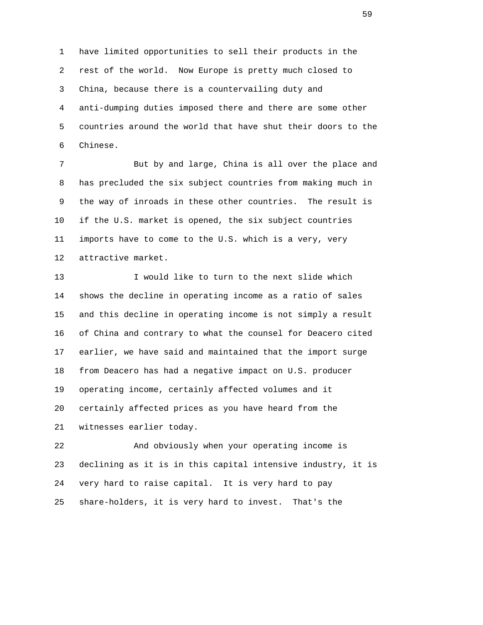1 have limited opportunities to sell their products in the 2 rest of the world. Now Europe is pretty much closed to 3 China, because there is a countervailing duty and 4 anti-dumping duties imposed there and there are some other 5 countries around the world that have shut their doors to the 6 Chinese.

 7 But by and large, China is all over the place and 8 has precluded the six subject countries from making much in 9 the way of inroads in these other countries. The result is 10 if the U.S. market is opened, the six subject countries 11 imports have to come to the U.S. which is a very, very 12 attractive market.

 13 I would like to turn to the next slide which 14 shows the decline in operating income as a ratio of sales 15 and this decline in operating income is not simply a result 16 of China and contrary to what the counsel for Deacero cited 17 earlier, we have said and maintained that the import surge 18 from Deacero has had a negative impact on U.S. producer 19 operating income, certainly affected volumes and it 20 certainly affected prices as you have heard from the 21 witnesses earlier today.

 22 And obviously when your operating income is 23 declining as it is in this capital intensive industry, it is 24 very hard to raise capital. It is very hard to pay 25 share-holders, it is very hard to invest. That's the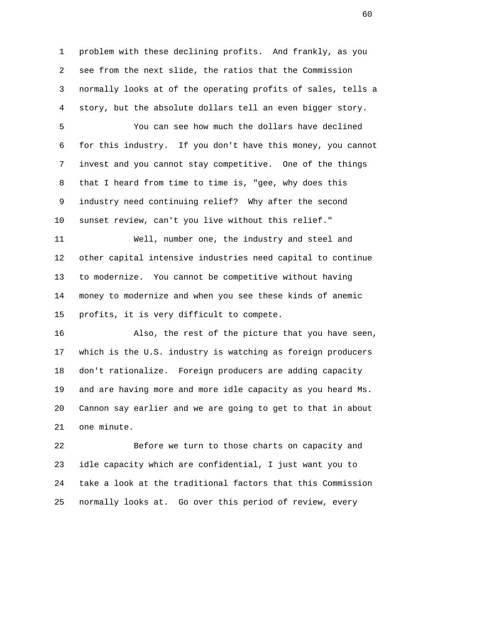1 problem with these declining profits. And frankly, as you 2 see from the next slide, the ratios that the Commission 3 normally looks at of the operating profits of sales, tells a 4 story, but the absolute dollars tell an even bigger story.

 5 You can see how much the dollars have declined 6 for this industry. If you don't have this money, you cannot 7 invest and you cannot stay competitive. One of the things 8 that I heard from time to time is, "gee, why does this 9 industry need continuing relief? Why after the second 10 sunset review, can't you live without this relief."

 11 Well, number one, the industry and steel and 12 other capital intensive industries need capital to continue 13 to modernize. You cannot be competitive without having 14 money to modernize and when you see these kinds of anemic 15 profits, it is very difficult to compete.

 16 Also, the rest of the picture that you have seen, 17 which is the U.S. industry is watching as foreign producers 18 don't rationalize. Foreign producers are adding capacity 19 and are having more and more idle capacity as you heard Ms. 20 Cannon say earlier and we are going to get to that in about 21 one minute.

 22 Before we turn to those charts on capacity and 23 idle capacity which are confidential, I just want you to 24 take a look at the traditional factors that this Commission 25 normally looks at. Go over this period of review, every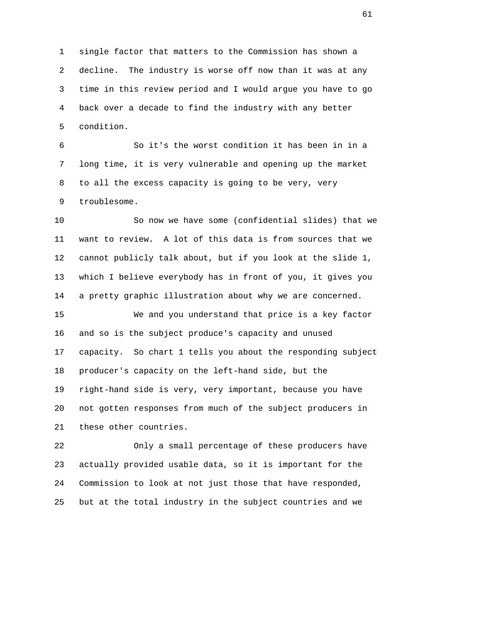1 single factor that matters to the Commission has shown a 2 decline. The industry is worse off now than it was at any 3 time in this review period and I would argue you have to go 4 back over a decade to find the industry with any better 5 condition.

 6 So it's the worst condition it has been in in a 7 long time, it is very vulnerable and opening up the market 8 to all the excess capacity is going to be very, very 9 troublesome.

 10 So now we have some (confidential slides) that we 11 want to review. A lot of this data is from sources that we 12 cannot publicly talk about, but if you look at the slide 1, 13 which I believe everybody has in front of you, it gives you 14 a pretty graphic illustration about why we are concerned.

 15 We and you understand that price is a key factor 16 and so is the subject produce's capacity and unused 17 capacity. So chart 1 tells you about the responding subject 18 producer's capacity on the left-hand side, but the 19 right-hand side is very, very important, because you have 20 not gotten responses from much of the subject producers in 21 these other countries.

 22 Only a small percentage of these producers have 23 actually provided usable data, so it is important for the 24 Commission to look at not just those that have responded, 25 but at the total industry in the subject countries and we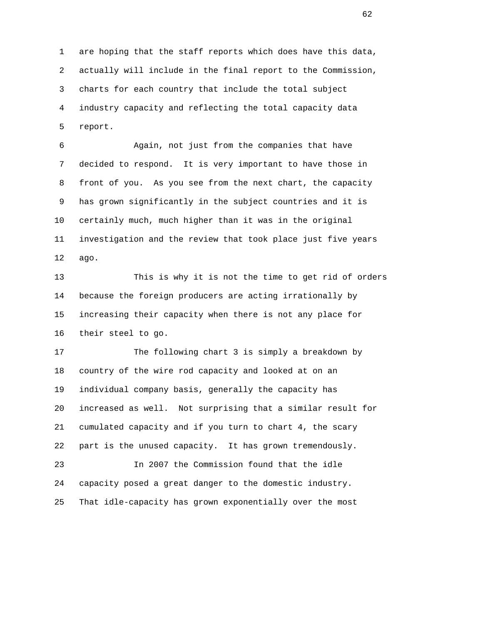1 are hoping that the staff reports which does have this data, 2 actually will include in the final report to the Commission, 3 charts for each country that include the total subject 4 industry capacity and reflecting the total capacity data 5 report.

 6 Again, not just from the companies that have 7 decided to respond. It is very important to have those in 8 front of you. As you see from the next chart, the capacity 9 has grown significantly in the subject countries and it is 10 certainly much, much higher than it was in the original 11 investigation and the review that took place just five years 12 ago.

 13 This is why it is not the time to get rid of orders 14 because the foreign producers are acting irrationally by 15 increasing their capacity when there is not any place for 16 their steel to go.

 17 The following chart 3 is simply a breakdown by 18 country of the wire rod capacity and looked at on an 19 individual company basis, generally the capacity has 20 increased as well. Not surprising that a similar result for 21 cumulated capacity and if you turn to chart 4, the scary 22 part is the unused capacity. It has grown tremendously. 23 In 2007 the Commission found that the idle 24 capacity posed a great danger to the domestic industry.

25 That idle-capacity has grown exponentially over the most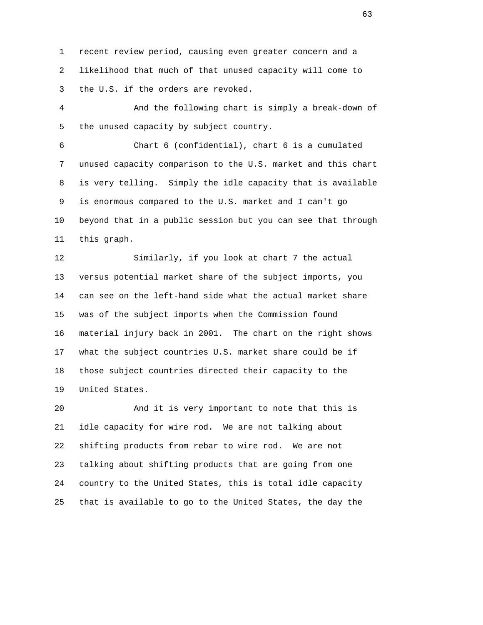1 recent review period, causing even greater concern and a 2 likelihood that much of that unused capacity will come to 3 the U.S. if the orders are revoked.

 4 And the following chart is simply a break-down of 5 the unused capacity by subject country.

 6 Chart 6 (confidential), chart 6 is a cumulated 7 unused capacity comparison to the U.S. market and this chart 8 is very telling. Simply the idle capacity that is available 9 is enormous compared to the U.S. market and I can't go 10 beyond that in a public session but you can see that through 11 this graph.

 12 Similarly, if you look at chart 7 the actual 13 versus potential market share of the subject imports, you 14 can see on the left-hand side what the actual market share 15 was of the subject imports when the Commission found 16 material injury back in 2001. The chart on the right shows 17 what the subject countries U.S. market share could be if 18 those subject countries directed their capacity to the 19 United States.

 20 And it is very important to note that this is 21 idle capacity for wire rod. We are not talking about 22 shifting products from rebar to wire rod. We are not 23 talking about shifting products that are going from one 24 country to the United States, this is total idle capacity 25 that is available to go to the United States, the day the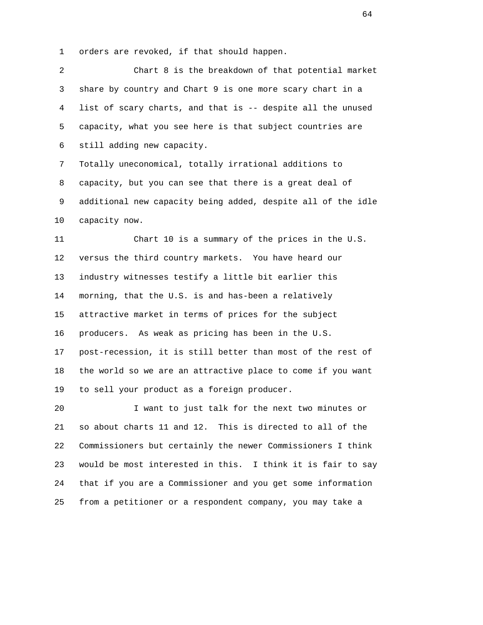1 orders are revoked, if that should happen.

 2 Chart 8 is the breakdown of that potential market 3 share by country and Chart 9 is one more scary chart in a 4 list of scary charts, and that is -- despite all the unused 5 capacity, what you see here is that subject countries are 6 still adding new capacity. 7 Totally uneconomical, totally irrational additions to 8 capacity, but you can see that there is a great deal of 9 additional new capacity being added, despite all of the idle 10 capacity now. 11 Chart 10 is a summary of the prices in the U.S. 12 versus the third country markets. You have heard our 13 industry witnesses testify a little bit earlier this 14 morning, that the U.S. is and has-been a relatively 15 attractive market in terms of prices for the subject 16 producers. As weak as pricing has been in the U.S. 17 post-recession, it is still better than most of the rest of 18 the world so we are an attractive place to come if you want 19 to sell your product as a foreign producer. 20 I want to just talk for the next two minutes or 21 so about charts 11 and 12. This is directed to all of the 22 Commissioners but certainly the newer Commissioners I think 23 would be most interested in this. I think it is fair to say

25 from a petitioner or a respondent company, you may take a

24 that if you are a Commissioner and you get some information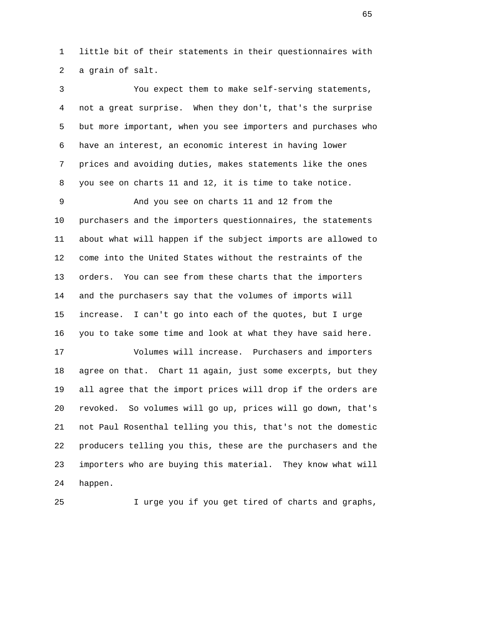1 little bit of their statements in their questionnaires with 2 a grain of salt.

 3 You expect them to make self-serving statements, 4 not a great surprise. When they don't, that's the surprise 5 but more important, when you see importers and purchases who 6 have an interest, an economic interest in having lower 7 prices and avoiding duties, makes statements like the ones 8 you see on charts 11 and 12, it is time to take notice.

 9 And you see on charts 11 and 12 from the 10 purchasers and the importers questionnaires, the statements 11 about what will happen if the subject imports are allowed to 12 come into the United States without the restraints of the 13 orders. You can see from these charts that the importers 14 and the purchasers say that the volumes of imports will 15 increase. I can't go into each of the quotes, but I urge 16 you to take some time and look at what they have said here.

 17 Volumes will increase. Purchasers and importers 18 agree on that. Chart 11 again, just some excerpts, but they 19 all agree that the import prices will drop if the orders are 20 revoked. So volumes will go up, prices will go down, that's 21 not Paul Rosenthal telling you this, that's not the domestic 22 producers telling you this, these are the purchasers and the 23 importers who are buying this material. They know what will 24 happen.

25 I urge you if you get tired of charts and graphs,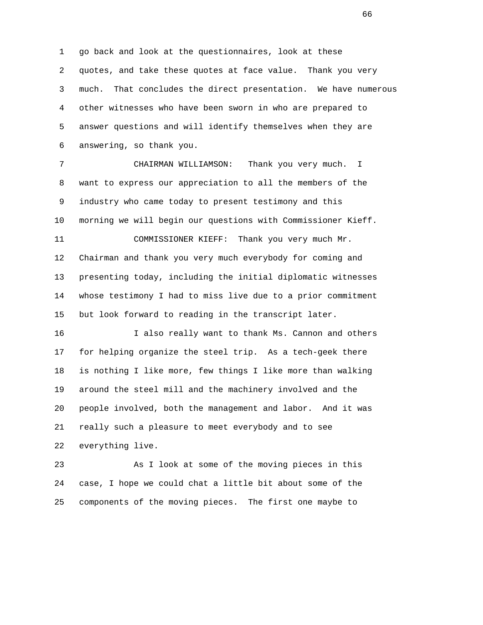1 go back and look at the questionnaires, look at these 2 quotes, and take these quotes at face value. Thank you very 3 much. That concludes the direct presentation. We have numerous 4 other witnesses who have been sworn in who are prepared to 5 answer questions and will identify themselves when they are 6 answering, so thank you.

 7 CHAIRMAN WILLIAMSON: Thank you very much. I 8 want to express our appreciation to all the members of the 9 industry who came today to present testimony and this 10 morning we will begin our questions with Commissioner Kieff. 11 COMMISSIONER KIEFF: Thank you very much Mr.

 12 Chairman and thank you very much everybody for coming and 13 presenting today, including the initial diplomatic witnesses 14 whose testimony I had to miss live due to a prior commitment 15 but look forward to reading in the transcript later.

 16 I also really want to thank Ms. Cannon and others 17 for helping organize the steel trip. As a tech-geek there 18 is nothing I like more, few things I like more than walking 19 around the steel mill and the machinery involved and the 20 people involved, both the management and labor. And it was 21 really such a pleasure to meet everybody and to see 22 everything live.

 23 As I look at some of the moving pieces in this 24 case, I hope we could chat a little bit about some of the 25 components of the moving pieces. The first one maybe to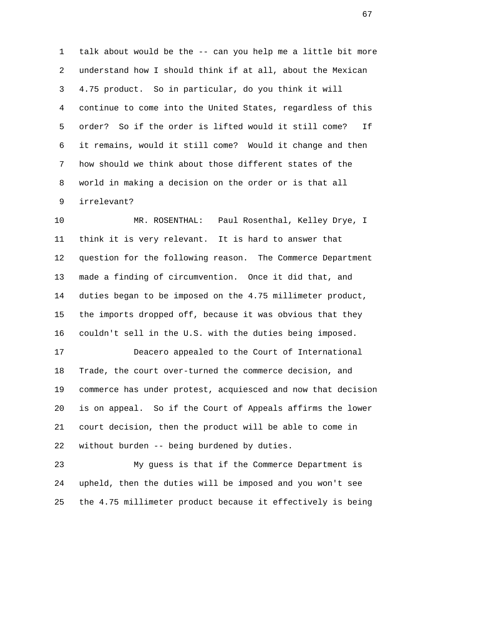1 talk about would be the -- can you help me a little bit more 2 understand how I should think if at all, about the Mexican 3 4.75 product. So in particular, do you think it will 4 continue to come into the United States, regardless of this 5 order? So if the order is lifted would it still come? If 6 it remains, would it still come? Would it change and then 7 how should we think about those different states of the 8 world in making a decision on the order or is that all 9 irrelevant?

 10 MR. ROSENTHAL: Paul Rosenthal, Kelley Drye, I 11 think it is very relevant. It is hard to answer that 12 question for the following reason. The Commerce Department 13 made a finding of circumvention. Once it did that, and 14 duties began to be imposed on the 4.75 millimeter product, 15 the imports dropped off, because it was obvious that they 16 couldn't sell in the U.S. with the duties being imposed.

 17 Deacero appealed to the Court of International 18 Trade, the court over-turned the commerce decision, and 19 commerce has under protest, acquiesced and now that decision 20 is on appeal. So if the Court of Appeals affirms the lower 21 court decision, then the product will be able to come in 22 without burden -- being burdened by duties.

 23 My guess is that if the Commerce Department is 24 upheld, then the duties will be imposed and you won't see 25 the 4.75 millimeter product because it effectively is being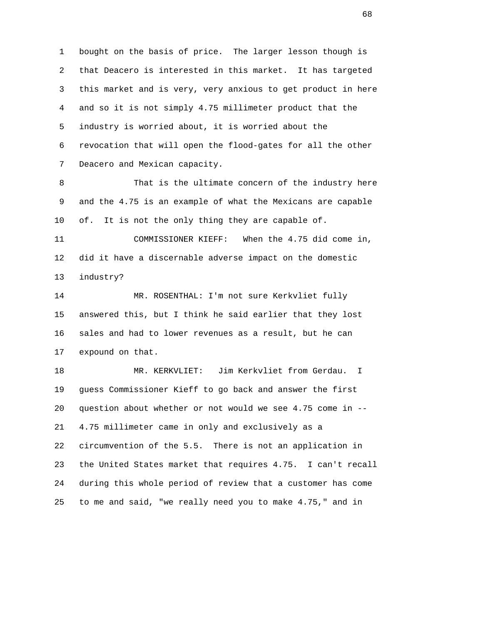1 bought on the basis of price. The larger lesson though is 2 that Deacero is interested in this market. It has targeted 3 this market and is very, very anxious to get product in here 4 and so it is not simply 4.75 millimeter product that the 5 industry is worried about, it is worried about the 6 revocation that will open the flood-gates for all the other 7 Deacero and Mexican capacity.

 8 That is the ultimate concern of the industry here 9 and the 4.75 is an example of what the Mexicans are capable 10 of. It is not the only thing they are capable of.

 11 COMMISSIONER KIEFF: When the 4.75 did come in, 12 did it have a discernable adverse impact on the domestic 13 industry?

 14 MR. ROSENTHAL: I'm not sure Kerkvliet fully 15 answered this, but I think he said earlier that they lost 16 sales and had to lower revenues as a result, but he can 17 expound on that.

 18 MR. KERKVLIET: Jim Kerkvliet from Gerdau. I 19 guess Commissioner Kieff to go back and answer the first 20 question about whether or not would we see 4.75 come in -- 21 4.75 millimeter came in only and exclusively as a 22 circumvention of the 5.5. There is not an application in 23 the United States market that requires 4.75. I can't recall 24 during this whole period of review that a customer has come 25 to me and said, "we really need you to make 4.75," and in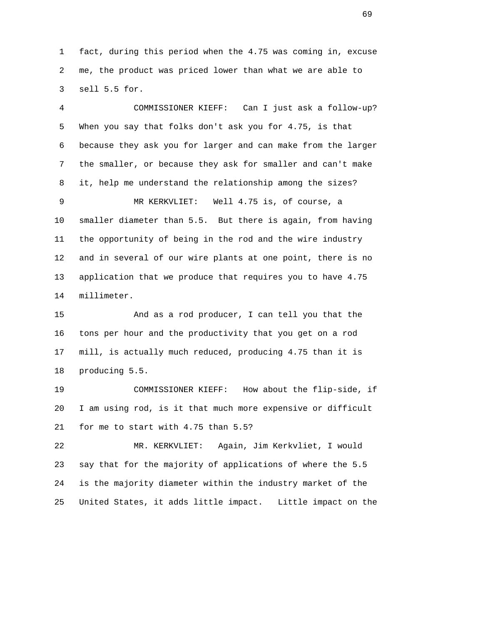1 fact, during this period when the 4.75 was coming in, excuse 2 me, the product was priced lower than what we are able to 3 sell 5.5 for.

 4 COMMISSIONER KIEFF: Can I just ask a follow-up? 5 When you say that folks don't ask you for 4.75, is that 6 because they ask you for larger and can make from the larger 7 the smaller, or because they ask for smaller and can't make 8 it, help me understand the relationship among the sizes? 9 MR KERKVLIET: Well 4.75 is, of course, a 10 smaller diameter than 5.5. But there is again, from having 11 the opportunity of being in the rod and the wire industry 12 and in several of our wire plants at one point, there is no 13 application that we produce that requires you to have 4.75 14 millimeter.

 15 And as a rod producer, I can tell you that the 16 tons per hour and the productivity that you get on a rod 17 mill, is actually much reduced, producing 4.75 than it is 18 producing 5.5.

 19 COMMISSIONER KIEFF: How about the flip-side, if 20 I am using rod, is it that much more expensive or difficult 21 for me to start with 4.75 than 5.5?

 22 MR. KERKVLIET: Again, Jim Kerkvliet, I would 23 say that for the majority of applications of where the 5.5 24 is the majority diameter within the industry market of the 25 United States, it adds little impact. Little impact on the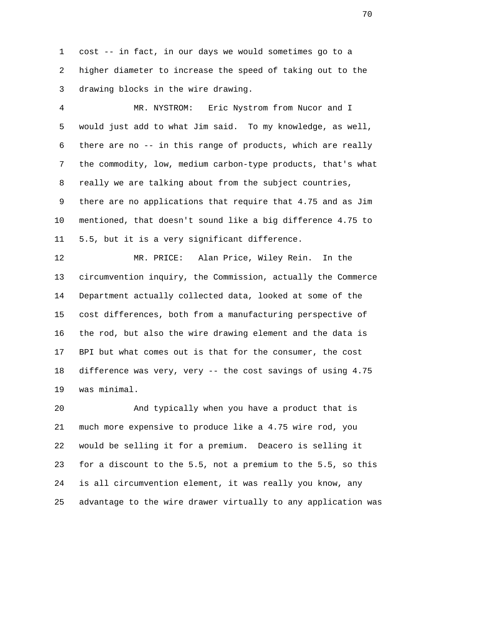1 cost -- in fact, in our days we would sometimes go to a 2 higher diameter to increase the speed of taking out to the 3 drawing blocks in the wire drawing.

 4 MR. NYSTROM: Eric Nystrom from Nucor and I 5 would just add to what Jim said. To my knowledge, as well, 6 there are no -- in this range of products, which are really 7 the commodity, low, medium carbon-type products, that's what 8 really we are talking about from the subject countries, 9 there are no applications that require that 4.75 and as Jim 10 mentioned, that doesn't sound like a big difference 4.75 to 11 5.5, but it is a very significant difference.

 12 MR. PRICE: Alan Price, Wiley Rein. In the 13 circumvention inquiry, the Commission, actually the Commerce 14 Department actually collected data, looked at some of the 15 cost differences, both from a manufacturing perspective of 16 the rod, but also the wire drawing element and the data is 17 BPI but what comes out is that for the consumer, the cost 18 difference was very, very -- the cost savings of using 4.75 19 was minimal.

 20 And typically when you have a product that is 21 much more expensive to produce like a 4.75 wire rod, you 22 would be selling it for a premium. Deacero is selling it 23 for a discount to the 5.5, not a premium to the 5.5, so this 24 is all circumvention element, it was really you know, any 25 advantage to the wire drawer virtually to any application was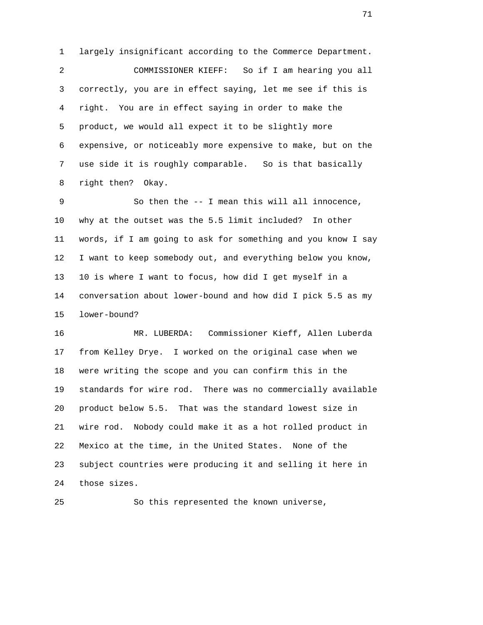1 largely insignificant according to the Commerce Department. 2 COMMISSIONER KIEFF: So if I am hearing you all 3 correctly, you are in effect saying, let me see if this is 4 right. You are in effect saying in order to make the 5 product, we would all expect it to be slightly more 6 expensive, or noticeably more expensive to make, but on the 7 use side it is roughly comparable. So is that basically 8 right then? Okay.

 9 So then the -- I mean this will all innocence, 10 why at the outset was the 5.5 limit included? In other 11 words, if I am going to ask for something and you know I say 12 I want to keep somebody out, and everything below you know, 13 10 is where I want to focus, how did I get myself in a 14 conversation about lower-bound and how did I pick 5.5 as my 15 lower-bound?

 16 MR. LUBERDA: Commissioner Kieff, Allen Luberda 17 from Kelley Drye. I worked on the original case when we 18 were writing the scope and you can confirm this in the 19 standards for wire rod. There was no commercially available 20 product below 5.5. That was the standard lowest size in 21 wire rod. Nobody could make it as a hot rolled product in 22 Mexico at the time, in the United States. None of the 23 subject countries were producing it and selling it here in 24 those sizes.

25 So this represented the known universe,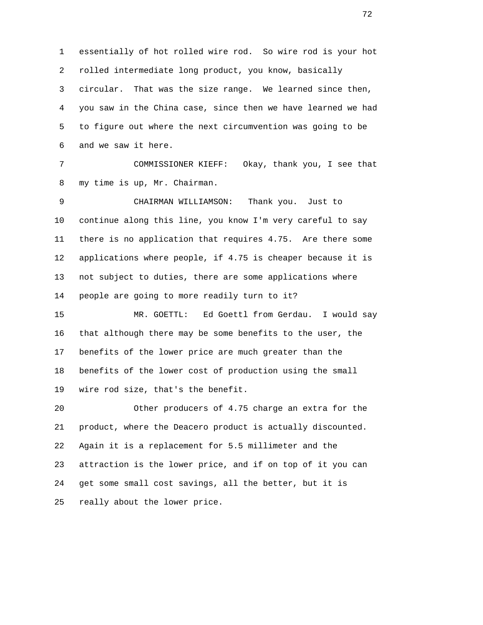1 essentially of hot rolled wire rod. So wire rod is your hot 2 rolled intermediate long product, you know, basically 3 circular. That was the size range. We learned since then, 4 you saw in the China case, since then we have learned we had 5 to figure out where the next circumvention was going to be 6 and we saw it here.

 7 COMMISSIONER KIEFF: Okay, thank you, I see that 8 my time is up, Mr. Chairman.

 9 CHAIRMAN WILLIAMSON: Thank you. Just to 10 continue along this line, you know I'm very careful to say 11 there is no application that requires 4.75. Are there some 12 applications where people, if 4.75 is cheaper because it is 13 not subject to duties, there are some applications where 14 people are going to more readily turn to it?

 15 MR. GOETTL: Ed Goettl from Gerdau. I would say 16 that although there may be some benefits to the user, the 17 benefits of the lower price are much greater than the 18 benefits of the lower cost of production using the small 19 wire rod size, that's the benefit.

 20 Other producers of 4.75 charge an extra for the 21 product, where the Deacero product is actually discounted. 22 Again it is a replacement for 5.5 millimeter and the 23 attraction is the lower price, and if on top of it you can 24 get some small cost savings, all the better, but it is 25 really about the lower price.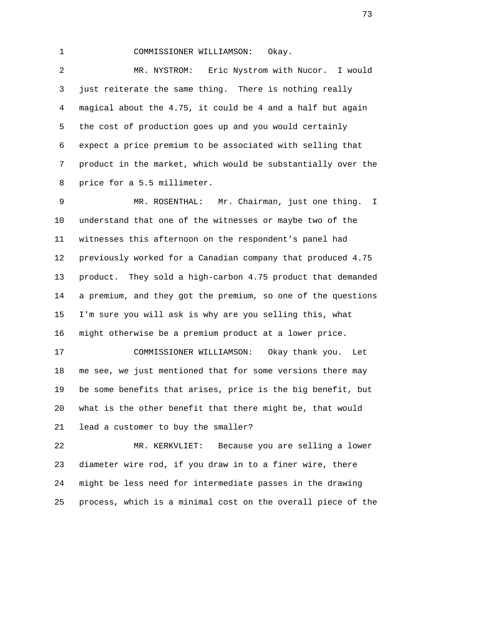1 COMMISSIONER WILLIAMSON: Okay.

 2 MR. NYSTROM: Eric Nystrom with Nucor. I would 3 just reiterate the same thing. There is nothing really 4 magical about the 4.75, it could be 4 and a half but again 5 the cost of production goes up and you would certainly 6 expect a price premium to be associated with selling that 7 product in the market, which would be substantially over the 8 price for a 5.5 millimeter.

 9 MR. ROSENTHAL: Mr. Chairman, just one thing. I 10 understand that one of the witnesses or maybe two of the 11 witnesses this afternoon on the respondent's panel had 12 previously worked for a Canadian company that produced 4.75 13 product. They sold a high-carbon 4.75 product that demanded 14 a premium, and they got the premium, so one of the questions 15 I'm sure you will ask is why are you selling this, what 16 might otherwise be a premium product at a lower price.

 17 COMMISSIONER WILLIAMSON: Okay thank you. Let 18 me see, we just mentioned that for some versions there may 19 be some benefits that arises, price is the big benefit, but 20 what is the other benefit that there might be, that would 21 lead a customer to buy the smaller?

 22 MR. KERKVLIET: Because you are selling a lower 23 diameter wire rod, if you draw in to a finer wire, there 24 might be less need for intermediate passes in the drawing 25 process, which is a minimal cost on the overall piece of the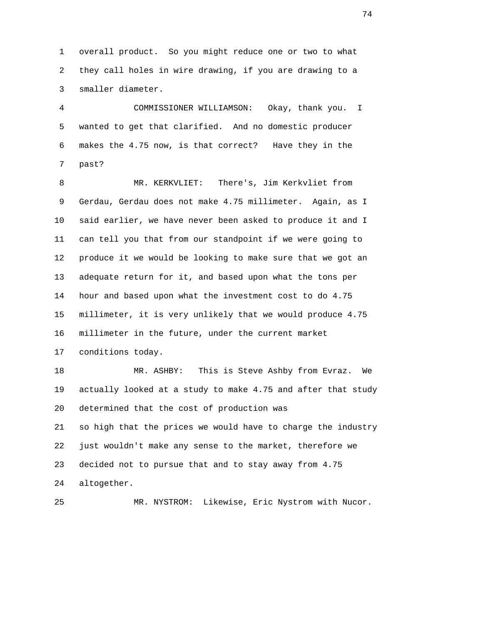1 overall product. So you might reduce one or two to what 2 they call holes in wire drawing, if you are drawing to a 3 smaller diameter.

 4 COMMISSIONER WILLIAMSON: Okay, thank you. I 5 wanted to get that clarified. And no domestic producer 6 makes the 4.75 now, is that correct? Have they in the 7 past?

 8 MR. KERKVLIET: There's, Jim Kerkvliet from 9 Gerdau, Gerdau does not make 4.75 millimeter. Again, as I 10 said earlier, we have never been asked to produce it and I 11 can tell you that from our standpoint if we were going to 12 produce it we would be looking to make sure that we got an 13 adequate return for it, and based upon what the tons per 14 hour and based upon what the investment cost to do 4.75 15 millimeter, it is very unlikely that we would produce 4.75 16 millimeter in the future, under the current market 17 conditions today.

 18 MR. ASHBY: This is Steve Ashby from Evraz. We 19 actually looked at a study to make 4.75 and after that study 20 determined that the cost of production was 21 so high that the prices we would have to charge the industry 22 just wouldn't make any sense to the market, therefore we 23 decided not to pursue that and to stay away from 4.75 24 altogether.

25 MR. NYSTROM: Likewise, Eric Nystrom with Nucor.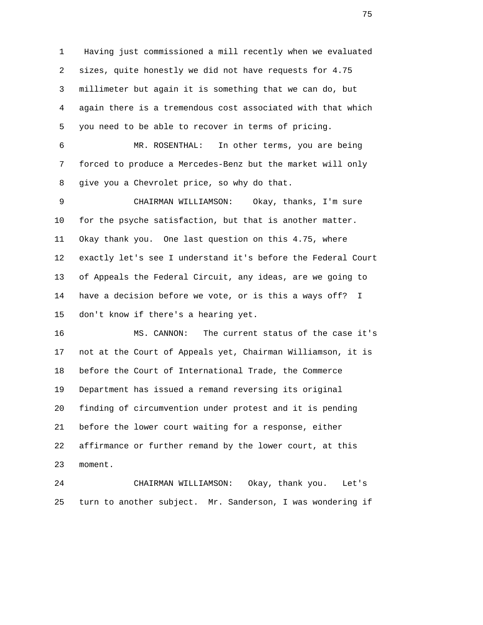1 Having just commissioned a mill recently when we evaluated 2 sizes, quite honestly we did not have requests for 4.75 3 millimeter but again it is something that we can do, but 4 again there is a tremendous cost associated with that which 5 you need to be able to recover in terms of pricing. 6 MR. ROSENTHAL: In other terms, you are being

 7 forced to produce a Mercedes-Benz but the market will only 8 give you a Chevrolet price, so why do that.

 9 CHAIRMAN WILLIAMSON: Okay, thanks, I'm sure 10 for the psyche satisfaction, but that is another matter. 11 Okay thank you. One last question on this 4.75, where 12 exactly let's see I understand it's before the Federal Court 13 of Appeals the Federal Circuit, any ideas, are we going to 14 have a decision before we vote, or is this a ways off? I 15 don't know if there's a hearing yet.

 16 MS. CANNON: The current status of the case it's 17 not at the Court of Appeals yet, Chairman Williamson, it is 18 before the Court of International Trade, the Commerce 19 Department has issued a remand reversing its original 20 finding of circumvention under protest and it is pending 21 before the lower court waiting for a response, either 22 affirmance or further remand by the lower court, at this 23 moment.

 24 CHAIRMAN WILLIAMSON: Okay, thank you. Let's 25 turn to another subject. Mr. Sanderson, I was wondering if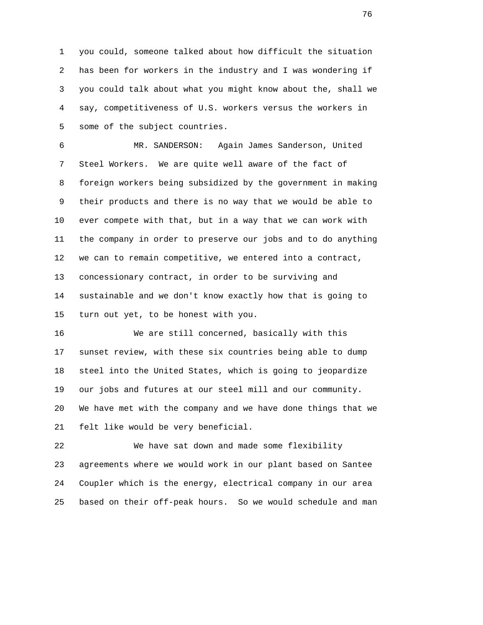1 you could, someone talked about how difficult the situation 2 has been for workers in the industry and I was wondering if 3 you could talk about what you might know about the, shall we 4 say, competitiveness of U.S. workers versus the workers in 5 some of the subject countries.

 6 MR. SANDERSON: Again James Sanderson, United 7 Steel Workers. We are quite well aware of the fact of 8 foreign workers being subsidized by the government in making 9 their products and there is no way that we would be able to 10 ever compete with that, but in a way that we can work with 11 the company in order to preserve our jobs and to do anything 12 we can to remain competitive, we entered into a contract, 13 concessionary contract, in order to be surviving and 14 sustainable and we don't know exactly how that is going to 15 turn out yet, to be honest with you.

 16 We are still concerned, basically with this 17 sunset review, with these six countries being able to dump 18 steel into the United States, which is going to jeopardize 19 our jobs and futures at our steel mill and our community. 20 We have met with the company and we have done things that we 21 felt like would be very beneficial.

 22 We have sat down and made some flexibility 23 agreements where we would work in our plant based on Santee 24 Coupler which is the energy, electrical company in our area 25 based on their off-peak hours. So we would schedule and man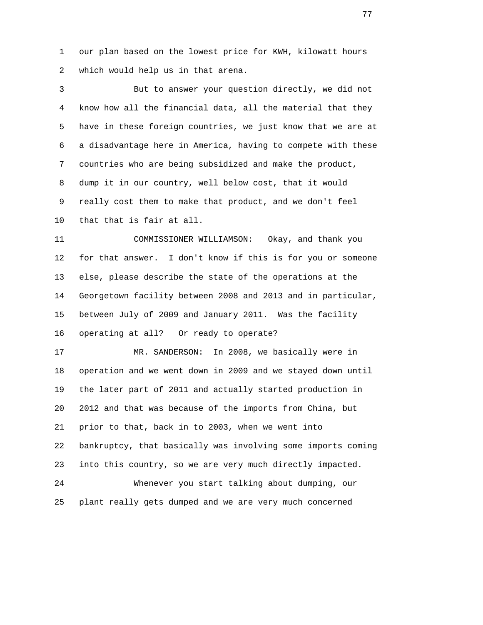1 our plan based on the lowest price for KWH, kilowatt hours 2 which would help us in that arena.

 3 But to answer your question directly, we did not 4 know how all the financial data, all the material that they 5 have in these foreign countries, we just know that we are at 6 a disadvantage here in America, having to compete with these 7 countries who are being subsidized and make the product, 8 dump it in our country, well below cost, that it would 9 really cost them to make that product, and we don't feel 10 that that is fair at all.

 11 COMMISSIONER WILLIAMSON: Okay, and thank you 12 for that answer. I don't know if this is for you or someone 13 else, please describe the state of the operations at the 14 Georgetown facility between 2008 and 2013 and in particular, 15 between July of 2009 and January 2011. Was the facility 16 operating at all? Or ready to operate?

 17 MR. SANDERSON: In 2008, we basically were in 18 operation and we went down in 2009 and we stayed down until 19 the later part of 2011 and actually started production in 20 2012 and that was because of the imports from China, but 21 prior to that, back in to 2003, when we went into 22 bankruptcy, that basically was involving some imports coming 23 into this country, so we are very much directly impacted. 24 Whenever you start talking about dumping, our

25 plant really gets dumped and we are very much concerned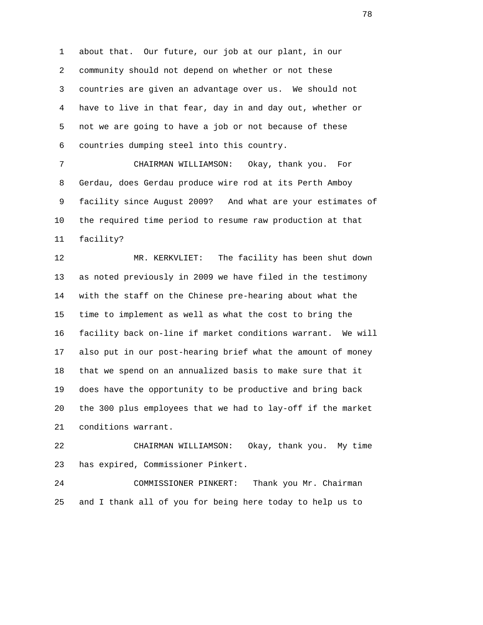1 about that. Our future, our job at our plant, in our 2 community should not depend on whether or not these 3 countries are given an advantage over us. We should not 4 have to live in that fear, day in and day out, whether or 5 not we are going to have a job or not because of these 6 countries dumping steel into this country.

 7 CHAIRMAN WILLIAMSON: Okay, thank you. For 8 Gerdau, does Gerdau produce wire rod at its Perth Amboy 9 facility since August 2009? And what are your estimates of 10 the required time period to resume raw production at that 11 facility?

 12 MR. KERKVLIET: The facility has been shut down 13 as noted previously in 2009 we have filed in the testimony 14 with the staff on the Chinese pre-hearing about what the 15 time to implement as well as what the cost to bring the 16 facility back on-line if market conditions warrant. We will 17 also put in our post-hearing brief what the amount of money 18 that we spend on an annualized basis to make sure that it 19 does have the opportunity to be productive and bring back 20 the 300 plus employees that we had to lay-off if the market 21 conditions warrant.

 22 CHAIRMAN WILLIAMSON: Okay, thank you. My time 23 has expired, Commissioner Pinkert.

 24 COMMISSIONER PINKERT: Thank you Mr. Chairman 25 and I thank all of you for being here today to help us to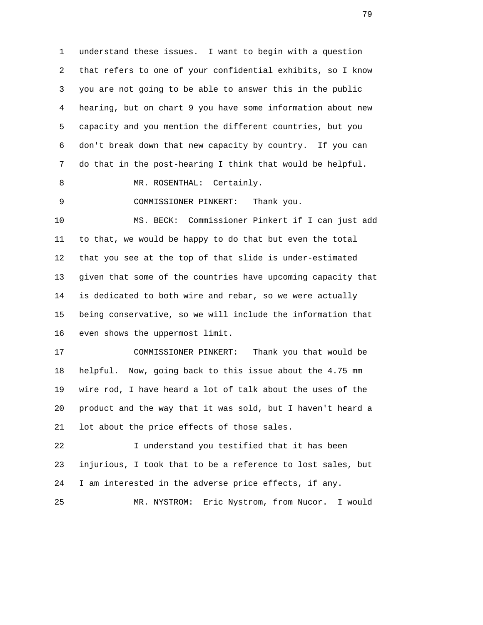1 understand these issues. I want to begin with a question 2 that refers to one of your confidential exhibits, so I know 3 you are not going to be able to answer this in the public 4 hearing, but on chart 9 you have some information about new 5 capacity and you mention the different countries, but you 6 don't break down that new capacity by country. If you can 7 do that in the post-hearing I think that would be helpful.

8 MR. ROSENTHAL: Certainly.

9 COMMISSIONER PINKERT: Thank you.

 10 MS. BECK: Commissioner Pinkert if I can just add 11 to that, we would be happy to do that but even the total 12 that you see at the top of that slide is under-estimated 13 given that some of the countries have upcoming capacity that 14 is dedicated to both wire and rebar, so we were actually 15 being conservative, so we will include the information that 16 even shows the uppermost limit.

 17 COMMISSIONER PINKERT: Thank you that would be 18 helpful. Now, going back to this issue about the 4.75 mm 19 wire rod, I have heard a lot of talk about the uses of the 20 product and the way that it was sold, but I haven't heard a 21 lot about the price effects of those sales.

 22 I understand you testified that it has been 23 injurious, I took that to be a reference to lost sales, but 24 I am interested in the adverse price effects, if any.

25 MR. NYSTROM: Eric Nystrom, from Nucor. I would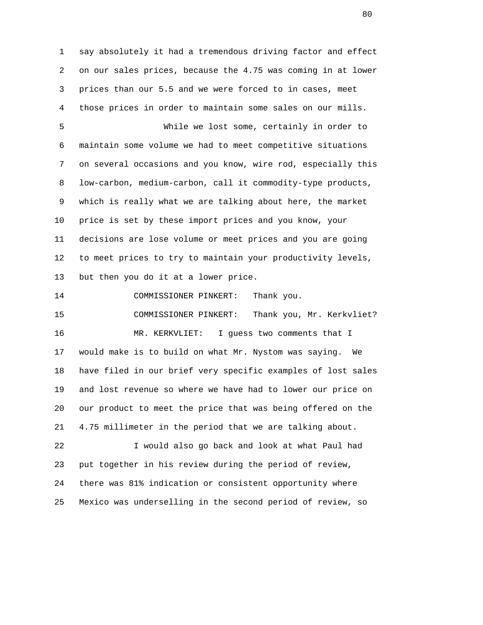1 say absolutely it had a tremendous driving factor and effect 2 on our sales prices, because the 4.75 was coming in at lower 3 prices than our 5.5 and we were forced to in cases, meet 4 those prices in order to maintain some sales on our mills.

 5 While we lost some, certainly in order to 6 maintain some volume we had to meet competitive situations 7 on several occasions and you know, wire rod, especially this 8 low-carbon, medium-carbon, call it commodity-type products, 9 which is really what we are talking about here, the market 10 price is set by these import prices and you know, your 11 decisions are lose volume or meet prices and you are going 12 to meet prices to try to maintain your productivity levels, 13 but then you do it at a lower price.

 15 COMMISSIONER PINKERT: Thank you, Mr. Kerkvliet? 16 MR. KERKVLIET: I guess two comments that I 17 would make is to build on what Mr. Nystom was saying. We 18 have filed in our brief very specific examples of lost sales 19 and lost revenue so where we have had to lower our price on 20 our product to meet the price that was being offered on the 21 4.75 millimeter in the period that we are talking about.

14 COMMISSIONER PINKERT: Thank you.

 22 I would also go back and look at what Paul had 23 put together in his review during the period of review, 24 there was 81% indication or consistent opportunity where 25 Mexico was underselling in the second period of review, so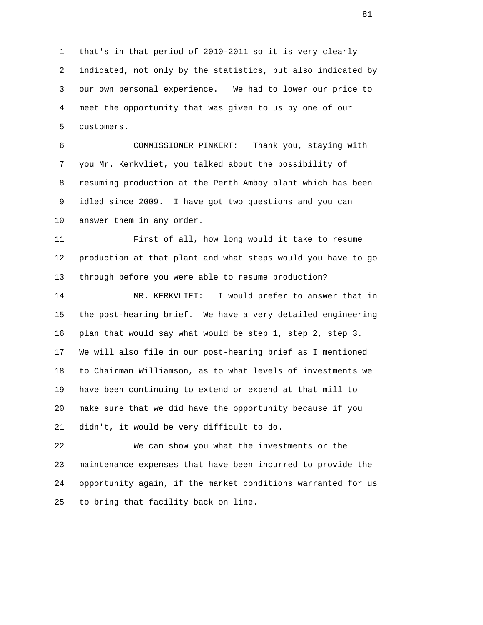1 that's in that period of 2010-2011 so it is very clearly 2 indicated, not only by the statistics, but also indicated by 3 our own personal experience. We had to lower our price to 4 meet the opportunity that was given to us by one of our 5 customers.

 6 COMMISSIONER PINKERT: Thank you, staying with 7 you Mr. Kerkvliet, you talked about the possibility of 8 resuming production at the Perth Amboy plant which has been 9 idled since 2009. I have got two questions and you can 10 answer them in any order.

 11 First of all, how long would it take to resume 12 production at that plant and what steps would you have to go 13 through before you were able to resume production?

 14 MR. KERKVLIET: I would prefer to answer that in 15 the post-hearing brief. We have a very detailed engineering 16 plan that would say what would be step 1, step 2, step 3. 17 We will also file in our post-hearing brief as I mentioned 18 to Chairman Williamson, as to what levels of investments we 19 have been continuing to extend or expend at that mill to 20 make sure that we did have the opportunity because if you 21 didn't, it would be very difficult to do.

 22 We can show you what the investments or the 23 maintenance expenses that have been incurred to provide the 24 opportunity again, if the market conditions warranted for us 25 to bring that facility back on line.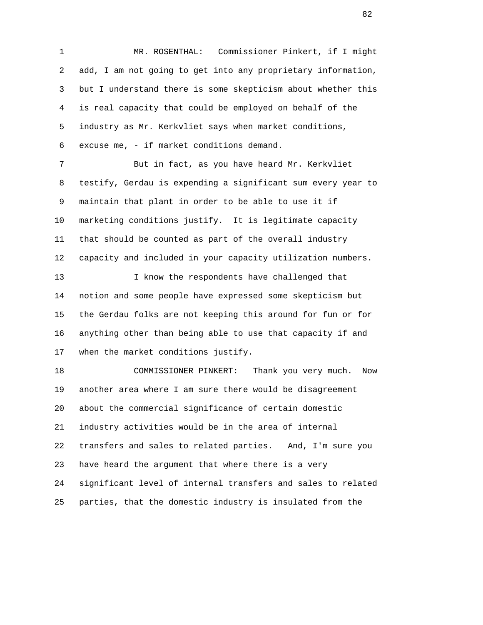1 MR. ROSENTHAL: Commissioner Pinkert, if I might 2 add, I am not going to get into any proprietary information, 3 but I understand there is some skepticism about whether this 4 is real capacity that could be employed on behalf of the 5 industry as Mr. Kerkvliet says when market conditions, 6 excuse me, - if market conditions demand. 7 But in fact, as you have heard Mr. Kerkvliet 8 testify, Gerdau is expending a significant sum every year to 9 maintain that plant in order to be able to use it if 10 marketing conditions justify. It is legitimate capacity 11 that should be counted as part of the overall industry 12 capacity and included in your capacity utilization numbers. 13 I know the respondents have challenged that 14 notion and some people have expressed some skepticism but 15 the Gerdau folks are not keeping this around for fun or for

 16 anything other than being able to use that capacity if and 17 when the market conditions justify.

 18 COMMISSIONER PINKERT: Thank you very much. Now 19 another area where I am sure there would be disagreement 20 about the commercial significance of certain domestic 21 industry activities would be in the area of internal 22 transfers and sales to related parties. And, I'm sure you 23 have heard the argument that where there is a very 24 significant level of internal transfers and sales to related 25 parties, that the domestic industry is insulated from the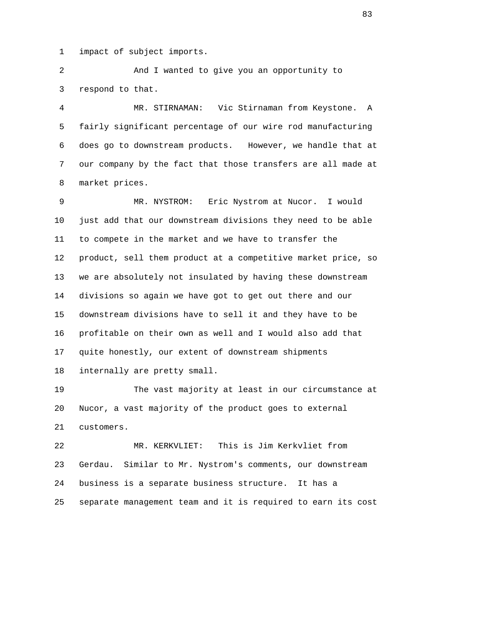1 impact of subject imports.

 2 And I wanted to give you an opportunity to 3 respond to that.

 4 MR. STIRNAMAN: Vic Stirnaman from Keystone. A 5 fairly significant percentage of our wire rod manufacturing 6 does go to downstream products. However, we handle that at 7 our company by the fact that those transfers are all made at 8 market prices.

 9 MR. NYSTROM: Eric Nystrom at Nucor. I would 10 just add that our downstream divisions they need to be able 11 to compete in the market and we have to transfer the 12 product, sell them product at a competitive market price, so 13 we are absolutely not insulated by having these downstream 14 divisions so again we have got to get out there and our 15 downstream divisions have to sell it and they have to be 16 profitable on their own as well and I would also add that 17 quite honestly, our extent of downstream shipments 18 internally are pretty small.

 19 The vast majority at least in our circumstance at 20 Nucor, a vast majority of the product goes to external 21 customers.

 22 MR. KERKVLIET: This is Jim Kerkvliet from 23 Gerdau. Similar to Mr. Nystrom's comments, our downstream 24 business is a separate business structure. It has a 25 separate management team and it is required to earn its cost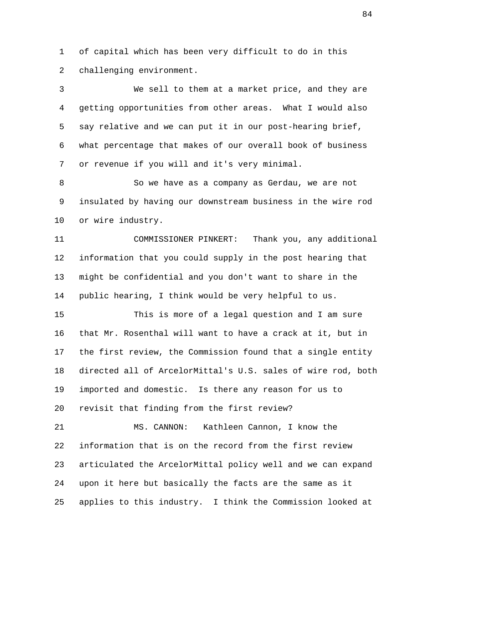1 of capital which has been very difficult to do in this 2 challenging environment.

 3 We sell to them at a market price, and they are 4 getting opportunities from other areas. What I would also 5 say relative and we can put it in our post-hearing brief, 6 what percentage that makes of our overall book of business 7 or revenue if you will and it's very minimal.

 8 So we have as a company as Gerdau, we are not 9 insulated by having our downstream business in the wire rod 10 or wire industry.

 11 COMMISSIONER PINKERT: Thank you, any additional 12 information that you could supply in the post hearing that 13 might be confidential and you don't want to share in the 14 public hearing, I think would be very helpful to us.

 15 This is more of a legal question and I am sure 16 that Mr. Rosenthal will want to have a crack at it, but in 17 the first review, the Commission found that a single entity 18 directed all of ArcelorMittal's U.S. sales of wire rod, both 19 imported and domestic. Is there any reason for us to 20 revisit that finding from the first review?

 21 MS. CANNON: Kathleen Cannon, I know the 22 information that is on the record from the first review 23 articulated the ArcelorMittal policy well and we can expand 24 upon it here but basically the facts are the same as it 25 applies to this industry. I think the Commission looked at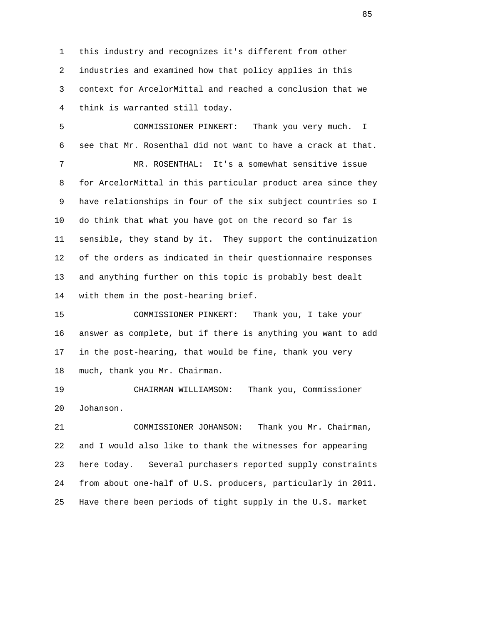1 this industry and recognizes it's different from other 2 industries and examined how that policy applies in this 3 context for ArcelorMittal and reached a conclusion that we 4 think is warranted still today.

 5 COMMISSIONER PINKERT: Thank you very much. I 6 see that Mr. Rosenthal did not want to have a crack at that. 7 MR. ROSENTHAL: It's a somewhat sensitive issue 8 for ArcelorMittal in this particular product area since they 9 have relationships in four of the six subject countries so I 10 do think that what you have got on the record so far is 11 sensible, they stand by it. They support the continuization 12 of the orders as indicated in their questionnaire responses 13 and anything further on this topic is probably best dealt 14 with them in the post-hearing brief.

 15 COMMISSIONER PINKERT: Thank you, I take your 16 answer as complete, but if there is anything you want to add 17 in the post-hearing, that would be fine, thank you very 18 much, thank you Mr. Chairman.

 19 CHAIRMAN WILLIAMSON: Thank you, Commissioner 20 Johanson.

 21 COMMISSIONER JOHANSON: Thank you Mr. Chairman, 22 and I would also like to thank the witnesses for appearing 23 here today. Several purchasers reported supply constraints 24 from about one-half of U.S. producers, particularly in 2011. 25 Have there been periods of tight supply in the U.S. market

<u>85</u>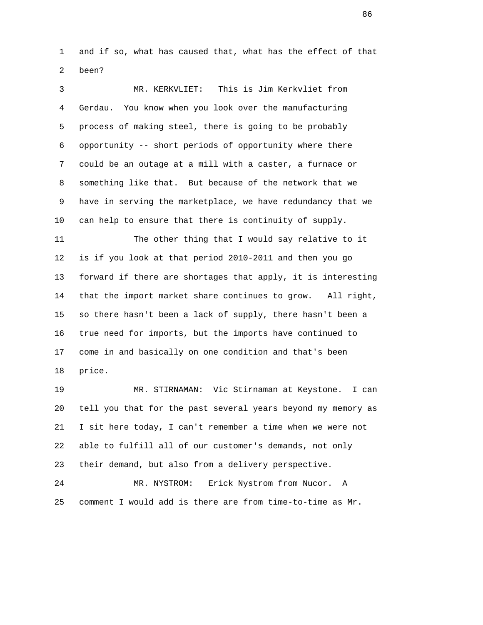1 and if so, what has caused that, what has the effect of that 2 been?

 3 MR. KERKVLIET: This is Jim Kerkvliet from 4 Gerdau. You know when you look over the manufacturing 5 process of making steel, there is going to be probably 6 opportunity -- short periods of opportunity where there 7 could be an outage at a mill with a caster, a furnace or 8 something like that. But because of the network that we 9 have in serving the marketplace, we have redundancy that we 10 can help to ensure that there is continuity of supply.

 11 The other thing that I would say relative to it 12 is if you look at that period 2010-2011 and then you go 13 forward if there are shortages that apply, it is interesting 14 that the import market share continues to grow. All right, 15 so there hasn't been a lack of supply, there hasn't been a 16 true need for imports, but the imports have continued to 17 come in and basically on one condition and that's been 18 price.

 19 MR. STIRNAMAN: Vic Stirnaman at Keystone. I can 20 tell you that for the past several years beyond my memory as 21 I sit here today, I can't remember a time when we were not 22 able to fulfill all of our customer's demands, not only 23 their demand, but also from a delivery perspective.

 24 MR. NYSTROM: Erick Nystrom from Nucor. A 25 comment I would add is there are from time-to-time as Mr.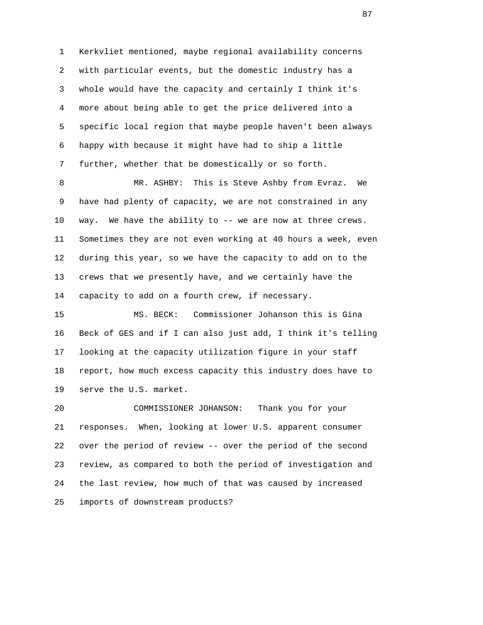1 Kerkvliet mentioned, maybe regional availability concerns 2 with particular events, but the domestic industry has a 3 whole would have the capacity and certainly I think it's 4 more about being able to get the price delivered into a 5 specific local region that maybe people haven't been always 6 happy with because it might have had to ship a little 7 further, whether that be domestically or so forth.

 8 MR. ASHBY: This is Steve Ashby from Evraz. We 9 have had plenty of capacity, we are not constrained in any 10 way. We have the ability to -- we are now at three crews. 11 Sometimes they are not even working at 40 hours a week, even 12 during this year, so we have the capacity to add on to the 13 crews that we presently have, and we certainly have the 14 capacity to add on a fourth crew, if necessary.

 15 MS. BECK: Commissioner Johanson this is Gina 16 Beck of GES and if I can also just add, I think it's telling 17 looking at the capacity utilization figure in your staff 18 report, how much excess capacity this industry does have to 19 serve the U.S. market.

 20 COMMISSIONER JOHANSON: Thank you for your 21 responses. When, looking at lower U.S. apparent consumer 22 over the period of review -- over the period of the second 23 review, as compared to both the period of investigation and 24 the last review, how much of that was caused by increased 25 imports of downstream products?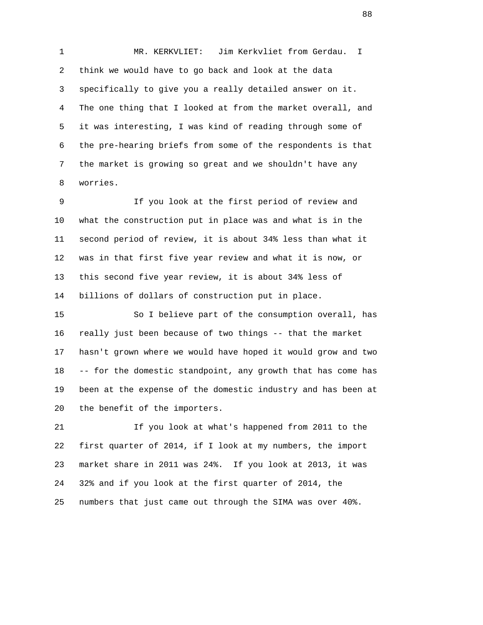1 MR. KERKVLIET: Jim Kerkvliet from Gerdau. I 2 think we would have to go back and look at the data 3 specifically to give you a really detailed answer on it. 4 The one thing that I looked at from the market overall, and 5 it was interesting, I was kind of reading through some of 6 the pre-hearing briefs from some of the respondents is that 7 the market is growing so great and we shouldn't have any 8 worries.

 9 If you look at the first period of review and 10 what the construction put in place was and what is in the 11 second period of review, it is about 34% less than what it 12 was in that first five year review and what it is now, or 13 this second five year review, it is about 34% less of 14 billions of dollars of construction put in place.

 15 So I believe part of the consumption overall, has 16 really just been because of two things -- that the market 17 hasn't grown where we would have hoped it would grow and two 18 -- for the domestic standpoint, any growth that has come has 19 been at the expense of the domestic industry and has been at 20 the benefit of the importers.

 21 If you look at what's happened from 2011 to the 22 first quarter of 2014, if I look at my numbers, the import 23 market share in 2011 was 24%. If you look at 2013, it was 24 32% and if you look at the first quarter of 2014, the 25 numbers that just came out through the SIMA was over 40%.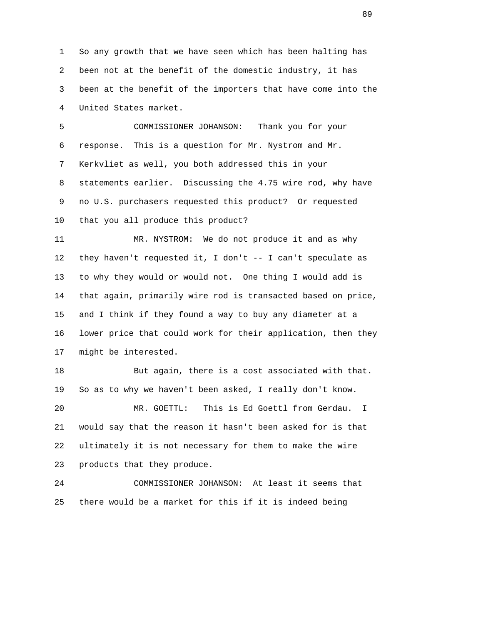1 So any growth that we have seen which has been halting has 2 been not at the benefit of the domestic industry, it has 3 been at the benefit of the importers that have come into the 4 United States market.

 5 COMMISSIONER JOHANSON: Thank you for your 6 response. This is a question for Mr. Nystrom and Mr. 7 Kerkvliet as well, you both addressed this in your 8 statements earlier. Discussing the 4.75 wire rod, why have 9 no U.S. purchasers requested this product? Or requested 10 that you all produce this product?

 11 MR. NYSTROM: We do not produce it and as why 12 they haven't requested it, I don't -- I can't speculate as 13 to why they would or would not. One thing I would add is 14 that again, primarily wire rod is transacted based on price, 15 and I think if they found a way to buy any diameter at a 16 lower price that could work for their application, then they 17 might be interested.

 18 But again, there is a cost associated with that. 19 So as to why we haven't been asked, I really don't know.

 20 MR. GOETTL: This is Ed Goettl from Gerdau. I 21 would say that the reason it hasn't been asked for is that 22 ultimately it is not necessary for them to make the wire 23 products that they produce.

 24 COMMISSIONER JOHANSON: At least it seems that 25 there would be a market for this if it is indeed being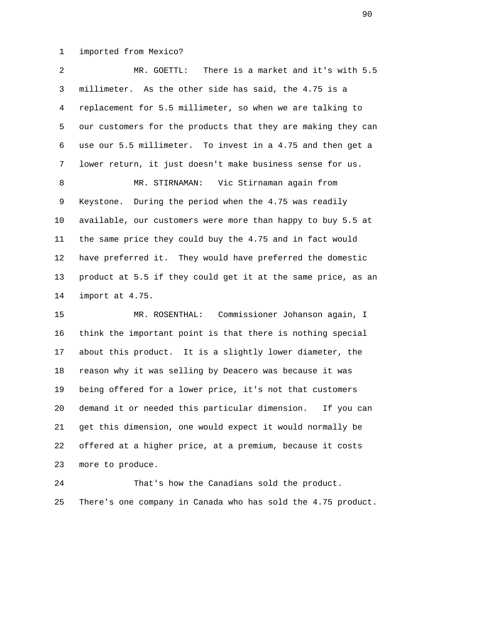1 imported from Mexico?

 2 MR. GOETTL: There is a market and it's with 5.5 3 millimeter. As the other side has said, the 4.75 is a 4 replacement for 5.5 millimeter, so when we are talking to 5 our customers for the products that they are making they can 6 use our 5.5 millimeter. To invest in a 4.75 and then get a 7 lower return, it just doesn't make business sense for us. 8 MR. STIRNAMAN: Vic Stirnaman again from 9 Keystone. During the period when the 4.75 was readily 10 available, our customers were more than happy to buy 5.5 at 11 the same price they could buy the 4.75 and in fact would 12 have preferred it. They would have preferred the domestic 13 product at 5.5 if they could get it at the same price, as an 14 import at 4.75. 15 MR. ROSENTHAL: Commissioner Johanson again, I 16 think the important point is that there is nothing special 17 about this product. It is a slightly lower diameter, the

 18 reason why it was selling by Deacero was because it was 19 being offered for a lower price, it's not that customers 20 demand it or needed this particular dimension. If you can 21 get this dimension, one would expect it would normally be 22 offered at a higher price, at a premium, because it costs 23 more to produce.

 24 That's how the Canadians sold the product. 25 There's one company in Canada who has sold the 4.75 product.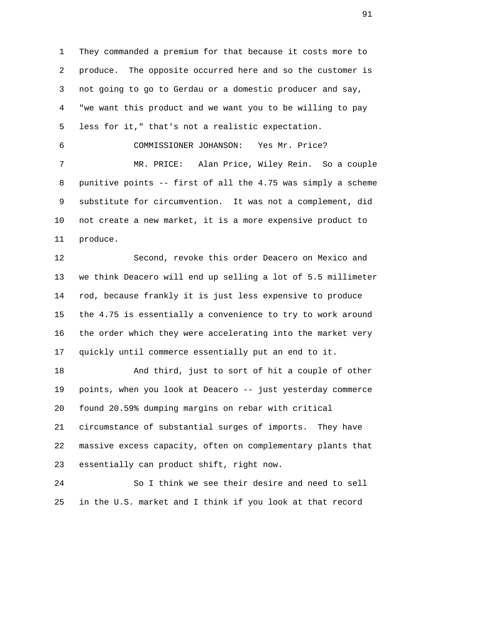1 They commanded a premium for that because it costs more to 2 produce. The opposite occurred here and so the customer is 3 not going to go to Gerdau or a domestic producer and say, 4 "we want this product and we want you to be willing to pay 5 less for it," that's not a realistic expectation. 6 COMMISSIONER JOHANSON: Yes Mr. Price?

 7 MR. PRICE: Alan Price, Wiley Rein. So a couple 8 punitive points -- first of all the 4.75 was simply a scheme 9 substitute for circumvention. It was not a complement, did 10 not create a new market, it is a more expensive product to 11 produce.

 12 Second, revoke this order Deacero on Mexico and 13 we think Deacero will end up selling a lot of 5.5 millimeter 14 rod, because frankly it is just less expensive to produce 15 the 4.75 is essentially a convenience to try to work around 16 the order which they were accelerating into the market very 17 quickly until commerce essentially put an end to it.

 18 And third, just to sort of hit a couple of other 19 points, when you look at Deacero -- just yesterday commerce 20 found 20.59% dumping margins on rebar with critical 21 circumstance of substantial surges of imports. They have 22 massive excess capacity, often on complementary plants that 23 essentially can product shift, right now.

 24 So I think we see their desire and need to sell 25 in the U.S. market and I think if you look at that record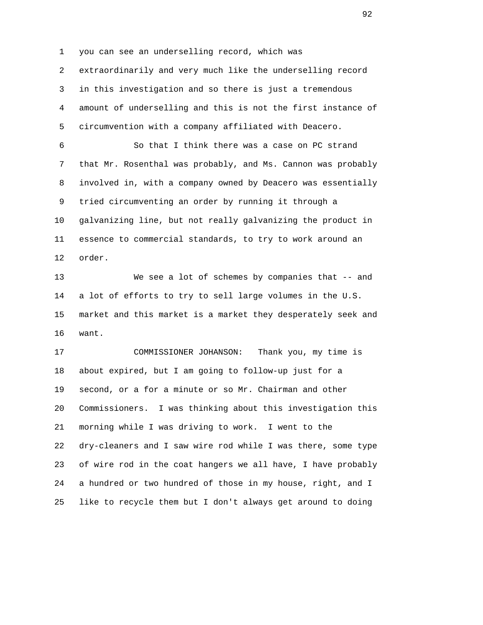1 you can see an underselling record, which was 2 extraordinarily and very much like the underselling record 3 in this investigation and so there is just a tremendous 4 amount of underselling and this is not the first instance of 5 circumvention with a company affiliated with Deacero.

 6 So that I think there was a case on PC strand 7 that Mr. Rosenthal was probably, and Ms. Cannon was probably 8 involved in, with a company owned by Deacero was essentially 9 tried circumventing an order by running it through a 10 galvanizing line, but not really galvanizing the product in 11 essence to commercial standards, to try to work around an 12 order.

 13 We see a lot of schemes by companies that -- and 14 a lot of efforts to try to sell large volumes in the U.S. 15 market and this market is a market they desperately seek and 16 want.

 17 COMMISSIONER JOHANSON: Thank you, my time is 18 about expired, but I am going to follow-up just for a 19 second, or a for a minute or so Mr. Chairman and other 20 Commissioners. I was thinking about this investigation this 21 morning while I was driving to work. I went to the 22 dry-cleaners and I saw wire rod while I was there, some type 23 of wire rod in the coat hangers we all have, I have probably 24 a hundred or two hundred of those in my house, right, and I 25 like to recycle them but I don't always get around to doing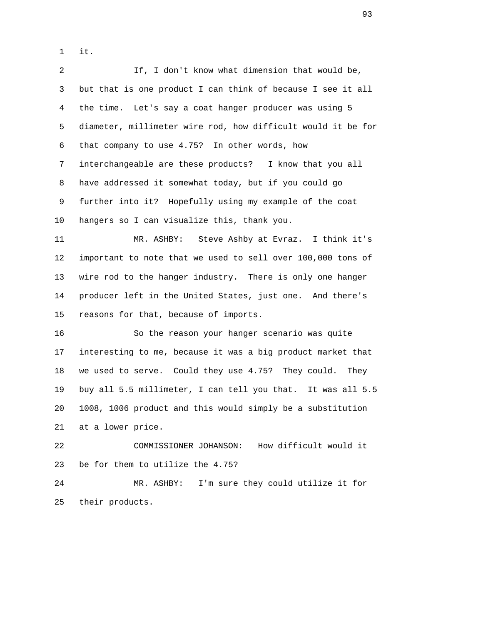1 it.

 2 If, I don't know what dimension that would be, 3 but that is one product I can think of because I see it all 4 the time. Let's say a coat hanger producer was using 5 5 diameter, millimeter wire rod, how difficult would it be for 6 that company to use 4.75? In other words, how 7 interchangeable are these products? I know that you all 8 have addressed it somewhat today, but if you could go 9 further into it? Hopefully using my example of the coat 10 hangers so I can visualize this, thank you. 11 MR. ASHBY: Steve Ashby at Evraz. I think it's

 12 important to note that we used to sell over 100,000 tons of 13 wire rod to the hanger industry. There is only one hanger 14 producer left in the United States, just one. And there's 15 reasons for that, because of imports.

 16 So the reason your hanger scenario was quite 17 interesting to me, because it was a big product market that 18 we used to serve. Could they use 4.75? They could. They 19 buy all 5.5 millimeter, I can tell you that. It was all 5.5 20 1008, 1006 product and this would simply be a substitution 21 at a lower price.

 22 COMMISSIONER JOHANSON: How difficult would it 23 be for them to utilize the 4.75?

 24 MR. ASHBY: I'm sure they could utilize it for 25 their products.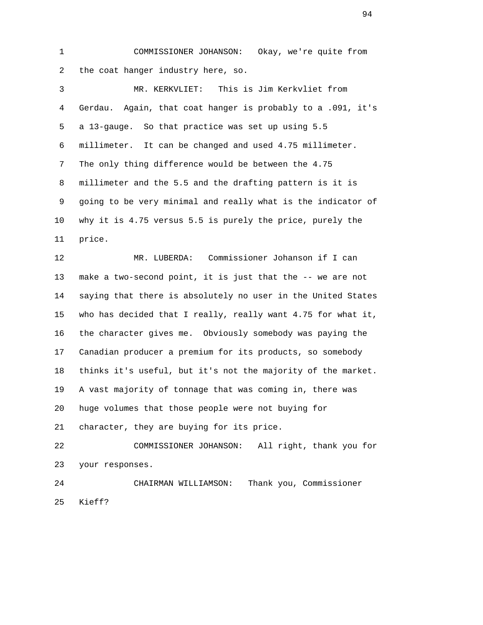1 COMMISSIONER JOHANSON: Okay, we're quite from 2 the coat hanger industry here, so.

 3 MR. KERKVLIET: This is Jim Kerkvliet from 4 Gerdau. Again, that coat hanger is probably to a .091, it's 5 a 13-gauge. So that practice was set up using 5.5 6 millimeter. It can be changed and used 4.75 millimeter. 7 The only thing difference would be between the 4.75 8 millimeter and the 5.5 and the drafting pattern is it is 9 going to be very minimal and really what is the indicator of 10 why it is 4.75 versus 5.5 is purely the price, purely the 11 price.

 12 MR. LUBERDA: Commissioner Johanson if I can 13 make a two-second point, it is just that the -- we are not 14 saying that there is absolutely no user in the United States 15 who has decided that I really, really want 4.75 for what it, 16 the character gives me. Obviously somebody was paying the 17 Canadian producer a premium for its products, so somebody 18 thinks it's useful, but it's not the majority of the market. 19 A vast majority of tonnage that was coming in, there was 20 huge volumes that those people were not buying for 21 character, they are buying for its price.

 22 COMMISSIONER JOHANSON: All right, thank you for 23 your responses.

 24 CHAIRMAN WILLIAMSON: Thank you, Commissioner 25 Kieff?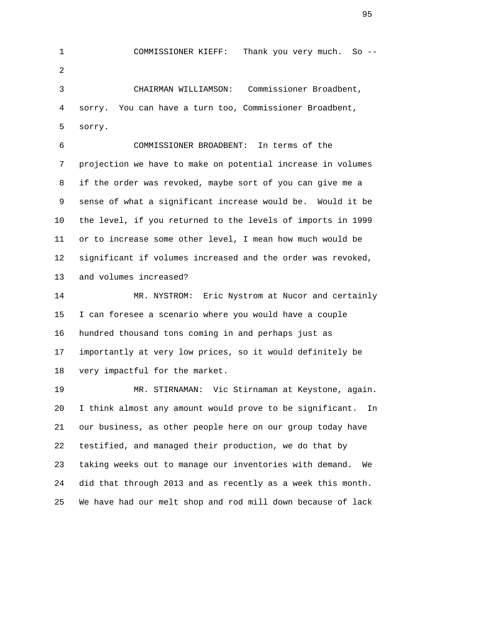1 COMMISSIONER KIEFF: Thank you very much. So -- 2 3 CHAIRMAN WILLIAMSON: Commissioner Broadbent, 4 sorry. You can have a turn too, Commissioner Broadbent, 5 sorry. 6 COMMISSIONER BROADBENT: In terms of the 7 projection we have to make on potential increase in volumes

> 8 if the order was revoked, maybe sort of you can give me a 9 sense of what a significant increase would be. Would it be 10 the level, if you returned to the levels of imports in 1999 11 or to increase some other level, I mean how much would be 12 significant if volumes increased and the order was revoked, 13 and volumes increased?

 14 MR. NYSTROM: Eric Nystrom at Nucor and certainly 15 I can foresee a scenario where you would have a couple 16 hundred thousand tons coming in and perhaps just as 17 importantly at very low prices, so it would definitely be 18 very impactful for the market.

 19 MR. STIRNAMAN: Vic Stirnaman at Keystone, again. 20 I think almost any amount would prove to be significant. In 21 our business, as other people here on our group today have 22 testified, and managed their production, we do that by 23 taking weeks out to manage our inventories with demand. We 24 did that through 2013 and as recently as a week this month. 25 We have had our melt shop and rod mill down because of lack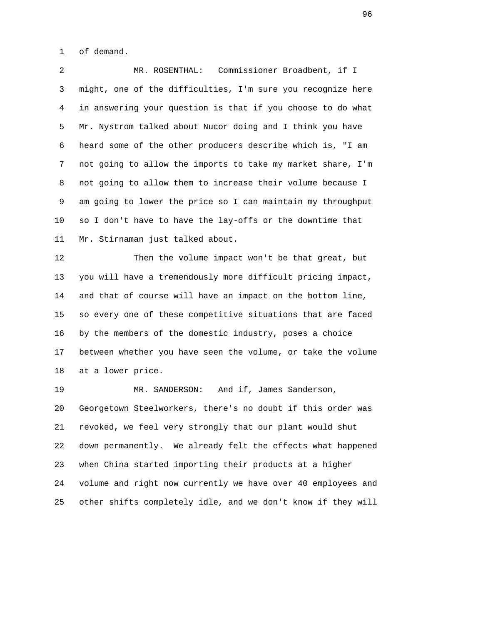1 of demand.

 2 MR. ROSENTHAL: Commissioner Broadbent, if I 3 might, one of the difficulties, I'm sure you recognize here 4 in answering your question is that if you choose to do what 5 Mr. Nystrom talked about Nucor doing and I think you have 6 heard some of the other producers describe which is, "I am 7 not going to allow the imports to take my market share, I'm 8 not going to allow them to increase their volume because I 9 am going to lower the price so I can maintain my throughput 10 so I don't have to have the lay-offs or the downtime that 11 Mr. Stirnaman just talked about.

 12 Then the volume impact won't be that great, but 13 you will have a tremendously more difficult pricing impact, 14 and that of course will have an impact on the bottom line, 15 so every one of these competitive situations that are faced 16 by the members of the domestic industry, poses a choice 17 between whether you have seen the volume, or take the volume 18 at a lower price.

19 MR. SANDERSON: And if, James Sanderson, 20 Georgetown Steelworkers, there's no doubt if this order was 21 revoked, we feel very strongly that our plant would shut 22 down permanently. We already felt the effects what happened 23 when China started importing their products at a higher 24 volume and right now currently we have over 40 employees and 25 other shifts completely idle, and we don't know if they will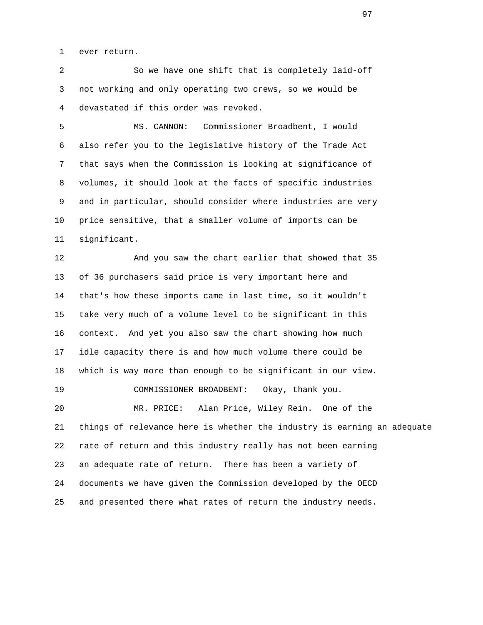1 ever return.

 2 So we have one shift that is completely laid-off 3 not working and only operating two crews, so we would be 4 devastated if this order was revoked.

 5 MS. CANNON: Commissioner Broadbent, I would 6 also refer you to the legislative history of the Trade Act 7 that says when the Commission is looking at significance of 8 volumes, it should look at the facts of specific industries 9 and in particular, should consider where industries are very 10 price sensitive, that a smaller volume of imports can be 11 significant.

 12 And you saw the chart earlier that showed that 35 13 of 36 purchasers said price is very important here and 14 that's how these imports came in last time, so it wouldn't 15 take very much of a volume level to be significant in this 16 context. And yet you also saw the chart showing how much 17 idle capacity there is and how much volume there could be 18 which is way more than enough to be significant in our view. 19 COMMISSIONER BROADBENT: Okay, thank you. 20 MR. PRICE: Alan Price, Wiley Rein. One of the 21 things of relevance here is whether the industry is earning an adequate 22 rate of return and this industry really has not been earning 23 an adequate rate of return. There has been a variety of 24 documents we have given the Commission developed by the OECD 25 and presented there what rates of return the industry needs.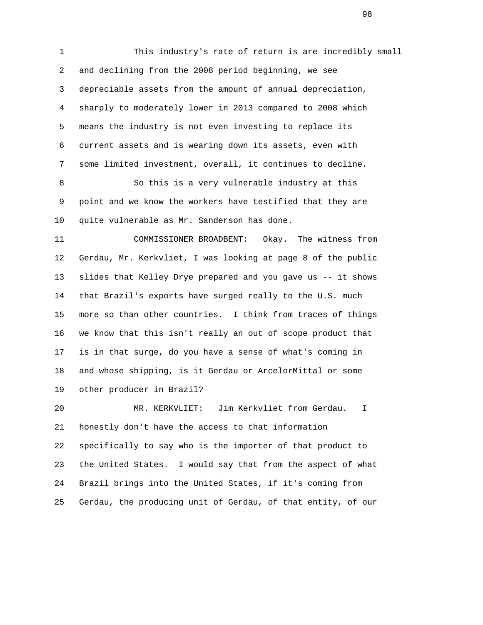1 This industry's rate of return is are incredibly small 2 and declining from the 2008 period beginning, we see 3 depreciable assets from the amount of annual depreciation, 4 sharply to moderately lower in 2013 compared to 2008 which 5 means the industry is not even investing to replace its 6 current assets and is wearing down its assets, even with 7 some limited investment, overall, it continues to decline.

 8 So this is a very vulnerable industry at this 9 point and we know the workers have testified that they are 10 quite vulnerable as Mr. Sanderson has done.

 11 COMMISSIONER BROADBENT: Okay. The witness from 12 Gerdau, Mr. Kerkvliet, I was looking at page 8 of the public 13 slides that Kelley Drye prepared and you gave us -- it shows 14 that Brazil's exports have surged really to the U.S. much 15 more so than other countries. I think from traces of things 16 we know that this isn't really an out of scope product that 17 is in that surge, do you have a sense of what's coming in 18 and whose shipping, is it Gerdau or ArcelorMittal or some 19 other producer in Brazil?

 20 MR. KERKVLIET: Jim Kerkvliet from Gerdau. I 21 honestly don't have the access to that information 22 specifically to say who is the importer of that product to 23 the United States. I would say that from the aspect of what 24 Brazil brings into the United States, if it's coming from 25 Gerdau, the producing unit of Gerdau, of that entity, of our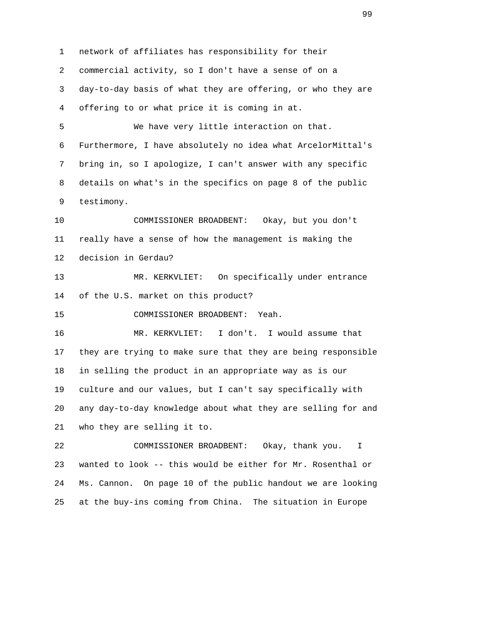1 network of affiliates has responsibility for their 2 commercial activity, so I don't have a sense of on a 3 day-to-day basis of what they are offering, or who they are 4 offering to or what price it is coming in at. 5 We have very little interaction on that. 6 Furthermore, I have absolutely no idea what ArcelorMittal's 7 bring in, so I apologize, I can't answer with any specific 8 details on what's in the specifics on page 8 of the public 9 testimony. 10 COMMISSIONER BROADBENT: Okay, but you don't 11 really have a sense of how the management is making the 12 decision in Gerdau? 13 MR. KERKVLIET: On specifically under entrance 14 of the U.S. market on this product? 15 COMMISSIONER BROADBENT: Yeah. 16 MR. KERKVLIET: I don't. I would assume that 17 they are trying to make sure that they are being responsible 18 in selling the product in an appropriate way as is our 19 culture and our values, but I can't say specifically with 20 any day-to-day knowledge about what they are selling for and 21 who they are selling it to. 22 COMMISSIONER BROADBENT: Okay, thank you. I 23 wanted to look -- this would be either for Mr. Rosenthal or 24 Ms. Cannon. On page 10 of the public handout we are looking

25 at the buy-ins coming from China. The situation in Europe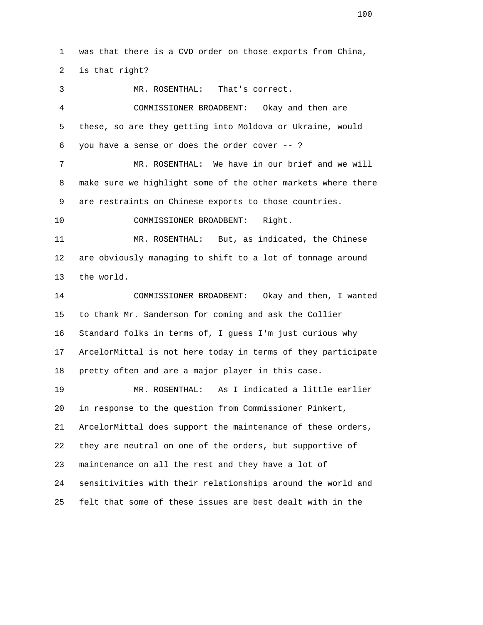1 was that there is a CVD order on those exports from China, 2 is that right?

 3 MR. ROSENTHAL: That's correct. 4 COMMISSIONER BROADBENT: Okay and then are 5 these, so are they getting into Moldova or Ukraine, would 6 you have a sense or does the order cover -- ? 7 MR. ROSENTHAL: We have in our brief and we will 8 make sure we highlight some of the other markets where there 9 are restraints on Chinese exports to those countries. 10 COMMISSIONER BROADBENT: Right. 11 MR. ROSENTHAL: But, as indicated, the Chinese 12 are obviously managing to shift to a lot of tonnage around 13 the world. 14 COMMISSIONER BROADBENT: Okay and then, I wanted 15 to thank Mr. Sanderson for coming and ask the Collier 16 Standard folks in terms of, I guess I'm just curious why 17 ArcelorMittal is not here today in terms of they participate 18 pretty often and are a major player in this case. 19 MR. ROSENTHAL: As I indicated a little earlier 20 in response to the question from Commissioner Pinkert, 21 ArcelorMittal does support the maintenance of these orders, 22 they are neutral on one of the orders, but supportive of 23 maintenance on all the rest and they have a lot of

 24 sensitivities with their relationships around the world and 25 felt that some of these issues are best dealt with in the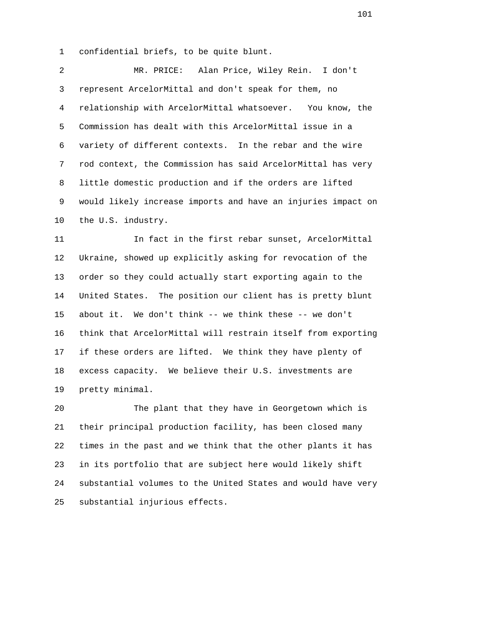1 confidential briefs, to be quite blunt.

 2 MR. PRICE: Alan Price, Wiley Rein. I don't 3 represent ArcelorMittal and don't speak for them, no 4 relationship with ArcelorMittal whatsoever. You know, the 5 Commission has dealt with this ArcelorMittal issue in a 6 variety of different contexts. In the rebar and the wire 7 rod context, the Commission has said ArcelorMittal has very 8 little domestic production and if the orders are lifted 9 would likely increase imports and have an injuries impact on 10 the U.S. industry.

 11 In fact in the first rebar sunset, ArcelorMittal 12 Ukraine, showed up explicitly asking for revocation of the 13 order so they could actually start exporting again to the 14 United States. The position our client has is pretty blunt 15 about it. We don't think -- we think these -- we don't 16 think that ArcelorMittal will restrain itself from exporting 17 if these orders are lifted. We think they have plenty of 18 excess capacity. We believe their U.S. investments are 19 pretty minimal.

 20 The plant that they have in Georgetown which is 21 their principal production facility, has been closed many 22 times in the past and we think that the other plants it has 23 in its portfolio that are subject here would likely shift 24 substantial volumes to the United States and would have very 25 substantial injurious effects.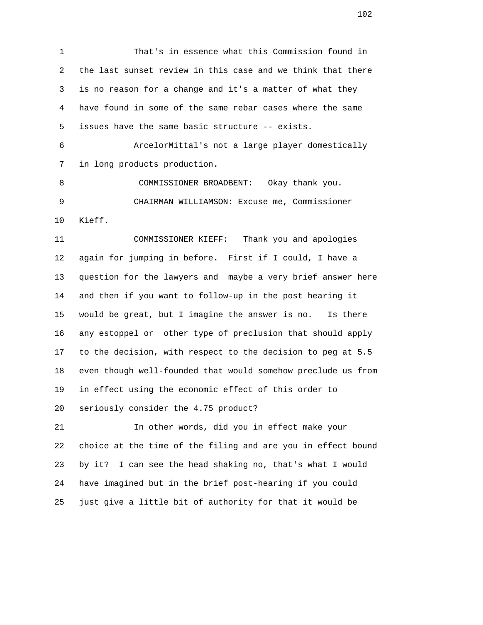1 That's in essence what this Commission found in 2 the last sunset review in this case and we think that there 3 is no reason for a change and it's a matter of what they 4 have found in some of the same rebar cases where the same 5 issues have the same basic structure -- exists. 6 ArcelorMittal's not a large player domestically 7 in long products production. 8 COMMISSIONER BROADBENT: Okay thank you. 9 CHAIRMAN WILLIAMSON: Excuse me, Commissioner 10 Kieff. 11 COMMISSIONER KIEFF: Thank you and apologies 12 again for jumping in before. First if I could, I have a 13 question for the lawyers and maybe a very brief answer here 14 and then if you want to follow-up in the post hearing it 15 would be great, but I imagine the answer is no. Is there 16 any estoppel or other type of preclusion that should apply 17 to the decision, with respect to the decision to peg at 5.5 18 even though well-founded that would somehow preclude us from 19 in effect using the economic effect of this order to 20 seriously consider the 4.75 product? 21 In other words, did you in effect make your 22 choice at the time of the filing and are you in effect bound

 23 by it? I can see the head shaking no, that's what I would 24 have imagined but in the brief post-hearing if you could 25 just give a little bit of authority for that it would be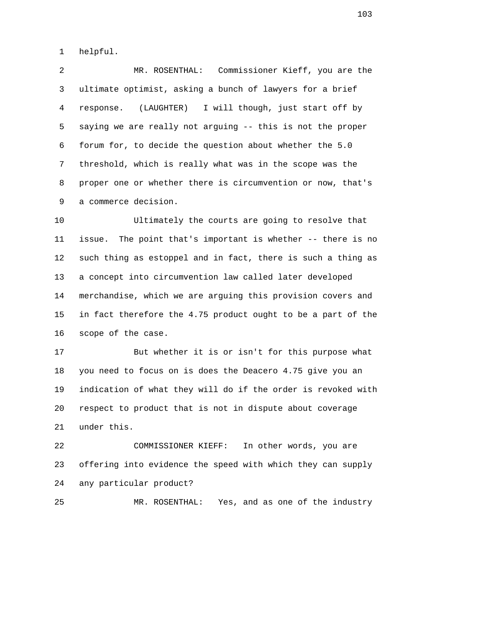1 helpful.

 2 MR. ROSENTHAL: Commissioner Kieff, you are the 3 ultimate optimist, asking a bunch of lawyers for a brief 4 response. (LAUGHTER) I will though, just start off by 5 saying we are really not arguing -- this is not the proper 6 forum for, to decide the question about whether the 5.0 7 threshold, which is really what was in the scope was the 8 proper one or whether there is circumvention or now, that's 9 a commerce decision.

 10 Ultimately the courts are going to resolve that 11 issue. The point that's important is whether -- there is no 12 such thing as estoppel and in fact, there is such a thing as 13 a concept into circumvention law called later developed 14 merchandise, which we are arguing this provision covers and 15 in fact therefore the 4.75 product ought to be a part of the 16 scope of the case.

 17 But whether it is or isn't for this purpose what 18 you need to focus on is does the Deacero 4.75 give you an 19 indication of what they will do if the order is revoked with 20 respect to product that is not in dispute about coverage 21 under this.

 22 COMMISSIONER KIEFF: In other words, you are 23 offering into evidence the speed with which they can supply 24 any particular product?

25 MR. ROSENTHAL: Yes, and as one of the industry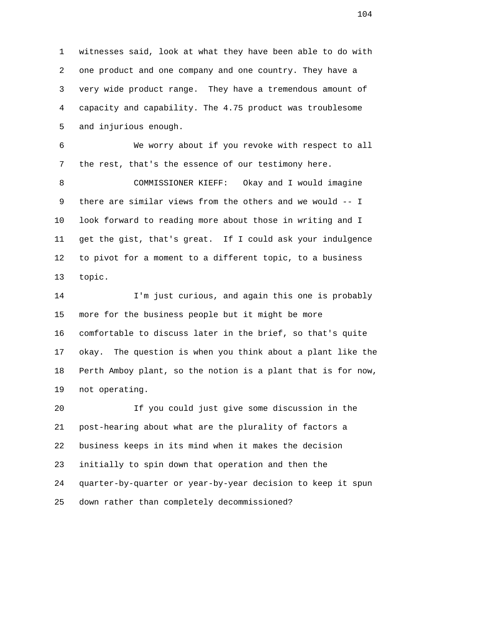1 witnesses said, look at what they have been able to do with 2 one product and one company and one country. They have a 3 very wide product range. They have a tremendous amount of 4 capacity and capability. The 4.75 product was troublesome 5 and injurious enough.

 6 We worry about if you revoke with respect to all 7 the rest, that's the essence of our testimony here.

 8 COMMISSIONER KIEFF: Okay and I would imagine 9 there are similar views from the others and we would -- I 10 look forward to reading more about those in writing and I 11 get the gist, that's great. If I could ask your indulgence 12 to pivot for a moment to a different topic, to a business 13 topic.

 14 I'm just curious, and again this one is probably 15 more for the business people but it might be more 16 comfortable to discuss later in the brief, so that's quite 17 okay. The question is when you think about a plant like the 18 Perth Amboy plant, so the notion is a plant that is for now, 19 not operating.

 20 If you could just give some discussion in the 21 post-hearing about what are the plurality of factors a 22 business keeps in its mind when it makes the decision 23 initially to spin down that operation and then the 24 quarter-by-quarter or year-by-year decision to keep it spun 25 down rather than completely decommissioned?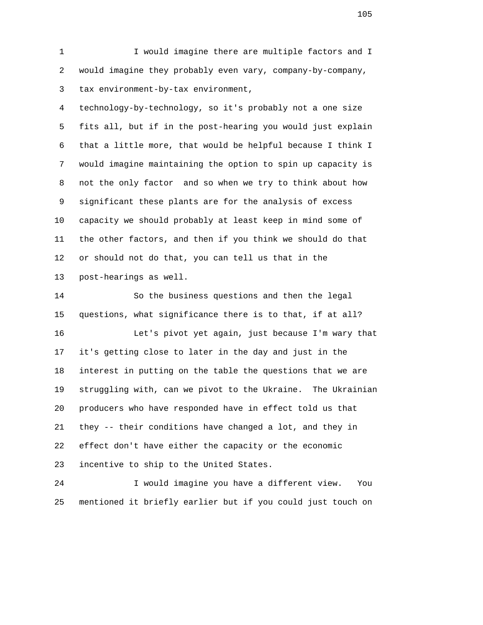1 I would imagine there are multiple factors and I 2 would imagine they probably even vary, company-by-company, 3 tax environment-by-tax environment,

 4 technology-by-technology, so it's probably not a one size 5 fits all, but if in the post-hearing you would just explain 6 that a little more, that would be helpful because I think I 7 would imagine maintaining the option to spin up capacity is 8 not the only factor and so when we try to think about how 9 significant these plants are for the analysis of excess 10 capacity we should probably at least keep in mind some of 11 the other factors, and then if you think we should do that 12 or should not do that, you can tell us that in the 13 post-hearings as well.

 14 So the business questions and then the legal 15 questions, what significance there is to that, if at all? 16 Let's pivot yet again, just because I'm wary that 17 it's getting close to later in the day and just in the 18 interest in putting on the table the questions that we are 19 struggling with, can we pivot to the Ukraine. The Ukrainian 20 producers who have responded have in effect told us that 21 they -- their conditions have changed a lot, and they in 22 effect don't have either the capacity or the economic 23 incentive to ship to the United States.

 24 I would imagine you have a different view. You 25 mentioned it briefly earlier but if you could just touch on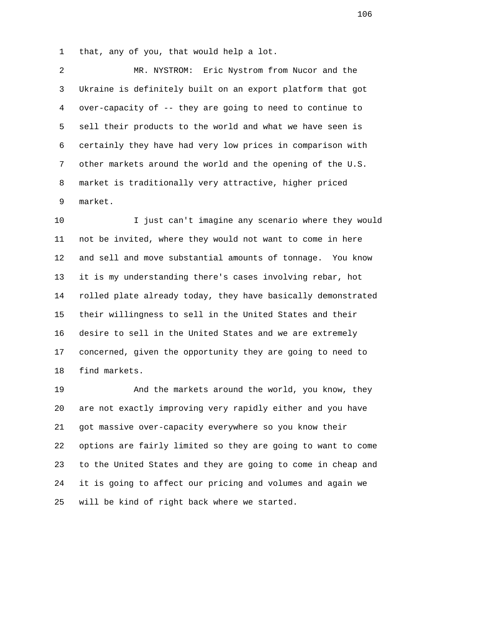1 that, any of you, that would help a lot.

 2 MR. NYSTROM: Eric Nystrom from Nucor and the 3 Ukraine is definitely built on an export platform that got 4 over-capacity of -- they are going to need to continue to 5 sell their products to the world and what we have seen is 6 certainly they have had very low prices in comparison with 7 other markets around the world and the opening of the U.S. 8 market is traditionally very attractive, higher priced 9 market.

 10 I just can't imagine any scenario where they would 11 not be invited, where they would not want to come in here 12 and sell and move substantial amounts of tonnage. You know 13 it is my understanding there's cases involving rebar, hot 14 rolled plate already today, they have basically demonstrated 15 their willingness to sell in the United States and their 16 desire to sell in the United States and we are extremely 17 concerned, given the opportunity they are going to need to 18 find markets.

 19 And the markets around the world, you know, they 20 are not exactly improving very rapidly either and you have 21 got massive over-capacity everywhere so you know their 22 options are fairly limited so they are going to want to come 23 to the United States and they are going to come in cheap and 24 it is going to affect our pricing and volumes and again we 25 will be kind of right back where we started.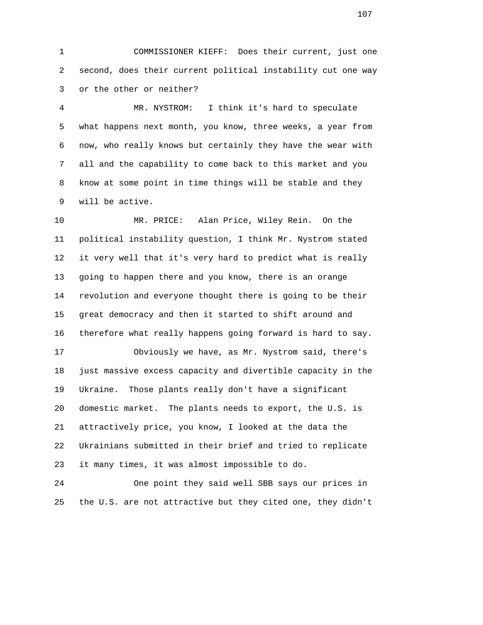1 COMMISSIONER KIEFF: Does their current, just one 2 second, does their current political instability cut one way 3 or the other or neither?

 4 MR. NYSTROM: I think it's hard to speculate 5 what happens next month, you know, three weeks, a year from 6 now, who really knows but certainly they have the wear with 7 all and the capability to come back to this market and you 8 know at some point in time things will be stable and they 9 will be active.

 10 MR. PRICE: Alan Price, Wiley Rein. On the 11 political instability question, I think Mr. Nystrom stated 12 it very well that it's very hard to predict what is really 13 going to happen there and you know, there is an orange 14 revolution and everyone thought there is going to be their 15 great democracy and then it started to shift around and 16 therefore what really happens going forward is hard to say.

 17 Obviously we have, as Mr. Nystrom said, there's 18 just massive excess capacity and divertible capacity in the 19 Ukraine. Those plants really don't have a significant 20 domestic market. The plants needs to export, the U.S. is 21 attractively price, you know, I looked at the data the 22 Ukrainians submitted in their brief and tried to replicate 23 it many times, it was almost impossible to do.

 24 One point they said well SBB says our prices in 25 the U.S. are not attractive but they cited one, they didn't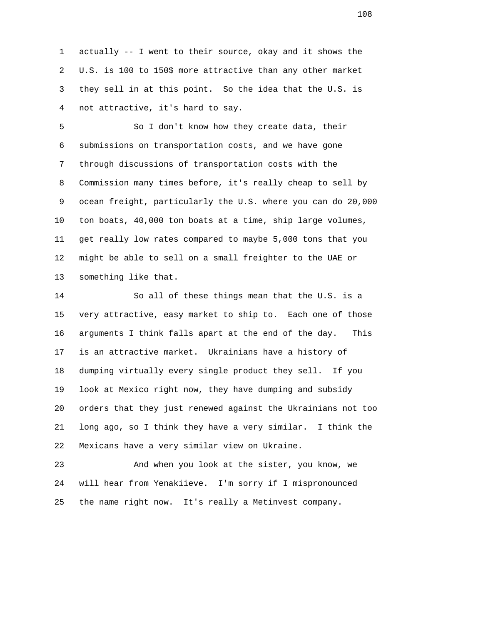1 actually -- I went to their source, okay and it shows the 2 U.S. is 100 to 150\$ more attractive than any other market 3 they sell in at this point. So the idea that the U.S. is 4 not attractive, it's hard to say.

 5 So I don't know how they create data, their 6 submissions on transportation costs, and we have gone 7 through discussions of transportation costs with the 8 Commission many times before, it's really cheap to sell by 9 ocean freight, particularly the U.S. where you can do 20,000 10 ton boats, 40,000 ton boats at a time, ship large volumes, 11 get really low rates compared to maybe 5,000 tons that you 12 might be able to sell on a small freighter to the UAE or 13 something like that.

 14 So all of these things mean that the U.S. is a 15 very attractive, easy market to ship to. Each one of those 16 arguments I think falls apart at the end of the day. This 17 is an attractive market. Ukrainians have a history of 18 dumping virtually every single product they sell. If you 19 look at Mexico right now, they have dumping and subsidy 20 orders that they just renewed against the Ukrainians not too 21 long ago, so I think they have a very similar. I think the 22 Mexicans have a very similar view on Ukraine.

 23 And when you look at the sister, you know, we 24 will hear from Yenakiieve. I'm sorry if I mispronounced 25 the name right now. It's really a Metinvest company.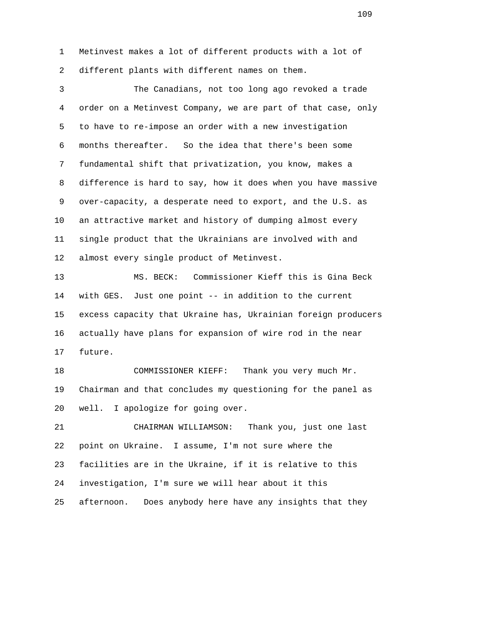1 Metinvest makes a lot of different products with a lot of 2 different plants with different names on them.

 3 The Canadians, not too long ago revoked a trade 4 order on a Metinvest Company, we are part of that case, only 5 to have to re-impose an order with a new investigation 6 months thereafter. So the idea that there's been some 7 fundamental shift that privatization, you know, makes a 8 difference is hard to say, how it does when you have massive 9 over-capacity, a desperate need to export, and the U.S. as 10 an attractive market and history of dumping almost every 11 single product that the Ukrainians are involved with and 12 almost every single product of Metinvest.

 13 MS. BECK: Commissioner Kieff this is Gina Beck 14 with GES. Just one point -- in addition to the current 15 excess capacity that Ukraine has, Ukrainian foreign producers 16 actually have plans for expansion of wire rod in the near 17 future.

 18 COMMISSIONER KIEFF: Thank you very much Mr. 19 Chairman and that concludes my questioning for the panel as 20 well. I apologize for going over.

 21 CHAIRMAN WILLIAMSON: Thank you, just one last 22 point on Ukraine. I assume, I'm not sure where the 23 facilities are in the Ukraine, if it is relative to this 24 investigation, I'm sure we will hear about it this 25 afternoon. Does anybody here have any insights that they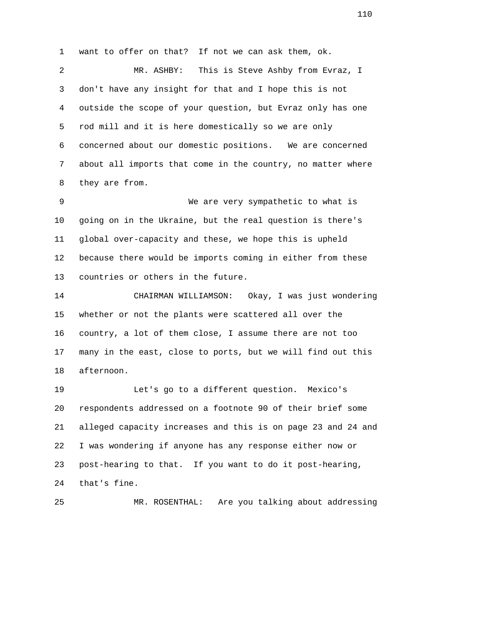1 want to offer on that? If not we can ask them, ok.

 2 MR. ASHBY: This is Steve Ashby from Evraz, I 3 don't have any insight for that and I hope this is not 4 outside the scope of your question, but Evraz only has one 5 rod mill and it is here domestically so we are only 6 concerned about our domestic positions. We are concerned 7 about all imports that come in the country, no matter where 8 they are from.

 9 We are very sympathetic to what is 10 going on in the Ukraine, but the real question is there's 11 global over-capacity and these, we hope this is upheld 12 because there would be imports coming in either from these 13 countries or others in the future.

 14 CHAIRMAN WILLIAMSON: Okay, I was just wondering 15 whether or not the plants were scattered all over the 16 country, a lot of them close, I assume there are not too 17 many in the east, close to ports, but we will find out this 18 afternoon.

 19 Let's go to a different question. Mexico's 20 respondents addressed on a footnote 90 of their brief some 21 alleged capacity increases and this is on page 23 and 24 and 22 I was wondering if anyone has any response either now or 23 post-hearing to that. If you want to do it post-hearing, 24 that's fine.

25 MR. ROSENTHAL: Are you talking about addressing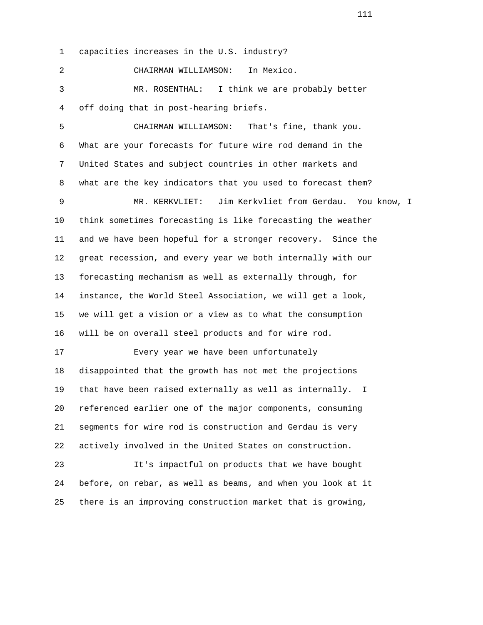1 capacities increases in the U.S. industry?

 2 CHAIRMAN WILLIAMSON: In Mexico. 3 MR. ROSENTHAL: I think we are probably better 4 off doing that in post-hearing briefs.

 5 CHAIRMAN WILLIAMSON: That's fine, thank you. 6 What are your forecasts for future wire rod demand in the 7 United States and subject countries in other markets and 8 what are the key indicators that you used to forecast them?

 9 MR. KERKVLIET: Jim Kerkvliet from Gerdau. You know, I 10 think sometimes forecasting is like forecasting the weather 11 and we have been hopeful for a stronger recovery. Since the 12 great recession, and every year we both internally with our 13 forecasting mechanism as well as externally through, for 14 instance, the World Steel Association, we will get a look, 15 we will get a vision or a view as to what the consumption 16 will be on overall steel products and for wire rod.

 17 Every year we have been unfortunately 18 disappointed that the growth has not met the projections 19 that have been raised externally as well as internally. I 20 referenced earlier one of the major components, consuming 21 segments for wire rod is construction and Gerdau is very 22 actively involved in the United States on construction.

 23 It's impactful on products that we have bought 24 before, on rebar, as well as beams, and when you look at it 25 there is an improving construction market that is growing,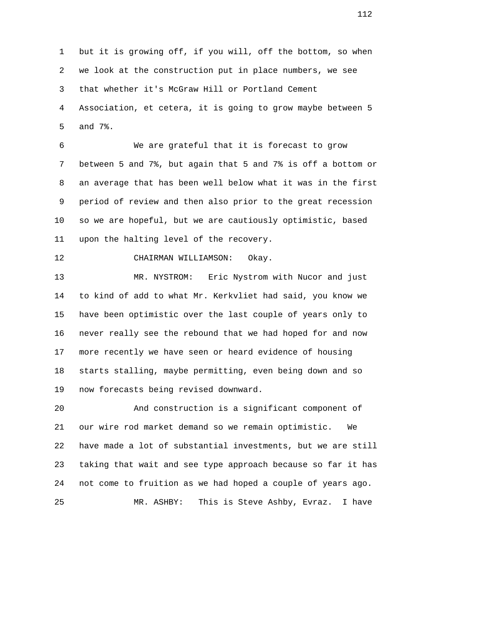1 but it is growing off, if you will, off the bottom, so when 2 we look at the construction put in place numbers, we see 3 that whether it's McGraw Hill or Portland Cement 4 Association, et cetera, it is going to grow maybe between 5 5 and 7%.

 6 We are grateful that it is forecast to grow 7 between 5 and 7%, but again that 5 and 7% is off a bottom or 8 an average that has been well below what it was in the first 9 period of review and then also prior to the great recession 10 so we are hopeful, but we are cautiously optimistic, based 11 upon the halting level of the recovery.

12 CHAIRMAN WILLIAMSON: Okay.

 13 MR. NYSTROM: Eric Nystrom with Nucor and just 14 to kind of add to what Mr. Kerkvliet had said, you know we 15 have been optimistic over the last couple of years only to 16 never really see the rebound that we had hoped for and now 17 more recently we have seen or heard evidence of housing 18 starts stalling, maybe permitting, even being down and so 19 now forecasts being revised downward.

 20 And construction is a significant component of 21 our wire rod market demand so we remain optimistic. We 22 have made a lot of substantial investments, but we are still 23 taking that wait and see type approach because so far it has 24 not come to fruition as we had hoped a couple of years ago. 25 MR. ASHBY: This is Steve Ashby, Evraz. I have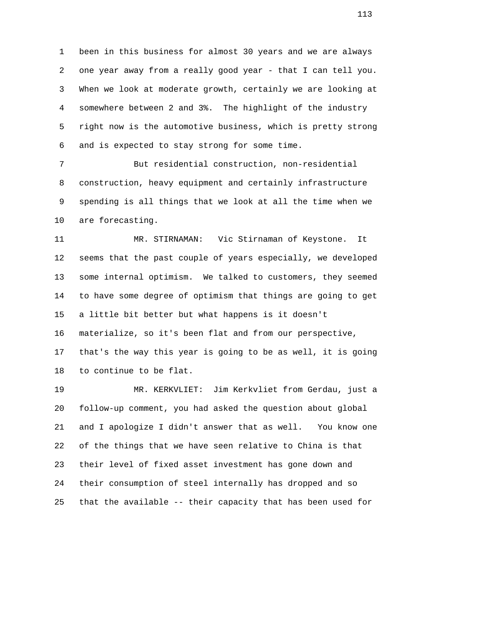1 been in this business for almost 30 years and we are always 2 one year away from a really good year - that I can tell you. 3 When we look at moderate growth, certainly we are looking at 4 somewhere between 2 and 3%. The highlight of the industry 5 right now is the automotive business, which is pretty strong 6 and is expected to stay strong for some time.

 7 But residential construction, non-residential 8 construction, heavy equipment and certainly infrastructure 9 spending is all things that we look at all the time when we 10 are forecasting.

 11 MR. STIRNAMAN: Vic Stirnaman of Keystone. It 12 seems that the past couple of years especially, we developed 13 some internal optimism. We talked to customers, they seemed 14 to have some degree of optimism that things are going to get 15 a little bit better but what happens is it doesn't 16 materialize, so it's been flat and from our perspective, 17 that's the way this year is going to be as well, it is going 18 to continue to be flat.

 19 MR. KERKVLIET: Jim Kerkvliet from Gerdau, just a 20 follow-up comment, you had asked the question about global 21 and I apologize I didn't answer that as well. You know one 22 of the things that we have seen relative to China is that 23 their level of fixed asset investment has gone down and 24 their consumption of steel internally has dropped and so 25 that the available -- their capacity that has been used for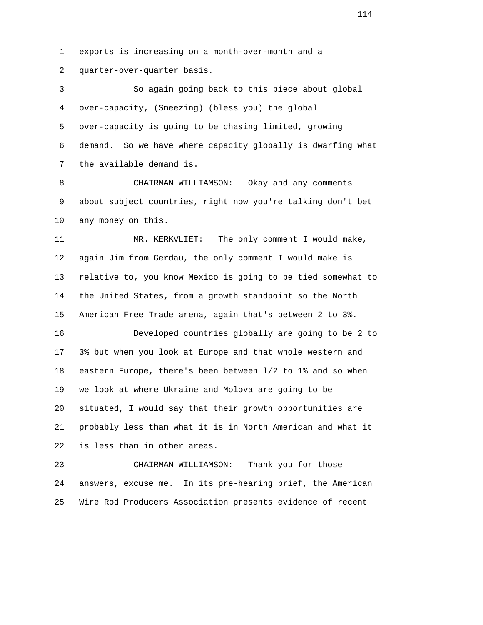1 exports is increasing on a month-over-month and a

2 quarter-over-quarter basis.

 3 So again going back to this piece about global 4 over-capacity, (Sneezing) (bless you) the global 5 over-capacity is going to be chasing limited, growing 6 demand. So we have where capacity globally is dwarfing what 7 the available demand is.

 8 CHAIRMAN WILLIAMSON: Okay and any comments 9 about subject countries, right now you're talking don't bet 10 any money on this.

 11 MR. KERKVLIET: The only comment I would make, 12 again Jim from Gerdau, the only comment I would make is 13 relative to, you know Mexico is going to be tied somewhat to 14 the United States, from a growth standpoint so the North 15 American Free Trade arena, again that's between 2 to 3%.

 16 Developed countries globally are going to be 2 to 17 3% but when you look at Europe and that whole western and 18 eastern Europe, there's been between l/2 to 1% and so when 19 we look at where Ukraine and Molova are going to be 20 situated, I would say that their growth opportunities are 21 probably less than what it is in North American and what it 22 is less than in other areas.

 23 CHAIRMAN WILLIAMSON: Thank you for those 24 answers, excuse me. In its pre-hearing brief, the American 25 Wire Rod Producers Association presents evidence of recent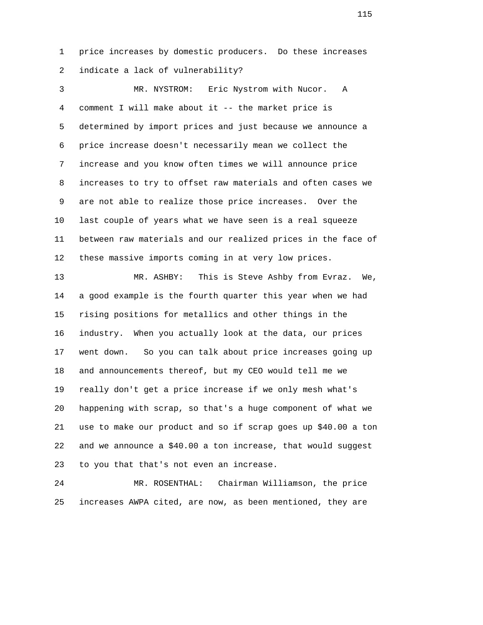1 price increases by domestic producers. Do these increases 2 indicate a lack of vulnerability?

 3 MR. NYSTROM: Eric Nystrom with Nucor. A 4 comment I will make about it -- the market price is 5 determined by import prices and just because we announce a 6 price increase doesn't necessarily mean we collect the 7 increase and you know often times we will announce price 8 increases to try to offset raw materials and often cases we 9 are not able to realize those price increases. Over the 10 last couple of years what we have seen is a real squeeze 11 between raw materials and our realized prices in the face of 12 these massive imports coming in at very low prices.

 13 MR. ASHBY: This is Steve Ashby from Evraz. We, 14 a good example is the fourth quarter this year when we had 15 rising positions for metallics and other things in the 16 industry. When you actually look at the data, our prices 17 went down. So you can talk about price increases going up 18 and announcements thereof, but my CEO would tell me we 19 really don't get a price increase if we only mesh what's 20 happening with scrap, so that's a huge component of what we 21 use to make our product and so if scrap goes up \$40.00 a ton 22 and we announce a \$40.00 a ton increase, that would suggest 23 to you that that's not even an increase.

 24 MR. ROSENTHAL: Chairman Williamson, the price 25 increases AWPA cited, are now, as been mentioned, they are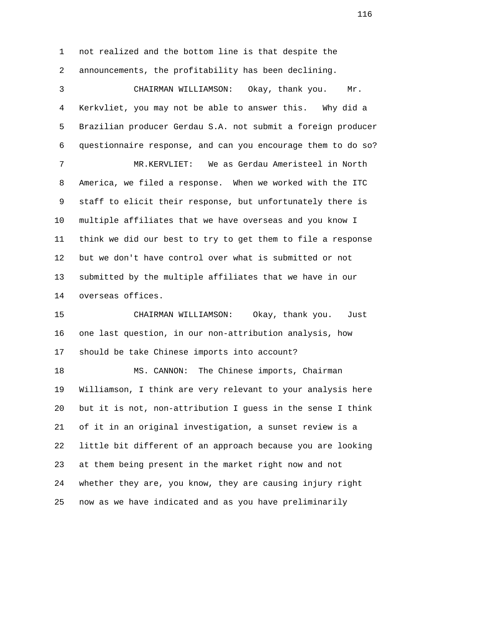1 not realized and the bottom line is that despite the 2 announcements, the profitability has been declining.

 3 CHAIRMAN WILLIAMSON: Okay, thank you. Mr. 4 Kerkvliet, you may not be able to answer this. Why did a 5 Brazilian producer Gerdau S.A. not submit a foreign producer 6 questionnaire response, and can you encourage them to do so? 7 MR.KERVLIET: We as Gerdau Ameristeel in North 8 America, we filed a response. When we worked with the ITC 9 staff to elicit their response, but unfortunately there is 10 multiple affiliates that we have overseas and you know I 11 think we did our best to try to get them to file a response 12 but we don't have control over what is submitted or not 13 submitted by the multiple affiliates that we have in our 14 overseas offices. 15 CHAIRMAN WILLIAMSON: Okay, thank you. Just

 16 one last question, in our non-attribution analysis, how 17 should be take Chinese imports into account?

 18 MS. CANNON: The Chinese imports, Chairman 19 Williamson, I think are very relevant to your analysis here 20 but it is not, non-attribution I guess in the sense I think 21 of it in an original investigation, a sunset review is a 22 little bit different of an approach because you are looking 23 at them being present in the market right now and not 24 whether they are, you know, they are causing injury right 25 now as we have indicated and as you have preliminarily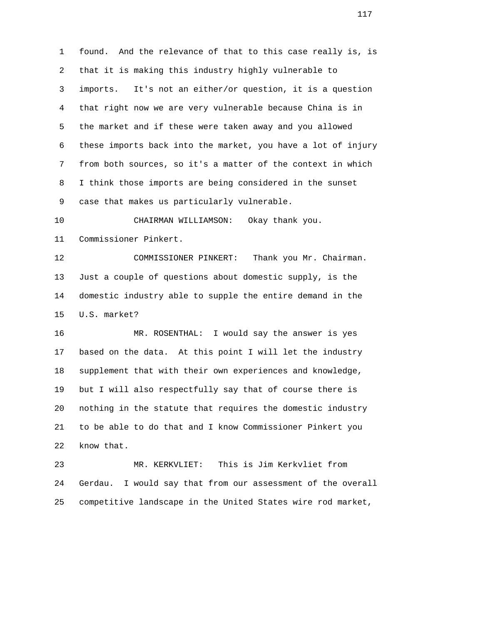1 found. And the relevance of that to this case really is, is 2 that it is making this industry highly vulnerable to 3 imports. It's not an either/or question, it is a question 4 that right now we are very vulnerable because China is in 5 the market and if these were taken away and you allowed 6 these imports back into the market, you have a lot of injury 7 from both sources, so it's a matter of the context in which 8 I think those imports are being considered in the sunset 9 case that makes us particularly vulnerable.

 10 CHAIRMAN WILLIAMSON: Okay thank you. 11 Commissioner Pinkert.

 12 COMMISSIONER PINKERT: Thank you Mr. Chairman. 13 Just a couple of questions about domestic supply, is the 14 domestic industry able to supple the entire demand in the 15 U.S. market?

 16 MR. ROSENTHAL: I would say the answer is yes 17 based on the data. At this point I will let the industry 18 supplement that with their own experiences and knowledge, 19 but I will also respectfully say that of course there is 20 nothing in the statute that requires the domestic industry 21 to be able to do that and I know Commissioner Pinkert you 22 know that.

 23 MR. KERKVLIET: This is Jim Kerkvliet from 24 Gerdau. I would say that from our assessment of the overall 25 competitive landscape in the United States wire rod market,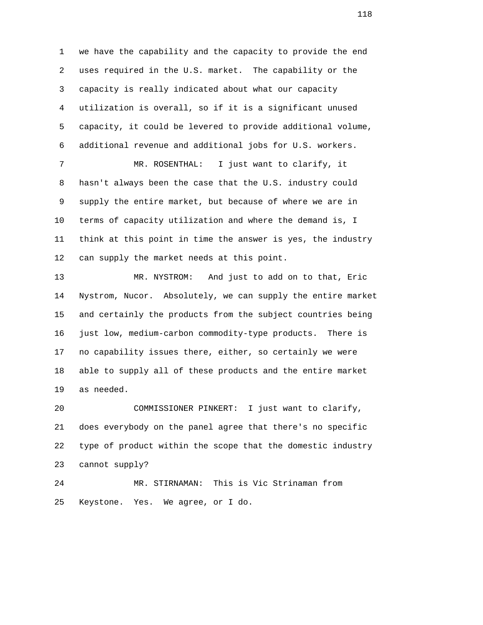1 we have the capability and the capacity to provide the end 2 uses required in the U.S. market. The capability or the 3 capacity is really indicated about what our capacity 4 utilization is overall, so if it is a significant unused 5 capacity, it could be levered to provide additional volume, 6 additional revenue and additional jobs for U.S. workers. 7 MR. ROSENTHAL: I just want to clarify, it 8 hasn't always been the case that the U.S. industry could 9 supply the entire market, but because of where we are in 10 terms of capacity utilization and where the demand is, I 11 think at this point in time the answer is yes, the industry 12 can supply the market needs at this point.

 13 MR. NYSTROM: And just to add on to that, Eric 14 Nystrom, Nucor. Absolutely, we can supply the entire market 15 and certainly the products from the subject countries being 16 just low, medium-carbon commodity-type products. There is 17 no capability issues there, either, so certainly we were 18 able to supply all of these products and the entire market 19 as needed.

 20 COMMISSIONER PINKERT: I just want to clarify, 21 does everybody on the panel agree that there's no specific 22 type of product within the scope that the domestic industry 23 cannot supply?

 24 MR. STIRNAMAN: This is Vic Strinaman from 25 Keystone. Yes. We agree, or I do.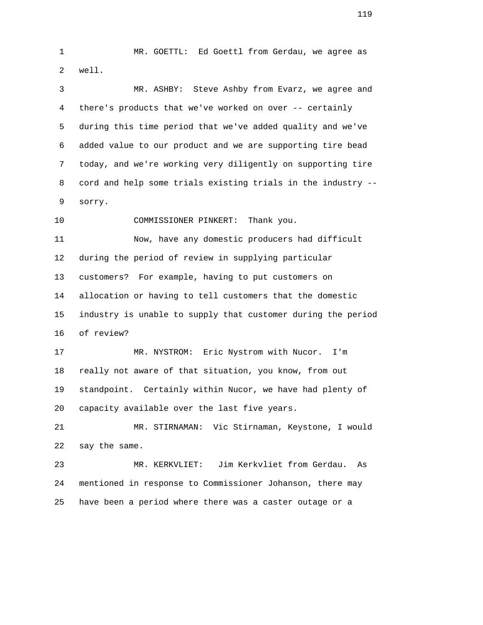1 MR. GOETTL: Ed Goettl from Gerdau, we agree as 2 well. 3 MR. ASHBY: Steve Ashby from Evarz, we agree and 4 there's products that we've worked on over -- certainly 5 during this time period that we've added quality and we've 6 added value to our product and we are supporting tire bead 7 today, and we're working very diligently on supporting tire 8 cord and help some trials existing trials in the industry -- 9 sorry. 10 COMMISSIONER PINKERT: Thank you. 11 Now, have any domestic producers had difficult 12 during the period of review in supplying particular 13 customers? For example, having to put customers on 14 allocation or having to tell customers that the domestic 15 industry is unable to supply that customer during the period 16 of review? 17 MR. NYSTROM: Eric Nystrom with Nucor. I'm 18 really not aware of that situation, you know, from out 19 standpoint. Certainly within Nucor, we have had plenty of 20 capacity available over the last five years. 21 MR. STIRNAMAN: Vic Stirnaman, Keystone, I would 22 say the same.

 23 MR. KERKVLIET: Jim Kerkvliet from Gerdau. As 24 mentioned in response to Commissioner Johanson, there may 25 have been a period where there was a caster outage or a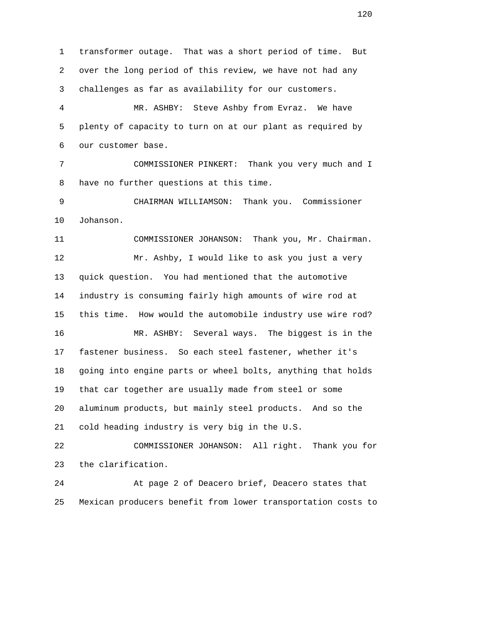1 transformer outage. That was a short period of time. But 2 over the long period of this review, we have not had any 3 challenges as far as availability for our customers. 4 MR. ASHBY: Steve Ashby from Evraz. We have 5 plenty of capacity to turn on at our plant as required by 6 our customer base. 7 COMMISSIONER PINKERT: Thank you very much and I 8 have no further questions at this time. 9 CHAIRMAN WILLIAMSON: Thank you. Commissioner 10 Johanson. 11 COMMISSIONER JOHANSON: Thank you, Mr. Chairman. 12 Mr. Ashby, I would like to ask you just a very 13 quick question. You had mentioned that the automotive 14 industry is consuming fairly high amounts of wire rod at 15 this time. How would the automobile industry use wire rod? 16 MR. ASHBY: Several ways. The biggest is in the 17 fastener business. So each steel fastener, whether it's 18 going into engine parts or wheel bolts, anything that holds 19 that car together are usually made from steel or some 20 aluminum products, but mainly steel products. And so the 21 cold heading industry is very big in the U.S. 22 COMMISSIONER JOHANSON: All right. Thank you for 23 the clarification. 24 At page 2 of Deacero brief, Deacero states that 25 Mexican producers benefit from lower transportation costs to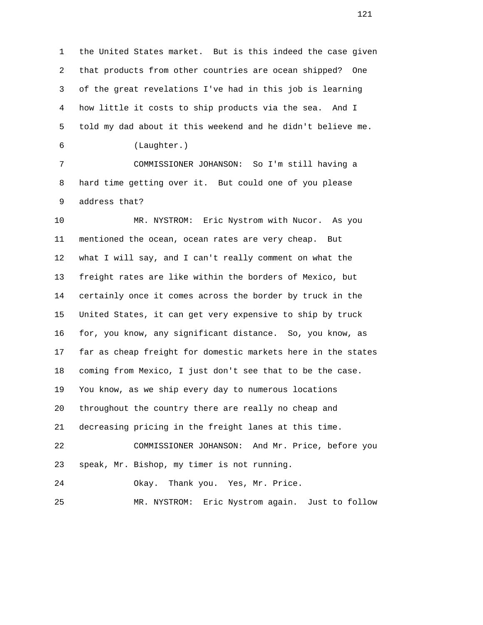1 the United States market. But is this indeed the case given 2 that products from other countries are ocean shipped? One 3 of the great revelations I've had in this job is learning 4 how little it costs to ship products via the sea. And I 5 told my dad about it this weekend and he didn't believe me. 6 (Laughter.)

 7 COMMISSIONER JOHANSON: So I'm still having a 8 hard time getting over it. But could one of you please 9 address that?

 10 MR. NYSTROM: Eric Nystrom with Nucor. As you 11 mentioned the ocean, ocean rates are very cheap. But 12 what I will say, and I can't really comment on what the 13 freight rates are like within the borders of Mexico, but 14 certainly once it comes across the border by truck in the 15 United States, it can get very expensive to ship by truck 16 for, you know, any significant distance. So, you know, as 17 far as cheap freight for domestic markets here in the states 18 coming from Mexico, I just don't see that to be the case. 19 You know, as we ship every day to numerous locations 20 throughout the country there are really no cheap and 21 decreasing pricing in the freight lanes at this time. 22 COMMISSIONER JOHANSON: And Mr. Price, before you 23 speak, Mr. Bishop, my timer is not running. 24 Okay. Thank you. Yes, Mr. Price.

25 MR. NYSTROM: Eric Nystrom again. Just to follow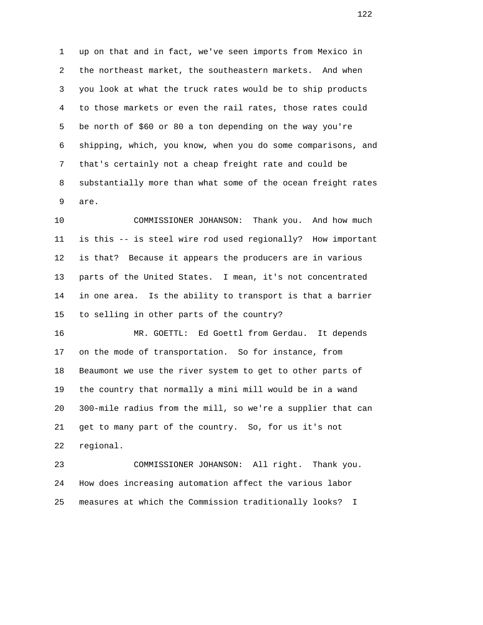1 up on that and in fact, we've seen imports from Mexico in 2 the northeast market, the southeastern markets. And when 3 you look at what the truck rates would be to ship products 4 to those markets or even the rail rates, those rates could 5 be north of \$60 or 80 a ton depending on the way you're 6 shipping, which, you know, when you do some comparisons, and 7 that's certainly not a cheap freight rate and could be 8 substantially more than what some of the ocean freight rates 9 are.

 10 COMMISSIONER JOHANSON: Thank you. And how much 11 is this -- is steel wire rod used regionally? How important 12 is that? Because it appears the producers are in various 13 parts of the United States. I mean, it's not concentrated 14 in one area. Is the ability to transport is that a barrier 15 to selling in other parts of the country?

 16 MR. GOETTL: Ed Goettl from Gerdau. It depends 17 on the mode of transportation. So for instance, from 18 Beaumont we use the river system to get to other parts of 19 the country that normally a mini mill would be in a wand 20 300-mile radius from the mill, so we're a supplier that can 21 get to many part of the country. So, for us it's not 22 regional.

 23 COMMISSIONER JOHANSON: All right. Thank you. 24 How does increasing automation affect the various labor 25 measures at which the Commission traditionally looks? I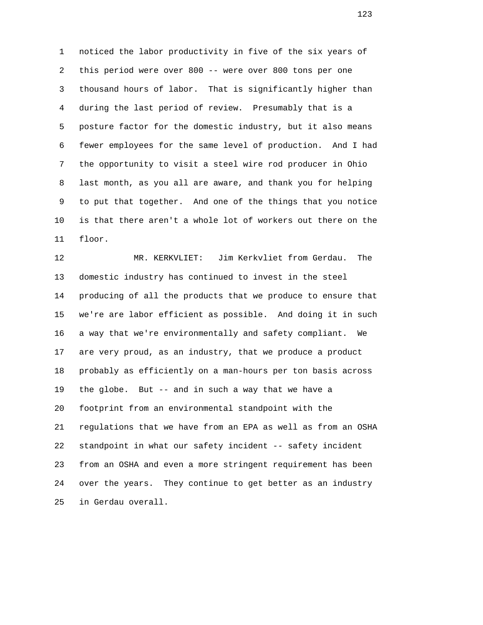1 noticed the labor productivity in five of the six years of 2 this period were over 800 -- were over 800 tons per one 3 thousand hours of labor. That is significantly higher than 4 during the last period of review. Presumably that is a 5 posture factor for the domestic industry, but it also means 6 fewer employees for the same level of production. And I had 7 the opportunity to visit a steel wire rod producer in Ohio 8 last month, as you all are aware, and thank you for helping 9 to put that together. And one of the things that you notice 10 is that there aren't a whole lot of workers out there on the 11 floor.

 12 MR. KERKVLIET: Jim Kerkvliet from Gerdau. The 13 domestic industry has continued to invest in the steel 14 producing of all the products that we produce to ensure that 15 we're are labor efficient as possible. And doing it in such 16 a way that we're environmentally and safety compliant. We 17 are very proud, as an industry, that we produce a product 18 probably as efficiently on a man-hours per ton basis across 19 the globe. But -- and in such a way that we have a 20 footprint from an environmental standpoint with the 21 regulations that we have from an EPA as well as from an OSHA 22 standpoint in what our safety incident -- safety incident 23 from an OSHA and even a more stringent requirement has been 24 over the years. They continue to get better as an industry 25 in Gerdau overall.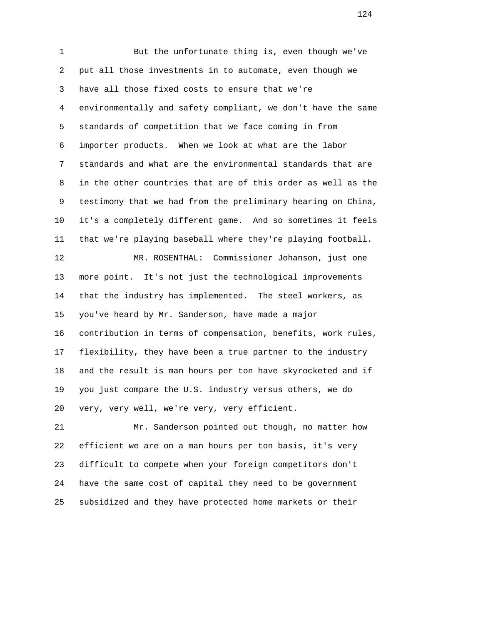1 But the unfortunate thing is, even though we've 2 put all those investments in to automate, even though we 3 have all those fixed costs to ensure that we're 4 environmentally and safety compliant, we don't have the same 5 standards of competition that we face coming in from 6 importer products. When we look at what are the labor 7 standards and what are the environmental standards that are 8 in the other countries that are of this order as well as the 9 testimony that we had from the preliminary hearing on China, 10 it's a completely different game. And so sometimes it feels 11 that we're playing baseball where they're playing football. 12 MR. ROSENTHAL: Commissioner Johanson, just one 13 more point. It's not just the technological improvements 14 that the industry has implemented. The steel workers, as 15 you've heard by Mr. Sanderson, have made a major 16 contribution in terms of compensation, benefits, work rules, 17 flexibility, they have been a true partner to the industry 18 and the result is man hours per ton have skyrocketed and if 19 you just compare the U.S. industry versus others, we do 20 very, very well, we're very, very efficient.

 21 Mr. Sanderson pointed out though, no matter how 22 efficient we are on a man hours per ton basis, it's very 23 difficult to compete when your foreign competitors don't 24 have the same cost of capital they need to be government 25 subsidized and they have protected home markets or their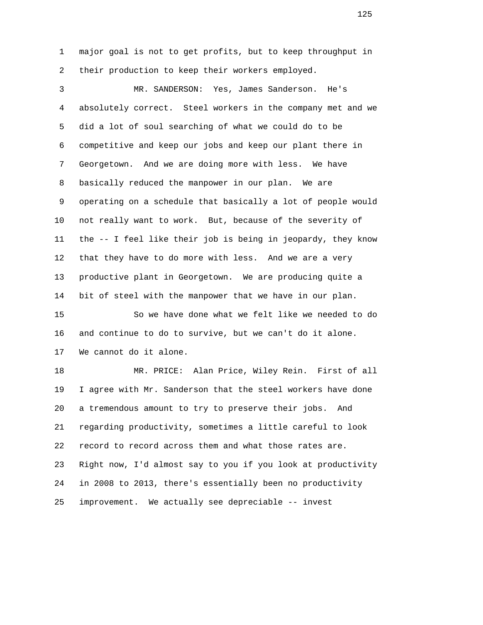1 major goal is not to get profits, but to keep throughput in 2 their production to keep their workers employed.

 3 MR. SANDERSON: Yes, James Sanderson. He's 4 absolutely correct. Steel workers in the company met and we 5 did a lot of soul searching of what we could do to be 6 competitive and keep our jobs and keep our plant there in 7 Georgetown. And we are doing more with less. We have 8 basically reduced the manpower in our plan. We are 9 operating on a schedule that basically a lot of people would 10 not really want to work. But, because of the severity of 11 the -- I feel like their job is being in jeopardy, they know 12 that they have to do more with less. And we are a very 13 productive plant in Georgetown. We are producing quite a 14 bit of steel with the manpower that we have in our plan. 15 So we have done what we felt like we needed to do 16 and continue to do to survive, but we can't do it alone. 17 We cannot do it alone. 18 MR. PRICE: Alan Price, Wiley Rein. First of all 19 I agree with Mr. Sanderson that the steel workers have done

20 a tremendous amount to try to preserve their jobs. And

22 record to record across them and what those rates are.

25 improvement. We actually see depreciable -- invest

21 regarding productivity, sometimes a little careful to look

23 Right now, I'd almost say to you if you look at productivity

24 in 2008 to 2013, there's essentially been no productivity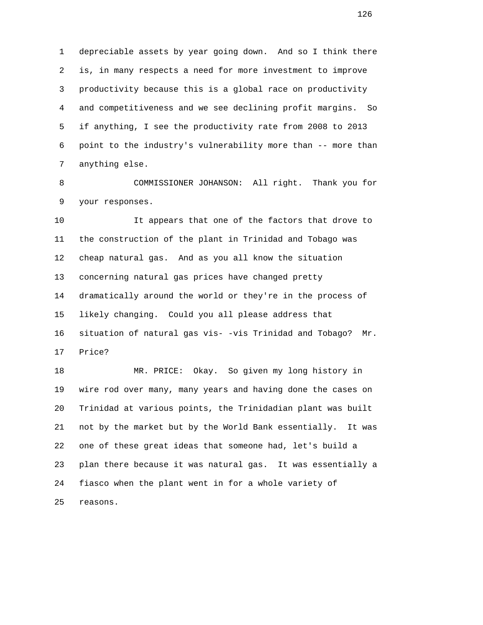1 depreciable assets by year going down. And so I think there 2 is, in many respects a need for more investment to improve 3 productivity because this is a global race on productivity 4 and competitiveness and we see declining profit margins. So 5 if anything, I see the productivity rate from 2008 to 2013 6 point to the industry's vulnerability more than -- more than 7 anything else.

 8 COMMISSIONER JOHANSON: All right. Thank you for 9 your responses.

 10 It appears that one of the factors that drove to 11 the construction of the plant in Trinidad and Tobago was 12 cheap natural gas. And as you all know the situation 13 concerning natural gas prices have changed pretty 14 dramatically around the world or they're in the process of 15 likely changing. Could you all please address that 16 situation of natural gas vis- -vis Trinidad and Tobago? Mr. 17 Price?

 18 MR. PRICE: Okay. So given my long history in 19 wire rod over many, many years and having done the cases on 20 Trinidad at various points, the Trinidadian plant was built 21 not by the market but by the World Bank essentially. It was 22 one of these great ideas that someone had, let's build a 23 plan there because it was natural gas. It was essentially a 24 fiasco when the plant went in for a whole variety of 25 reasons.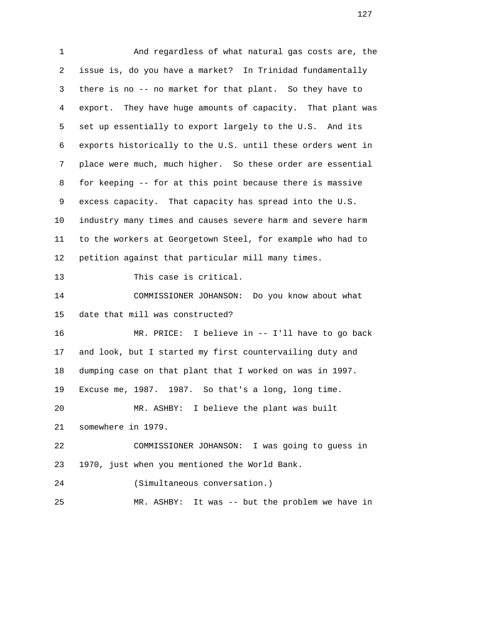1 And regardless of what natural gas costs are, the 2 issue is, do you have a market? In Trinidad fundamentally 3 there is no -- no market for that plant. So they have to 4 export. They have huge amounts of capacity. That plant was 5 set up essentially to export largely to the U.S. And its 6 exports historically to the U.S. until these orders went in 7 place were much, much higher. So these order are essential 8 for keeping -- for at this point because there is massive 9 excess capacity. That capacity has spread into the U.S. 10 industry many times and causes severe harm and severe harm 11 to the workers at Georgetown Steel, for example who had to 12 petition against that particular mill many times. 13 This case is critical. 14 COMMISSIONER JOHANSON: Do you know about what 15 date that mill was constructed? 16 MR. PRICE: I believe in -- I'll have to go back 17 and look, but I started my first countervailing duty and 18 dumping case on that plant that I worked on was in 1997. 19 Excuse me, 1987. 1987. So that's a long, long time. 20 MR. ASHBY: I believe the plant was built 21 somewhere in 1979. 22 COMMISSIONER JOHANSON: I was going to guess in 23 1970, just when you mentioned the World Bank. 24 (Simultaneous conversation.) 25 MR. ASHBY: It was -- but the problem we have in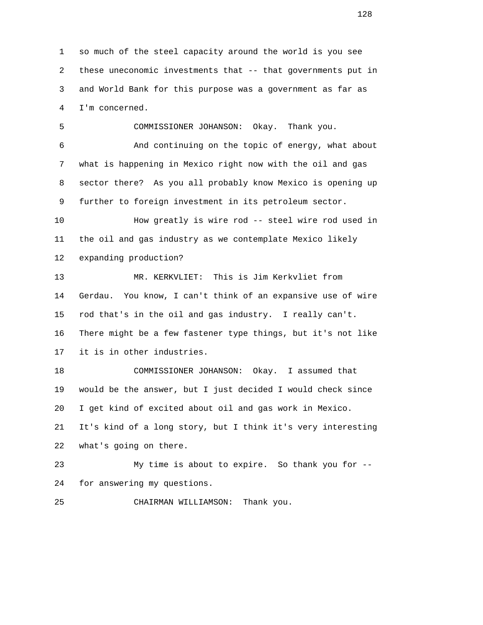1 so much of the steel capacity around the world is you see 2 these uneconomic investments that -- that governments put in 3 and World Bank for this purpose was a government as far as 4 I'm concerned.

 5 COMMISSIONER JOHANSON: Okay. Thank you. 6 And continuing on the topic of energy, what about 7 what is happening in Mexico right now with the oil and gas 8 sector there? As you all probably know Mexico is opening up 9 further to foreign investment in its petroleum sector. 10 How greatly is wire rod -- steel wire rod used in 11 the oil and gas industry as we contemplate Mexico likely 12 expanding production?

 13 MR. KERKVLIET: This is Jim Kerkvliet from 14 Gerdau. You know, I can't think of an expansive use of wire 15 rod that's in the oil and gas industry. I really can't. 16 There might be a few fastener type things, but it's not like 17 it is in other industries.

 18 COMMISSIONER JOHANSON: Okay. I assumed that 19 would be the answer, but I just decided I would check since 20 I get kind of excited about oil and gas work in Mexico. 21 It's kind of a long story, but I think it's very interesting 22 what's going on there.

 23 My time is about to expire. So thank you for -- 24 for answering my questions.

25 CHAIRMAN WILLIAMSON: Thank you.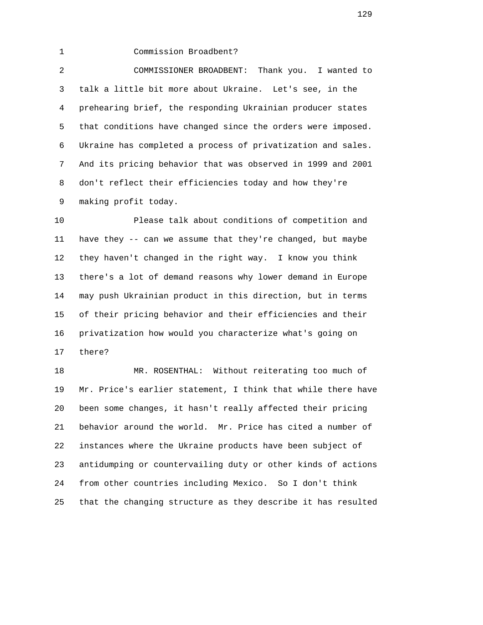1 Commission Broadbent?

 2 COMMISSIONER BROADBENT: Thank you. I wanted to 3 talk a little bit more about Ukraine. Let's see, in the 4 prehearing brief, the responding Ukrainian producer states 5 that conditions have changed since the orders were imposed. 6 Ukraine has completed a process of privatization and sales. 7 And its pricing behavior that was observed in 1999 and 2001 8 don't reflect their efficiencies today and how they're 9 making profit today.

 10 Please talk about conditions of competition and 11 have they -- can we assume that they're changed, but maybe 12 they haven't changed in the right way. I know you think 13 there's a lot of demand reasons why lower demand in Europe 14 may push Ukrainian product in this direction, but in terms 15 of their pricing behavior and their efficiencies and their 16 privatization how would you characterize what's going on 17 there?

 18 MR. ROSENTHAL: Without reiterating too much of 19 Mr. Price's earlier statement, I think that while there have 20 been some changes, it hasn't really affected their pricing 21 behavior around the world. Mr. Price has cited a number of 22 instances where the Ukraine products have been subject of 23 antidumping or countervailing duty or other kinds of actions 24 from other countries including Mexico. So I don't think 25 that the changing structure as they describe it has resulted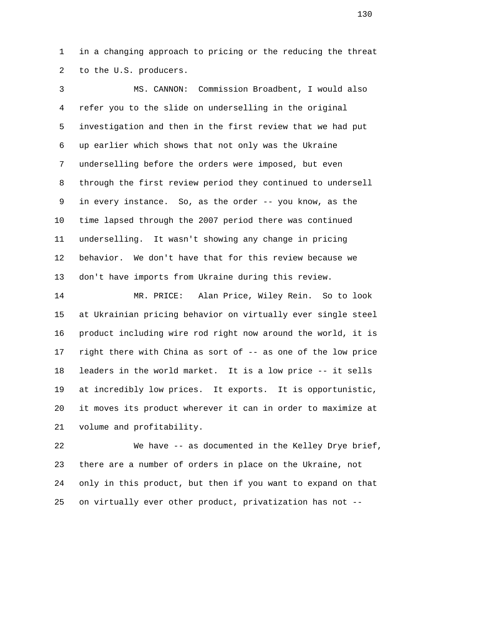1 in a changing approach to pricing or the reducing the threat 2 to the U.S. producers.

 3 MS. CANNON: Commission Broadbent, I would also 4 refer you to the slide on underselling in the original 5 investigation and then in the first review that we had put 6 up earlier which shows that not only was the Ukraine 7 underselling before the orders were imposed, but even 8 through the first review period they continued to undersell 9 in every instance. So, as the order -- you know, as the 10 time lapsed through the 2007 period there was continued 11 underselling. It wasn't showing any change in pricing 12 behavior. We don't have that for this review because we 13 don't have imports from Ukraine during this review.

 14 MR. PRICE: Alan Price, Wiley Rein. So to look 15 at Ukrainian pricing behavior on virtually ever single steel 16 product including wire rod right now around the world, it is 17 right there with China as sort of -- as one of the low price 18 leaders in the world market. It is a low price -- it sells 19 at incredibly low prices. It exports. It is opportunistic, 20 it moves its product wherever it can in order to maximize at 21 volume and profitability.

 22 We have -- as documented in the Kelley Drye brief, 23 there are a number of orders in place on the Ukraine, not 24 only in this product, but then if you want to expand on that 25 on virtually ever other product, privatization has not --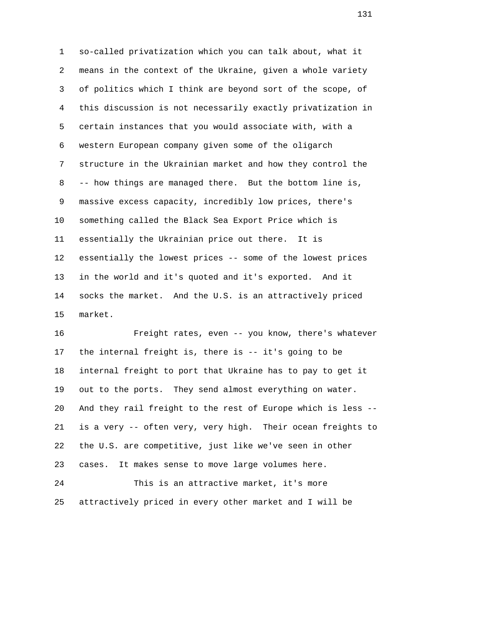1 so-called privatization which you can talk about, what it 2 means in the context of the Ukraine, given a whole variety 3 of politics which I think are beyond sort of the scope, of 4 this discussion is not necessarily exactly privatization in 5 certain instances that you would associate with, with a 6 western European company given some of the oligarch 7 structure in the Ukrainian market and how they control the 8 -- how things are managed there. But the bottom line is, 9 massive excess capacity, incredibly low prices, there's 10 something called the Black Sea Export Price which is 11 essentially the Ukrainian price out there. It is 12 essentially the lowest prices -- some of the lowest prices 13 in the world and it's quoted and it's exported. And it 14 socks the market. And the U.S. is an attractively priced 15 market.

 16 Freight rates, even -- you know, there's whatever 17 the internal freight is, there is -- it's going to be 18 internal freight to port that Ukraine has to pay to get it 19 out to the ports. They send almost everything on water. 20 And they rail freight to the rest of Europe which is less -- 21 is a very -- often very, very high. Their ocean freights to 22 the U.S. are competitive, just like we've seen in other 23 cases. It makes sense to move large volumes here. 24 This is an attractive market, it's more

25 attractively priced in every other market and I will be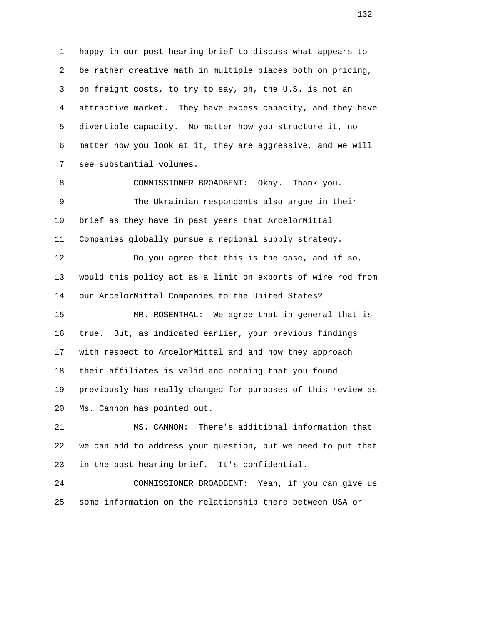1 happy in our post-hearing brief to discuss what appears to 2 be rather creative math in multiple places both on pricing, 3 on freight costs, to try to say, oh, the U.S. is not an 4 attractive market. They have excess capacity, and they have 5 divertible capacity. No matter how you structure it, no 6 matter how you look at it, they are aggressive, and we will 7 see substantial volumes. 8 COMMISSIONER BROADBENT: Okay. Thank you.

 9 The Ukrainian respondents also argue in their 10 brief as they have in past years that ArcelorMittal 11 Companies globally pursue a regional supply strategy.

 12 Do you agree that this is the case, and if so, 13 would this policy act as a limit on exports of wire rod from 14 our ArcelorMittal Companies to the United States?

 15 MR. ROSENTHAL: We agree that in general that is 16 true. But, as indicated earlier, your previous findings 17 with respect to ArcelorMittal and and how they approach 18 their affiliates is valid and nothing that you found 19 previously has really changed for purposes of this review as 20 Ms. Cannon has pointed out.

 21 MS. CANNON: There's additional information that 22 we can add to address your question, but we need to put that 23 in the post-hearing brief. It's confidential.

 24 COMMISSIONER BROADBENT: Yeah, if you can give us 25 some information on the relationship there between USA or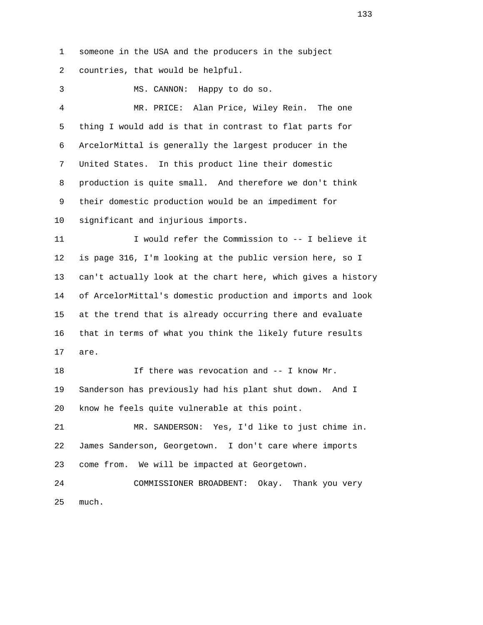1 someone in the USA and the producers in the subject 2 countries, that would be helpful.

3 MS. CANNON: Happy to do so.

 4 MR. PRICE: Alan Price, Wiley Rein. The one 5 thing I would add is that in contrast to flat parts for 6 ArcelorMittal is generally the largest producer in the 7 United States. In this product line their domestic 8 production is quite small. And therefore we don't think 9 their domestic production would be an impediment for 10 significant and injurious imports.

 11 I would refer the Commission to -- I believe it 12 is page 316, I'm looking at the public version here, so I 13 can't actually look at the chart here, which gives a history 14 of ArcelorMittal's domestic production and imports and look 15 at the trend that is already occurring there and evaluate 16 that in terms of what you think the likely future results 17 are.

 18 If there was revocation and -- I know Mr. 19 Sanderson has previously had his plant shut down. And I 20 know he feels quite vulnerable at this point.

 21 MR. SANDERSON: Yes, I'd like to just chime in. 22 James Sanderson, Georgetown. I don't care where imports 23 come from. We will be impacted at Georgetown.

 24 COMMISSIONER BROADBENT: Okay. Thank you very 25 much.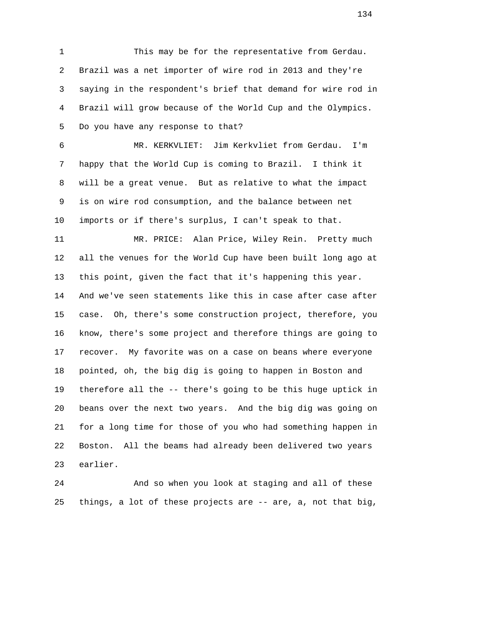1 This may be for the representative from Gerdau. 2 Brazil was a net importer of wire rod in 2013 and they're 3 saying in the respondent's brief that demand for wire rod in 4 Brazil will grow because of the World Cup and the Olympics. 5 Do you have any response to that?

 6 MR. KERKVLIET: Jim Kerkvliet from Gerdau. I'm 7 happy that the World Cup is coming to Brazil. I think it 8 will be a great venue. But as relative to what the impact 9 is on wire rod consumption, and the balance between net 10 imports or if there's surplus, I can't speak to that.

 11 MR. PRICE: Alan Price, Wiley Rein. Pretty much 12 all the venues for the World Cup have been built long ago at 13 this point, given the fact that it's happening this year. 14 And we've seen statements like this in case after case after 15 case. Oh, there's some construction project, therefore, you 16 know, there's some project and therefore things are going to 17 recover. My favorite was on a case on beans where everyone 18 pointed, oh, the big dig is going to happen in Boston and 19 therefore all the -- there's going to be this huge uptick in 20 beans over the next two years. And the big dig was going on 21 for a long time for those of you who had something happen in 22 Boston. All the beams had already been delivered two years 23 earlier.

 24 And so when you look at staging and all of these 25 things, a lot of these projects are -- are, a, not that big,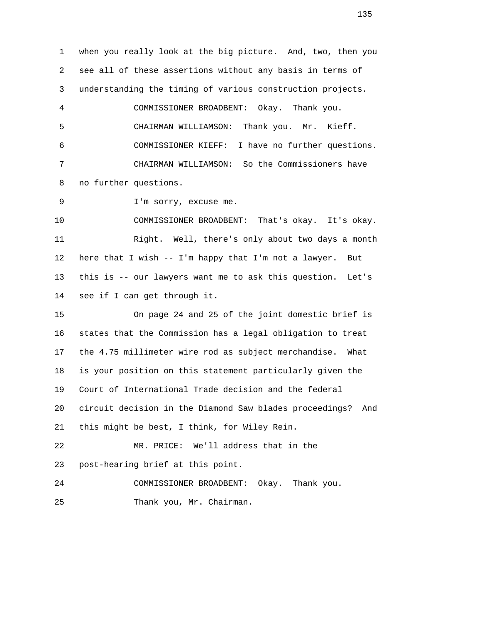1 when you really look at the big picture. And, two, then you 2 see all of these assertions without any basis in terms of 3 understanding the timing of various construction projects. 4 COMMISSIONER BROADBENT: Okay. Thank you. 5 CHAIRMAN WILLIAMSON: Thank you. Mr. Kieff. 6 COMMISSIONER KIEFF: I have no further questions. 7 CHAIRMAN WILLIAMSON: So the Commissioners have 8 no further questions. 9 I'm sorry, excuse me. 10 COMMISSIONER BROADBENT: That's okay. It's okay. 11 Right. Well, there's only about two days a month 12 here that I wish -- I'm happy that I'm not a lawyer. But 13 this is -- our lawyers want me to ask this question. Let's 14 see if I can get through it. 15 On page 24 and 25 of the joint domestic brief is 16 states that the Commission has a legal obligation to treat 17 the 4.75 millimeter wire rod as subject merchandise. What 18 is your position on this statement particularly given the 19 Court of International Trade decision and the federal 20 circuit decision in the Diamond Saw blades proceedings? And 21 this might be best, I think, for Wiley Rein. 22 MR. PRICE: We'll address that in the 23 post-hearing brief at this point. 24 COMMISSIONER BROADBENT: Okay. Thank you. 25 Thank you, Mr. Chairman.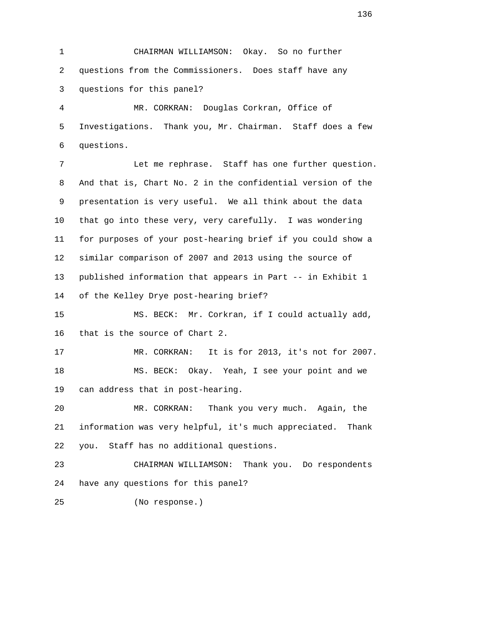1 CHAIRMAN WILLIAMSON: Okay. So no further 2 questions from the Commissioners. Does staff have any 3 questions for this panel?

 4 MR. CORKRAN: Douglas Corkran, Office of 5 Investigations. Thank you, Mr. Chairman. Staff does a few 6 questions.

 7 Let me rephrase. Staff has one further question. 8 And that is, Chart No. 2 in the confidential version of the 9 presentation is very useful. We all think about the data 10 that go into these very, very carefully. I was wondering 11 for purposes of your post-hearing brief if you could show a 12 similar comparison of 2007 and 2013 using the source of 13 published information that appears in Part -- in Exhibit 1 14 of the Kelley Drye post-hearing brief?

 15 MS. BECK: Mr. Corkran, if I could actually add, 16 that is the source of Chart 2.

 17 MR. CORKRAN: It is for 2013, it's not for 2007. 18 MS. BECK: Okay. Yeah, I see your point and we 19 can address that in post-hearing.

 20 MR. CORKRAN: Thank you very much. Again, the 21 information was very helpful, it's much appreciated. Thank 22 you. Staff has no additional questions.

 23 CHAIRMAN WILLIAMSON: Thank you. Do respondents 24 have any questions for this panel?

25 (No response.)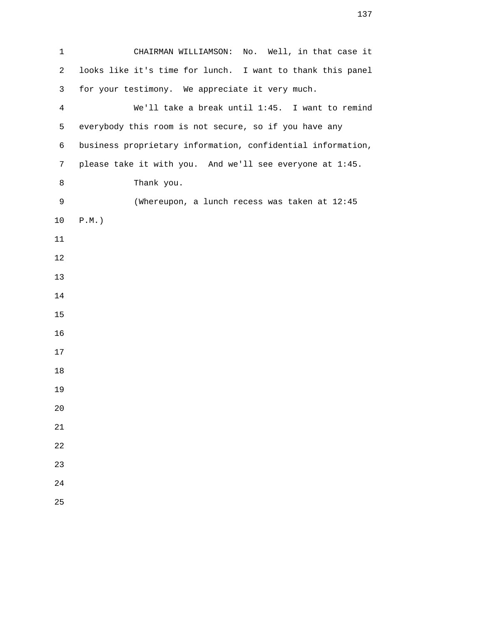1 CHAIRMAN WILLIAMSON: No. Well, in that case it 2 looks like it's time for lunch. I want to thank this panel 3 for your testimony. We appreciate it very much. 4 We'll take a break until 1:45. I want to remind 5 everybody this room is not secure, so if you have any 6 business proprietary information, confidential information, 7 please take it with you. And we'll see everyone at 1:45. 8 Thank you. 9 (Whereupon, a lunch recess was taken at 12:45 10 P.M.)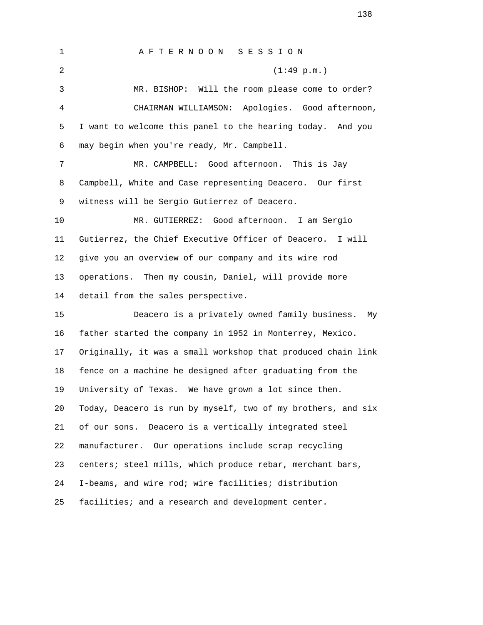1 A F T E R N O O N S E S S I O N 2 (1:49 p.m.) 3 MR. BISHOP: Will the room please come to order? 4 CHAIRMAN WILLIAMSON: Apologies. Good afternoon, 5 I want to welcome this panel to the hearing today. And you 6 may begin when you're ready, Mr. Campbell. 7 MR. CAMPBELL: Good afternoon. This is Jay 8 Campbell, White and Case representing Deacero. Our first 9 witness will be Sergio Gutierrez of Deacero. 10 MR. GUTIERREZ: Good afternoon. I am Sergio 11 Gutierrez, the Chief Executive Officer of Deacero. I will 12 give you an overview of our company and its wire rod 13 operations. Then my cousin, Daniel, will provide more 14 detail from the sales perspective. 15 Deacero is a privately owned family business. My 16 father started the company in 1952 in Monterrey, Mexico. 17 Originally, it was a small workshop that produced chain link 18 fence on a machine he designed after graduating from the 19 University of Texas. We have grown a lot since then. 20 Today, Deacero is run by myself, two of my brothers, and six 21 of our sons. Deacero is a vertically integrated steel 22 manufacturer. Our operations include scrap recycling 23 centers; steel mills, which produce rebar, merchant bars, 24 I-beams, and wire rod; wire facilities; distribution 25 facilities; and a research and development center.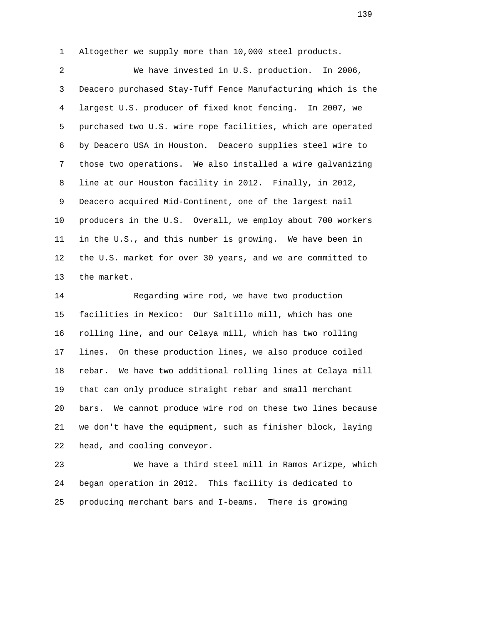1 Altogether we supply more than 10,000 steel products.

 2 We have invested in U.S. production. In 2006, 3 Deacero purchased Stay-Tuff Fence Manufacturing which is the 4 largest U.S. producer of fixed knot fencing. In 2007, we 5 purchased two U.S. wire rope facilities, which are operated 6 by Deacero USA in Houston. Deacero supplies steel wire to 7 those two operations. We also installed a wire galvanizing 8 line at our Houston facility in 2012. Finally, in 2012, 9 Deacero acquired Mid-Continent, one of the largest nail 10 producers in the U.S. Overall, we employ about 700 workers 11 in the U.S., and this number is growing. We have been in 12 the U.S. market for over 30 years, and we are committed to 13 the market.

 14 Regarding wire rod, we have two production 15 facilities in Mexico: Our Saltillo mill, which has one 16 rolling line, and our Celaya mill, which has two rolling 17 lines. On these production lines, we also produce coiled 18 rebar. We have two additional rolling lines at Celaya mill 19 that can only produce straight rebar and small merchant 20 bars. We cannot produce wire rod on these two lines because 21 we don't have the equipment, such as finisher block, laying 22 head, and cooling conveyor.

 23 We have a third steel mill in Ramos Arizpe, which 24 began operation in 2012. This facility is dedicated to 25 producing merchant bars and I-beams. There is growing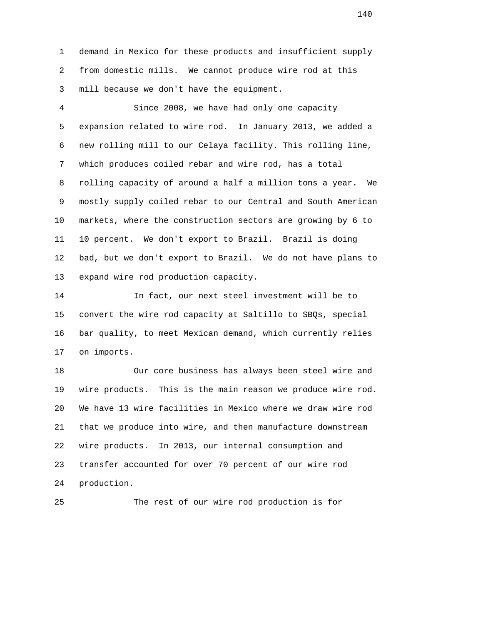1 demand in Mexico for these products and insufficient supply 2 from domestic mills. We cannot produce wire rod at this 3 mill because we don't have the equipment.

 4 Since 2008, we have had only one capacity 5 expansion related to wire rod. In January 2013, we added a 6 new rolling mill to our Celaya facility. This rolling line, 7 which produces coiled rebar and wire rod, has a total 8 rolling capacity of around a half a million tons a year. We 9 mostly supply coiled rebar to our Central and South American 10 markets, where the construction sectors are growing by 6 to 11 10 percent. We don't export to Brazil. Brazil is doing 12 bad, but we don't export to Brazil. We do not have plans to 13 expand wire rod production capacity.

 14 In fact, our next steel investment will be to 15 convert the wire rod capacity at Saltillo to SBQs, special 16 bar quality, to meet Mexican demand, which currently relies 17 on imports.

 18 Our core business has always been steel wire and 19 wire products. This is the main reason we produce wire rod. 20 We have 13 wire facilities in Mexico where we draw wire rod 21 that we produce into wire, and then manufacture downstream 22 wire products. In 2013, our internal consumption and 23 transfer accounted for over 70 percent of our wire rod 24 production.

25 The rest of our wire rod production is for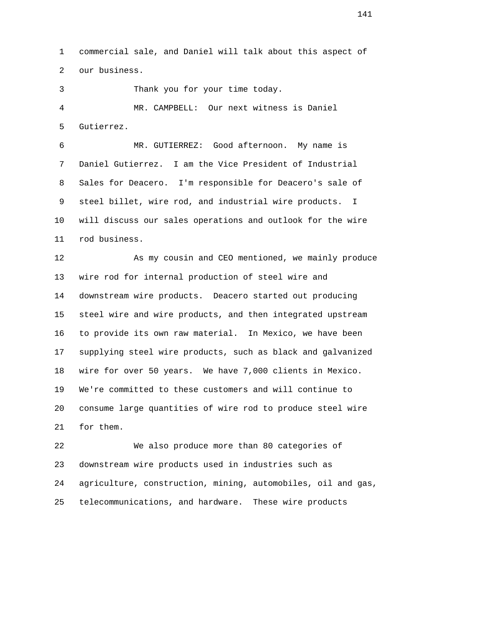1 commercial sale, and Daniel will talk about this aspect of 2 our business.

3 Thank you for your time today.

 4 MR. CAMPBELL: Our next witness is Daniel 5 Gutierrez.

 6 MR. GUTIERREZ: Good afternoon. My name is 7 Daniel Gutierrez. I am the Vice President of Industrial 8 Sales for Deacero. I'm responsible for Deacero's sale of 9 steel billet, wire rod, and industrial wire products. I 10 will discuss our sales operations and outlook for the wire 11 rod business.

12 **As my cousin and CEO mentioned, we mainly produce**  13 wire rod for internal production of steel wire and 14 downstream wire products. Deacero started out producing 15 steel wire and wire products, and then integrated upstream 16 to provide its own raw material. In Mexico, we have been 17 supplying steel wire products, such as black and galvanized 18 wire for over 50 years. We have 7,000 clients in Mexico. 19 We're committed to these customers and will continue to 20 consume large quantities of wire rod to produce steel wire 21 for them.

 22 We also produce more than 80 categories of 23 downstream wire products used in industries such as 24 agriculture, construction, mining, automobiles, oil and gas, 25 telecommunications, and hardware. These wire products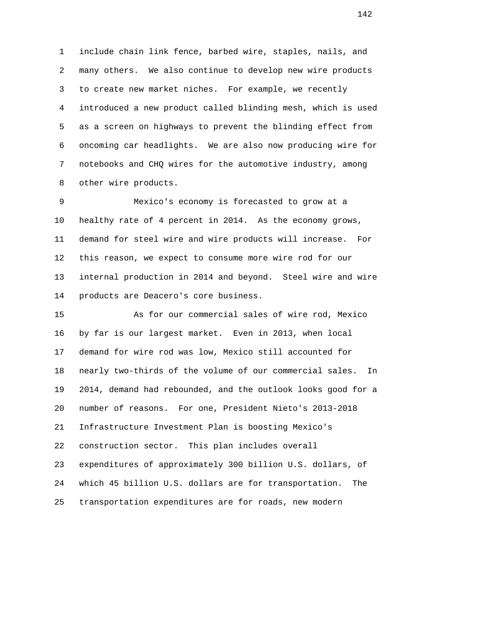1 include chain link fence, barbed wire, staples, nails, and 2 many others. We also continue to develop new wire products 3 to create new market niches. For example, we recently 4 introduced a new product called blinding mesh, which is used 5 as a screen on highways to prevent the blinding effect from 6 oncoming car headlights. We are also now producing wire for 7 notebooks and CHQ wires for the automotive industry, among 8 other wire products.

 9 Mexico's economy is forecasted to grow at a 10 healthy rate of 4 percent in 2014. As the economy grows, 11 demand for steel wire and wire products will increase. For 12 this reason, we expect to consume more wire rod for our 13 internal production in 2014 and beyond. Steel wire and wire 14 products are Deacero's core business.

 15 As for our commercial sales of wire rod, Mexico 16 by far is our largest market. Even in 2013, when local 17 demand for wire rod was low, Mexico still accounted for 18 nearly two-thirds of the volume of our commercial sales. In 19 2014, demand had rebounded, and the outlook looks good for a 20 number of reasons. For one, President Nieto's 2013-2018 21 Infrastructure Investment Plan is boosting Mexico's 22 construction sector. This plan includes overall 23 expenditures of approximately 300 billion U.S. dollars, of 24 which 45 billion U.S. dollars are for transportation. The 25 transportation expenditures are for roads, new modern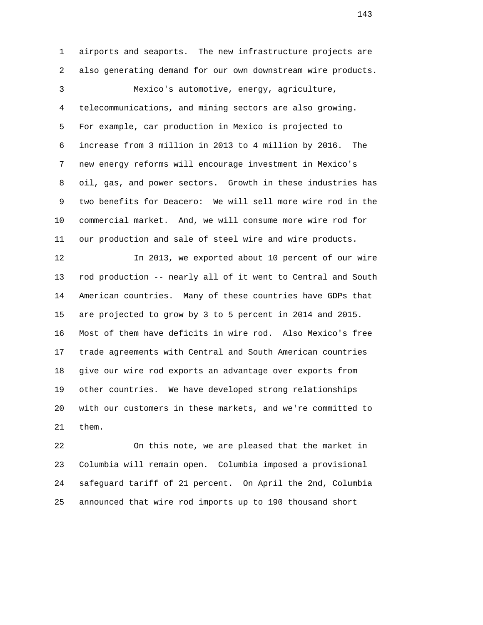1 airports and seaports. The new infrastructure projects are 2 also generating demand for our own downstream wire products. 3 Mexico's automotive, energy, agriculture, 4 telecommunications, and mining sectors are also growing. 5 For example, car production in Mexico is projected to 6 increase from 3 million in 2013 to 4 million by 2016. The 7 new energy reforms will encourage investment in Mexico's 8 oil, gas, and power sectors. Growth in these industries has 9 two benefits for Deacero: We will sell more wire rod in the 10 commercial market. And, we will consume more wire rod for 11 our production and sale of steel wire and wire products. 12 In 2013, we exported about 10 percent of our wire 13 rod production -- nearly all of it went to Central and South 14 American countries. Many of these countries have GDPs that 15 are projected to grow by 3 to 5 percent in 2014 and 2015. 16 Most of them have deficits in wire rod. Also Mexico's free 17 trade agreements with Central and South American countries

 18 give our wire rod exports an advantage over exports from 19 other countries. We have developed strong relationships 20 with our customers in these markets, and we're committed to 21 them.

 22 On this note, we are pleased that the market in 23 Columbia will remain open. Columbia imposed a provisional 24 safeguard tariff of 21 percent. On April the 2nd, Columbia 25 announced that wire rod imports up to 190 thousand short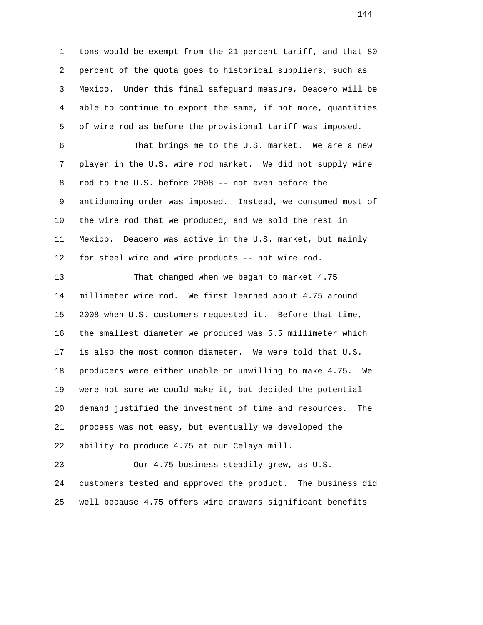1 tons would be exempt from the 21 percent tariff, and that 80 2 percent of the quota goes to historical suppliers, such as 3 Mexico. Under this final safeguard measure, Deacero will be 4 able to continue to export the same, if not more, quantities 5 of wire rod as before the provisional tariff was imposed. 6 That brings me to the U.S. market. We are a new 7 player in the U.S. wire rod market. We did not supply wire 8 rod to the U.S. before 2008 -- not even before the 9 antidumping order was imposed. Instead, we consumed most of 10 the wire rod that we produced, and we sold the rest in 11 Mexico. Deacero was active in the U.S. market, but mainly 12 for steel wire and wire products -- not wire rod. 13 That changed when we began to market 4.75 14 millimeter wire rod. We first learned about 4.75 around 15 2008 when U.S. customers requested it. Before that time, 16 the smallest diameter we produced was 5.5 millimeter which 17 is also the most common diameter. We were told that U.S. 18 producers were either unable or unwilling to make 4.75. We 19 were not sure we could make it, but decided the potential 20 demand justified the investment of time and resources. The 21 process was not easy, but eventually we developed the 22 ability to produce 4.75 at our Celaya mill. 23 Our 4.75 business steadily grew, as U.S. 24 customers tested and approved the product. The business did

25 well because 4.75 offers wire drawers significant benefits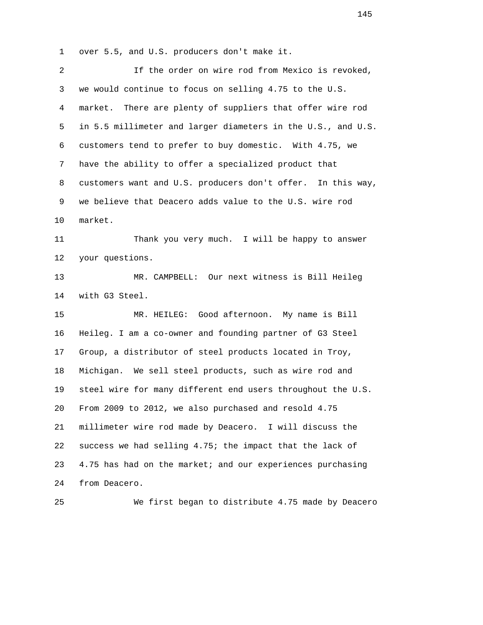1 over 5.5, and U.S. producers don't make it.

| 2              | If the order on wire rod from Mexico is revoked,             |
|----------------|--------------------------------------------------------------|
| 3              | we would continue to focus on selling 4.75 to the U.S.       |
| $\overline{4}$ | There are plenty of suppliers that offer wire rod<br>market. |
| 5              | in 5.5 millimeter and larger diameters in the U.S., and U.S. |
| 6              | customers tend to prefer to buy domestic. With 4.75, we      |
| 7              | have the ability to offer a specialized product that         |
| 8              | customers want and U.S. producers don't offer. In this way,  |
| 9              | we believe that Deacero adds value to the U.S. wire rod      |
| 10             | market.                                                      |
| 11             | Thank you very much. I will be happy to answer               |
| 12             | your questions.                                              |
| 13             | MR. CAMPBELL: Our next witness is Bill Heileg                |
| 14             | with G3 Steel.                                               |
| 15             | Good afternoon. My name is Bill<br>MR. HEILEG:               |
| 16             | Heileg. I am a co-owner and founding partner of G3 Steel     |
| 17             | Group, a distributor of steel products located in Troy,      |
| 18             | Michigan. We sell steel products, such as wire rod and       |
| 19             | steel wire for many different end users throughout the U.S.  |
| 20             | From 2009 to 2012, we also purchased and resold 4.75         |
| 21             | millimeter wire rod made by Deacero. I will discuss the      |
| 22             | success we had selling 4.75; the impact that the lack of     |
| 23             | 4.75 has had on the market; and our experiences purchasing   |
| 24             | from Deacero.                                                |
|                |                                                              |

25 We first began to distribute 4.75 made by Deacero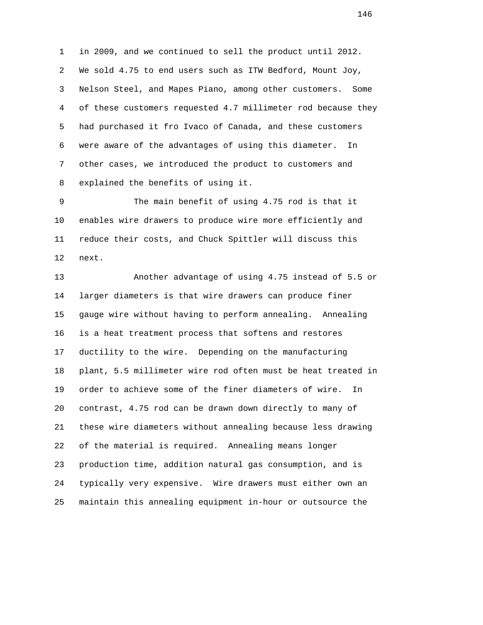1 in 2009, and we continued to sell the product until 2012. 2 We sold 4.75 to end users such as ITW Bedford, Mount Joy, 3 Nelson Steel, and Mapes Piano, among other customers. Some 4 of these customers requested 4.7 millimeter rod because they 5 had purchased it fro Ivaco of Canada, and these customers 6 were aware of the advantages of using this diameter. In 7 other cases, we introduced the product to customers and 8 explained the benefits of using it.

 9 The main benefit of using 4.75 rod is that it 10 enables wire drawers to produce wire more efficiently and 11 reduce their costs, and Chuck Spittler will discuss this 12 next.

 13 Another advantage of using 4.75 instead of 5.5 or 14 larger diameters is that wire drawers can produce finer 15 gauge wire without having to perform annealing. Annealing 16 is a heat treatment process that softens and restores 17 ductility to the wire. Depending on the manufacturing 18 plant, 5.5 millimeter wire rod often must be heat treated in 19 order to achieve some of the finer diameters of wire. In 20 contrast, 4.75 rod can be drawn down directly to many of 21 these wire diameters without annealing because less drawing 22 of the material is required. Annealing means longer 23 production time, addition natural gas consumption, and is 24 typically very expensive. Wire drawers must either own an 25 maintain this annealing equipment in-hour or outsource the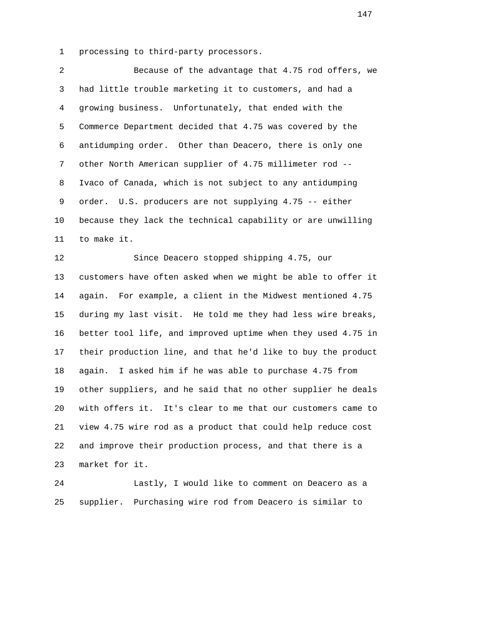1 processing to third-party processors.

 2 Because of the advantage that 4.75 rod offers, we 3 had little trouble marketing it to customers, and had a 4 growing business. Unfortunately, that ended with the 5 Commerce Department decided that 4.75 was covered by the 6 antidumping order. Other than Deacero, there is only one 7 other North American supplier of 4.75 millimeter rod -- 8 Ivaco of Canada, which is not subject to any antidumping 9 order. U.S. producers are not supplying 4.75 -- either 10 because they lack the technical capability or are unwilling 11 to make it.

 12 Since Deacero stopped shipping 4.75, our 13 customers have often asked when we might be able to offer it 14 again. For example, a client in the Midwest mentioned 4.75 15 during my last visit. He told me they had less wire breaks, 16 better tool life, and improved uptime when they used 4.75 in 17 their production line, and that he'd like to buy the product 18 again. I asked him if he was able to purchase 4.75 from 19 other suppliers, and he said that no other supplier he deals 20 with offers it. It's clear to me that our customers came to 21 view 4.75 wire rod as a product that could help reduce cost 22 and improve their production process, and that there is a 23 market for it.

 24 Lastly, I would like to comment on Deacero as a 25 supplier. Purchasing wire rod from Deacero is similar to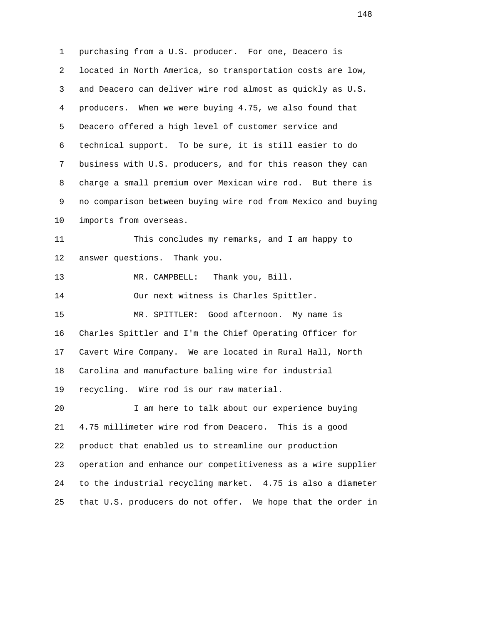1 purchasing from a U.S. producer. For one, Deacero is 2 located in North America, so transportation costs are low, 3 and Deacero can deliver wire rod almost as quickly as U.S. 4 producers. When we were buying 4.75, we also found that 5 Deacero offered a high level of customer service and 6 technical support. To be sure, it is still easier to do 7 business with U.S. producers, and for this reason they can 8 charge a small premium over Mexican wire rod. But there is 9 no comparison between buying wire rod from Mexico and buying 10 imports from overseas. 11 This concludes my remarks, and I am happy to 12 answer questions. Thank you. 13 MR. CAMPBELL: Thank you, Bill. 14 Our next witness is Charles Spittler. 15 MR. SPITTLER: Good afternoon. My name is 16 Charles Spittler and I'm the Chief Operating Officer for 17 Cavert Wire Company. We are located in Rural Hall, North 18 Carolina and manufacture baling wire for industrial 19 recycling. Wire rod is our raw material. 20 I am here to talk about our experience buying 21 4.75 millimeter wire rod from Deacero. This is a good 22 product that enabled us to streamline our production 23 operation and enhance our competitiveness as a wire supplier 24 to the industrial recycling market. 4.75 is also a diameter 25 that U.S. producers do not offer. We hope that the order in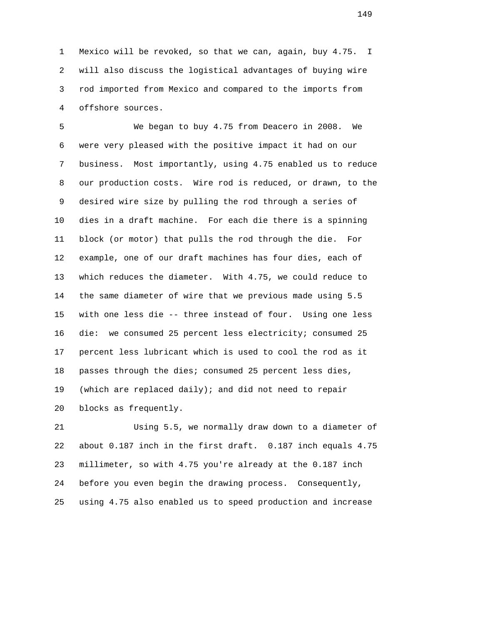1 Mexico will be revoked, so that we can, again, buy 4.75. I 2 will also discuss the logistical advantages of buying wire 3 rod imported from Mexico and compared to the imports from 4 offshore sources.

 5 We began to buy 4.75 from Deacero in 2008. We 6 were very pleased with the positive impact it had on our 7 business. Most importantly, using 4.75 enabled us to reduce 8 our production costs. Wire rod is reduced, or drawn, to the 9 desired wire size by pulling the rod through a series of 10 dies in a draft machine. For each die there is a spinning 11 block (or motor) that pulls the rod through the die. For 12 example, one of our draft machines has four dies, each of 13 which reduces the diameter. With 4.75, we could reduce to 14 the same diameter of wire that we previous made using 5.5 15 with one less die -- three instead of four. Using one less 16 die: we consumed 25 percent less electricity; consumed 25 17 percent less lubricant which is used to cool the rod as it 18 passes through the dies; consumed 25 percent less dies, 19 (which are replaced daily); and did not need to repair 20 blocks as frequently.

 21 Using 5.5, we normally draw down to a diameter of 22 about 0.187 inch in the first draft. 0.187 inch equals 4.75 23 millimeter, so with 4.75 you're already at the 0.187 inch 24 before you even begin the drawing process. Consequently, 25 using 4.75 also enabled us to speed production and increase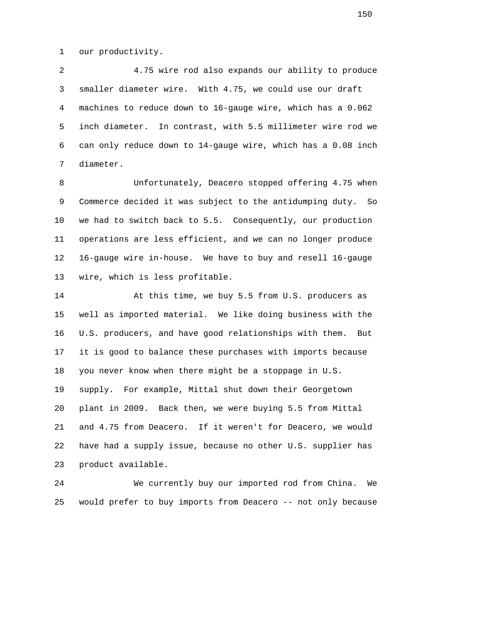1 our productivity.

 2 4.75 wire rod also expands our ability to produce 3 smaller diameter wire. With 4.75, we could use our draft 4 machines to reduce down to 16-gauge wire, which has a 0.062 5 inch diameter. In contrast, with 5.5 millimeter wire rod we 6 can only reduce down to 14-gauge wire, which has a 0.08 inch 7 diameter.

 8 Unfortunately, Deacero stopped offering 4.75 when 9 Commerce decided it was subject to the antidumping duty. So 10 we had to switch back to 5.5. Consequently, our production 11 operations are less efficient, and we can no longer produce 12 16-gauge wire in-house. We have to buy and resell 16-gauge 13 wire, which is less profitable.

 14 At this time, we buy 5.5 from U.S. producers as 15 well as imported material. We like doing business with the 16 U.S. producers, and have good relationships with them. But 17 it is good to balance these purchases with imports because 18 you never know when there might be a stoppage in U.S. 19 supply. For example, Mittal shut down their Georgetown 20 plant in 2009. Back then, we were buying 5.5 from Mittal 21 and 4.75 from Deacero. If it weren't for Deacero, we would 22 have had a supply issue, because no other U.S. supplier has 23 product available.

 24 We currently buy our imported rod from China. We 25 would prefer to buy imports from Deacero -- not only because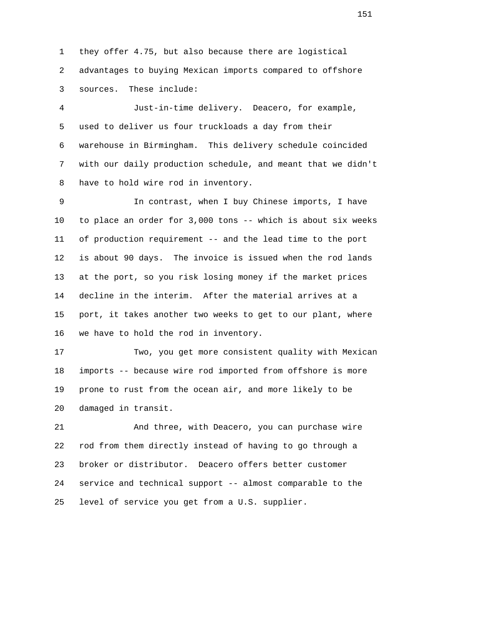1 they offer 4.75, but also because there are logistical 2 advantages to buying Mexican imports compared to offshore 3 sources. These include:

 4 Just-in-time delivery. Deacero, for example, 5 used to deliver us four truckloads a day from their 6 warehouse in Birmingham. This delivery schedule coincided 7 with our daily production schedule, and meant that we didn't 8 have to hold wire rod in inventory.

 9 In contrast, when I buy Chinese imports, I have 10 to place an order for 3,000 tons -- which is about six weeks 11 of production requirement -- and the lead time to the port 12 is about 90 days. The invoice is issued when the rod lands 13 at the port, so you risk losing money if the market prices 14 decline in the interim. After the material arrives at a 15 port, it takes another two weeks to get to our plant, where 16 we have to hold the rod in inventory.

 17 Two, you get more consistent quality with Mexican 18 imports -- because wire rod imported from offshore is more 19 prone to rust from the ocean air, and more likely to be 20 damaged in transit.

 21 And three, with Deacero, you can purchase wire 22 rod from them directly instead of having to go through a 23 broker or distributor. Deacero offers better customer 24 service and technical support -- almost comparable to the 25 level of service you get from a U.S. supplier.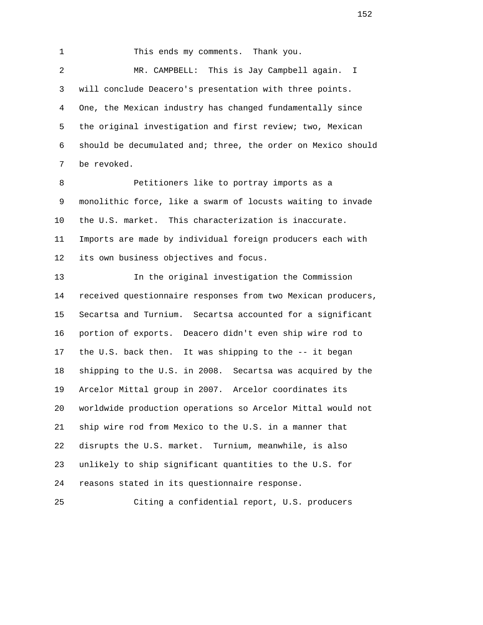1 This ends my comments. Thank you. 2 MR. CAMPBELL: This is Jay Campbell again. I 3 will conclude Deacero's presentation with three points. 4 One, the Mexican industry has changed fundamentally since 5 the original investigation and first review; two, Mexican 6 should be decumulated and; three, the order on Mexico should 7 be revoked.

 8 Petitioners like to portray imports as a 9 monolithic force, like a swarm of locusts waiting to invade 10 the U.S. market. This characterization is inaccurate. 11 Imports are made by individual foreign producers each with 12 its own business objectives and focus.

 13 In the original investigation the Commission 14 received questionnaire responses from two Mexican producers, 15 Secartsa and Turnium. Secartsa accounted for a significant 16 portion of exports. Deacero didn't even ship wire rod to 17 the U.S. back then. It was shipping to the -- it began 18 shipping to the U.S. in 2008. Secartsa was acquired by the 19 Arcelor Mittal group in 2007. Arcelor coordinates its 20 worldwide production operations so Arcelor Mittal would not 21 ship wire rod from Mexico to the U.S. in a manner that 22 disrupts the U.S. market. Turnium, meanwhile, is also 23 unlikely to ship significant quantities to the U.S. for 24 reasons stated in its questionnaire response.

25 Citing a confidential report, U.S. producers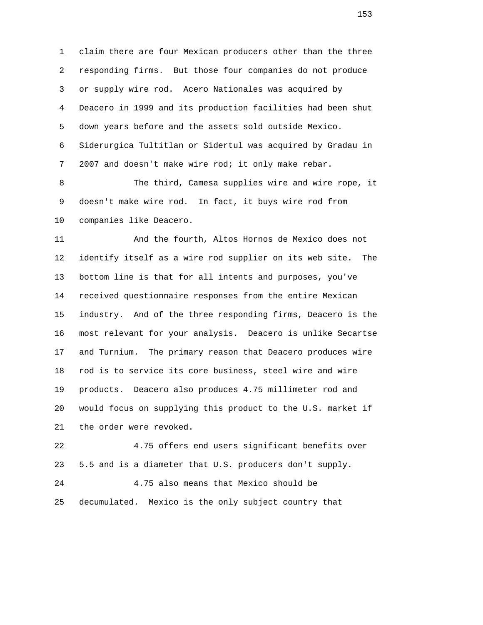1 claim there are four Mexican producers other than the three 2 responding firms. But those four companies do not produce 3 or supply wire rod. Acero Nationales was acquired by 4 Deacero in 1999 and its production facilities had been shut 5 down years before and the assets sold outside Mexico. 6 Siderurgica Tultitlan or Sidertul was acquired by Gradau in 7 2007 and doesn't make wire rod; it only make rebar.

 8 The third, Camesa supplies wire and wire rope, it 9 doesn't make wire rod. In fact, it buys wire rod from 10 companies like Deacero.

 11 And the fourth, Altos Hornos de Mexico does not 12 identify itself as a wire rod supplier on its web site. The 13 bottom line is that for all intents and purposes, you've 14 received questionnaire responses from the entire Mexican 15 industry. And of the three responding firms, Deacero is the 16 most relevant for your analysis. Deacero is unlike Secartse 17 and Turnium. The primary reason that Deacero produces wire 18 rod is to service its core business, steel wire and wire 19 products. Deacero also produces 4.75 millimeter rod and 20 would focus on supplying this product to the U.S. market if 21 the order were revoked.

 22 4.75 offers end users significant benefits over 23 5.5 and is a diameter that U.S. producers don't supply. 24 4.75 also means that Mexico should be

25 decumulated. Mexico is the only subject country that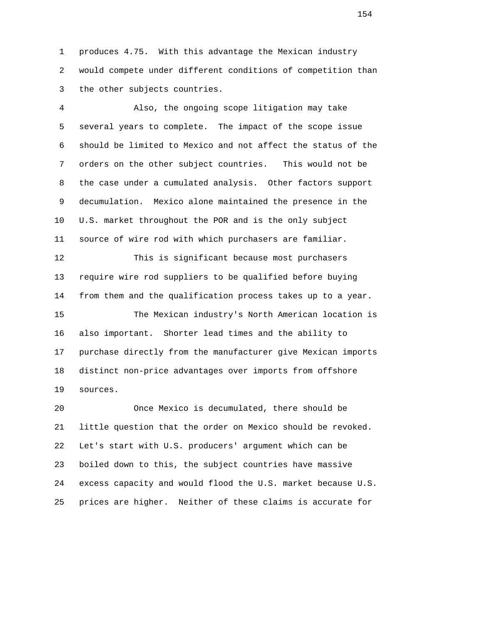1 produces 4.75. With this advantage the Mexican industry 2 would compete under different conditions of competition than 3 the other subjects countries.

 4 Also, the ongoing scope litigation may take 5 several years to complete. The impact of the scope issue 6 should be limited to Mexico and not affect the status of the 7 orders on the other subject countries. This would not be 8 the case under a cumulated analysis. Other factors support 9 decumulation. Mexico alone maintained the presence in the 10 U.S. market throughout the POR and is the only subject 11 source of wire rod with which purchasers are familiar.

 12 This is significant because most purchasers 13 require wire rod suppliers to be qualified before buying 14 from them and the qualification process takes up to a year.

 15 The Mexican industry's North American location is 16 also important. Shorter lead times and the ability to 17 purchase directly from the manufacturer give Mexican imports 18 distinct non-price advantages over imports from offshore 19 sources.

 20 Once Mexico is decumulated, there should be 21 little question that the order on Mexico should be revoked. 22 Let's start with U.S. producers' argument which can be 23 boiled down to this, the subject countries have massive 24 excess capacity and would flood the U.S. market because U.S. 25 prices are higher. Neither of these claims is accurate for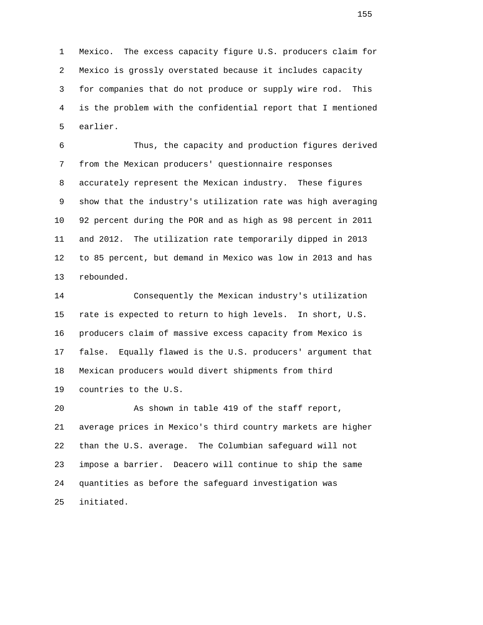1 Mexico. The excess capacity figure U.S. producers claim for 2 Mexico is grossly overstated because it includes capacity 3 for companies that do not produce or supply wire rod. This 4 is the problem with the confidential report that I mentioned 5 earlier.

 6 Thus, the capacity and production figures derived 7 from the Mexican producers' questionnaire responses 8 accurately represent the Mexican industry. These figures 9 show that the industry's utilization rate was high averaging 10 92 percent during the POR and as high as 98 percent in 2011 11 and 2012. The utilization rate temporarily dipped in 2013 12 to 85 percent, but demand in Mexico was low in 2013 and has 13 rebounded.

 14 Consequently the Mexican industry's utilization 15 rate is expected to return to high levels. In short, U.S. 16 producers claim of massive excess capacity from Mexico is 17 false. Equally flawed is the U.S. producers' argument that 18 Mexican producers would divert shipments from third 19 countries to the U.S.

 20 As shown in table 419 of the staff report, 21 average prices in Mexico's third country markets are higher 22 than the U.S. average. The Columbian safeguard will not 23 impose a barrier. Deacero will continue to ship the same 24 quantities as before the safeguard investigation was 25 initiated.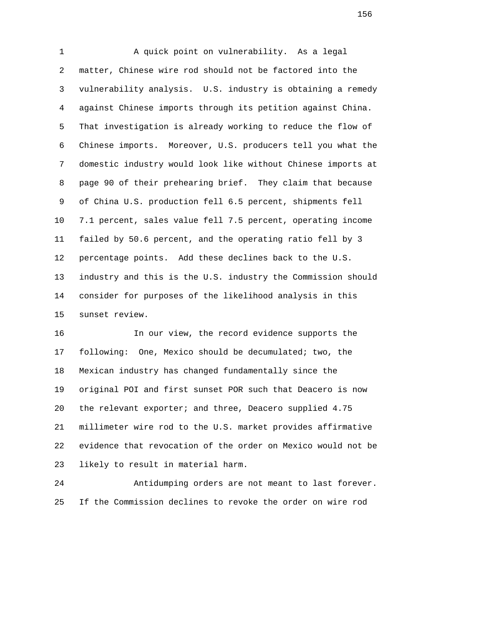1 A quick point on vulnerability. As a legal 2 matter, Chinese wire rod should not be factored into the 3 vulnerability analysis. U.S. industry is obtaining a remedy 4 against Chinese imports through its petition against China. 5 That investigation is already working to reduce the flow of 6 Chinese imports. Moreover, U.S. producers tell you what the 7 domestic industry would look like without Chinese imports at 8 page 90 of their prehearing brief. They claim that because 9 of China U.S. production fell 6.5 percent, shipments fell 10 7.1 percent, sales value fell 7.5 percent, operating income 11 failed by 50.6 percent, and the operating ratio fell by 3 12 percentage points. Add these declines back to the U.S. 13 industry and this is the U.S. industry the Commission should 14 consider for purposes of the likelihood analysis in this 15 sunset review.

 16 In our view, the record evidence supports the 17 following: One, Mexico should be decumulated; two, the 18 Mexican industry has changed fundamentally since the 19 original POI and first sunset POR such that Deacero is now 20 the relevant exporter; and three, Deacero supplied 4.75 21 millimeter wire rod to the U.S. market provides affirmative 22 evidence that revocation of the order on Mexico would not be 23 likely to result in material harm.

 24 Antidumping orders are not meant to last forever. 25 If the Commission declines to revoke the order on wire rod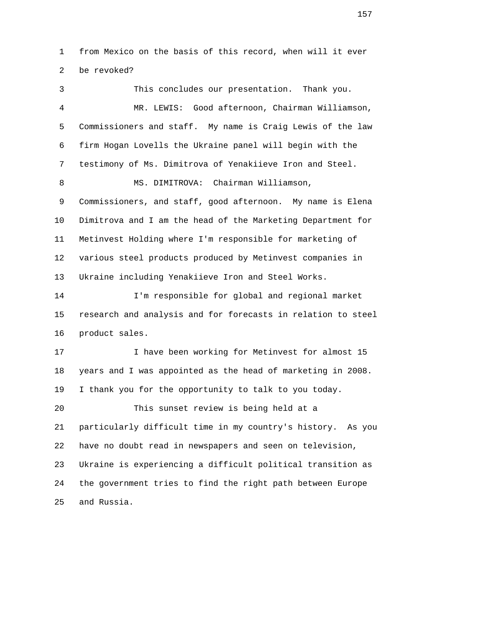1 from Mexico on the basis of this record, when will it ever 2 be revoked?

 3 This concludes our presentation. Thank you. 4 MR. LEWIS: Good afternoon, Chairman Williamson, 5 Commissioners and staff. My name is Craig Lewis of the law 6 firm Hogan Lovells the Ukraine panel will begin with the 7 testimony of Ms. Dimitrova of Yenakiieve Iron and Steel. 8 MS. DIMITROVA: Chairman Williamson, 9 Commissioners, and staff, good afternoon. My name is Elena 10 Dimitrova and I am the head of the Marketing Department for 11 Metinvest Holding where I'm responsible for marketing of 12 various steel products produced by Metinvest companies in 13 Ukraine including Yenakiieve Iron and Steel Works. 14 I'm responsible for global and regional market 15 research and analysis and for forecasts in relation to steel 16 product sales. 17 17 I have been working for Metinvest for almost 15 18 years and I was appointed as the head of marketing in 2008. 19 I thank you for the opportunity to talk to you today. 20 This sunset review is being held at a 21 particularly difficult time in my country's history. As you 22 have no doubt read in newspapers and seen on television, 23 Ukraine is experiencing a difficult political transition as 24 the government tries to find the right path between Europe 25 and Russia.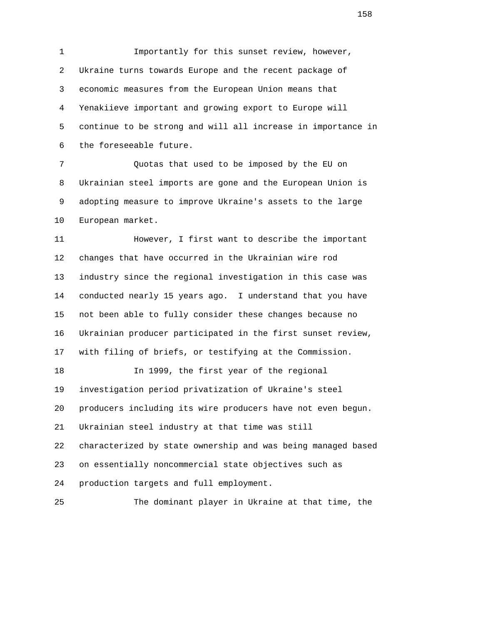1 Importantly for this sunset review, however, 2 Ukraine turns towards Europe and the recent package of 3 economic measures from the European Union means that 4 Yenakiieve important and growing export to Europe will 5 continue to be strong and will all increase in importance in 6 the foreseeable future.

 7 Quotas that used to be imposed by the EU on 8 Ukrainian steel imports are gone and the European Union is 9 adopting measure to improve Ukraine's assets to the large 10 European market.

 11 However, I first want to describe the important 12 changes that have occurred in the Ukrainian wire rod 13 industry since the regional investigation in this case was 14 conducted nearly 15 years ago. I understand that you have 15 not been able to fully consider these changes because no 16 Ukrainian producer participated in the first sunset review, 17 with filing of briefs, or testifying at the Commission. 18 In 1999, the first year of the regional

 19 investigation period privatization of Ukraine's steel 20 producers including its wire producers have not even begun. 21 Ukrainian steel industry at that time was still 22 characterized by state ownership and was being managed based 23 on essentially noncommercial state objectives such as 24 production targets and full employment.

25 The dominant player in Ukraine at that time, the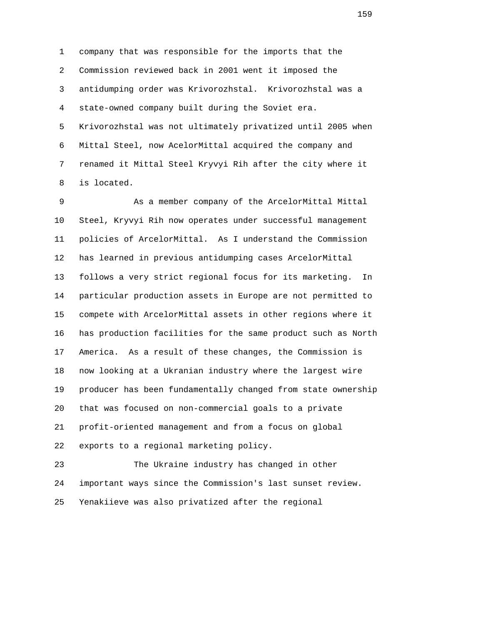1 company that was responsible for the imports that the 2 Commission reviewed back in 2001 went it imposed the 3 antidumping order was Krivorozhstal. Krivorozhstal was a 4 state-owned company built during the Soviet era. 5 Krivorozhstal was not ultimately privatized until 2005 when 6 Mittal Steel, now AcelorMittal acquired the company and 7 renamed it Mittal Steel Kryvyi Rih after the city where it 8 is located.

 9 As a member company of the ArcelorMittal Mittal 10 Steel, Kryvyi Rih now operates under successful management 11 policies of ArcelorMittal. As I understand the Commission 12 has learned in previous antidumping cases ArcelorMittal 13 follows a very strict regional focus for its marketing. In 14 particular production assets in Europe are not permitted to 15 compete with ArcelorMittal assets in other regions where it 16 has production facilities for the same product such as North 17 America. As a result of these changes, the Commission is 18 now looking at a Ukranian industry where the largest wire 19 producer has been fundamentally changed from state ownership 20 that was focused on non-commercial goals to a private 21 profit-oriented management and from a focus on global 22 exports to a regional marketing policy.

 23 The Ukraine industry has changed in other 24 important ways since the Commission's last sunset review. 25 Yenakiieve was also privatized after the regional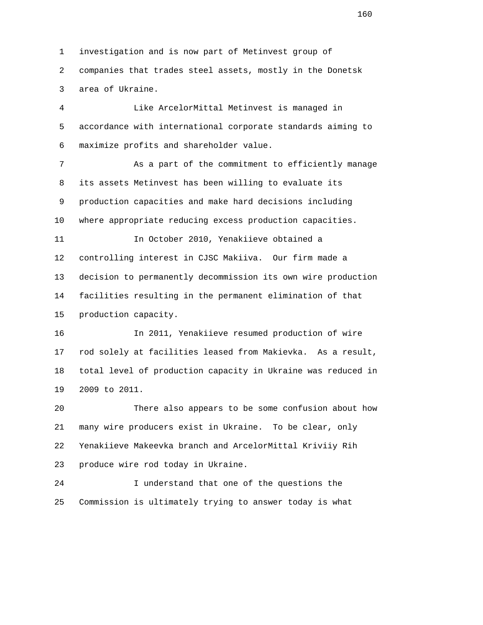1 investigation and is now part of Metinvest group of 2 companies that trades steel assets, mostly in the Donetsk 3 area of Ukraine.

 4 Like ArcelorMittal Metinvest is managed in 5 accordance with international corporate standards aiming to 6 maximize profits and shareholder value.

 7 As a part of the commitment to efficiently manage 8 its assets Metinvest has been willing to evaluate its 9 production capacities and make hard decisions including 10 where appropriate reducing excess production capacities.

 11 In October 2010, Yenakiieve obtained a 12 controlling interest in CJSC Makiiva. Our firm made a 13 decision to permanently decommission its own wire production 14 facilities resulting in the permanent elimination of that 15 production capacity.

 16 In 2011, Yenakiieve resumed production of wire 17 rod solely at facilities leased from Makievka. As a result, 18 total level of production capacity in Ukraine was reduced in 19 2009 to 2011.

 20 There also appears to be some confusion about how 21 many wire producers exist in Ukraine. To be clear, only 22 Yenakiieve Makeevka branch and ArcelorMittal Kriviiy Rih 23 produce wire rod today in Ukraine.

 24 I understand that one of the questions the 25 Commission is ultimately trying to answer today is what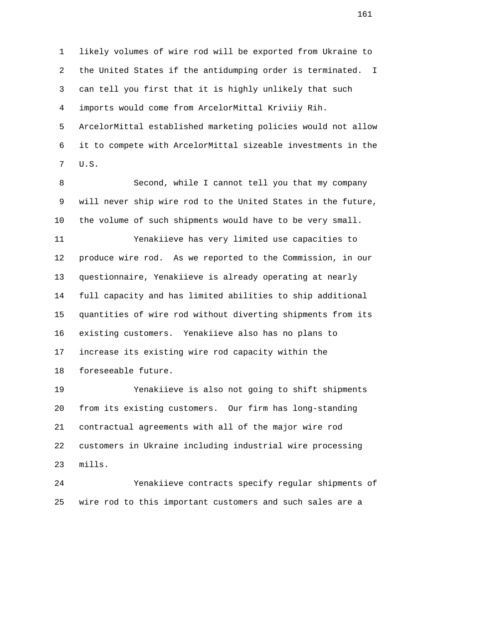1 likely volumes of wire rod will be exported from Ukraine to 2 the United States if the antidumping order is terminated. I 3 can tell you first that it is highly unlikely that such 4 imports would come from ArcelorMittal Kriviiy Rih. 5 ArcelorMittal established marketing policies would not allow 6 it to compete with ArcelorMittal sizeable investments in the 7 U.S.

 8 Second, while I cannot tell you that my company 9 will never ship wire rod to the United States in the future, 10 the volume of such shipments would have to be very small.

 11 Yenakiieve has very limited use capacities to 12 produce wire rod. As we reported to the Commission, in our 13 questionnaire, Yenakiieve is already operating at nearly 14 full capacity and has limited abilities to ship additional 15 quantities of wire rod without diverting shipments from its 16 existing customers. Yenakiieve also has no plans to 17 increase its existing wire rod capacity within the 18 foreseeable future.

 19 Yenakiieve is also not going to shift shipments 20 from its existing customers. Our firm has long-standing 21 contractual agreements with all of the major wire rod 22 customers in Ukraine including industrial wire processing 23 mills.

 24 Yenakiieve contracts specify regular shipments of 25 wire rod to this important customers and such sales are a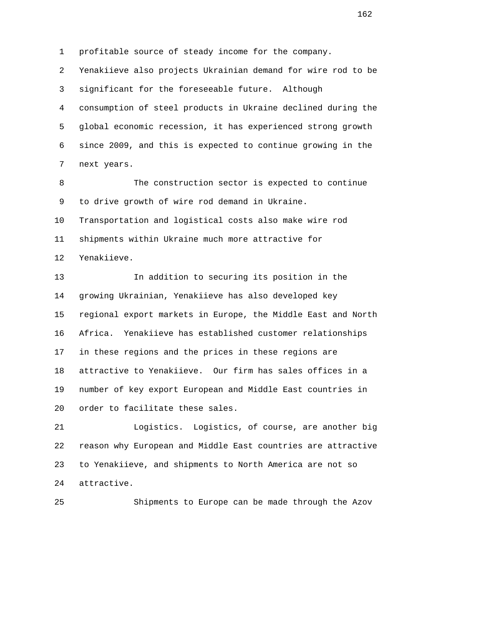1 profitable source of steady income for the company. 2 Yenakiieve also projects Ukrainian demand for wire rod to be 3 significant for the foreseeable future. Although 4 consumption of steel products in Ukraine declined during the 5 global economic recession, it has experienced strong growth 6 since 2009, and this is expected to continue growing in the 7 next years.

 8 The construction sector is expected to continue 9 to drive growth of wire rod demand in Ukraine. 10 Transportation and logistical costs also make wire rod 11 shipments within Ukraine much more attractive for 12 Yenakiieve.

 13 In addition to securing its position in the 14 growing Ukrainian, Yenakiieve has also developed key 15 regional export markets in Europe, the Middle East and North 16 Africa. Yenakiieve has established customer relationships 17 in these regions and the prices in these regions are 18 attractive to Yenakiieve. Our firm has sales offices in a 19 number of key export European and Middle East countries in 20 order to facilitate these sales.

 21 Logistics. Logistics, of course, are another big 22 reason why European and Middle East countries are attractive 23 to Yenakiieve, and shipments to North America are not so 24 attractive.

25 Shipments to Europe can be made through the Azov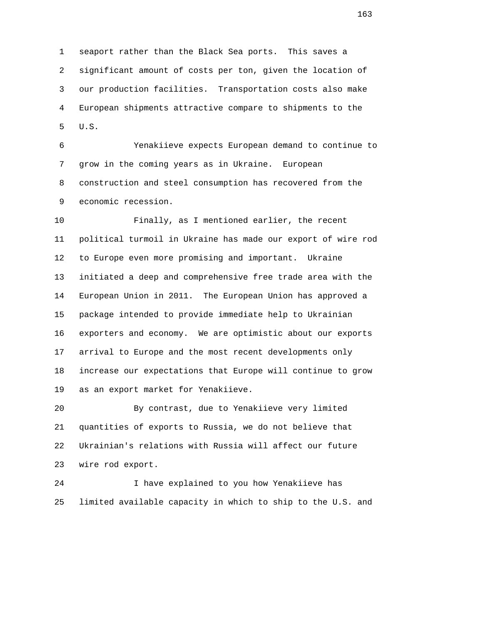1 seaport rather than the Black Sea ports. This saves a 2 significant amount of costs per ton, given the location of 3 our production facilities. Transportation costs also make 4 European shipments attractive compare to shipments to the 5 U.S.

 6 Yenakiieve expects European demand to continue to 7 grow in the coming years as in Ukraine. European 8 construction and steel consumption has recovered from the 9 economic recession.

 10 Finally, as I mentioned earlier, the recent 11 political turmoil in Ukraine has made our export of wire rod 12 to Europe even more promising and important. Ukraine 13 initiated a deep and comprehensive free trade area with the 14 European Union in 2011. The European Union has approved a 15 package intended to provide immediate help to Ukrainian 16 exporters and economy. We are optimistic about our exports 17 arrival to Europe and the most recent developments only 18 increase our expectations that Europe will continue to grow 19 as an export market for Yenakiieve.

 20 By contrast, due to Yenakiieve very limited 21 quantities of exports to Russia, we do not believe that 22 Ukrainian's relations with Russia will affect our future 23 wire rod export.

 24 I have explained to you how Yenakiieve has 25 limited available capacity in which to ship to the U.S. and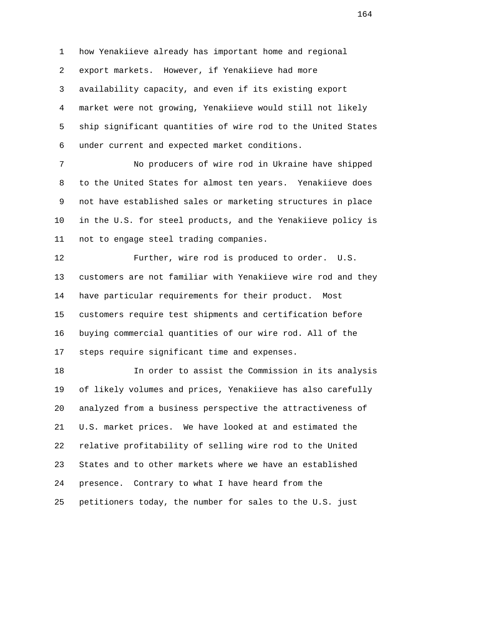1 how Yenakiieve already has important home and regional 2 export markets. However, if Yenakiieve had more 3 availability capacity, and even if its existing export 4 market were not growing, Yenakiieve would still not likely 5 ship significant quantities of wire rod to the United States 6 under current and expected market conditions.

 7 No producers of wire rod in Ukraine have shipped 8 to the United States for almost ten years. Yenakiieve does 9 not have established sales or marketing structures in place 10 in the U.S. for steel products, and the Yenakiieve policy is 11 not to engage steel trading companies.

 12 Further, wire rod is produced to order. U.S. 13 customers are not familiar with Yenakiieve wire rod and they 14 have particular requirements for their product. Most 15 customers require test shipments and certification before 16 buying commercial quantities of our wire rod. All of the 17 steps require significant time and expenses.

 18 In order to assist the Commission in its analysis 19 of likely volumes and prices, Yenakiieve has also carefully 20 analyzed from a business perspective the attractiveness of 21 U.S. market prices. We have looked at and estimated the 22 relative profitability of selling wire rod to the United 23 States and to other markets where we have an established 24 presence. Contrary to what I have heard from the 25 petitioners today, the number for sales to the U.S. just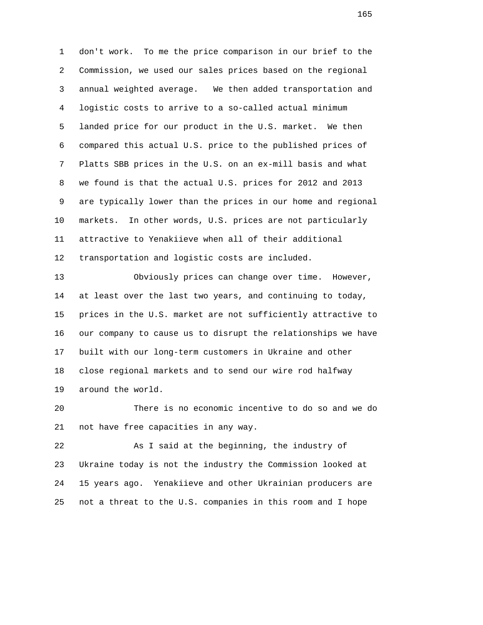1 don't work. To me the price comparison in our brief to the 2 Commission, we used our sales prices based on the regional 3 annual weighted average. We then added transportation and 4 logistic costs to arrive to a so-called actual minimum 5 landed price for our product in the U.S. market. We then 6 compared this actual U.S. price to the published prices of 7 Platts SBB prices in the U.S. on an ex-mill basis and what 8 we found is that the actual U.S. prices for 2012 and 2013 9 are typically lower than the prices in our home and regional 10 markets. In other words, U.S. prices are not particularly 11 attractive to Yenakiieve when all of their additional 12 transportation and logistic costs are included.

 13 Obviously prices can change over time. However, 14 at least over the last two years, and continuing to today, 15 prices in the U.S. market are not sufficiently attractive to 16 our company to cause us to disrupt the relationships we have 17 built with our long-term customers in Ukraine and other 18 close regional markets and to send our wire rod halfway 19 around the world.

 20 There is no economic incentive to do so and we do 21 not have free capacities in any way.

 22 As I said at the beginning, the industry of 23 Ukraine today is not the industry the Commission looked at 24 15 years ago. Yenakiieve and other Ukrainian producers are 25 not a threat to the U.S. companies in this room and I hope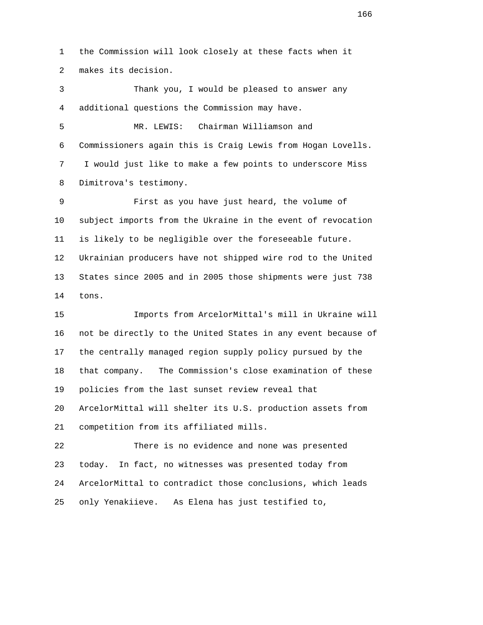1 the Commission will look closely at these facts when it 2 makes its decision.

 3 Thank you, I would be pleased to answer any 4 additional questions the Commission may have.

 5 MR. LEWIS: Chairman Williamson and 6 Commissioners again this is Craig Lewis from Hogan Lovells. 7 I would just like to make a few points to underscore Miss 8 Dimitrova's testimony.

 9 First as you have just heard, the volume of 10 subject imports from the Ukraine in the event of revocation 11 is likely to be negligible over the foreseeable future. 12 Ukrainian producers have not shipped wire rod to the United 13 States since 2005 and in 2005 those shipments were just 738 14 tons.

 15 Imports from ArcelorMittal's mill in Ukraine will 16 not be directly to the United States in any event because of 17 the centrally managed region supply policy pursued by the 18 that company. The Commission's close examination of these 19 policies from the last sunset review reveal that 20 ArcelorMittal will shelter its U.S. production assets from 21 competition from its affiliated mills.

 22 There is no evidence and none was presented 23 today. In fact, no witnesses was presented today from 24 ArcelorMittal to contradict those conclusions, which leads 25 only Yenakiieve. As Elena has just testified to,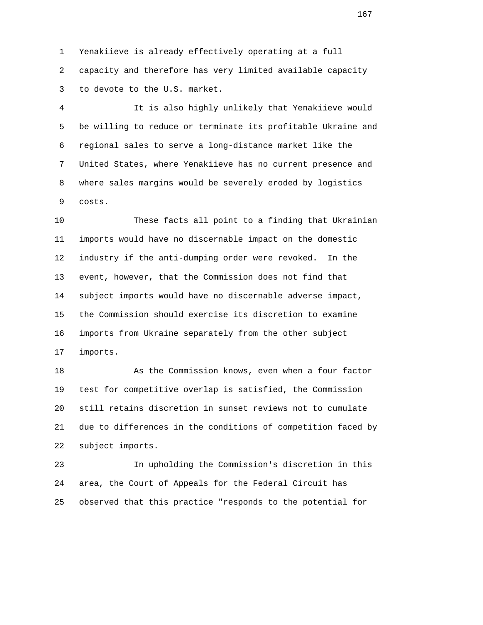1 Yenakiieve is already effectively operating at a full 2 capacity and therefore has very limited available capacity 3 to devote to the U.S. market.

 4 It is also highly unlikely that Yenakiieve would 5 be willing to reduce or terminate its profitable Ukraine and 6 regional sales to serve a long-distance market like the 7 United States, where Yenakiieve has no current presence and 8 where sales margins would be severely eroded by logistics 9 costs.

 10 These facts all point to a finding that Ukrainian 11 imports would have no discernable impact on the domestic 12 industry if the anti-dumping order were revoked. In the 13 event, however, that the Commission does not find that 14 subject imports would have no discernable adverse impact, 15 the Commission should exercise its discretion to examine 16 imports from Ukraine separately from the other subject 17 imports.

 18 As the Commission knows, even when a four factor 19 test for competitive overlap is satisfied, the Commission 20 still retains discretion in sunset reviews not to cumulate 21 due to differences in the conditions of competition faced by 22 subject imports.

 23 In upholding the Commission's discretion in this 24 area, the Court of Appeals for the Federal Circuit has 25 observed that this practice "responds to the potential for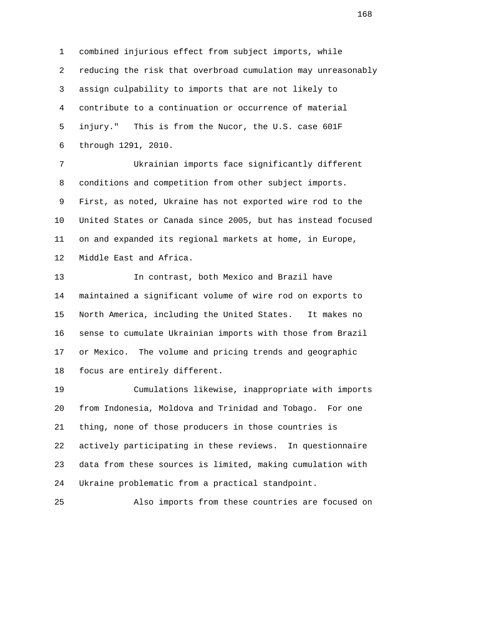1 combined injurious effect from subject imports, while 2 reducing the risk that overbroad cumulation may unreasonably 3 assign culpability to imports that are not likely to 4 contribute to a continuation or occurrence of material 5 injury." This is from the Nucor, the U.S. case 601F 6 through 1291, 2010.

 7 Ukrainian imports face significantly different 8 conditions and competition from other subject imports. 9 First, as noted, Ukraine has not exported wire rod to the 10 United States or Canada since 2005, but has instead focused 11 on and expanded its regional markets at home, in Europe, 12 Middle East and Africa.

 13 In contrast, both Mexico and Brazil have 14 maintained a significant volume of wire rod on exports to 15 North America, including the United States. It makes no 16 sense to cumulate Ukrainian imports with those from Brazil 17 or Mexico. The volume and pricing trends and geographic 18 focus are entirely different.

 19 Cumulations likewise, inappropriate with imports 20 from Indonesia, Moldova and Trinidad and Tobago. For one 21 thing, none of those producers in those countries is 22 actively participating in these reviews. In questionnaire 23 data from these sources is limited, making cumulation with 24 Ukraine problematic from a practical standpoint.

25 Also imports from these countries are focused on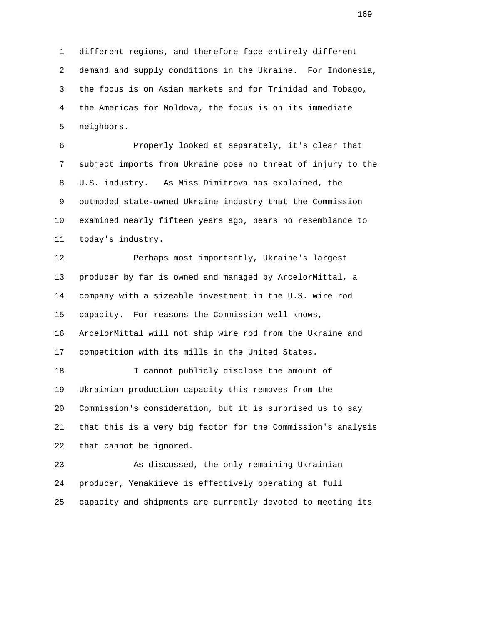1 different regions, and therefore face entirely different 2 demand and supply conditions in the Ukraine. For Indonesia, 3 the focus is on Asian markets and for Trinidad and Tobago, 4 the Americas for Moldova, the focus is on its immediate 5 neighbors.

 6 Properly looked at separately, it's clear that 7 subject imports from Ukraine pose no threat of injury to the 8 U.S. industry. As Miss Dimitrova has explained, the 9 outmoded state-owned Ukraine industry that the Commission 10 examined nearly fifteen years ago, bears no resemblance to 11 today's industry.

 12 Perhaps most importantly, Ukraine's largest 13 producer by far is owned and managed by ArcelorMittal, a 14 company with a sizeable investment in the U.S. wire rod 15 capacity. For reasons the Commission well knows, 16 ArcelorMittal will not ship wire rod from the Ukraine and 17 competition with its mills in the United States.

 18 I cannot publicly disclose the amount of 19 Ukrainian production capacity this removes from the 20 Commission's consideration, but it is surprised us to say 21 that this is a very big factor for the Commission's analysis 22 that cannot be ignored.

 23 As discussed, the only remaining Ukrainian 24 producer, Yenakiieve is effectively operating at full 25 capacity and shipments are currently devoted to meeting its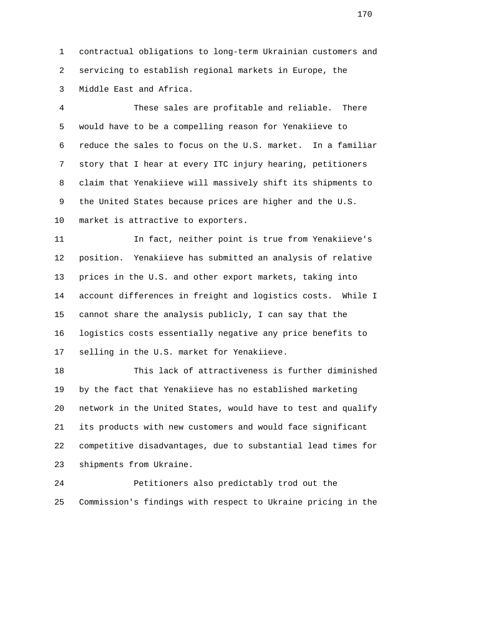1 contractual obligations to long-term Ukrainian customers and 2 servicing to establish regional markets in Europe, the 3 Middle East and Africa.

 4 These sales are profitable and reliable. There 5 would have to be a compelling reason for Yenakiieve to 6 reduce the sales to focus on the U.S. market. In a familiar 7 story that I hear at every ITC injury hearing, petitioners 8 claim that Yenakiieve will massively shift its shipments to 9 the United States because prices are higher and the U.S. 10 market is attractive to exporters.

 11 In fact, neither point is true from Yenakiieve's 12 position. Yenakiieve has submitted an analysis of relative 13 prices in the U.S. and other export markets, taking into 14 account differences in freight and logistics costs. While I 15 cannot share the analysis publicly, I can say that the 16 logistics costs essentially negative any price benefits to 17 selling in the U.S. market for Yenakiieve.

 18 This lack of attractiveness is further diminished 19 by the fact that Yenakiieve has no established marketing 20 network in the United States, would have to test and qualify 21 its products with new customers and would face significant 22 competitive disadvantages, due to substantial lead times for 23 shipments from Ukraine.

 24 Petitioners also predictably trod out the 25 Commission's findings with respect to Ukraine pricing in the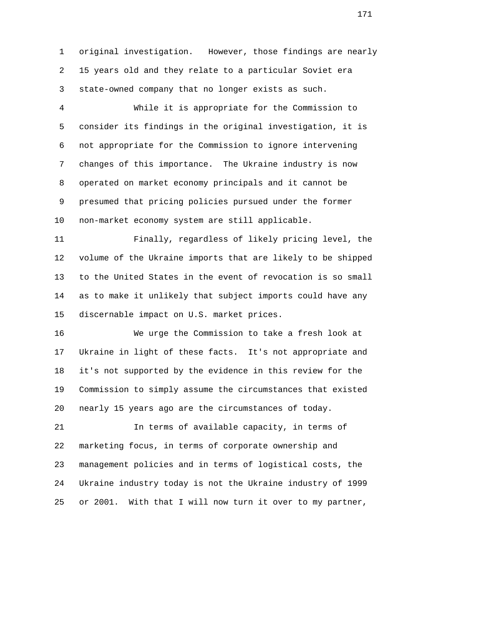1 original investigation. However, those findings are nearly 2 15 years old and they relate to a particular Soviet era 3 state-owned company that no longer exists as such.

 4 While it is appropriate for the Commission to 5 consider its findings in the original investigation, it is 6 not appropriate for the Commission to ignore intervening 7 changes of this importance. The Ukraine industry is now 8 operated on market economy principals and it cannot be 9 presumed that pricing policies pursued under the former 10 non-market economy system are still applicable.

 11 Finally, regardless of likely pricing level, the 12 volume of the Ukraine imports that are likely to be shipped 13 to the United States in the event of revocation is so small 14 as to make it unlikely that subject imports could have any 15 discernable impact on U.S. market prices.

 16 We urge the Commission to take a fresh look at 17 Ukraine in light of these facts. It's not appropriate and 18 it's not supported by the evidence in this review for the 19 Commission to simply assume the circumstances that existed 20 nearly 15 years ago are the circumstances of today.

 21 In terms of available capacity, in terms of 22 marketing focus, in terms of corporate ownership and 23 management policies and in terms of logistical costs, the 24 Ukraine industry today is not the Ukraine industry of 1999 25 or 2001. With that I will now turn it over to my partner,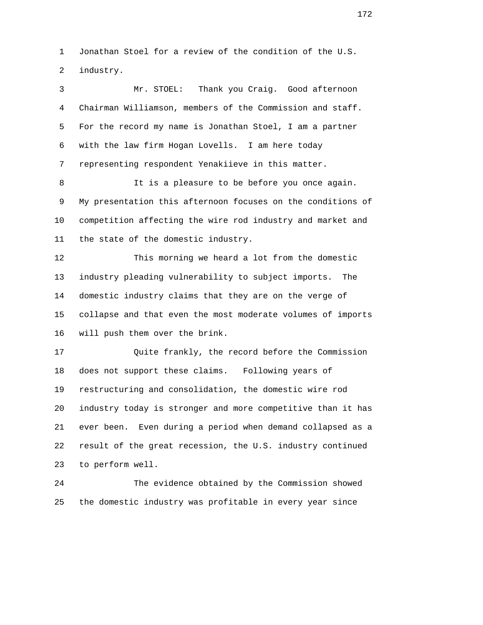1 Jonathan Stoel for a review of the condition of the U.S. 2 industry.

 3 Mr. STOEL: Thank you Craig. Good afternoon 4 Chairman Williamson, members of the Commission and staff. 5 For the record my name is Jonathan Stoel, I am a partner 6 with the law firm Hogan Lovells. I am here today 7 representing respondent Yenakiieve in this matter. 8 It is a pleasure to be before you once again. 9 My presentation this afternoon focuses on the conditions of 10 competition affecting the wire rod industry and market and 11 the state of the domestic industry. 12 This morning we heard a lot from the domestic 13 industry pleading vulnerability to subject imports. The 14 domestic industry claims that they are on the verge of 15 collapse and that even the most moderate volumes of imports 16 will push them over the brink. 17 Quite frankly, the record before the Commission 18 does not support these claims. Following years of 19 restructuring and consolidation, the domestic wire rod 20 industry today is stronger and more competitive than it has 21 ever been. Even during a period when demand collapsed as a 22 result of the great recession, the U.S. industry continued 23 to perform well.

 24 The evidence obtained by the Commission showed 25 the domestic industry was profitable in every year since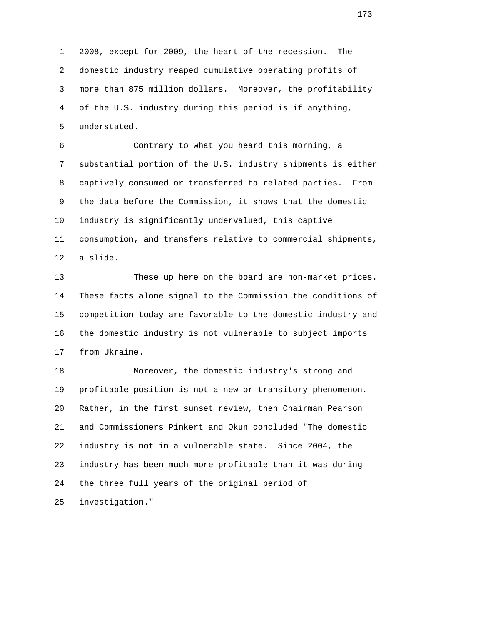1 2008, except for 2009, the heart of the recession. The 2 domestic industry reaped cumulative operating profits of 3 more than 875 million dollars. Moreover, the profitability 4 of the U.S. industry during this period is if anything, 5 understated.

 6 Contrary to what you heard this morning, a 7 substantial portion of the U.S. industry shipments is either 8 captively consumed or transferred to related parties. From 9 the data before the Commission, it shows that the domestic 10 industry is significantly undervalued, this captive 11 consumption, and transfers relative to commercial shipments, 12 a slide.

 13 These up here on the board are non-market prices. 14 These facts alone signal to the Commission the conditions of 15 competition today are favorable to the domestic industry and 16 the domestic industry is not vulnerable to subject imports 17 from Ukraine.

 18 Moreover, the domestic industry's strong and 19 profitable position is not a new or transitory phenomenon. 20 Rather, in the first sunset review, then Chairman Pearson 21 and Commissioners Pinkert and Okun concluded "The domestic 22 industry is not in a vulnerable state. Since 2004, the 23 industry has been much more profitable than it was during 24 the three full years of the original period of 25 investigation."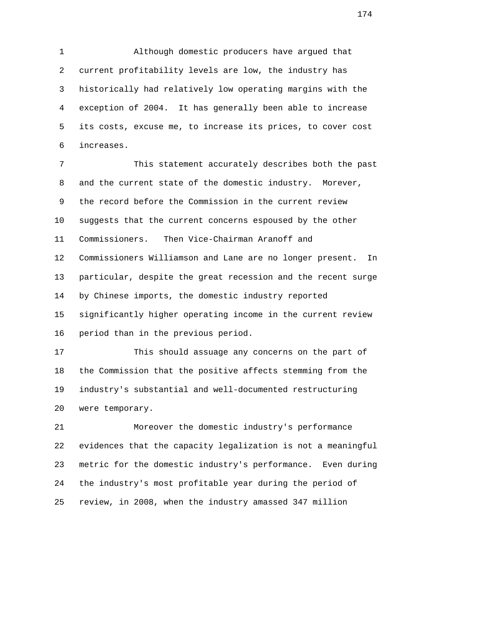1 Although domestic producers have argued that 2 current profitability levels are low, the industry has 3 historically had relatively low operating margins with the 4 exception of 2004. It has generally been able to increase 5 its costs, excuse me, to increase its prices, to cover cost 6 increases.

 7 This statement accurately describes both the past 8 and the current state of the domestic industry. Morever, 9 the record before the Commission in the current review 10 suggests that the current concerns espoused by the other 11 Commissioners. Then Vice-Chairman Aranoff and 12 Commissioners Williamson and Lane are no longer present. In 13 particular, despite the great recession and the recent surge 14 by Chinese imports, the domestic industry reported 15 significantly higher operating income in the current review 16 period than in the previous period.

 17 This should assuage any concerns on the part of 18 the Commission that the positive affects stemming from the 19 industry's substantial and well-documented restructuring 20 were temporary.

 21 Moreover the domestic industry's performance 22 evidences that the capacity legalization is not a meaningful 23 metric for the domestic industry's performance. Even during 24 the industry's most profitable year during the period of 25 review, in 2008, when the industry amassed 347 million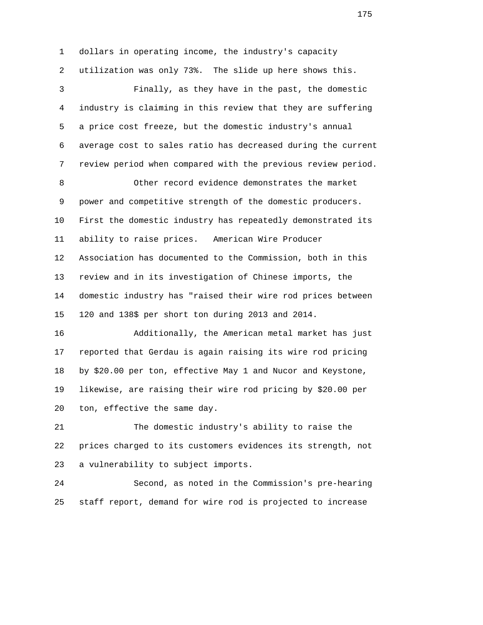1 dollars in operating income, the industry's capacity 2 utilization was only 73%. The slide up here shows this. 3 Finally, as they have in the past, the domestic 4 industry is claiming in this review that they are suffering 5 a price cost freeze, but the domestic industry's annual 6 average cost to sales ratio has decreased during the current 7 review period when compared with the previous review period. 8 Other record evidence demonstrates the market 9 power and competitive strength of the domestic producers. 10 First the domestic industry has repeatedly demonstrated its 11 ability to raise prices. American Wire Producer 12 Association has documented to the Commission, both in this 13 review and in its investigation of Chinese imports, the 14 domestic industry has "raised their wire rod prices between 15 120 and 138\$ per short ton during 2013 and 2014. 16 Additionally, the American metal market has just 17 reported that Gerdau is again raising its wire rod pricing 18 by \$20.00 per ton, effective May 1 and Nucor and Keystone, 19 likewise, are raising their wire rod pricing by \$20.00 per 20 ton, effective the same day.

 21 The domestic industry's ability to raise the 22 prices charged to its customers evidences its strength, not 23 a vulnerability to subject imports.

 24 Second, as noted in the Commission's pre-hearing 25 staff report, demand for wire rod is projected to increase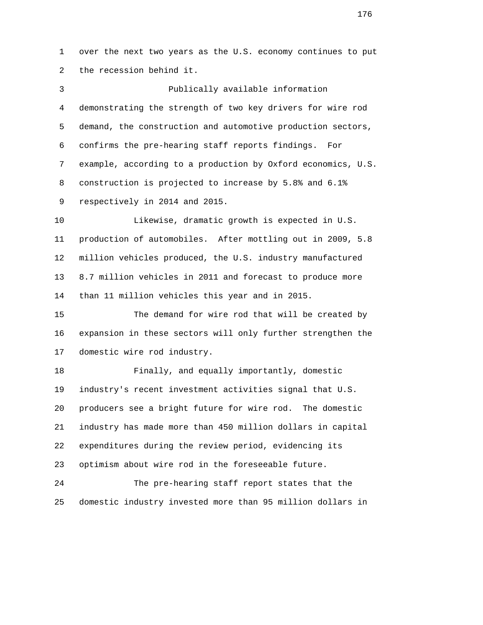1 over the next two years as the U.S. economy continues to put 2 the recession behind it.

 3 Publically available information 4 demonstrating the strength of two key drivers for wire rod 5 demand, the construction and automotive production sectors, 6 confirms the pre-hearing staff reports findings. For 7 example, according to a production by Oxford economics, U.S. 8 construction is projected to increase by 5.8% and 6.1% 9 respectively in 2014 and 2015.

 10 Likewise, dramatic growth is expected in U.S. 11 production of automobiles. After mottling out in 2009, 5.8 12 million vehicles produced, the U.S. industry manufactured 13 8.7 million vehicles in 2011 and forecast to produce more 14 than 11 million vehicles this year and in 2015.

 15 The demand for wire rod that will be created by 16 expansion in these sectors will only further strengthen the 17 domestic wire rod industry.

 18 Finally, and equally importantly, domestic 19 industry's recent investment activities signal that U.S. 20 producers see a bright future for wire rod. The domestic 21 industry has made more than 450 million dollars in capital 22 expenditures during the review period, evidencing its 23 optimism about wire rod in the foreseeable future.

 24 The pre-hearing staff report states that the 25 domestic industry invested more than 95 million dollars in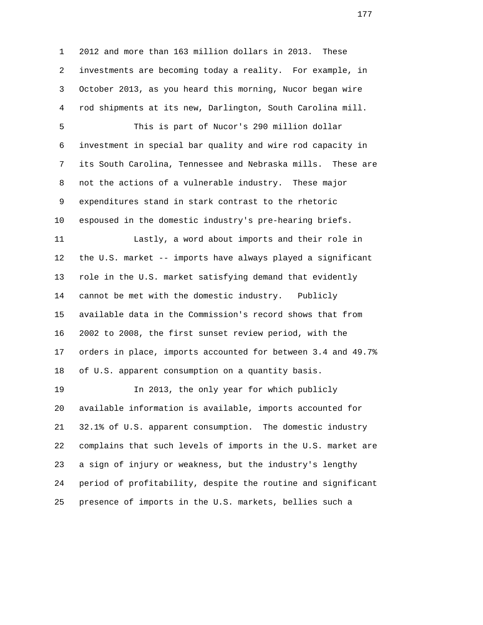1 2012 and more than 163 million dollars in 2013. These 2 investments are becoming today a reality. For example, in 3 October 2013, as you heard this morning, Nucor began wire 4 rod shipments at its new, Darlington, South Carolina mill. 5 This is part of Nucor's 290 million dollar 6 investment in special bar quality and wire rod capacity in 7 its South Carolina, Tennessee and Nebraska mills. These are 8 not the actions of a vulnerable industry. These major 9 expenditures stand in stark contrast to the rhetoric 10 espoused in the domestic industry's pre-hearing briefs. 11 Lastly, a word about imports and their role in 12 the U.S. market -- imports have always played a significant 13 role in the U.S. market satisfying demand that evidently 14 cannot be met with the domestic industry. Publicly 15 available data in the Commission's record shows that from 16 2002 to 2008, the first sunset review period, with the 17 orders in place, imports accounted for between 3.4 and 49.7% 18 of U.S. apparent consumption on a quantity basis. 19 In 2013, the only year for which publicly 20 available information is available, imports accounted for 21 32.1% of U.S. apparent consumption. The domestic industry 22 complains that such levels of imports in the U.S. market are 23 a sign of injury or weakness, but the industry's lengthy

25 presence of imports in the U.S. markets, bellies such a

24 period of profitability, despite the routine and significant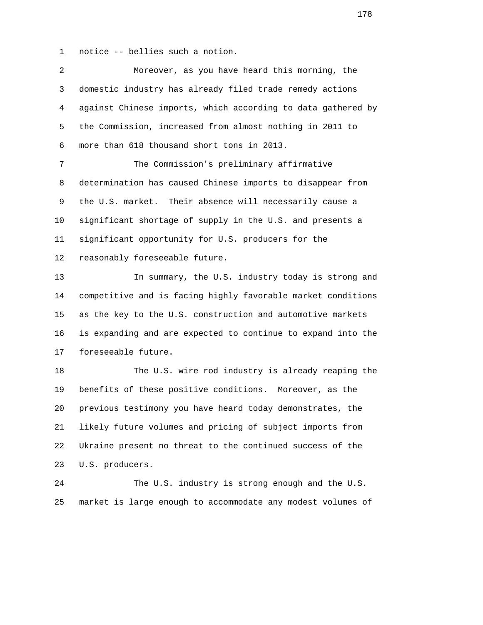1 notice -- bellies such a notion.

| $\overline{2}$ | Moreover, as you have heard this morning, the                |
|----------------|--------------------------------------------------------------|
| 3              | domestic industry has already filed trade remedy actions     |
| 4              | against Chinese imports, which according to data gathered by |
| 5              | the Commission, increased from almost nothing in 2011 to     |
| 6              | more than 618 thousand short tons in 2013.                   |
| 7              | The Commission's preliminary affirmative                     |
| 8              | determination has caused Chinese imports to disappear from   |
| 9              | the U.S. market.<br>Their absence will necessarily cause a   |
| 10             | significant shortage of supply in the U.S. and presents a    |
| 11             | significant opportunity for U.S. producers for the           |
| 12             | reasonably foreseeable future.                               |
| 13             | In summary, the U.S. industry today is strong and            |
| 14             | competitive and is facing highly favorable market conditions |
| 15             | as the key to the U.S. construction and automotive markets   |
| 16             | is expanding and are expected to continue to expand into the |
| $17 \,$        | foreseeable future.                                          |
| 18             | The U.S. wire rod industry is already reaping the            |
| 19             | benefits of these positive conditions. Moreover, as the      |
| 20             | previous testimony you have heard today demonstrates, the    |
| 21             | likely future volumes and pricing of subject imports from    |
| 22             | Ukraine present no threat to the continued success of the    |
| 23             | U.S. producers.                                              |
| 24             | The U.S. industry is strong enough and the U.S.              |
| 25             | market is large enough to accommodate any modest volumes of  |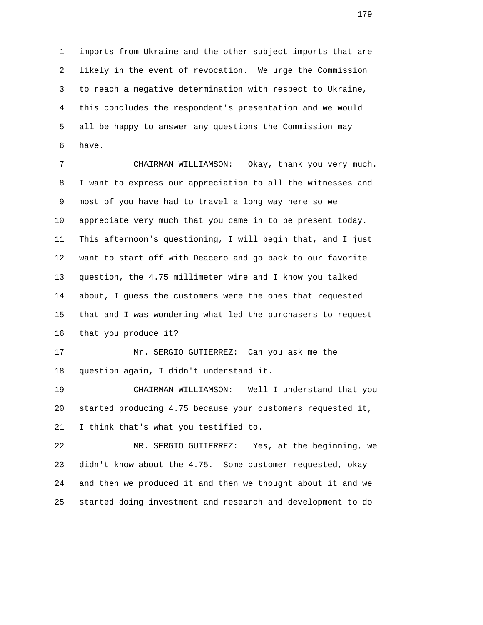1 imports from Ukraine and the other subject imports that are 2 likely in the event of revocation. We urge the Commission 3 to reach a negative determination with respect to Ukraine, 4 this concludes the respondent's presentation and we would 5 all be happy to answer any questions the Commission may 6 have.

 7 CHAIRMAN WILLIAMSON: Okay, thank you very much. 8 I want to express our appreciation to all the witnesses and 9 most of you have had to travel a long way here so we 10 appreciate very much that you came in to be present today. 11 This afternoon's questioning, I will begin that, and I just 12 want to start off with Deacero and go back to our favorite 13 question, the 4.75 millimeter wire and I know you talked 14 about, I guess the customers were the ones that requested 15 that and I was wondering what led the purchasers to request 16 that you produce it?

 17 Mr. SERGIO GUTIERREZ: Can you ask me the 18 question again, I didn't understand it.

 19 CHAIRMAN WILLIAMSON: Well I understand that you 20 started producing 4.75 because your customers requested it, 21 I think that's what you testified to.

 22 MR. SERGIO GUTIERREZ: Yes, at the beginning, we 23 didn't know about the 4.75. Some customer requested, okay 24 and then we produced it and then we thought about it and we 25 started doing investment and research and development to do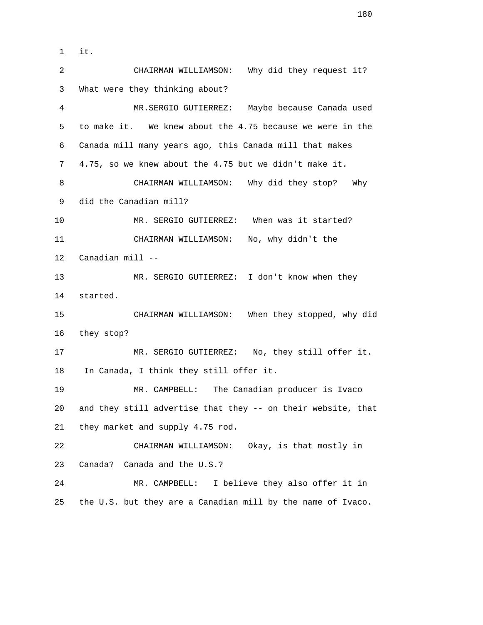1 it. 2 CHAIRMAN WILLIAMSON: Why did they request it? 3 What were they thinking about? 4 MR.SERGIO GUTIERREZ: Maybe because Canada used 5 to make it. We knew about the 4.75 because we were in the 6 Canada mill many years ago, this Canada mill that makes 7 4.75, so we knew about the 4.75 but we didn't make it. 8 CHAIRMAN WILLIAMSON: Why did they stop? Why 9 did the Canadian mill? 10 MR. SERGIO GUTIERREZ: When was it started? 11 CHAIRMAN WILLIAMSON: No, why didn't the 12 Canadian mill -- 13 MR. SERGIO GUTIERREZ: I don't know when they 14 started. 15 CHAIRMAN WILLIAMSON: When they stopped, why did 16 they stop? 17 MR. SERGIO GUTIERREZ: No, they still offer it. 18 In Canada, I think they still offer it. 19 MR. CAMPBELL: The Canadian producer is Ivaco 20 and they still advertise that they -- on their website, that 21 they market and supply 4.75 rod. 22 CHAIRMAN WILLIAMSON: Okay, is that mostly in 23 Canada? Canada and the U.S.? 24 MR. CAMPBELL: I believe they also offer it in 25 the U.S. but they are a Canadian mill by the name of Ivaco.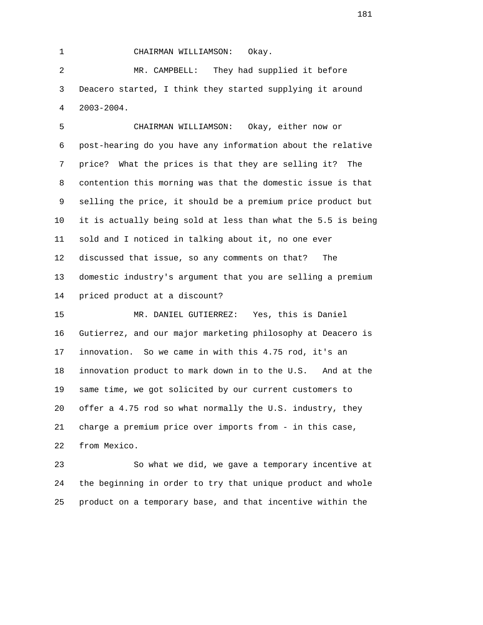1 CHAIRMAN WILLIAMSON: Okay. 2 MR. CAMPBELL: They had supplied it before 3 Deacero started, I think they started supplying it around 4 2003-2004.

 5 CHAIRMAN WILLIAMSON: Okay, either now or 6 post-hearing do you have any information about the relative 7 price? What the prices is that they are selling it? The 8 contention this morning was that the domestic issue is that 9 selling the price, it should be a premium price product but 10 it is actually being sold at less than what the 5.5 is being 11 sold and I noticed in talking about it, no one ever 12 discussed that issue, so any comments on that? The 13 domestic industry's argument that you are selling a premium 14 priced product at a discount?

 15 MR. DANIEL GUTIERREZ: Yes, this is Daniel 16 Gutierrez, and our major marketing philosophy at Deacero is 17 innovation. So we came in with this 4.75 rod, it's an 18 innovation product to mark down in to the U.S. And at the 19 same time, we got solicited by our current customers to 20 offer a 4.75 rod so what normally the U.S. industry, they 21 charge a premium price over imports from - in this case, 22 from Mexico.

 23 So what we did, we gave a temporary incentive at 24 the beginning in order to try that unique product and whole 25 product on a temporary base, and that incentive within the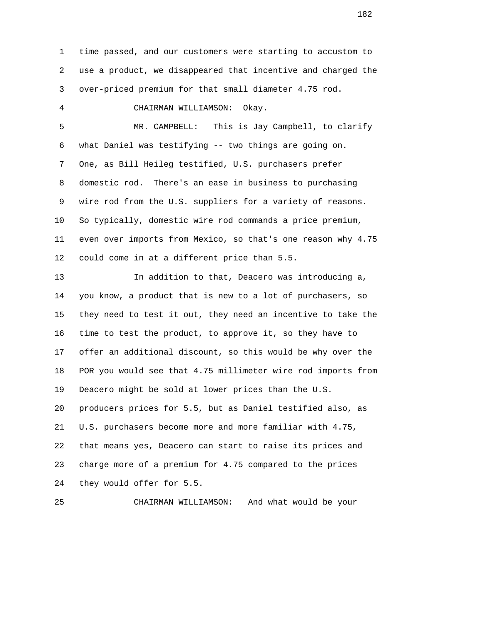1 time passed, and our customers were starting to accustom to 2 use a product, we disappeared that incentive and charged the 3 over-priced premium for that small diameter 4.75 rod. 4 CHAIRMAN WILLIAMSON: Okay. 5 MR. CAMPBELL: This is Jay Campbell, to clarify 6 what Daniel was testifying -- two things are going on. 7 One, as Bill Heileg testified, U.S. purchasers prefer 8 domestic rod. There's an ease in business to purchasing 9 wire rod from the U.S. suppliers for a variety of reasons. 10 So typically, domestic wire rod commands a price premium, 11 even over imports from Mexico, so that's one reason why 4.75 12 could come in at a different price than 5.5. 13 In addition to that, Deacero was introducing a, 14 you know, a product that is new to a lot of purchasers, so 15 they need to test it out, they need an incentive to take the 16 time to test the product, to approve it, so they have to 17 offer an additional discount, so this would be why over the 18 POR you would see that 4.75 millimeter wire rod imports from 19 Deacero might be sold at lower prices than the U.S. 20 producers prices for 5.5, but as Daniel testified also, as 21 U.S. purchasers become more and more familiar with 4.75, 22 that means yes, Deacero can start to raise its prices and 23 charge more of a premium for 4.75 compared to the prices 24 they would offer for 5.5.

25 CHAIRMAN WILLIAMSON: And what would be your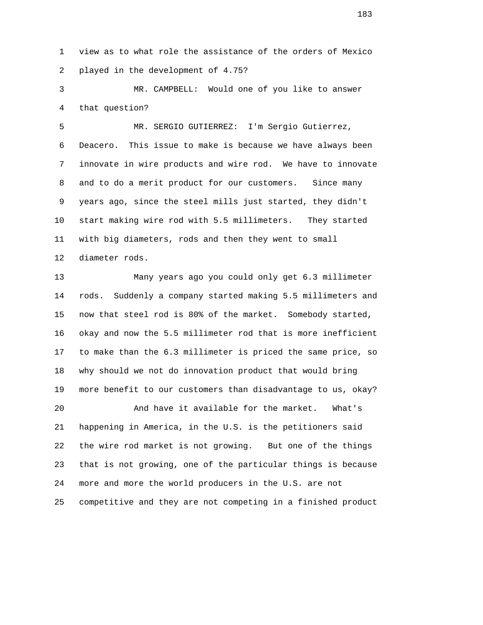1 view as to what role the assistance of the orders of Mexico 2 played in the development of 4.75?

 3 MR. CAMPBELL: Would one of you like to answer 4 that question?

 5 MR. SERGIO GUTIERREZ: I'm Sergio Gutierrez, 6 Deacero. This issue to make is because we have always been 7 innovate in wire products and wire rod. We have to innovate 8 and to do a merit product for our customers. Since many 9 years ago, since the steel mills just started, they didn't 10 start making wire rod with 5.5 millimeters. They started 11 with big diameters, rods and then they went to small 12 diameter rods.

 13 Many years ago you could only get 6.3 millimeter 14 rods. Suddenly a company started making 5.5 millimeters and 15 now that steel rod is 80% of the market. Somebody started, 16 okay and now the 5.5 millimeter rod that is more inefficient 17 to make than the 6.3 millimeter is priced the same price, so 18 why should we not do innovation product that would bring 19 more benefit to our customers than disadvantage to us, okay?

 20 And have it available for the market. What's 21 happening in America, in the U.S. is the petitioners said 22 the wire rod market is not growing. But one of the things 23 that is not growing, one of the particular things is because 24 more and more the world producers in the U.S. are not 25 competitive and they are not competing in a finished product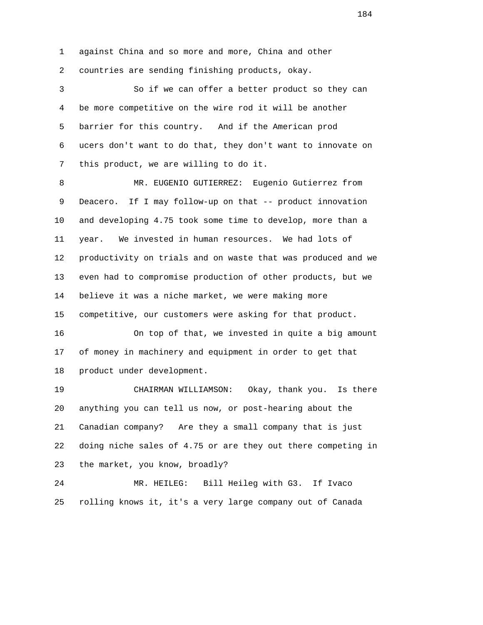1 against China and so more and more, China and other 2 countries are sending finishing products, okay.

 3 So if we can offer a better product so they can 4 be more competitive on the wire rod it will be another 5 barrier for this country. And if the American prod 6 ucers don't want to do that, they don't want to innovate on 7 this product, we are willing to do it.

 8 MR. EUGENIO GUTIERREZ: Eugenio Gutierrez from 9 Deacero. If I may follow-up on that -- product innovation 10 and developing 4.75 took some time to develop, more than a 11 year. We invested in human resources. We had lots of 12 productivity on trials and on waste that was produced and we 13 even had to compromise production of other products, but we 14 believe it was a niche market, we were making more 15 competitive, our customers were asking for that product.

 16 On top of that, we invested in quite a big amount 17 of money in machinery and equipment in order to get that 18 product under development.

 19 CHAIRMAN WILLIAMSON: Okay, thank you. Is there 20 anything you can tell us now, or post-hearing about the 21 Canadian company? Are they a small company that is just 22 doing niche sales of 4.75 or are they out there competing in 23 the market, you know, broadly?

 24 MR. HEILEG: Bill Heileg with G3. If Ivaco 25 rolling knows it, it's a very large company out of Canada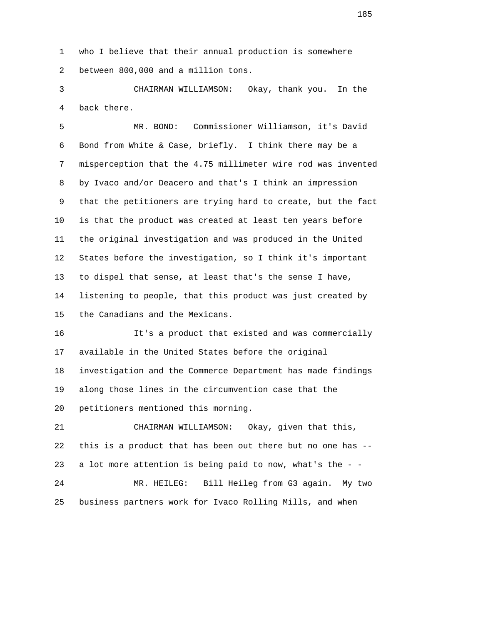1 who I believe that their annual production is somewhere 2 between 800,000 and a million tons.

 3 CHAIRMAN WILLIAMSON: Okay, thank you. In the 4 back there.

 5 MR. BOND: Commissioner Williamson, it's David 6 Bond from White & Case, briefly. I think there may be a 7 misperception that the 4.75 millimeter wire rod was invented 8 by Ivaco and/or Deacero and that's I think an impression 9 that the petitioners are trying hard to create, but the fact 10 is that the product was created at least ten years before 11 the original investigation and was produced in the United 12 States before the investigation, so I think it's important 13 to dispel that sense, at least that's the sense I have, 14 listening to people, that this product was just created by 15 the Canadians and the Mexicans.

 16 It's a product that existed and was commercially 17 available in the United States before the original 18 investigation and the Commerce Department has made findings 19 along those lines in the circumvention case that the 20 petitioners mentioned this morning.

 21 CHAIRMAN WILLIAMSON: Okay, given that this, 22 this is a product that has been out there but no one has -- 23 a lot more attention is being paid to now, what's the - - 24 MR. HEILEG: Bill Heileg from G3 again. My two

25 business partners work for Ivaco Rolling Mills, and when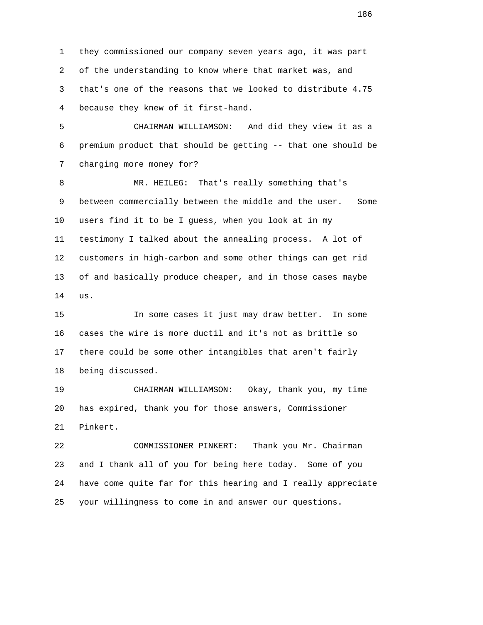1 they commissioned our company seven years ago, it was part 2 of the understanding to know where that market was, and 3 that's one of the reasons that we looked to distribute 4.75 4 because they knew of it first-hand.

 5 CHAIRMAN WILLIAMSON: And did they view it as a 6 premium product that should be getting -- that one should be 7 charging more money for?

 8 MR. HEILEG: That's really something that's 9 between commercially between the middle and the user. Some 10 users find it to be I guess, when you look at in my 11 testimony I talked about the annealing process. A lot of 12 customers in high-carbon and some other things can get rid 13 of and basically produce cheaper, and in those cases maybe 14 us.

 15 In some cases it just may draw better. In some 16 cases the wire is more ductil and it's not as brittle so 17 there could be some other intangibles that aren't fairly 18 being discussed.

 19 CHAIRMAN WILLIAMSON: Okay, thank you, my time 20 has expired, thank you for those answers, Commissioner 21 Pinkert.

 22 COMMISSIONER PINKERT: Thank you Mr. Chairman 23 and I thank all of you for being here today. Some of you 24 have come quite far for this hearing and I really appreciate 25 your willingness to come in and answer our questions.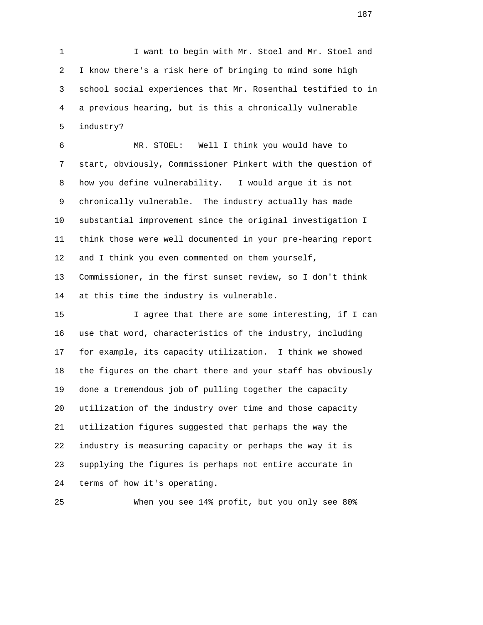1 I want to begin with Mr. Stoel and Mr. Stoel and 2 I know there's a risk here of bringing to mind some high 3 school social experiences that Mr. Rosenthal testified to in 4 a previous hearing, but is this a chronically vulnerable 5 industry?

 6 MR. STOEL: Well I think you would have to 7 start, obviously, Commissioner Pinkert with the question of 8 how you define vulnerability. I would argue it is not 9 chronically vulnerable. The industry actually has made 10 substantial improvement since the original investigation I 11 think those were well documented in your pre-hearing report 12 and I think you even commented on them yourself, 13 Commissioner, in the first sunset review, so I don't think

14 at this time the industry is vulnerable.

 15 I agree that there are some interesting, if I can 16 use that word, characteristics of the industry, including 17 for example, its capacity utilization. I think we showed 18 the figures on the chart there and your staff has obviously 19 done a tremendous job of pulling together the capacity 20 utilization of the industry over time and those capacity 21 utilization figures suggested that perhaps the way the 22 industry is measuring capacity or perhaps the way it is 23 supplying the figures is perhaps not entire accurate in 24 terms of how it's operating.

25 When you see 14% profit, but you only see 80%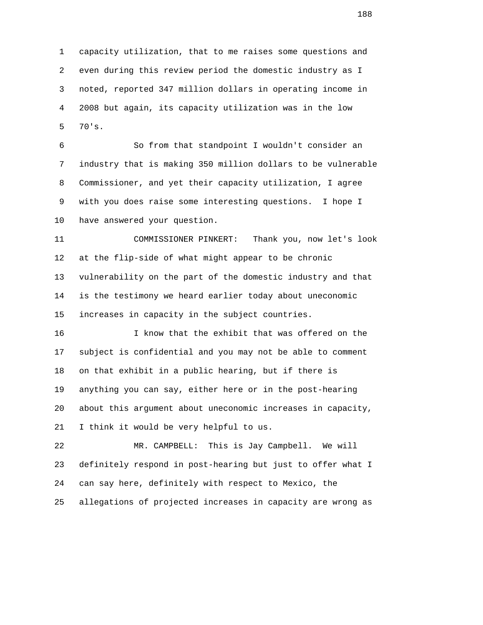1 capacity utilization, that to me raises some questions and 2 even during this review period the domestic industry as I 3 noted, reported 347 million dollars in operating income in 4 2008 but again, its capacity utilization was in the low 5 70's.

 6 So from that standpoint I wouldn't consider an 7 industry that is making 350 million dollars to be vulnerable 8 Commissioner, and yet their capacity utilization, I agree 9 with you does raise some interesting questions. I hope I 10 have answered your question.

 11 COMMISSIONER PINKERT: Thank you, now let's look 12 at the flip-side of what might appear to be chronic 13 vulnerability on the part of the domestic industry and that 14 is the testimony we heard earlier today about uneconomic 15 increases in capacity in the subject countries.

 16 I know that the exhibit that was offered on the 17 subject is confidential and you may not be able to comment 18 on that exhibit in a public hearing, but if there is 19 anything you can say, either here or in the post-hearing 20 about this argument about uneconomic increases in capacity, 21 I think it would be very helpful to us.

 22 MR. CAMPBELL: This is Jay Campbell. We will 23 definitely respond in post-hearing but just to offer what I 24 can say here, definitely with respect to Mexico, the 25 allegations of projected increases in capacity are wrong as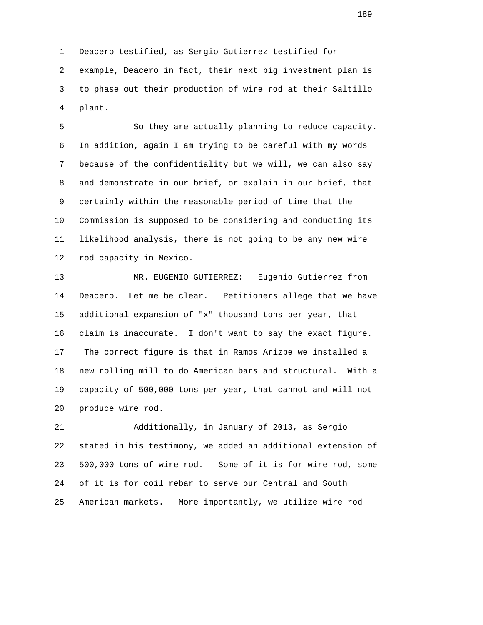1 Deacero testified, as Sergio Gutierrez testified for 2 example, Deacero in fact, their next big investment plan is 3 to phase out their production of wire rod at their Saltillo 4 plant.

 5 So they are actually planning to reduce capacity. 6 In addition, again I am trying to be careful with my words 7 because of the confidentiality but we will, we can also say 8 and demonstrate in our brief, or explain in our brief, that 9 certainly within the reasonable period of time that the 10 Commission is supposed to be considering and conducting its 11 likelihood analysis, there is not going to be any new wire 12 rod capacity in Mexico.

 13 MR. EUGENIO GUTIERREZ: Eugenio Gutierrez from 14 Deacero. Let me be clear. Petitioners allege that we have 15 additional expansion of "x" thousand tons per year, that 16 claim is inaccurate. I don't want to say the exact figure. 17 The correct figure is that in Ramos Arizpe we installed a 18 new rolling mill to do American bars and structural. With a 19 capacity of 500,000 tons per year, that cannot and will not 20 produce wire rod.

 21 Additionally, in January of 2013, as Sergio 22 stated in his testimony, we added an additional extension of 23 500,000 tons of wire rod. Some of it is for wire rod, some 24 of it is for coil rebar to serve our Central and South 25 American markets. More importantly, we utilize wire rod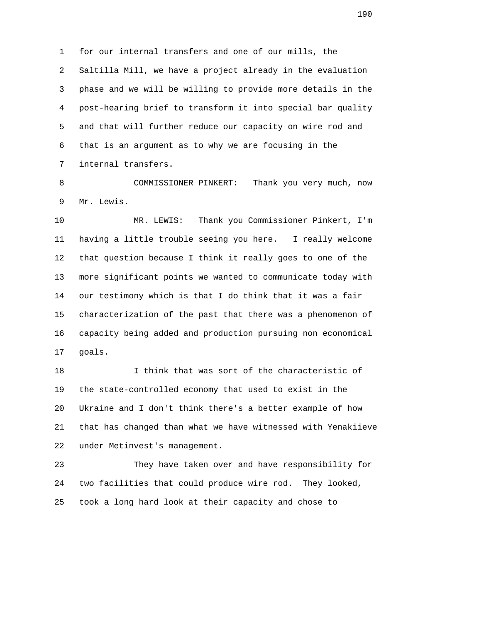1 for our internal transfers and one of our mills, the 2 Saltilla Mill, we have a project already in the evaluation 3 phase and we will be willing to provide more details in the 4 post-hearing brief to transform it into special bar quality 5 and that will further reduce our capacity on wire rod and 6 that is an argument as to why we are focusing in the 7 internal transfers.

 8 COMMISSIONER PINKERT: Thank you very much, now 9 Mr. Lewis.

 10 MR. LEWIS: Thank you Commissioner Pinkert, I'm 11 having a little trouble seeing you here. I really welcome 12 that question because I think it really goes to one of the 13 more significant points we wanted to communicate today with 14 our testimony which is that I do think that it was a fair 15 characterization of the past that there was a phenomenon of 16 capacity being added and production pursuing non economical 17 goals.

 18 I think that was sort of the characteristic of 19 the state-controlled economy that used to exist in the 20 Ukraine and I don't think there's a better example of how 21 that has changed than what we have witnessed with Yenakiieve 22 under Metinvest's management.

 23 They have taken over and have responsibility for 24 two facilities that could produce wire rod. They looked, 25 took a long hard look at their capacity and chose to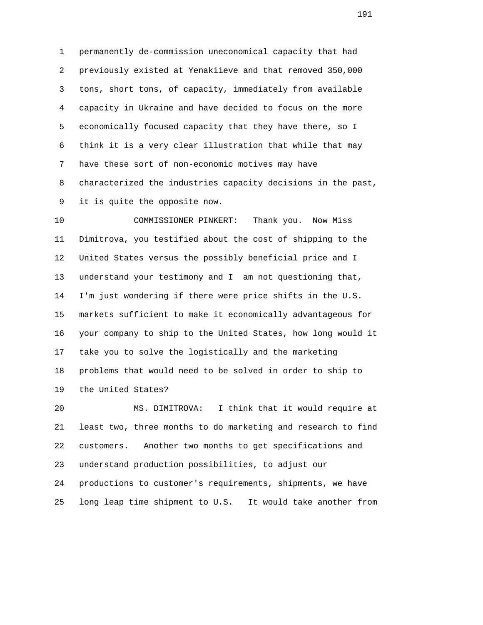1 permanently de-commission uneconomical capacity that had 2 previously existed at Yenakiieve and that removed 350,000 3 tons, short tons, of capacity, immediately from available 4 capacity in Ukraine and have decided to focus on the more 5 economically focused capacity that they have there, so I 6 think it is a very clear illustration that while that may 7 have these sort of non-economic motives may have 8 characterized the industries capacity decisions in the past, 9 it is quite the opposite now.

 10 COMMISSIONER PINKERT: Thank you. Now Miss 11 Dimitrova, you testified about the cost of shipping to the 12 United States versus the possibly beneficial price and I 13 understand your testimony and I am not questioning that, 14 I'm just wondering if there were price shifts in the U.S. 15 markets sufficient to make it economically advantageous for 16 your company to ship to the United States, how long would it 17 take you to solve the logistically and the marketing 18 problems that would need to be solved in order to ship to 19 the United States?

 20 MS. DIMITROVA: I think that it would require at 21 least two, three months to do marketing and research to find 22 customers. Another two months to get specifications and 23 understand production possibilities, to adjust our 24 productions to customer's requirements, shipments, we have 25 long leap time shipment to U.S. It would take another from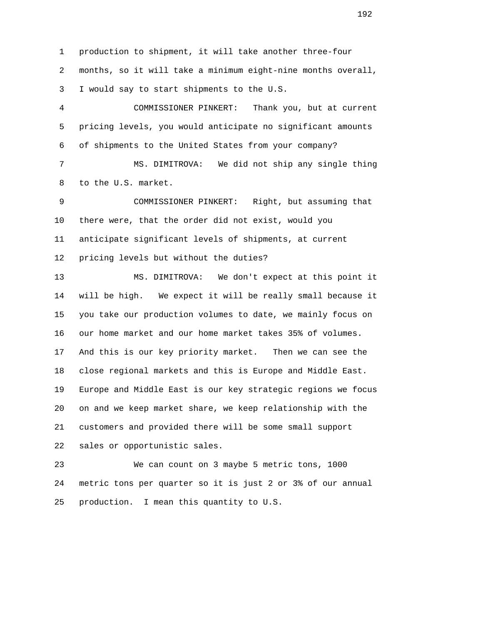1 production to shipment, it will take another three-four 2 months, so it will take a minimum eight-nine months overall, 3 I would say to start shipments to the U.S.

 4 COMMISSIONER PINKERT: Thank you, but at current 5 pricing levels, you would anticipate no significant amounts 6 of shipments to the United States from your company?

 7 MS. DIMITROVA: We did not ship any single thing 8 to the U.S. market.

 9 COMMISSIONER PINKERT: Right, but assuming that 10 there were, that the order did not exist, would you 11 anticipate significant levels of shipments, at current 12 pricing levels but without the duties?

 13 MS. DIMITROVA: We don't expect at this point it 14 will be high. We expect it will be really small because it 15 you take our production volumes to date, we mainly focus on 16 our home market and our home market takes 35% of volumes. 17 And this is our key priority market. Then we can see the 18 close regional markets and this is Europe and Middle East. 19 Europe and Middle East is our key strategic regions we focus 20 on and we keep market share, we keep relationship with the 21 customers and provided there will be some small support 22 sales or opportunistic sales.

 23 We can count on 3 maybe 5 metric tons, 1000 24 metric tons per quarter so it is just 2 or 3% of our annual 25 production. I mean this quantity to U.S.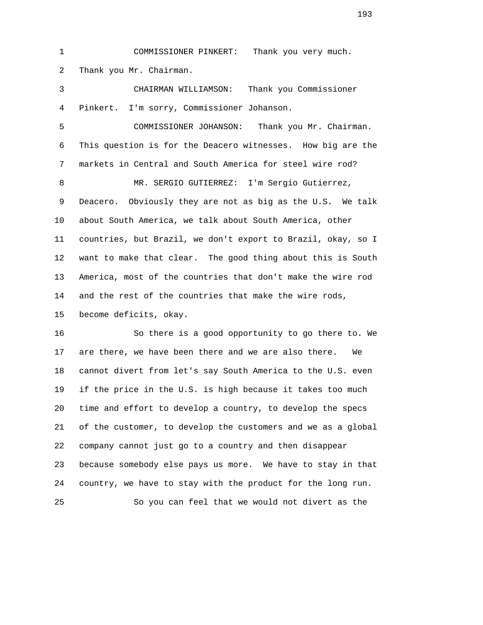1 COMMISSIONER PINKERT: Thank you very much. 2 Thank you Mr. Chairman. 3 CHAIRMAN WILLIAMSON: Thank you Commissioner 4 Pinkert. I'm sorry, Commissioner Johanson. 5 COMMISSIONER JOHANSON: Thank you Mr. Chairman. 6 This question is for the Deacero witnesses. How big are the 7 markets in Central and South America for steel wire rod? 8 MR. SERGIO GUTIERREZ: I'm Sergio Gutierrez, 9 Deacero. Obviously they are not as big as the U.S. We talk 10 about South America, we talk about South America, other 11 countries, but Brazil, we don't export to Brazil, okay, so I 12 want to make that clear. The good thing about this is South

 13 America, most of the countries that don't make the wire rod 14 and the rest of the countries that make the wire rods,

15 become deficits, okay.

 16 So there is a good opportunity to go there to. We 17 are there, we have been there and we are also there. We 18 cannot divert from let's say South America to the U.S. even 19 if the price in the U.S. is high because it takes too much 20 time and effort to develop a country, to develop the specs 21 of the customer, to develop the customers and we as a global 22 company cannot just go to a country and then disappear 23 because somebody else pays us more. We have to stay in that 24 country, we have to stay with the product for the long run. 25 So you can feel that we would not divert as the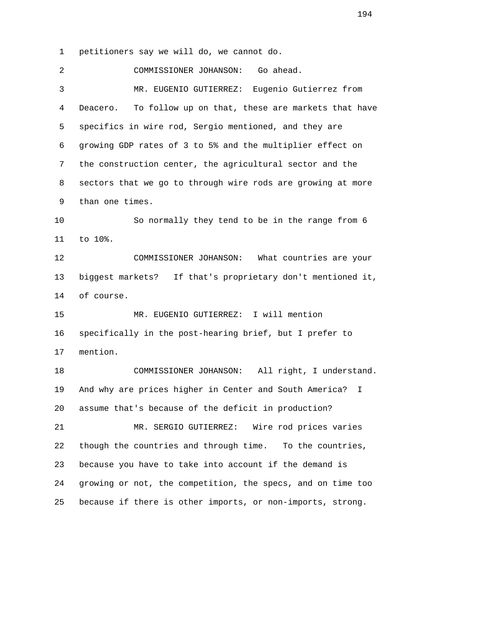1 petitioners say we will do, we cannot do.

 2 COMMISSIONER JOHANSON: Go ahead. 3 MR. EUGENIO GUTIERREZ: Eugenio Gutierrez from 4 Deacero. To follow up on that, these are markets that have 5 specifics in wire rod, Sergio mentioned, and they are 6 growing GDP rates of 3 to 5% and the multiplier effect on 7 the construction center, the agricultural sector and the 8 sectors that we go to through wire rods are growing at more 9 than one times. 10 So normally they tend to be in the range from 6 11 to 10%. 12 COMMISSIONER JOHANSON: What countries are your 13 biggest markets? If that's proprietary don't mentioned it, 14 of course. 15 MR. EUGENIO GUTIERREZ: I will mention 16 specifically in the post-hearing brief, but I prefer to 17 mention. 18 COMMISSIONER JOHANSON: All right, I understand. 19 And why are prices higher in Center and South America? I 20 assume that's because of the deficit in production? 21 MR. SERGIO GUTIERREZ: Wire rod prices varies 22 though the countries and through time. To the countries, 23 because you have to take into account if the demand is 24 growing or not, the competition, the specs, and on time too 25 because if there is other imports, or non-imports, strong.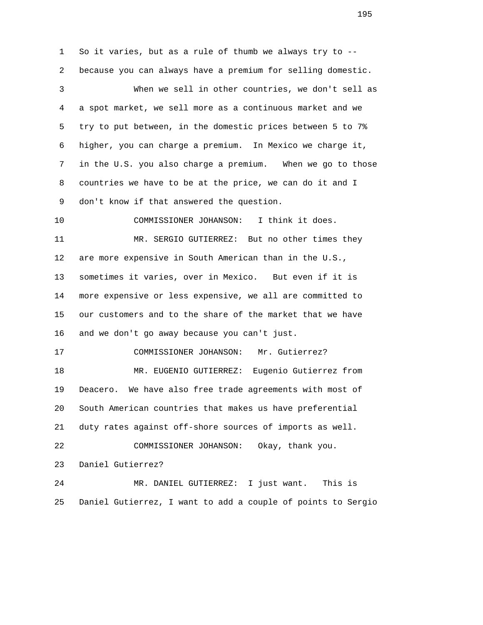1 So it varies, but as a rule of thumb we always try to -- 2 because you can always have a premium for selling domestic. 3 When we sell in other countries, we don't sell as 4 a spot market, we sell more as a continuous market and we 5 try to put between, in the domestic prices between 5 to 7% 6 higher, you can charge a premium. In Mexico we charge it, 7 in the U.S. you also charge a premium. When we go to those 8 countries we have to be at the price, we can do it and I 9 don't know if that answered the question. 10 COMMISSIONER JOHANSON: I think it does. 11 MR. SERGIO GUTIERREZ: But no other times they 12 are more expensive in South American than in the U.S., 13 sometimes it varies, over in Mexico. But even if it is 14 more expensive or less expensive, we all are committed to 15 our customers and to the share of the market that we have 16 and we don't go away because you can't just. 17 COMMISSIONER JOHANSON: Mr. Gutierrez? 18 MR. EUGENIO GUTIERREZ: Eugenio Gutierrez from 19 Deacero. We have also free trade agreements with most of 20 South American countries that makes us have preferential 21 duty rates against off-shore sources of imports as well. 22 COMMISSIONER JOHANSON: Okay, thank you. 23 Daniel Gutierrez? 24 MR. DANIEL GUTIERREZ: I just want. This is 25 Daniel Gutierrez, I want to add a couple of points to Sergio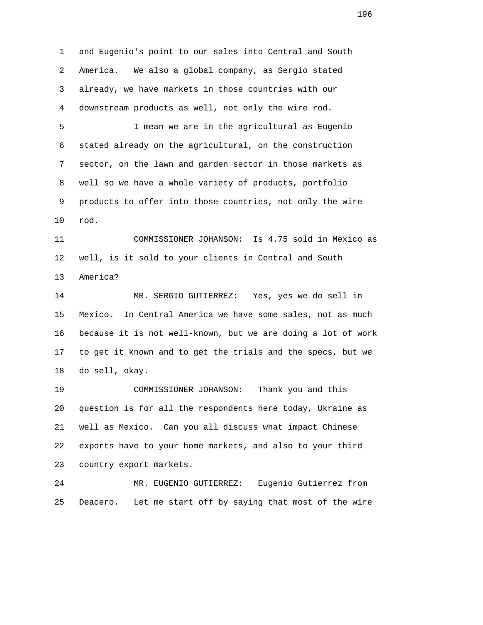1 and Eugenio's point to our sales into Central and South 2 America. We also a global company, as Sergio stated 3 already, we have markets in those countries with our 4 downstream products as well, not only the wire rod. 5 I mean we are in the agricultural as Eugenio 6 stated already on the agricultural, on the construction 7 sector, on the lawn and garden sector in those markets as

 9 products to offer into those countries, not only the wire 10 rod.

8 well so we have a whole variety of products, portfolio

 11 COMMISSIONER JOHANSON: Is 4.75 sold in Mexico as 12 well, is it sold to your clients in Central and South 13 America?

 14 MR. SERGIO GUTIERREZ: Yes, yes we do sell in 15 Mexico. In Central America we have some sales, not as much 16 because it is not well-known, but we are doing a lot of work 17 to get it known and to get the trials and the specs, but we 18 do sell, okay.

 19 COMMISSIONER JOHANSON: Thank you and this 20 question is for all the respondents here today, Ukraine as 21 well as Mexico. Can you all discuss what impact Chinese 22 exports have to your home markets, and also to your third 23 country export markets.

 24 MR. EUGENIO GUTIERREZ: Eugenio Gutierrez from 25 Deacero. Let me start off by saying that most of the wire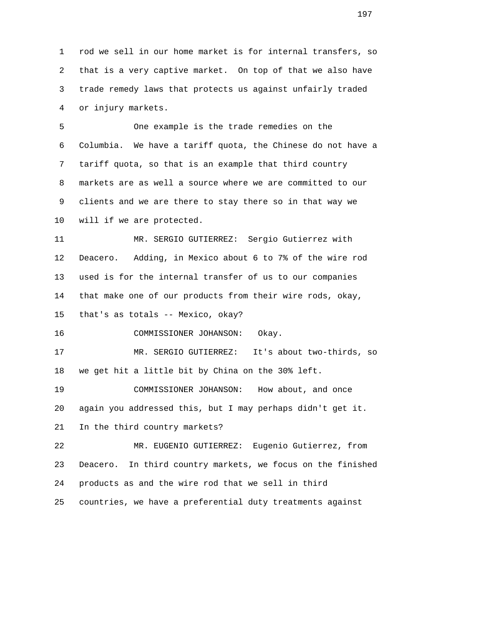1 rod we sell in our home market is for internal transfers, so 2 that is a very captive market. On top of that we also have 3 trade remedy laws that protects us against unfairly traded 4 or injury markets.

 5 One example is the trade remedies on the 6 Columbia. We have a tariff quota, the Chinese do not have a 7 tariff quota, so that is an example that third country 8 markets are as well a source where we are committed to our 9 clients and we are there to stay there so in that way we 10 will if we are protected.

 11 MR. SERGIO GUTIERREZ: Sergio Gutierrez with 12 Deacero. Adding, in Mexico about 6 to 7% of the wire rod 13 used is for the internal transfer of us to our companies 14 that make one of our products from their wire rods, okay, 15 that's as totals -- Mexico, okay?

16 COMMISSIONER JOHANSON: Okay.

 17 MR. SERGIO GUTIERREZ: It's about two-thirds, so 18 we get hit a little bit by China on the 30% left.

 19 COMMISSIONER JOHANSON: How about, and once 20 again you addressed this, but I may perhaps didn't get it. 21 In the third country markets?

 22 MR. EUGENIO GUTIERREZ: Eugenio Gutierrez, from 23 Deacero. In third country markets, we focus on the finished 24 products as and the wire rod that we sell in third 25 countries, we have a preferential duty treatments against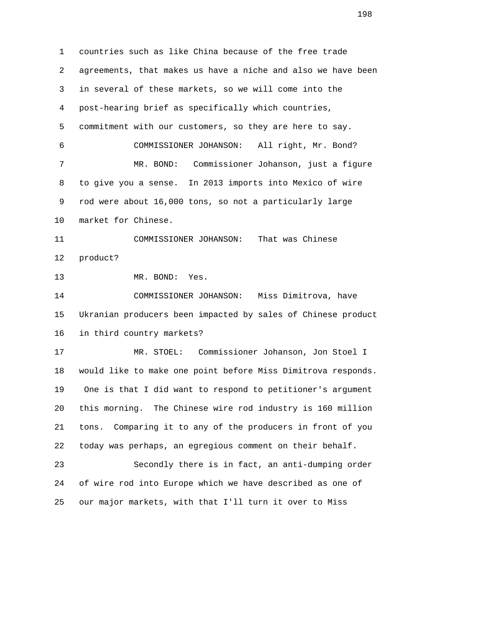1 countries such as like China because of the free trade 2 agreements, that makes us have a niche and also we have been 3 in several of these markets, so we will come into the 4 post-hearing brief as specifically which countries, 5 commitment with our customers, so they are here to say. 6 COMMISSIONER JOHANSON: All right, Mr. Bond? 7 MR. BOND: Commissioner Johanson, just a figure 8 to give you a sense. In 2013 imports into Mexico of wire 9 rod were about 16,000 tons, so not a particularly large 10 market for Chinese. 11 COMMISSIONER JOHANSON: That was Chinese 12 product? 13 MR. BOND: Yes. 14 COMMISSIONER JOHANSON: Miss Dimitrova, have 15 Ukranian producers been impacted by sales of Chinese product 16 in third country markets? 17 MR. STOEL: Commissioner Johanson, Jon Stoel I 18 would like to make one point before Miss Dimitrova responds. 19 One is that I did want to respond to petitioner's argument 20 this morning. The Chinese wire rod industry is 160 million 21 tons. Comparing it to any of the producers in front of you 22 today was perhaps, an egregious comment on their behalf. 23 Secondly there is in fact, an anti-dumping order 24 of wire rod into Europe which we have described as one of 25 our major markets, with that I'll turn it over to Miss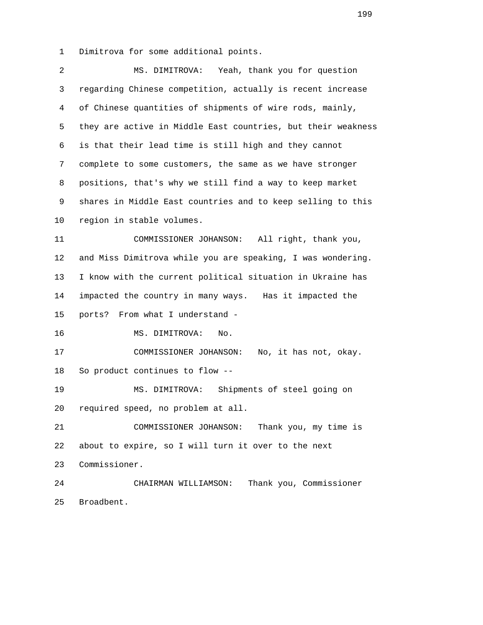1 Dimitrova for some additional points.

| MS. DIMITROVA: Yeah, thank you for question                  |
|--------------------------------------------------------------|
| regarding Chinese competition, actually is recent increase   |
| of Chinese quantities of shipments of wire rods, mainly,     |
| they are active in Middle East countries, but their weakness |
| is that their lead time is still high and they cannot        |
| complete to some customers, the same as we have stronger     |
| positions, that's why we still find a way to keep market     |
| shares in Middle East countries and to keep selling to this  |
| region in stable volumes.                                    |
| COMMISSIONER JOHANSON: All right, thank you,                 |
| and Miss Dimitrova while you are speaking, I was wondering.  |
| I know with the current political situation in Ukraine has   |
| impacted the country in many ways. Has it impacted the       |
| From what I understand -<br>ports?                           |
| MS. DIMITROVA:<br>No.                                        |
| COMMISSIONER JOHANSON:<br>No, it has not, okay.              |
| So product continues to flow --                              |
| MS. DIMITROVA:<br>Shipments of steel going on                |
| required speed, no problem at all.                           |
| COMMISSIONER JOHANSON:<br>Thank you, my time is              |
| about to expire, so I will turn it over to the next          |
| Commissioner.                                                |
| Thank you, Commissioner<br>CHAIRMAN WILLIAMSON:              |
| Broadbent.                                                   |
|                                                              |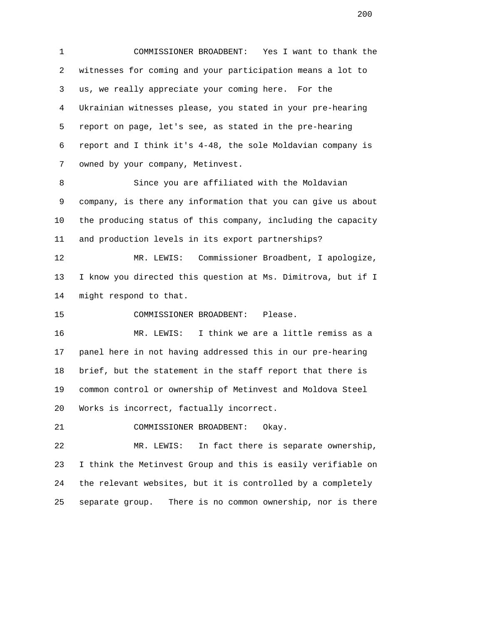1 COMMISSIONER BROADBENT: Yes I want to thank the 2 witnesses for coming and your participation means a lot to 3 us, we really appreciate your coming here. For the 4 Ukrainian witnesses please, you stated in your pre-hearing 5 report on page, let's see, as stated in the pre-hearing 6 report and I think it's 4-48, the sole Moldavian company is 7 owned by your company, Metinvest.

 8 Since you are affiliated with the Moldavian 9 company, is there any information that you can give us about 10 the producing status of this company, including the capacity 11 and production levels in its export partnerships?

 12 MR. LEWIS: Commissioner Broadbent, I apologize, 13 I know you directed this question at Ms. Dimitrova, but if I 14 might respond to that.

15 COMMISSIONER BROADBENT: Please.

 16 MR. LEWIS: I think we are a little remiss as a 17 panel here in not having addressed this in our pre-hearing 18 brief, but the statement in the staff report that there is 19 common control or ownership of Metinvest and Moldova Steel 20 Works is incorrect, factually incorrect.

21 COMMISSIONER BROADBENT: Okay.

 22 MR. LEWIS: In fact there is separate ownership, 23 I think the Metinvest Group and this is easily verifiable on 24 the relevant websites, but it is controlled by a completely 25 separate group. There is no common ownership, nor is there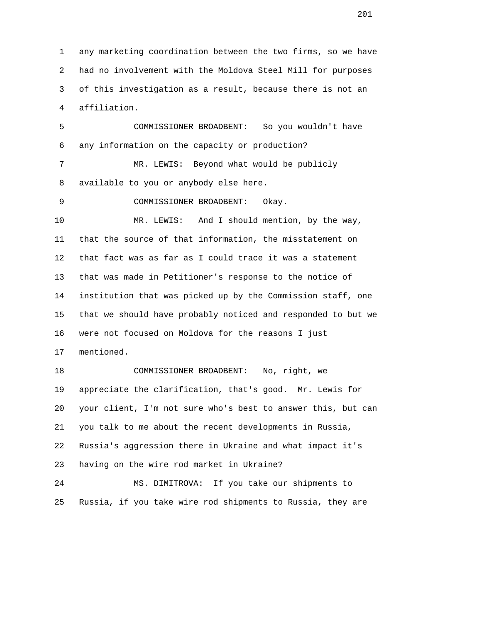1 any marketing coordination between the two firms, so we have 2 had no involvement with the Moldova Steel Mill for purposes 3 of this investigation as a result, because there is not an 4 affiliation.

 5 COMMISSIONER BROADBENT: So you wouldn't have 6 any information on the capacity or production? 7 MR. LEWIS: Beyond what would be publicly 8 available to you or anybody else here. 9 COMMISSIONER BROADBENT: Okay. 10 MR. LEWIS: And I should mention, by the way, 11 that the source of that information, the misstatement on 12 that fact was as far as I could trace it was a statement 13 that was made in Petitioner's response to the notice of 14 institution that was picked up by the Commission staff, one 15 that we should have probably noticed and responded to but we 16 were not focused on Moldova for the reasons I just 17 mentioned.

 18 COMMISSIONER BROADBENT: No, right, we 19 appreciate the clarification, that's good. Mr. Lewis for 20 your client, I'm not sure who's best to answer this, but can 21 you talk to me about the recent developments in Russia, 22 Russia's aggression there in Ukraine and what impact it's 23 having on the wire rod market in Ukraine? 24 MS. DIMITROVA: If you take our shipments to

25 Russia, if you take wire rod shipments to Russia, they are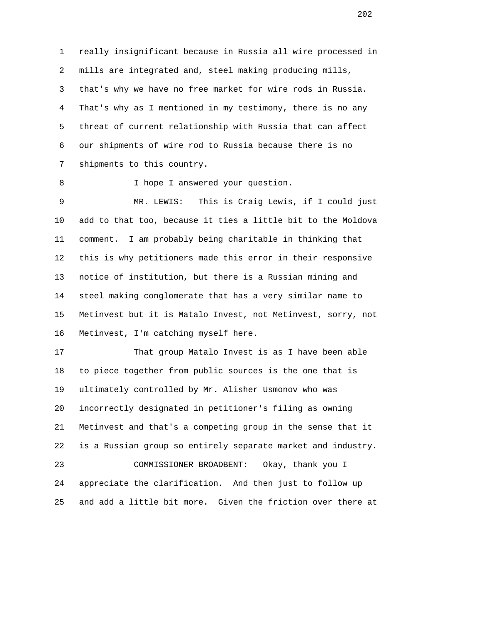1 really insignificant because in Russia all wire processed in 2 mills are integrated and, steel making producing mills, 3 that's why we have no free market for wire rods in Russia. 4 That's why as I mentioned in my testimony, there is no any 5 threat of current relationship with Russia that can affect 6 our shipments of wire rod to Russia because there is no 7 shipments to this country.

8 I hope I answered your question.

 9 MR. LEWIS: This is Craig Lewis, if I could just 10 add to that too, because it ties a little bit to the Moldova 11 comment. I am probably being charitable in thinking that 12 this is why petitioners made this error in their responsive 13 notice of institution, but there is a Russian mining and 14 steel making conglomerate that has a very similar name to 15 Metinvest but it is Matalo Invest, not Metinvest, sorry, not 16 Metinvest, I'm catching myself here.

 17 That group Matalo Invest is as I have been able 18 to piece together from public sources is the one that is 19 ultimately controlled by Mr. Alisher Usmonov who was 20 incorrectly designated in petitioner's filing as owning 21 Metinvest and that's a competing group in the sense that it 22 is a Russian group so entirely separate market and industry. 23 COMMISSIONER BROADBENT: Okay, thank you I 24 appreciate the clarification. And then just to follow up 25 and add a little bit more. Given the friction over there at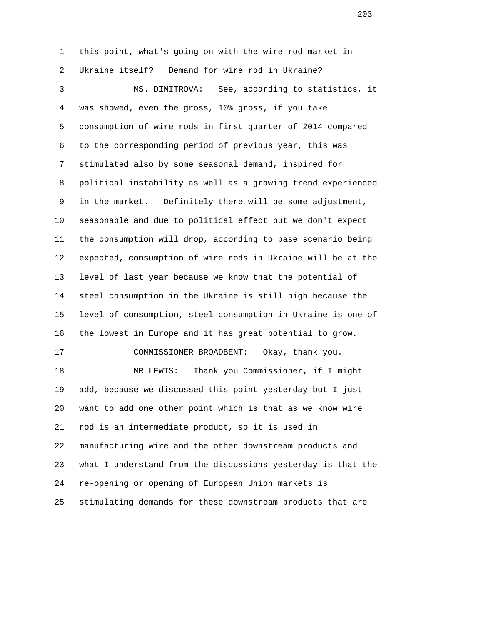1 this point, what's going on with the wire rod market in 2 Ukraine itself? Demand for wire rod in Ukraine? 3 MS. DIMITROVA: See, according to statistics, it 4 was showed, even the gross, 10% gross, if you take 5 consumption of wire rods in first quarter of 2014 compared 6 to the corresponding period of previous year, this was 7 stimulated also by some seasonal demand, inspired for 8 political instability as well as a growing trend experienced 9 in the market. Definitely there will be some adjustment, 10 seasonable and due to political effect but we don't expect 11 the consumption will drop, according to base scenario being 12 expected, consumption of wire rods in Ukraine will be at the 13 level of last year because we know that the potential of 14 steel consumption in the Ukraine is still high because the 15 level of consumption, steel consumption in Ukraine is one of 16 the lowest in Europe and it has great potential to grow. 17 COMMISSIONER BROADBENT: Okay, thank you. 18 MR LEWIS: Thank you Commissioner, if I might 19 add, because we discussed this point yesterday but I just 20 want to add one other point which is that as we know wire 21 rod is an intermediate product, so it is used in 22 manufacturing wire and the other downstream products and 23 what I understand from the discussions yesterday is that the 24 re-opening or opening of European Union markets is 25 stimulating demands for these downstream products that are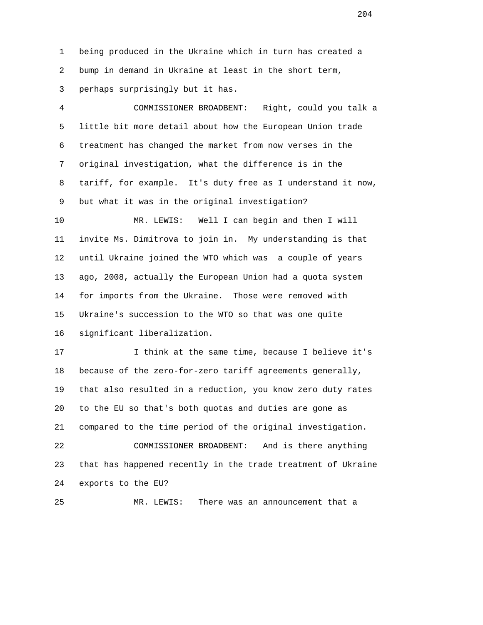1 being produced in the Ukraine which in turn has created a 2 bump in demand in Ukraine at least in the short term, 3 perhaps surprisingly but it has.

 4 COMMISSIONER BROADBENT: Right, could you talk a 5 little bit more detail about how the European Union trade 6 treatment has changed the market from now verses in the 7 original investigation, what the difference is in the 8 tariff, for example. It's duty free as I understand it now, 9 but what it was in the original investigation?

 10 MR. LEWIS: Well I can begin and then I will 11 invite Ms. Dimitrova to join in. My understanding is that 12 until Ukraine joined the WTO which was a couple of years 13 ago, 2008, actually the European Union had a quota system 14 for imports from the Ukraine. Those were removed with 15 Ukraine's succession to the WTO so that was one quite 16 significant liberalization.

 17 I think at the same time, because I believe it's 18 because of the zero-for-zero tariff agreements generally, 19 that also resulted in a reduction, you know zero duty rates 20 to the EU so that's both quotas and duties are gone as 21 compared to the time period of the original investigation. 22 COMMISSIONER BROADBENT: And is there anything 23 that has happened recently in the trade treatment of Ukraine 24 exports to the EU?

25 MR. LEWIS: There was an announcement that a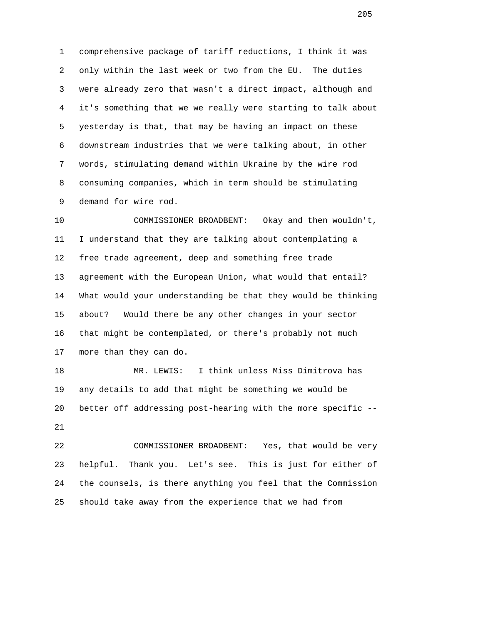1 comprehensive package of tariff reductions, I think it was 2 only within the last week or two from the EU. The duties 3 were already zero that wasn't a direct impact, although and 4 it's something that we we really were starting to talk about 5 yesterday is that, that may be having an impact on these 6 downstream industries that we were talking about, in other 7 words, stimulating demand within Ukraine by the wire rod 8 consuming companies, which in term should be stimulating 9 demand for wire rod.

 10 COMMISSIONER BROADBENT: Okay and then wouldn't, 11 I understand that they are talking about contemplating a 12 free trade agreement, deep and something free trade 13 agreement with the European Union, what would that entail? 14 What would your understanding be that they would be thinking 15 about? Would there be any other changes in your sector 16 that might be contemplated, or there's probably not much 17 more than they can do.

 18 MR. LEWIS: I think unless Miss Dimitrova has 19 any details to add that might be something we would be 20 better off addressing post-hearing with the more specific -- 21

 22 COMMISSIONER BROADBENT: Yes, that would be very 23 helpful. Thank you. Let's see. This is just for either of 24 the counsels, is there anything you feel that the Commission 25 should take away from the experience that we had from

<u>205</u>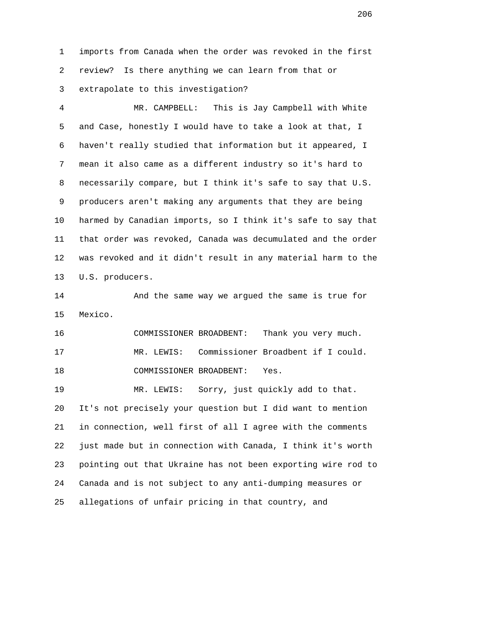1 imports from Canada when the order was revoked in the first 2 review? Is there anything we can learn from that or 3 extrapolate to this investigation?

 4 MR. CAMPBELL: This is Jay Campbell with White 5 and Case, honestly I would have to take a look at that, I 6 haven't really studied that information but it appeared, I 7 mean it also came as a different industry so it's hard to 8 necessarily compare, but I think it's safe to say that U.S. 9 producers aren't making any arguments that they are being 10 harmed by Canadian imports, so I think it's safe to say that 11 that order was revoked, Canada was decumulated and the order 12 was revoked and it didn't result in any material harm to the 13 U.S. producers.

 14 And the same way we argued the same is true for 15 Mexico.

 16 COMMISSIONER BROADBENT: Thank you very much. 17 MR. LEWIS: Commissioner Broadbent if I could. 18 COMMISSIONER BROADBENT: Yes.

 19 MR. LEWIS: Sorry, just quickly add to that. 20 It's not precisely your question but I did want to mention 21 in connection, well first of all I agree with the comments 22 just made but in connection with Canada, I think it's worth 23 pointing out that Ukraine has not been exporting wire rod to 24 Canada and is not subject to any anti-dumping measures or 25 allegations of unfair pricing in that country, and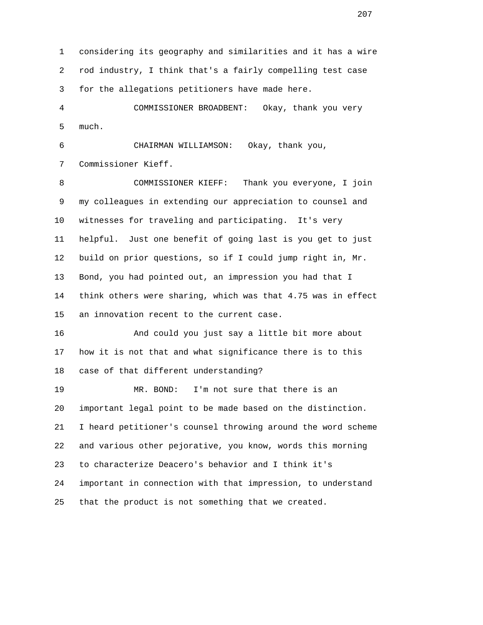1 considering its geography and similarities and it has a wire 2 rod industry, I think that's a fairly compelling test case 3 for the allegations petitioners have made here.

 4 COMMISSIONER BROADBENT: Okay, thank you very 5 much.

 6 CHAIRMAN WILLIAMSON: Okay, thank you, 7 Commissioner Kieff.

 8 COMMISSIONER KIEFF: Thank you everyone, I join 9 my colleagues in extending our appreciation to counsel and 10 witnesses for traveling and participating. It's very 11 helpful. Just one benefit of going last is you get to just 12 build on prior questions, so if I could jump right in, Mr. 13 Bond, you had pointed out, an impression you had that I 14 think others were sharing, which was that 4.75 was in effect 15 an innovation recent to the current case.

 16 And could you just say a little bit more about 17 how it is not that and what significance there is to this 18 case of that different understanding?

 19 MR. BOND: I'm not sure that there is an 20 important legal point to be made based on the distinction. 21 I heard petitioner's counsel throwing around the word scheme 22 and various other pejorative, you know, words this morning 23 to characterize Deacero's behavior and I think it's 24 important in connection with that impression, to understand 25 that the product is not something that we created.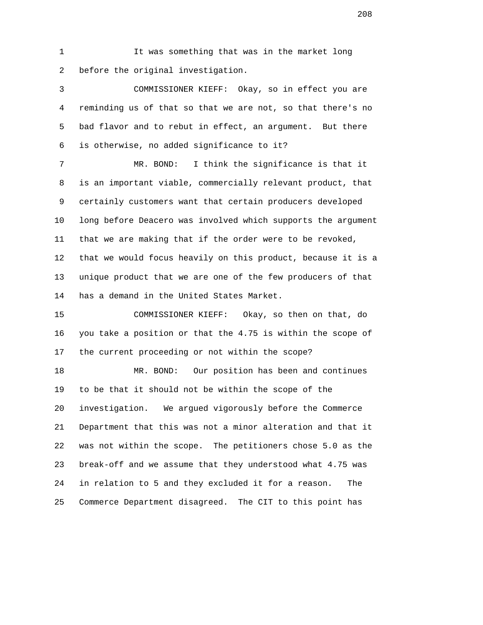1 It was something that was in the market long 2 before the original investigation.

 3 COMMISSIONER KIEFF: Okay, so in effect you are 4 reminding us of that so that we are not, so that there's no 5 bad flavor and to rebut in effect, an argument. But there 6 is otherwise, no added significance to it?

 7 MR. BOND: I think the significance is that it 8 is an important viable, commercially relevant product, that 9 certainly customers want that certain producers developed 10 long before Deacero was involved which supports the argument 11 that we are making that if the order were to be revoked, 12 that we would focus heavily on this product, because it is a 13 unique product that we are one of the few producers of that 14 has a demand in the United States Market.

 15 COMMISSIONER KIEFF: Okay, so then on that, do 16 you take a position or that the 4.75 is within the scope of 17 the current proceeding or not within the scope?

 18 MR. BOND: Our position has been and continues 19 to be that it should not be within the scope of the 20 investigation. We argued vigorously before the Commerce 21 Department that this was not a minor alteration and that it 22 was not within the scope. The petitioners chose 5.0 as the 23 break-off and we assume that they understood what 4.75 was 24 in relation to 5 and they excluded it for a reason. The 25 Commerce Department disagreed. The CIT to this point has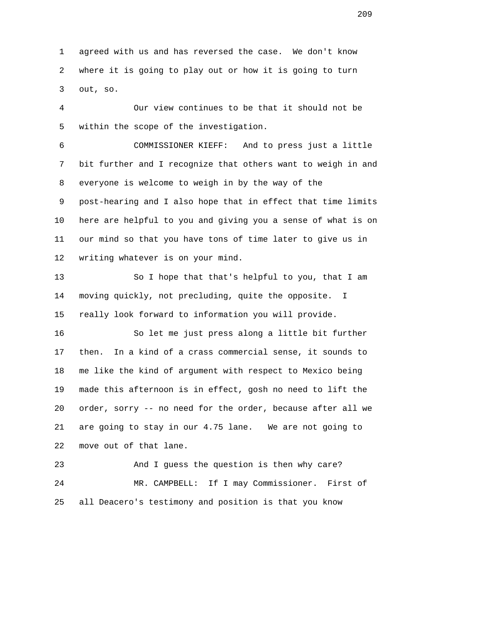1 agreed with us and has reversed the case. We don't know 2 where it is going to play out or how it is going to turn 3 out, so.

 4 Our view continues to be that it should not be 5 within the scope of the investigation.

 6 COMMISSIONER KIEFF: And to press just a little 7 bit further and I recognize that others want to weigh in and 8 everyone is welcome to weigh in by the way of the 9 post-hearing and I also hope that in effect that time limits 10 here are helpful to you and giving you a sense of what is on 11 our mind so that you have tons of time later to give us in 12 writing whatever is on your mind.

 13 So I hope that that's helpful to you, that I am 14 moving quickly, not precluding, quite the opposite. I 15 really look forward to information you will provide.

 16 So let me just press along a little bit further 17 then. In a kind of a crass commercial sense, it sounds to 18 me like the kind of argument with respect to Mexico being 19 made this afternoon is in effect, gosh no need to lift the 20 order, sorry -- no need for the order, because after all we 21 are going to stay in our 4.75 lane. We are not going to 22 move out of that lane.

 23 And I guess the question is then why care? 24 MR. CAMPBELL: If I may Commissioner. First of 25 all Deacero's testimony and position is that you know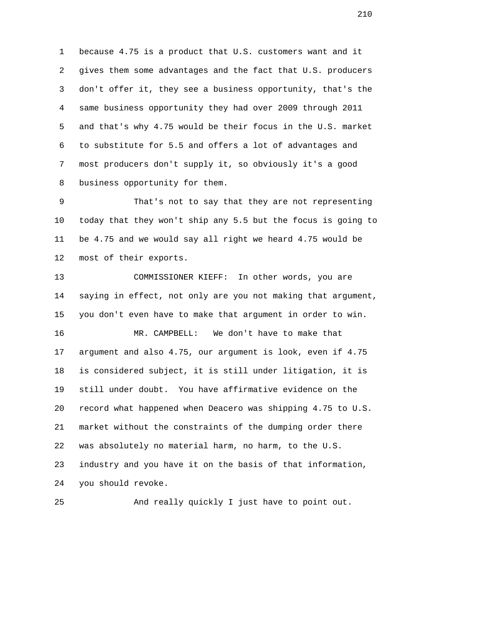1 because 4.75 is a product that U.S. customers want and it 2 gives them some advantages and the fact that U.S. producers 3 don't offer it, they see a business opportunity, that's the 4 same business opportunity they had over 2009 through 2011 5 and that's why 4.75 would be their focus in the U.S. market 6 to substitute for 5.5 and offers a lot of advantages and 7 most producers don't supply it, so obviously it's a good 8 business opportunity for them.

 9 That's not to say that they are not representing 10 today that they won't ship any 5.5 but the focus is going to 11 be 4.75 and we would say all right we heard 4.75 would be 12 most of their exports.

 13 COMMISSIONER KIEFF: In other words, you are 14 saying in effect, not only are you not making that argument, 15 you don't even have to make that argument in order to win. 16 MR. CAMPBELL: We don't have to make that 17 argument and also 4.75, our argument is look, even if 4.75 18 is considered subject, it is still under litigation, it is 19 still under doubt. You have affirmative evidence on the 20 record what happened when Deacero was shipping 4.75 to U.S. 21 market without the constraints of the dumping order there 22 was absolutely no material harm, no harm, to the U.S. 23 industry and you have it on the basis of that information, 24 you should revoke.

25 And really quickly I just have to point out.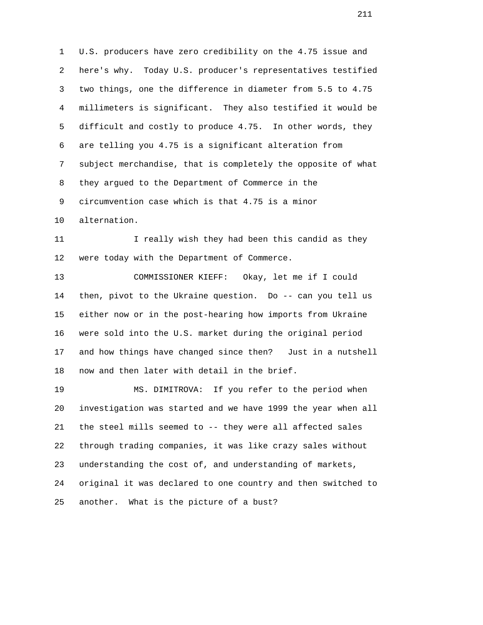1 U.S. producers have zero credibility on the 4.75 issue and 2 here's why. Today U.S. producer's representatives testified 3 two things, one the difference in diameter from 5.5 to 4.75 4 millimeters is significant. They also testified it would be 5 difficult and costly to produce 4.75. In other words, they 6 are telling you 4.75 is a significant alteration from 7 subject merchandise, that is completely the opposite of what 8 they argued to the Department of Commerce in the 9 circumvention case which is that 4.75 is a minor 10 alternation.

11 I really wish they had been this candid as they 12 were today with the Department of Commerce.

 13 COMMISSIONER KIEFF: Okay, let me if I could 14 then, pivot to the Ukraine question. Do -- can you tell us 15 either now or in the post-hearing how imports from Ukraine 16 were sold into the U.S. market during the original period 17 and how things have changed since then? Just in a nutshell 18 now and then later with detail in the brief.

 19 MS. DIMITROVA: If you refer to the period when 20 investigation was started and we have 1999 the year when all 21 the steel mills seemed to -- they were all affected sales 22 through trading companies, it was like crazy sales without 23 understanding the cost of, and understanding of markets, 24 original it was declared to one country and then switched to 25 another. What is the picture of a bust?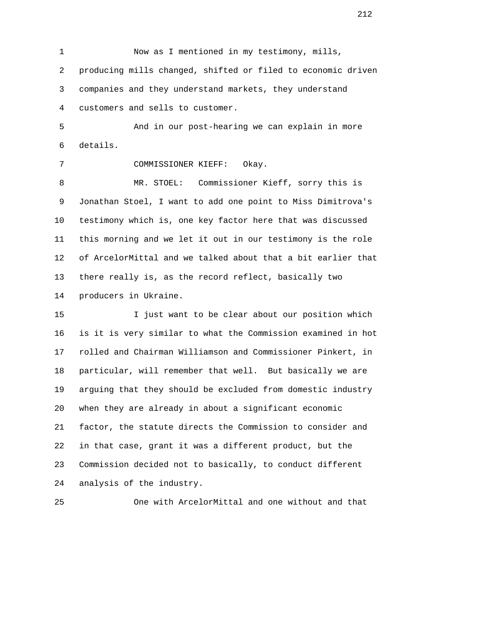1 Now as I mentioned in my testimony, mills, 2 producing mills changed, shifted or filed to economic driven 3 companies and they understand markets, they understand 4 customers and sells to customer.

 5 And in our post-hearing we can explain in more 6 details.

7 COMMISSIONER KIEFF: Okay.

 8 MR. STOEL: Commissioner Kieff, sorry this is 9 Jonathan Stoel, I want to add one point to Miss Dimitrova's 10 testimony which is, one key factor here that was discussed 11 this morning and we let it out in our testimony is the role 12 of ArcelorMittal and we talked about that a bit earlier that 13 there really is, as the record reflect, basically two 14 producers in Ukraine.

 15 I just want to be clear about our position which 16 is it is very similar to what the Commission examined in hot 17 rolled and Chairman Williamson and Commissioner Pinkert, in 18 particular, will remember that well. But basically we are 19 arguing that they should be excluded from domestic industry 20 when they are already in about a significant economic 21 factor, the statute directs the Commission to consider and 22 in that case, grant it was a different product, but the 23 Commission decided not to basically, to conduct different 24 analysis of the industry.

25 One with ArcelorMittal and one without and that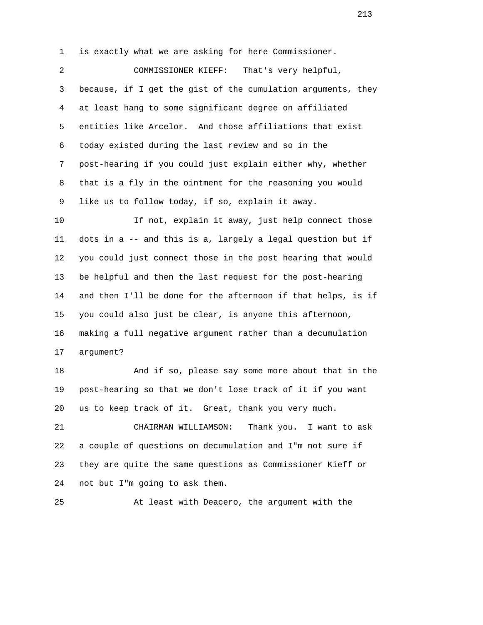1 is exactly what we are asking for here Commissioner.

 2 COMMISSIONER KIEFF: That's very helpful, 3 because, if I get the gist of the cumulation arguments, they 4 at least hang to some significant degree on affiliated 5 entities like Arcelor. And those affiliations that exist 6 today existed during the last review and so in the 7 post-hearing if you could just explain either why, whether 8 that is a fly in the ointment for the reasoning you would 9 like us to follow today, if so, explain it away.

10 10 If not, explain it away, just help connect those 11 dots in a -- and this is a, largely a legal question but if 12 you could just connect those in the post hearing that would 13 be helpful and then the last request for the post-hearing 14 and then I'll be done for the afternoon if that helps, is if 15 you could also just be clear, is anyone this afternoon, 16 making a full negative argument rather than a decumulation 17 argument?

 18 And if so, please say some more about that in the 19 post-hearing so that we don't lose track of it if you want 20 us to keep track of it. Great, thank you very much.

 21 CHAIRMAN WILLIAMSON: Thank you. I want to ask 22 a couple of questions on decumulation and I"m not sure if 23 they are quite the same questions as Commissioner Kieff or 24 not but I"m going to ask them.

25 At least with Deacero, the argument with the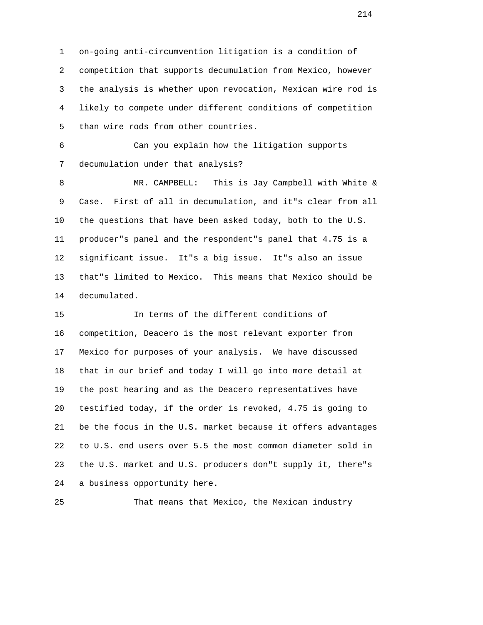1 on-going anti-circumvention litigation is a condition of 2 competition that supports decumulation from Mexico, however 3 the analysis is whether upon revocation, Mexican wire rod is 4 likely to compete under different conditions of competition 5 than wire rods from other countries.

 6 Can you explain how the litigation supports 7 decumulation under that analysis?

 8 MR. CAMPBELL: This is Jay Campbell with White & 9 Case. First of all in decumulation, and it"s clear from all 10 the questions that have been asked today, both to the U.S. 11 producer"s panel and the respondent"s panel that 4.75 is a 12 significant issue. It"s a big issue. It"s also an issue 13 that"s limited to Mexico. This means that Mexico should be 14 decumulated.

 15 In terms of the different conditions of 16 competition, Deacero is the most relevant exporter from 17 Mexico for purposes of your analysis. We have discussed 18 that in our brief and today I will go into more detail at 19 the post hearing and as the Deacero representatives have 20 testified today, if the order is revoked, 4.75 is going to 21 be the focus in the U.S. market because it offers advantages 22 to U.S. end users over 5.5 the most common diameter sold in 23 the U.S. market and U.S. producers don"t supply it, there"s 24 a business opportunity here.

25 That means that Mexico, the Mexican industry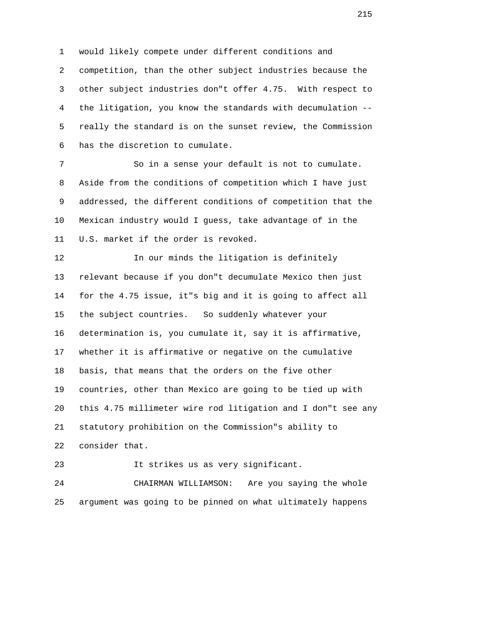1 would likely compete under different conditions and 2 competition, than the other subject industries because the 3 other subject industries don"t offer 4.75. With respect to 4 the litigation, you know the standards with decumulation -- 5 really the standard is on the sunset review, the Commission 6 has the discretion to cumulate.

 7 So in a sense your default is not to cumulate. 8 Aside from the conditions of competition which I have just 9 addressed, the different conditions of competition that the 10 Mexican industry would I guess, take advantage of in the 11 U.S. market if the order is revoked.

12 12 In our minds the litigation is definitely 13 relevant because if you don"t decumulate Mexico then just 14 for the 4.75 issue, it"s big and it is going to affect all 15 the subject countries. So suddenly whatever your 16 determination is, you cumulate it, say it is affirmative, 17 whether it is affirmative or negative on the cumulative 18 basis, that means that the orders on the five other 19 countries, other than Mexico are going to be tied up with 20 this 4.75 millimeter wire rod litigation and I don"t see any 21 statutory prohibition on the Commission"s ability to 22 consider that.

23 It strikes us as very significant.

 24 CHAIRMAN WILLIAMSON: Are you saying the whole 25 argument was going to be pinned on what ultimately happens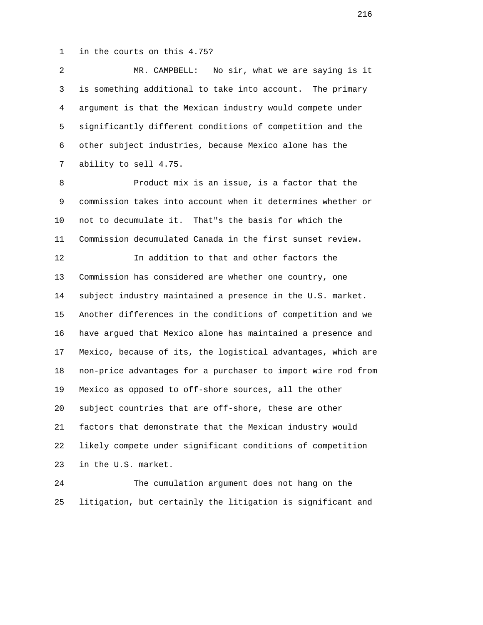1 in the courts on this 4.75?

 2 MR. CAMPBELL: No sir, what we are saying is it 3 is something additional to take into account. The primary 4 argument is that the Mexican industry would compete under 5 significantly different conditions of competition and the 6 other subject industries, because Mexico alone has the 7 ability to sell 4.75.

 8 Product mix is an issue, is a factor that the 9 commission takes into account when it determines whether or 10 not to decumulate it. That"s the basis for which the 11 Commission decumulated Canada in the first sunset review. 12 In addition to that and other factors the 13 Commission has considered are whether one country, one 14 subject industry maintained a presence in the U.S. market. 15 Another differences in the conditions of competition and we 16 have argued that Mexico alone has maintained a presence and 17 Mexico, because of its, the logistical advantages, which are 18 non-price advantages for a purchaser to import wire rod from 19 Mexico as opposed to off-shore sources, all the other 20 subject countries that are off-shore, these are other 21 factors that demonstrate that the Mexican industry would 22 likely compete under significant conditions of competition 23 in the U.S. market.

 24 The cumulation argument does not hang on the 25 litigation, but certainly the litigation is significant and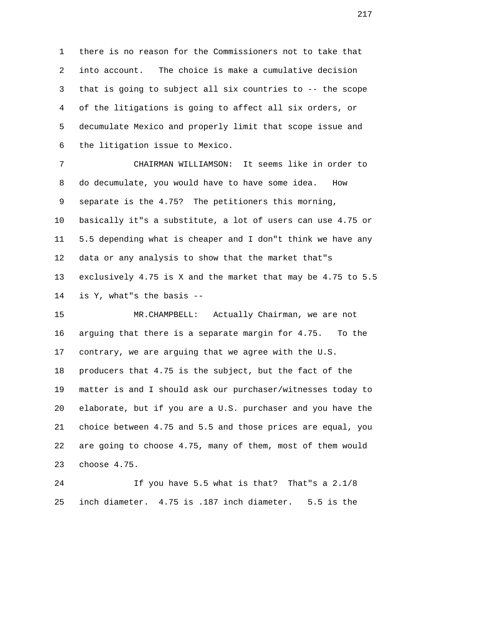1 there is no reason for the Commissioners not to take that 2 into account. The choice is make a cumulative decision 3 that is going to subject all six countries to -- the scope 4 of the litigations is going to affect all six orders, or 5 decumulate Mexico and properly limit that scope issue and 6 the litigation issue to Mexico.

 7 CHAIRMAN WILLIAMSON: It seems like in order to 8 do decumulate, you would have to have some idea. How 9 separate is the 4.75? The petitioners this morning, 10 basically it"s a substitute, a lot of users can use 4.75 or 11 5.5 depending what is cheaper and I don"t think we have any 12 data or any analysis to show that the market that"s 13 exclusively 4.75 is X and the market that may be 4.75 to 5.5 14 is Y, what"s the basis --

 15 MR.CHAMPBELL: Actually Chairman, we are not 16 arguing that there is a separate margin for 4.75. To the 17 contrary, we are arguing that we agree with the U.S. 18 producers that 4.75 is the subject, but the fact of the 19 matter is and I should ask our purchaser/witnesses today to 20 elaborate, but if you are a U.S. purchaser and you have the 21 choice between 4.75 and 5.5 and those prices are equal, you 22 are going to choose 4.75, many of them, most of them would 23 choose 4.75.

 24 If you have 5.5 what is that? That"s a 2.1/8 25 inch diameter. 4.75 is .187 inch diameter. 5.5 is the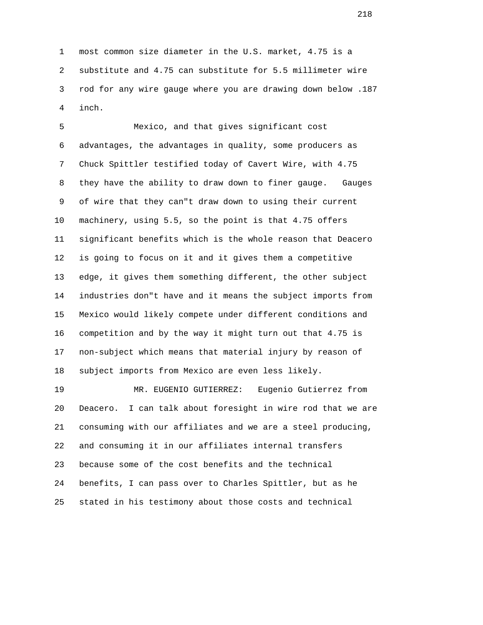1 most common size diameter in the U.S. market, 4.75 is a 2 substitute and 4.75 can substitute for 5.5 millimeter wire 3 rod for any wire gauge where you are drawing down below .187 4 inch.

 5 Mexico, and that gives significant cost 6 advantages, the advantages in quality, some producers as 7 Chuck Spittler testified today of Cavert Wire, with 4.75 8 they have the ability to draw down to finer gauge. Gauges 9 of wire that they can"t draw down to using their current 10 machinery, using 5.5, so the point is that 4.75 offers 11 significant benefits which is the whole reason that Deacero 12 is going to focus on it and it gives them a competitive 13 edge, it gives them something different, the other subject 14 industries don"t have and it means the subject imports from 15 Mexico would likely compete under different conditions and 16 competition and by the way it might turn out that 4.75 is 17 non-subject which means that material injury by reason of 18 subject imports from Mexico are even less likely.

 19 MR. EUGENIO GUTIERREZ: Eugenio Gutierrez from 20 Deacero. I can talk about foresight in wire rod that we are 21 consuming with our affiliates and we are a steel producing, 22 and consuming it in our affiliates internal transfers 23 because some of the cost benefits and the technical 24 benefits, I can pass over to Charles Spittler, but as he 25 stated in his testimony about those costs and technical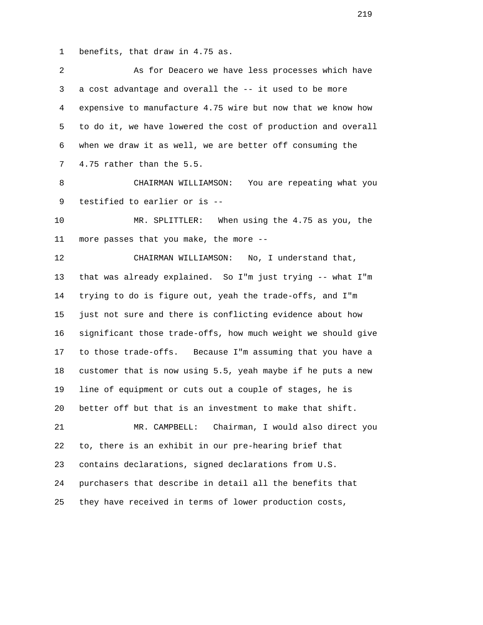1 benefits, that draw in 4.75 as.

| 2              | As for Deacero we have less processes which have             |
|----------------|--------------------------------------------------------------|
| 3              | a cost advantage and overall the -- it used to be more       |
| $\overline{4}$ | expensive to manufacture 4.75 wire but now that we know how  |
| 5              | to do it, we have lowered the cost of production and overall |
| 6              | when we draw it as well, we are better off consuming the     |
| 7              | 4.75 rather than the 5.5.                                    |
| 8              | CHAIRMAN WILLIAMSON:<br>You are repeating what you           |
| 9              | testified to earlier or is --                                |
| 10             | MR. SPLITTLER:<br>When using the 4.75 as you, the            |
| 11             | more passes that you make, the more --                       |
| 12             | CHAIRMAN WILLIAMSON:<br>No, I understand that,               |
| 13             | that was already explained. So I'm just trying -- what I'm   |
| 14             | trying to do is figure out, yeah the trade-offs, and I'm     |
| 15             | just not sure and there is conflicting evidence about how    |
| 16             | significant those trade-offs, how much weight we should give |
| 17             | to those trade-offs. Because I'm assuming that you have a    |
| 18             | customer that is now using 5.5, yeah maybe if he puts a new  |
| 19             | line of equipment or cuts out a couple of stages, he is      |
| 20             | better off but that is an investment to make that shift.     |
| 21             | Chairman, I would also direct you<br>MR. CAMPBELL:           |
| 22             | to, there is an exhibit in our pre-hearing brief that        |
| 23             | contains declarations, signed declarations from U.S.         |
| 24             | purchasers that describe in detail all the benefits that     |
| 25             | they have received in terms of lower production costs,       |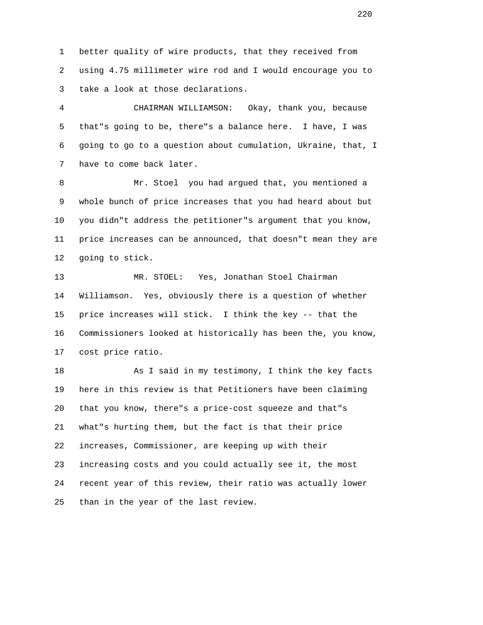1 better quality of wire products, that they received from 2 using 4.75 millimeter wire rod and I would encourage you to 3 take a look at those declarations.

 4 CHAIRMAN WILLIAMSON: Okay, thank you, because 5 that"s going to be, there"s a balance here. I have, I was 6 going to go to a question about cumulation, Ukraine, that, I 7 have to come back later.

 8 Mr. Stoel you had argued that, you mentioned a 9 whole bunch of price increases that you had heard about but 10 you didn"t address the petitioner"s argument that you know, 11 price increases can be announced, that doesn"t mean they are 12 going to stick.

 13 MR. STOEL: Yes, Jonathan Stoel Chairman 14 Williamson. Yes, obviously there is a question of whether 15 price increases will stick. I think the key -- that the 16 Commissioners looked at historically has been the, you know, 17 cost price ratio.

 18 As I said in my testimony, I think the key facts 19 here in this review is that Petitioners have been claiming 20 that you know, there"s a price-cost squeeze and that"s 21 what"s hurting them, but the fact is that their price 22 increases, Commissioner, are keeping up with their 23 increasing costs and you could actually see it, the most 24 recent year of this review, their ratio was actually lower 25 than in the year of the last review.

<u>220</u>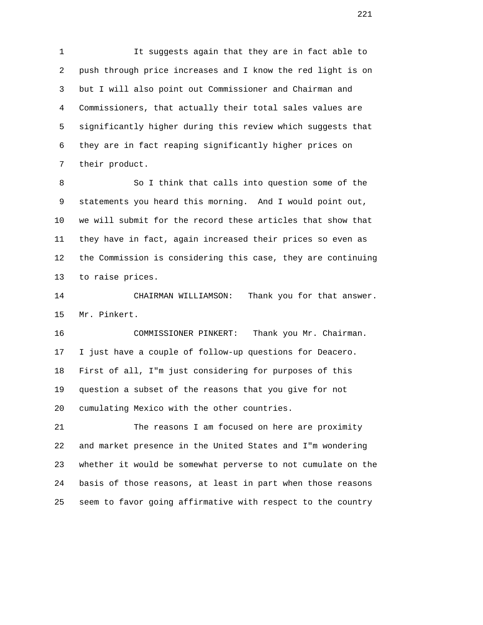1 It suggests again that they are in fact able to 2 push through price increases and I know the red light is on 3 but I will also point out Commissioner and Chairman and 4 Commissioners, that actually their total sales values are 5 significantly higher during this review which suggests that 6 they are in fact reaping significantly higher prices on 7 their product.

8 So I think that calls into question some of the 9 statements you heard this morning. And I would point out, 10 we will submit for the record these articles that show that 11 they have in fact, again increased their prices so even as 12 the Commission is considering this case, they are continuing 13 to raise prices.

 14 CHAIRMAN WILLIAMSON: Thank you for that answer. 15 Mr. Pinkert.

 16 COMMISSIONER PINKERT: Thank you Mr. Chairman. 17 I just have a couple of follow-up questions for Deacero. 18 First of all, I"m just considering for purposes of this 19 question a subset of the reasons that you give for not 20 cumulating Mexico with the other countries.

 21 The reasons I am focused on here are proximity 22 and market presence in the United States and I"m wondering 23 whether it would be somewhat perverse to not cumulate on the 24 basis of those reasons, at least in part when those reasons 25 seem to favor going affirmative with respect to the country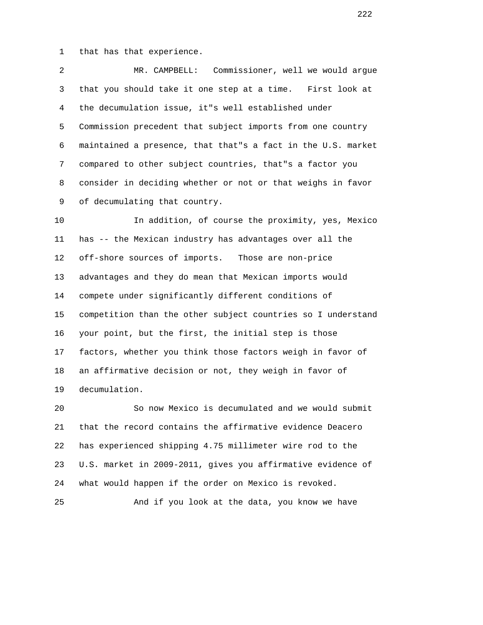1 that has that experience.

 2 MR. CAMPBELL: Commissioner, well we would argue 3 that you should take it one step at a time. First look at 4 the decumulation issue, it"s well established under 5 Commission precedent that subject imports from one country 6 maintained a presence, that that"s a fact in the U.S. market 7 compared to other subject countries, that"s a factor you 8 consider in deciding whether or not or that weighs in favor 9 of decumulating that country.

 10 In addition, of course the proximity, yes, Mexico 11 has -- the Mexican industry has advantages over all the 12 off-shore sources of imports. Those are non-price 13 advantages and they do mean that Mexican imports would 14 compete under significantly different conditions of 15 competition than the other subject countries so I understand 16 your point, but the first, the initial step is those 17 factors, whether you think those factors weigh in favor of 18 an affirmative decision or not, they weigh in favor of 19 decumulation.

 20 So now Mexico is decumulated and we would submit 21 that the record contains the affirmative evidence Deacero 22 has experienced shipping 4.75 millimeter wire rod to the 23 U.S. market in 2009-2011, gives you affirmative evidence of 24 what would happen if the order on Mexico is revoked.

25 And if you look at the data, you know we have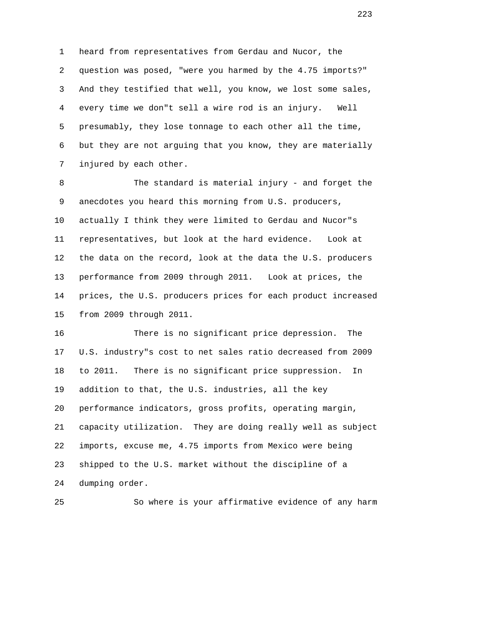1 heard from representatives from Gerdau and Nucor, the 2 question was posed, "were you harmed by the 4.75 imports?" 3 And they testified that well, you know, we lost some sales, 4 every time we don"t sell a wire rod is an injury. Well 5 presumably, they lose tonnage to each other all the time, 6 but they are not arguing that you know, they are materially 7 injured by each other.

 8 The standard is material injury - and forget the 9 anecdotes you heard this morning from U.S. producers, 10 actually I think they were limited to Gerdau and Nucor"s 11 representatives, but look at the hard evidence. Look at 12 the data on the record, look at the data the U.S. producers 13 performance from 2009 through 2011. Look at prices, the 14 prices, the U.S. producers prices for each product increased 15 from 2009 through 2011.

 16 There is no significant price depression. The 17 U.S. industry"s cost to net sales ratio decreased from 2009 18 to 2011. There is no significant price suppression. In 19 addition to that, the U.S. industries, all the key 20 performance indicators, gross profits, operating margin, 21 capacity utilization. They are doing really well as subject 22 imports, excuse me, 4.75 imports from Mexico were being 23 shipped to the U.S. market without the discipline of a 24 dumping order.

25 So where is your affirmative evidence of any harm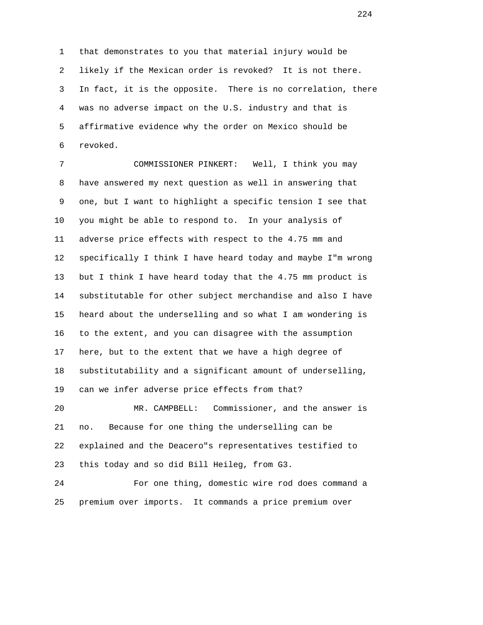1 that demonstrates to you that material injury would be 2 likely if the Mexican order is revoked? It is not there. 3 In fact, it is the opposite. There is no correlation, there 4 was no adverse impact on the U.S. industry and that is 5 affirmative evidence why the order on Mexico should be 6 revoked.

 7 COMMISSIONER PINKERT: Well, I think you may 8 have answered my next question as well in answering that 9 one, but I want to highlight a specific tension I see that 10 you might be able to respond to. In your analysis of 11 adverse price effects with respect to the 4.75 mm and 12 specifically I think I have heard today and maybe I"m wrong 13 but I think I have heard today that the 4.75 mm product is 14 substitutable for other subject merchandise and also I have 15 heard about the underselling and so what I am wondering is 16 to the extent, and you can disagree with the assumption 17 here, but to the extent that we have a high degree of 18 substitutability and a significant amount of underselling, 19 can we infer adverse price effects from that?

 20 MR. CAMPBELL: Commissioner, and the answer is 21 no. Because for one thing the underselling can be 22 explained and the Deacero"s representatives testified to 23 this today and so did Bill Heileg, from G3.

 24 For one thing, domestic wire rod does command a 25 premium over imports. It commands a price premium over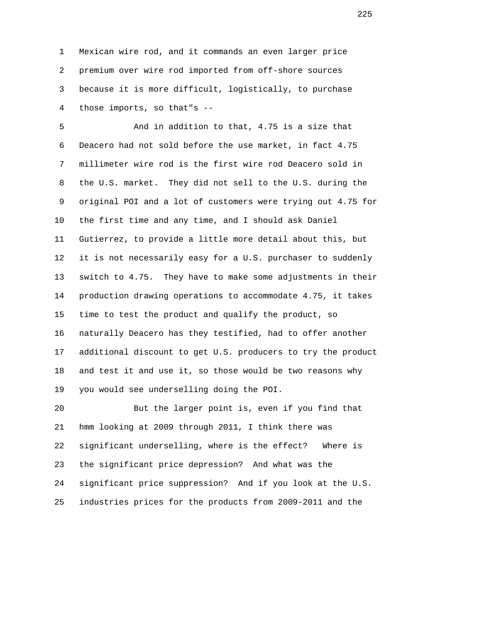1 Mexican wire rod, and it commands an even larger price 2 premium over wire rod imported from off-shore sources 3 because it is more difficult, logistically, to purchase 4 those imports, so that"s --

 5 And in addition to that, 4.75 is a size that 6 Deacero had not sold before the use market, in fact 4.75 7 millimeter wire rod is the first wire rod Deacero sold in 8 the U.S. market. They did not sell to the U.S. during the 9 original POI and a lot of customers were trying out 4.75 for 10 the first time and any time, and I should ask Daniel 11 Gutierrez, to provide a little more detail about this, but 12 it is not necessarily easy for a U.S. purchaser to suddenly 13 switch to 4.75. They have to make some adjustments in their 14 production drawing operations to accommodate 4.75, it takes 15 time to test the product and qualify the product, so 16 naturally Deacero has they testified, had to offer another 17 additional discount to get U.S. producers to try the product 18 and test it and use it, so those would be two reasons why 19 you would see underselling doing the POI.

 20 But the larger point is, even if you find that 21 hmm looking at 2009 through 2011, I think there was 22 significant underselling, where is the effect? Where is 23 the significant price depression? And what was the 24 significant price suppression? And if you look at the U.S. 25 industries prices for the products from 2009-2011 and the

<u>225</u>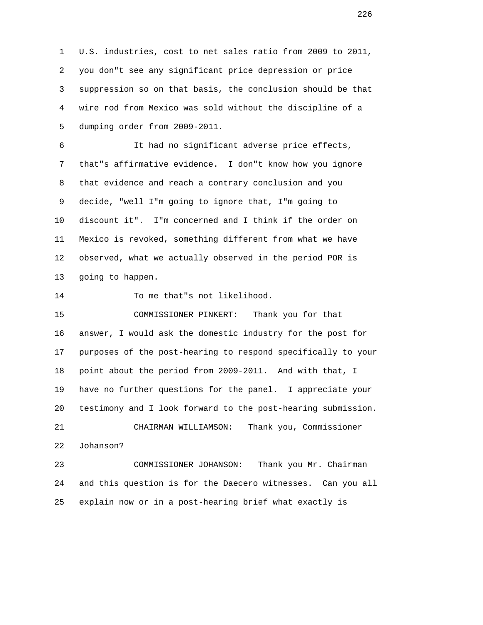1 U.S. industries, cost to net sales ratio from 2009 to 2011, 2 you don"t see any significant price depression or price 3 suppression so on that basis, the conclusion should be that 4 wire rod from Mexico was sold without the discipline of a 5 dumping order from 2009-2011.

 6 It had no significant adverse price effects, 7 that"s affirmative evidence. I don"t know how you ignore 8 that evidence and reach a contrary conclusion and you 9 decide, "well I"m going to ignore that, I"m going to 10 discount it". I"m concerned and I think if the order on 11 Mexico is revoked, something different from what we have 12 observed, what we actually observed in the period POR is 13 going to happen.

14 To me that"s not likelihood.

 15 COMMISSIONER PINKERT: Thank you for that 16 answer, I would ask the domestic industry for the post for 17 purposes of the post-hearing to respond specifically to your 18 point about the period from 2009-2011. And with that, I 19 have no further questions for the panel. I appreciate your 20 testimony and I look forward to the post-hearing submission. 21 CHAIRMAN WILLIAMSON: Thank you, Commissioner 22 Johanson?

 23 COMMISSIONER JOHANSON: Thank you Mr. Chairman 24 and this question is for the Daecero witnesses. Can you all 25 explain now or in a post-hearing brief what exactly is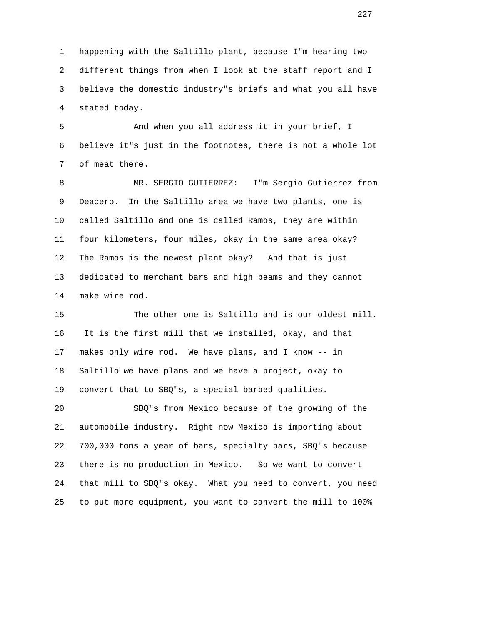1 happening with the Saltillo plant, because I"m hearing two 2 different things from when I look at the staff report and I 3 believe the domestic industry"s briefs and what you all have 4 stated today.

 5 And when you all address it in your brief, I 6 believe it"s just in the footnotes, there is not a whole lot 7 of meat there.

 8 MR. SERGIO GUTIERREZ: I"m Sergio Gutierrez from 9 Deacero. In the Saltillo area we have two plants, one is 10 called Saltillo and one is called Ramos, they are within 11 four kilometers, four miles, okay in the same area okay? 12 The Ramos is the newest plant okay? And that is just 13 dedicated to merchant bars and high beams and they cannot 14 make wire rod.

 15 The other one is Saltillo and is our oldest mill. 16 It is the first mill that we installed, okay, and that 17 makes only wire rod. We have plans, and I know -- in 18 Saltillo we have plans and we have a project, okay to 19 convert that to SBQ"s, a special barbed qualities.

 20 SBQ"s from Mexico because of the growing of the 21 automobile industry. Right now Mexico is importing about 22 700,000 tons a year of bars, specialty bars, SBQ"s because 23 there is no production in Mexico. So we want to convert 24 that mill to SBQ"s okay. What you need to convert, you need 25 to put more equipment, you want to convert the mill to 100%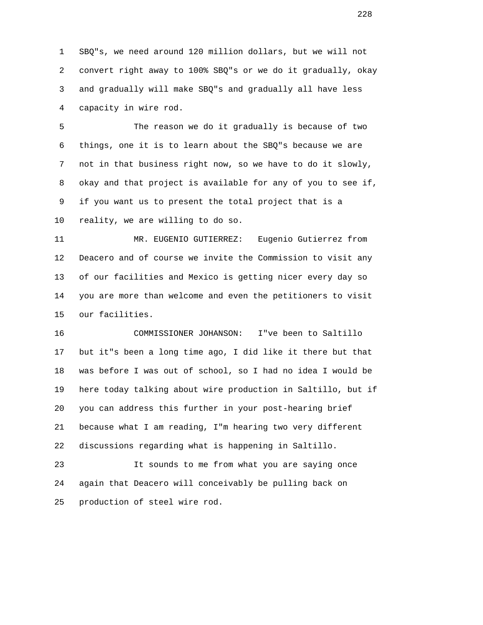1 SBQ"s, we need around 120 million dollars, but we will not 2 convert right away to 100% SBQ"s or we do it gradually, okay 3 and gradually will make SBQ"s and gradually all have less 4 capacity in wire rod.

 5 The reason we do it gradually is because of two 6 things, one it is to learn about the SBQ"s because we are 7 not in that business right now, so we have to do it slowly, 8 okay and that project is available for any of you to see if, 9 if you want us to present the total project that is a 10 reality, we are willing to do so.

 11 MR. EUGENIO GUTIERREZ: Eugenio Gutierrez from 12 Deacero and of course we invite the Commission to visit any 13 of our facilities and Mexico is getting nicer every day so 14 you are more than welcome and even the petitioners to visit 15 our facilities.

 16 COMMISSIONER JOHANSON: I"ve been to Saltillo 17 but it"s been a long time ago, I did like it there but that 18 was before I was out of school, so I had no idea I would be 19 here today talking about wire production in Saltillo, but if 20 you can address this further in your post-hearing brief 21 because what I am reading, I"m hearing two very different 22 discussions regarding what is happening in Saltillo.

 23 It sounds to me from what you are saying once 24 again that Deacero will conceivably be pulling back on 25 production of steel wire rod.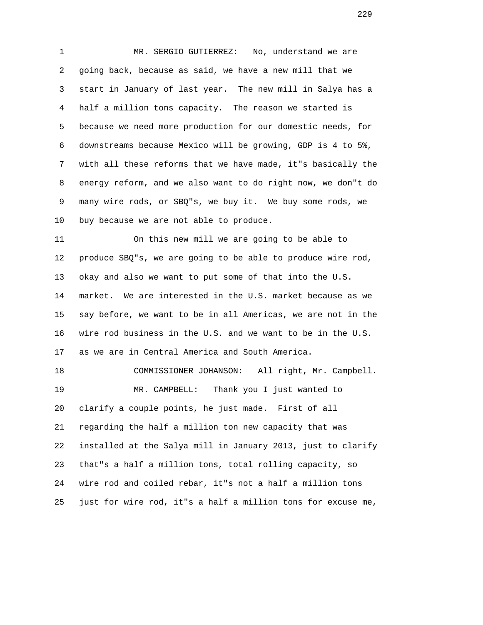1 MR. SERGIO GUTIERREZ: No, understand we are 2 going back, because as said, we have a new mill that we 3 start in January of last year. The new mill in Salya has a 4 half a million tons capacity. The reason we started is 5 because we need more production for our domestic needs, for 6 downstreams because Mexico will be growing, GDP is 4 to 5%, 7 with all these reforms that we have made, it"s basically the 8 energy reform, and we also want to do right now, we don"t do 9 many wire rods, or SBQ"s, we buy it. We buy some rods, we 10 buy because we are not able to produce.

 11 On this new mill we are going to be able to 12 produce SBQ"s, we are going to be able to produce wire rod, 13 okay and also we want to put some of that into the U.S. 14 market. We are interested in the U.S. market because as we 15 say before, we want to be in all Americas, we are not in the 16 wire rod business in the U.S. and we want to be in the U.S. 17 as we are in Central America and South America.

 18 COMMISSIONER JOHANSON: All right, Mr. Campbell. 19 MR. CAMPBELL: Thank you I just wanted to 20 clarify a couple points, he just made. First of all 21 regarding the half a million ton new capacity that was 22 installed at the Salya mill in January 2013, just to clarify 23 that"s a half a million tons, total rolling capacity, so 24 wire rod and coiled rebar, it"s not a half a million tons 25 just for wire rod, it"s a half a million tons for excuse me,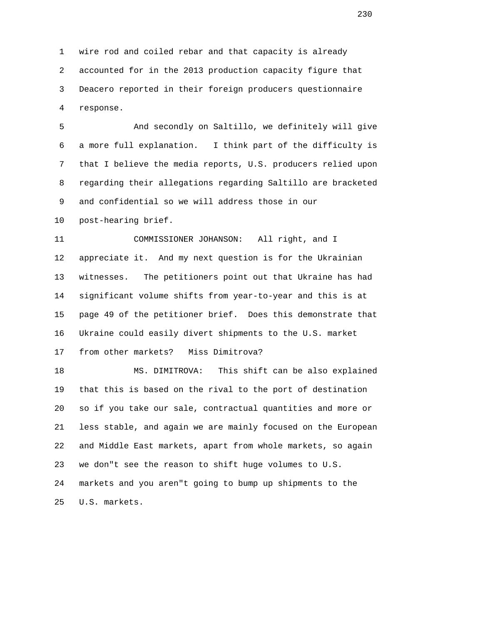1 wire rod and coiled rebar and that capacity is already 2 accounted for in the 2013 production capacity figure that 3 Deacero reported in their foreign producers questionnaire 4 response.

 5 And secondly on Saltillo, we definitely will give 6 a more full explanation. I think part of the difficulty is 7 that I believe the media reports, U.S. producers relied upon 8 regarding their allegations regarding Saltillo are bracketed 9 and confidential so we will address those in our 10 post-hearing brief.

 11 COMMISSIONER JOHANSON: All right, and I 12 appreciate it. And my next question is for the Ukrainian 13 witnesses. The petitioners point out that Ukraine has had 14 significant volume shifts from year-to-year and this is at 15 page 49 of the petitioner brief. Does this demonstrate that 16 Ukraine could easily divert shipments to the U.S. market 17 from other markets? Miss Dimitrova?

 18 MS. DIMITROVA: This shift can be also explained 19 that this is based on the rival to the port of destination 20 so if you take our sale, contractual quantities and more or 21 less stable, and again we are mainly focused on the European 22 and Middle East markets, apart from whole markets, so again 23 we don"t see the reason to shift huge volumes to U.S. 24 markets and you aren"t going to bump up shipments to the 25 U.S. markets.

<u>230</u>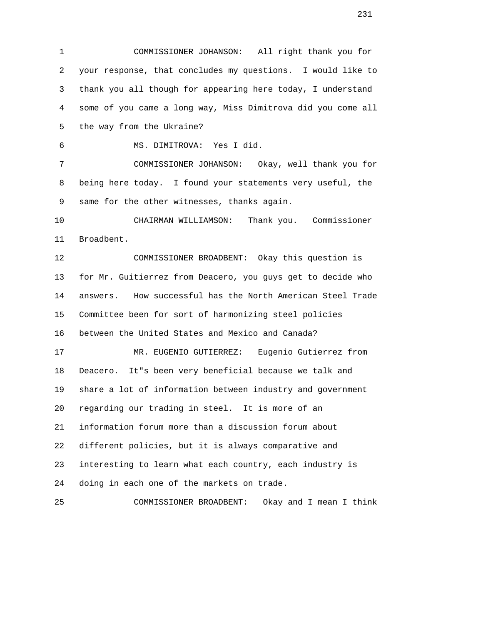1 COMMISSIONER JOHANSON: All right thank you for 2 your response, that concludes my questions. I would like to 3 thank you all though for appearing here today, I understand 4 some of you came a long way, Miss Dimitrova did you come all 5 the way from the Ukraine? 6 MS. DIMITROVA: Yes I did. 7 COMMISSIONER JOHANSON: Okay, well thank you for 8 being here today. I found your statements very useful, the 9 same for the other witnesses, thanks again. 10 CHAIRMAN WILLIAMSON: Thank you. Commissioner 11 Broadbent. 12 COMMISSIONER BROADBENT: Okay this question is 13 for Mr. Guitierrez from Deacero, you guys get to decide who 14 answers. How successful has the North American Steel Trade 15 Committee been for sort of harmonizing steel policies 16 between the United States and Mexico and Canada? 17 MR. EUGENIO GUTIERREZ: Eugenio Gutierrez from 18 Deacero. It"s been very beneficial because we talk and 19 share a lot of information between industry and government 20 regarding our trading in steel. It is more of an 21 information forum more than a discussion forum about 22 different policies, but it is always comparative and 23 interesting to learn what each country, each industry is 24 doing in each one of the markets on trade. 25 COMMISSIONER BROADBENT: Okay and I mean I think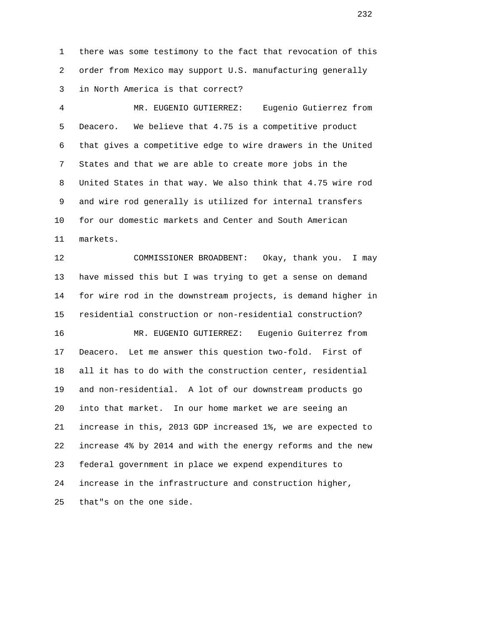1 there was some testimony to the fact that revocation of this 2 order from Mexico may support U.S. manufacturing generally 3 in North America is that correct?

 4 MR. EUGENIO GUTIERREZ: Eugenio Gutierrez from 5 Deacero. We believe that 4.75 is a competitive product 6 that gives a competitive edge to wire drawers in the United 7 States and that we are able to create more jobs in the 8 United States in that way. We also think that 4.75 wire rod 9 and wire rod generally is utilized for internal transfers 10 for our domestic markets and Center and South American 11 markets.

 12 COMMISSIONER BROADBENT: Okay, thank you. I may 13 have missed this but I was trying to get a sense on demand 14 for wire rod in the downstream projects, is demand higher in 15 residential construction or non-residential construction? 16 MR. EUGENIO GUTIERREZ: Eugenio Guiterrez from 17 Deacero. Let me answer this question two-fold. First of 18 all it has to do with the construction center, residential 19 and non-residential. A lot of our downstream products go 20 into that market. In our home market we are seeing an 21 increase in this, 2013 GDP increased 1%, we are expected to 22 increase 4% by 2014 and with the energy reforms and the new 23 federal government in place we expend expenditures to 24 increase in the infrastructure and construction higher, 25 that"s on the one side.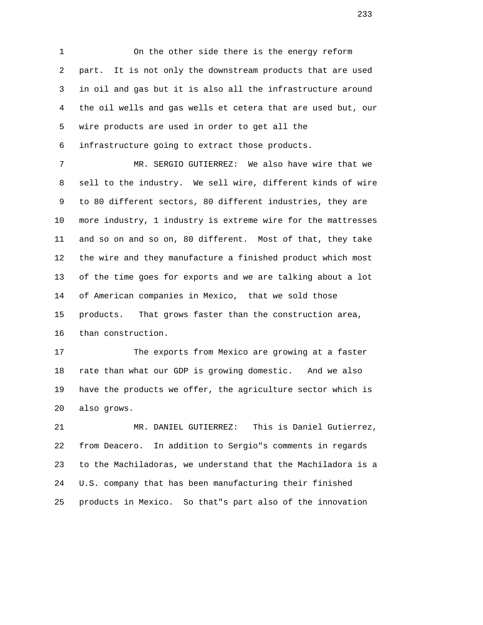1 On the other side there is the energy reform 2 part. It is not only the downstream products that are used 3 in oil and gas but it is also all the infrastructure around 4 the oil wells and gas wells et cetera that are used but, our 5 wire products are used in order to get all the 6 infrastructure going to extract those products.

 7 MR. SERGIO GUTIERREZ: We also have wire that we 8 sell to the industry. We sell wire, different kinds of wire 9 to 80 different sectors, 80 different industries, they are 10 more industry, 1 industry is extreme wire for the mattresses 11 and so on and so on, 80 different. Most of that, they take 12 the wire and they manufacture a finished product which most 13 of the time goes for exports and we are talking about a lot 14 of American companies in Mexico, that we sold those 15 products. That grows faster than the construction area, 16 than construction.

 17 The exports from Mexico are growing at a faster 18 rate than what our GDP is growing domestic. And we also 19 have the products we offer, the agriculture sector which is 20 also grows.

 21 MR. DANIEL GUTIERREZ: This is Daniel Gutierrez, 22 from Deacero. In addition to Sergio"s comments in regards 23 to the Machiladoras, we understand that the Machiladora is a 24 U.S. company that has been manufacturing their finished 25 products in Mexico. So that"s part also of the innovation

<u>233</u>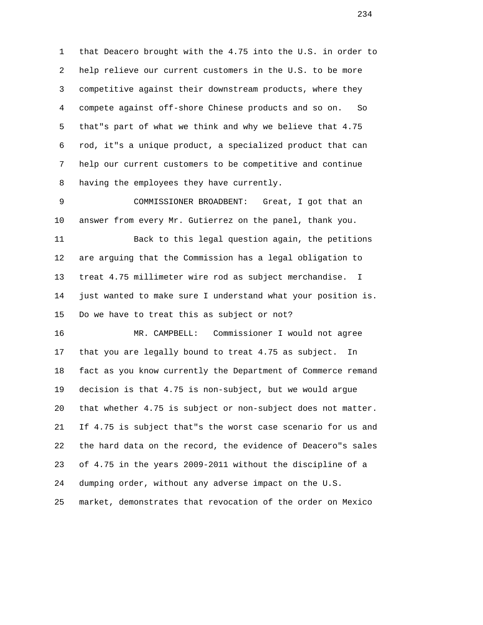1 that Deacero brought with the 4.75 into the U.S. in order to 2 help relieve our current customers in the U.S. to be more 3 competitive against their downstream products, where they 4 compete against off-shore Chinese products and so on. So 5 that"s part of what we think and why we believe that 4.75 6 rod, it"s a unique product, a specialized product that can 7 help our current customers to be competitive and continue 8 having the employees they have currently.

 9 COMMISSIONER BROADBENT: Great, I got that an 10 answer from every Mr. Gutierrez on the panel, thank you.

 11 Back to this legal question again, the petitions 12 are arguing that the Commission has a legal obligation to 13 treat 4.75 millimeter wire rod as subject merchandise. I 14 just wanted to make sure I understand what your position is. 15 Do we have to treat this as subject or not?

 16 MR. CAMPBELL: Commissioner I would not agree 17 that you are legally bound to treat 4.75 as subject. In 18 fact as you know currently the Department of Commerce remand 19 decision is that 4.75 is non-subject, but we would argue 20 that whether 4.75 is subject or non-subject does not matter. 21 If 4.75 is subject that"s the worst case scenario for us and 22 the hard data on the record, the evidence of Deacero"s sales 23 of 4.75 in the years 2009-2011 without the discipline of a 24 dumping order, without any adverse impact on the U.S. 25 market, demonstrates that revocation of the order on Mexico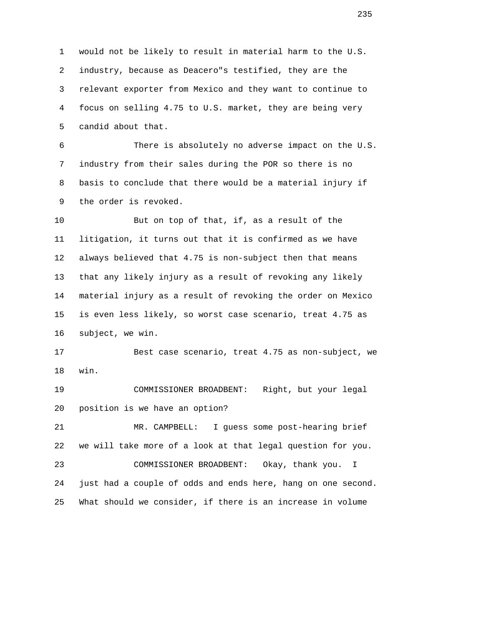1 would not be likely to result in material harm to the U.S. 2 industry, because as Deacero"s testified, they are the 3 relevant exporter from Mexico and they want to continue to 4 focus on selling 4.75 to U.S. market, they are being very 5 candid about that.

 6 There is absolutely no adverse impact on the U.S. 7 industry from their sales during the POR so there is no 8 basis to conclude that there would be a material injury if 9 the order is revoked.

 10 But on top of that, if, as a result of the 11 litigation, it turns out that it is confirmed as we have 12 always believed that 4.75 is non-subject then that means 13 that any likely injury as a result of revoking any likely 14 material injury as a result of revoking the order on Mexico 15 is even less likely, so worst case scenario, treat 4.75 as 16 subject, we win.

 17 Best case scenario, treat 4.75 as non-subject, we 18 win.

 19 COMMISSIONER BROADBENT: Right, but your legal 20 position is we have an option?

 21 MR. CAMPBELL: I guess some post-hearing brief 22 we will take more of a look at that legal question for you.

 23 COMMISSIONER BROADBENT: Okay, thank you. I 24 just had a couple of odds and ends here, hang on one second. 25 What should we consider, if there is an increase in volume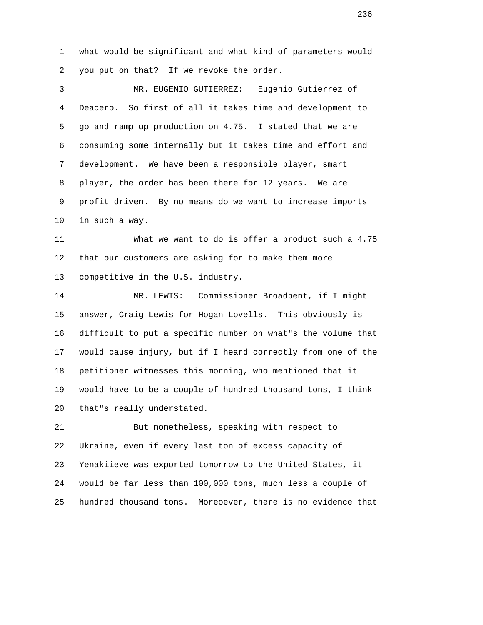1 what would be significant and what kind of parameters would 2 you put on that? If we revoke the order.

 3 MR. EUGENIO GUTIERREZ: Eugenio Gutierrez of 4 Deacero. So first of all it takes time and development to 5 go and ramp up production on 4.75. I stated that we are 6 consuming some internally but it takes time and effort and 7 development. We have been a responsible player, smart 8 player, the order has been there for 12 years. We are 9 profit driven. By no means do we want to increase imports 10 in such a way.

 11 What we want to do is offer a product such a 4.75 12 that our customers are asking for to make them more 13 competitive in the U.S. industry.

 14 MR. LEWIS: Commissioner Broadbent, if I might 15 answer, Craig Lewis for Hogan Lovells. This obviously is 16 difficult to put a specific number on what"s the volume that 17 would cause injury, but if I heard correctly from one of the 18 petitioner witnesses this morning, who mentioned that it 19 would have to be a couple of hundred thousand tons, I think 20 that"s really understated.

 21 But nonetheless, speaking with respect to 22 Ukraine, even if every last ton of excess capacity of 23 Yenakiieve was exported tomorrow to the United States, it 24 would be far less than 100,000 tons, much less a couple of 25 hundred thousand tons. Moreoever, there is no evidence that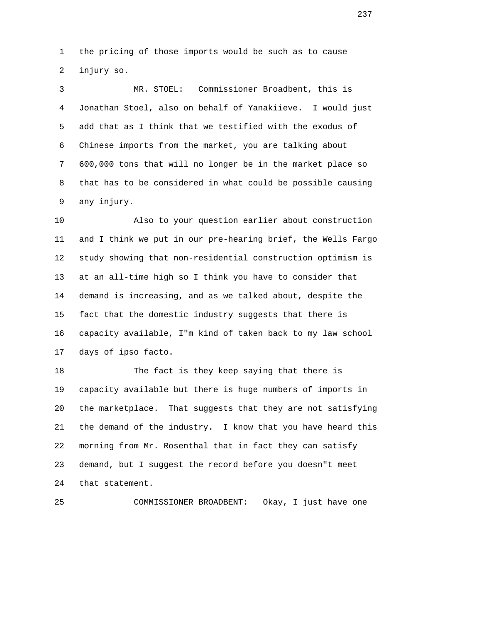1 the pricing of those imports would be such as to cause 2 injury so.

 3 MR. STOEL: Commissioner Broadbent, this is 4 Jonathan Stoel, also on behalf of Yanakiieve. I would just 5 add that as I think that we testified with the exodus of 6 Chinese imports from the market, you are talking about 7 600,000 tons that will no longer be in the market place so 8 that has to be considered in what could be possible causing 9 any injury.

 10 Also to your question earlier about construction 11 and I think we put in our pre-hearing brief, the Wells Fargo 12 study showing that non-residential construction optimism is 13 at an all-time high so I think you have to consider that 14 demand is increasing, and as we talked about, despite the 15 fact that the domestic industry suggests that there is 16 capacity available, I"m kind of taken back to my law school 17 days of ipso facto.

 18 The fact is they keep saying that there is 19 capacity available but there is huge numbers of imports in 20 the marketplace. That suggests that they are not satisfying 21 the demand of the industry. I know that you have heard this 22 morning from Mr. Rosenthal that in fact they can satisfy 23 demand, but I suggest the record before you doesn"t meet 24 that statement.

25 COMMISSIONER BROADBENT: Okay, I just have one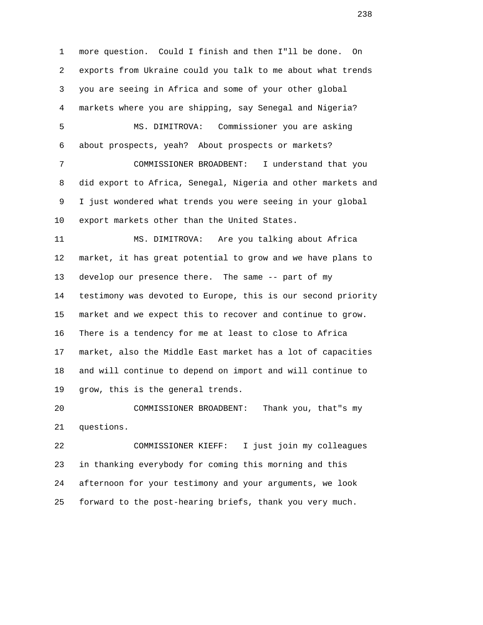1 more question. Could I finish and then I"ll be done. On 2 exports from Ukraine could you talk to me about what trends 3 you are seeing in Africa and some of your other global 4 markets where you are shipping, say Senegal and Nigeria? 5 MS. DIMITROVA: Commissioner you are asking 6 about prospects, yeah? About prospects or markets? 7 COMMISSIONER BROADBENT: I understand that you 8 did export to Africa, Senegal, Nigeria and other markets and 9 I just wondered what trends you were seeing in your global 10 export markets other than the United States. 11 MS. DIMITROVA: Are you talking about Africa 12 market, it has great potential to grow and we have plans to 13 develop our presence there. The same -- part of my 14 testimony was devoted to Europe, this is our second priority 15 market and we expect this to recover and continue to grow.

 16 There is a tendency for me at least to close to Africa 17 market, also the Middle East market has a lot of capacities 18 and will continue to depend on import and will continue to 19 grow, this is the general trends.

 20 COMMISSIONER BROADBENT: Thank you, that"s my 21 questions.

 22 COMMISSIONER KIEFF: I just join my colleagues 23 in thanking everybody for coming this morning and this 24 afternoon for your testimony and your arguments, we look 25 forward to the post-hearing briefs, thank you very much.

<u>238</u>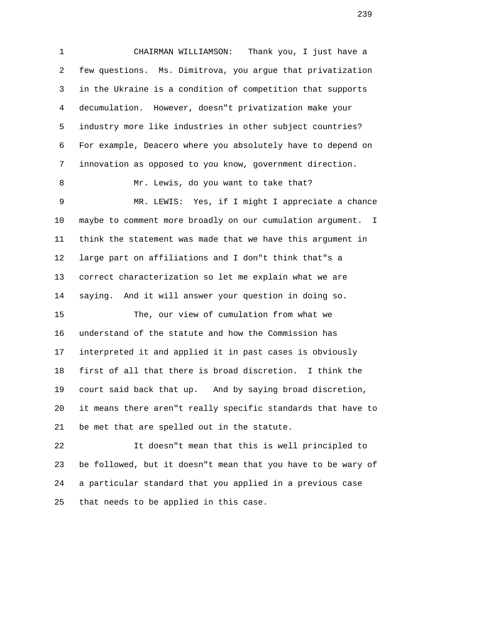1 CHAIRMAN WILLIAMSON: Thank you, I just have a 2 few questions. Ms. Dimitrova, you argue that privatization 3 in the Ukraine is a condition of competition that supports 4 decumulation. However, doesn"t privatization make your 5 industry more like industries in other subject countries? 6 For example, Deacero where you absolutely have to depend on 7 innovation as opposed to you know, government direction. 8 Mr. Lewis, do you want to take that? 9 MR. LEWIS: Yes, if I might I appreciate a chance 10 maybe to comment more broadly on our cumulation argument. I 11 think the statement was made that we have this argument in 12 large part on affiliations and I don"t think that"s a 13 correct characterization so let me explain what we are 14 saying. And it will answer your question in doing so. 15 The, our view of cumulation from what we 16 understand of the statute and how the Commission has 17 interpreted it and applied it in past cases is obviously 18 first of all that there is broad discretion. I think the 19 court said back that up. And by saying broad discretion, 20 it means there aren"t really specific standards that have to 21 be met that are spelled out in the statute.

 22 It doesn"t mean that this is well principled to 23 be followed, but it doesn"t mean that you have to be wary of 24 a particular standard that you applied in a previous case 25 that needs to be applied in this case.

<u>239</u>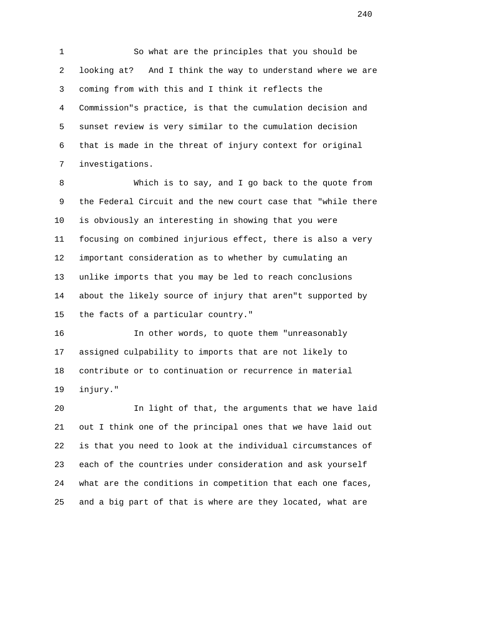1 So what are the principles that you should be 2 looking at? And I think the way to understand where we are 3 coming from with this and I think it reflects the 4 Commission"s practice, is that the cumulation decision and 5 sunset review is very similar to the cumulation decision 6 that is made in the threat of injury context for original 7 investigations.

 8 Which is to say, and I go back to the quote from 9 the Federal Circuit and the new court case that "while there 10 is obviously an interesting in showing that you were 11 focusing on combined injurious effect, there is also a very 12 important consideration as to whether by cumulating an 13 unlike imports that you may be led to reach conclusions 14 about the likely source of injury that aren"t supported by 15 the facts of a particular country."

 16 In other words, to quote them "unreasonably 17 assigned culpability to imports that are not likely to 18 contribute or to continuation or recurrence in material 19 injury."

 20 In light of that, the arguments that we have laid 21 out I think one of the principal ones that we have laid out 22 is that you need to look at the individual circumstances of 23 each of the countries under consideration and ask yourself 24 what are the conditions in competition that each one faces, 25 and a big part of that is where are they located, what are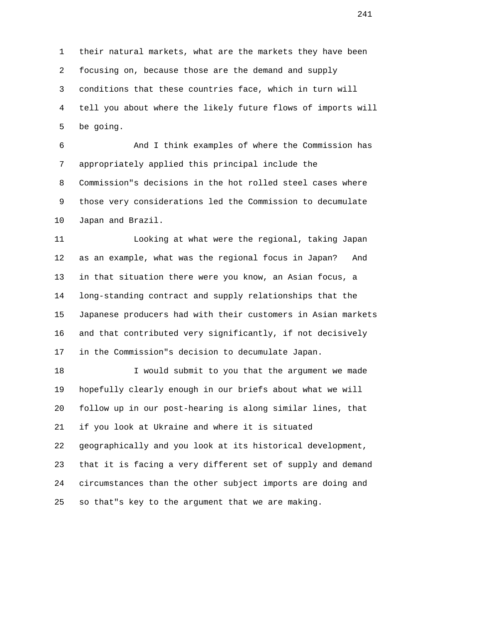1 their natural markets, what are the markets they have been 2 focusing on, because those are the demand and supply 3 conditions that these countries face, which in turn will 4 tell you about where the likely future flows of imports will 5 be going.

 6 And I think examples of where the Commission has 7 appropriately applied this principal include the 8 Commission"s decisions in the hot rolled steel cases where 9 those very considerations led the Commission to decumulate 10 Japan and Brazil.

 11 Looking at what were the regional, taking Japan 12 as an example, what was the regional focus in Japan? And 13 in that situation there were you know, an Asian focus, a 14 long-standing contract and supply relationships that the 15 Japanese producers had with their customers in Asian markets 16 and that contributed very significantly, if not decisively 17 in the Commission"s decision to decumulate Japan.

 18 I would submit to you that the argument we made 19 hopefully clearly enough in our briefs about what we will 20 follow up in our post-hearing is along similar lines, that 21 if you look at Ukraine and where it is situated 22 geographically and you look at its historical development, 23 that it is facing a very different set of supply and demand 24 circumstances than the other subject imports are doing and 25 so that"s key to the argument that we are making.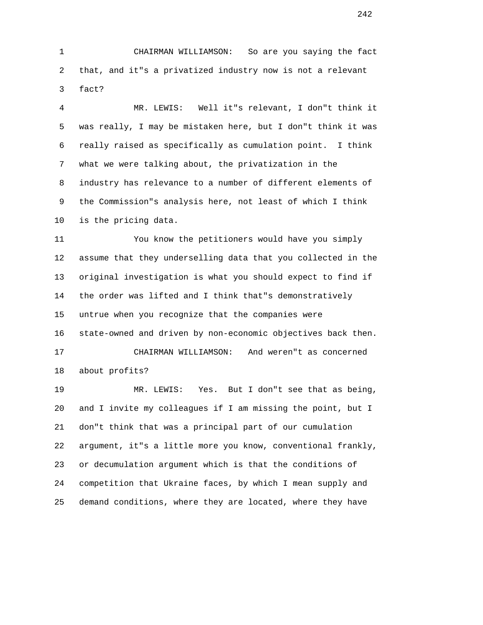1 CHAIRMAN WILLIAMSON: So are you saying the fact 2 that, and it"s a privatized industry now is not a relevant 3 fact?

 4 MR. LEWIS: Well it"s relevant, I don"t think it 5 was really, I may be mistaken here, but I don"t think it was 6 really raised as specifically as cumulation point. I think 7 what we were talking about, the privatization in the 8 industry has relevance to a number of different elements of 9 the Commission"s analysis here, not least of which I think 10 is the pricing data.

 11 You know the petitioners would have you simply 12 assume that they underselling data that you collected in the 13 original investigation is what you should expect to find if 14 the order was lifted and I think that"s demonstratively 15 untrue when you recognize that the companies were 16 state-owned and driven by non-economic objectives back then. 17 CHAIRMAN WILLIAMSON: And weren"t as concerned 18 about profits?

 19 MR. LEWIS: Yes. But I don"t see that as being, 20 and I invite my colleagues if I am missing the point, but I 21 don"t think that was a principal part of our cumulation 22 argument, it"s a little more you know, conventional frankly, 23 or decumulation argument which is that the conditions of 24 competition that Ukraine faces, by which I mean supply and 25 demand conditions, where they are located, where they have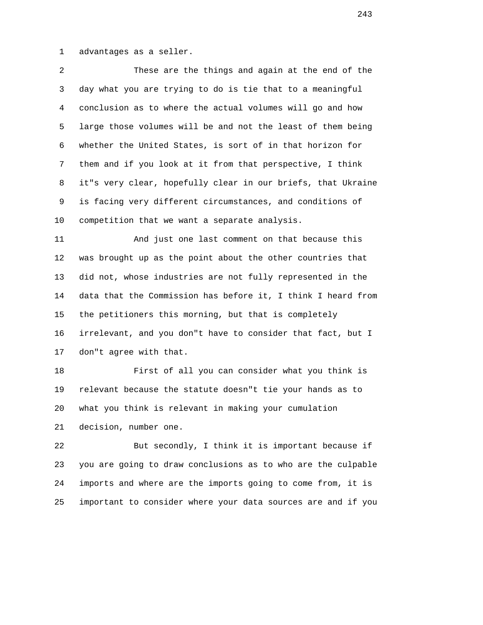1 advantages as a seller.

 2 These are the things and again at the end of the 3 day what you are trying to do is tie that to a meaningful 4 conclusion as to where the actual volumes will go and how 5 large those volumes will be and not the least of them being 6 whether the United States, is sort of in that horizon for 7 them and if you look at it from that perspective, I think 8 it"s very clear, hopefully clear in our briefs, that Ukraine 9 is facing very different circumstances, and conditions of 10 competition that we want a separate analysis.

 11 And just one last comment on that because this 12 was brought up as the point about the other countries that 13 did not, whose industries are not fully represented in the 14 data that the Commission has before it, I think I heard from 15 the petitioners this morning, but that is completely 16 irrelevant, and you don"t have to consider that fact, but I 17 don"t agree with that.

 18 First of all you can consider what you think is 19 relevant because the statute doesn"t tie your hands as to 20 what you think is relevant in making your cumulation 21 decision, number one.

 22 But secondly, I think it is important because if 23 you are going to draw conclusions as to who are the culpable 24 imports and where are the imports going to come from, it is 25 important to consider where your data sources are and if you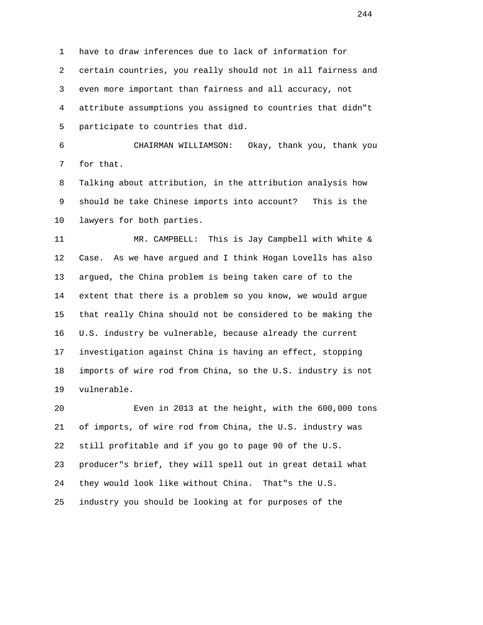1 have to draw inferences due to lack of information for 2 certain countries, you really should not in all fairness and 3 even more important than fairness and all accuracy, not 4 attribute assumptions you assigned to countries that didn"t 5 participate to countries that did.

 6 CHAIRMAN WILLIAMSON: Okay, thank you, thank you 7 for that.

 8 Talking about attribution, in the attribution analysis how 9 should be take Chinese imports into account? This is the 10 lawyers for both parties.

 11 MR. CAMPBELL: This is Jay Campbell with White & 12 Case. As we have argued and I think Hogan Lovells has also 13 argued, the China problem is being taken care of to the 14 extent that there is a problem so you know, we would argue 15 that really China should not be considered to be making the 16 U.S. industry be vulnerable, because already the current 17 investigation against China is having an effect, stopping 18 imports of wire rod from China, so the U.S. industry is not 19 vulnerable.

 20 Even in 2013 at the height, with the 600,000 tons 21 of imports, of wire rod from China, the U.S. industry was 22 still profitable and if you go to page 90 of the U.S. 23 producer"s brief, they will spell out in great detail what 24 they would look like without China. That"s the U.S. 25 industry you should be looking at for purposes of the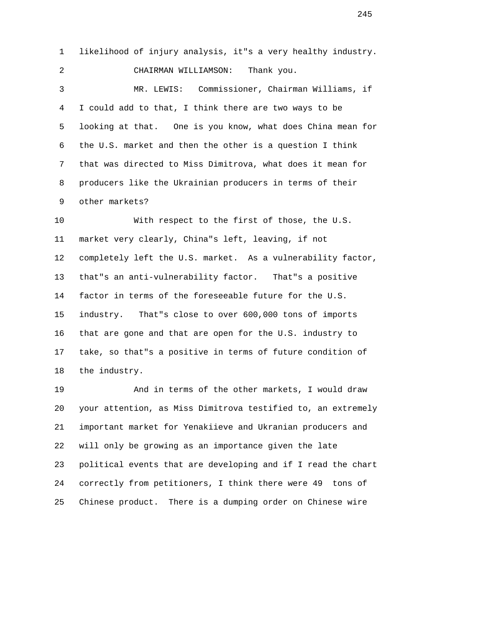1 likelihood of injury analysis, it"s a very healthy industry. 2 CHAIRMAN WILLIAMSON: Thank you. 3 MR. LEWIS: Commissioner, Chairman Williams, if 4 I could add to that, I think there are two ways to be 5 looking at that. One is you know, what does China mean for 6 the U.S. market and then the other is a question I think 7 that was directed to Miss Dimitrova, what does it mean for 8 producers like the Ukrainian producers in terms of their 9 other markets?

 10 With respect to the first of those, the U.S. 11 market very clearly, China"s left, leaving, if not 12 completely left the U.S. market. As a vulnerability factor, 13 that"s an anti-vulnerability factor. That"s a positive 14 factor in terms of the foreseeable future for the U.S. 15 industry. That"s close to over 600,000 tons of imports 16 that are gone and that are open for the U.S. industry to 17 take, so that"s a positive in terms of future condition of 18 the industry.

 19 And in terms of the other markets, I would draw 20 your attention, as Miss Dimitrova testified to, an extremely 21 important market for Yenakiieve and Ukranian producers and 22 will only be growing as an importance given the late 23 political events that are developing and if I read the chart 24 correctly from petitioners, I think there were 49 tons of 25 Chinese product. There is a dumping order on Chinese wire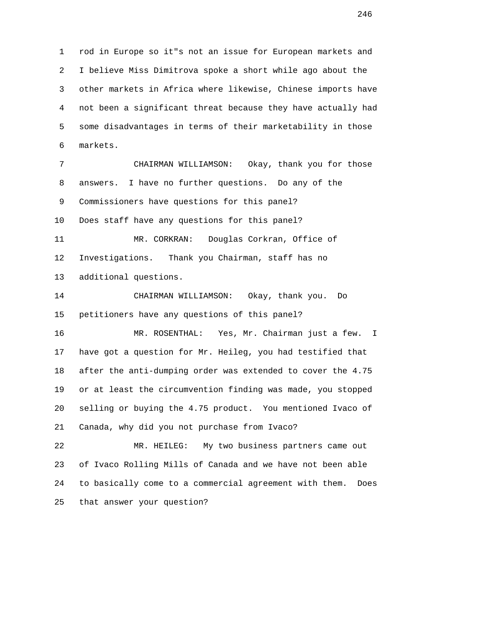1 rod in Europe so it"s not an issue for European markets and 2 I believe Miss Dimitrova spoke a short while ago about the 3 other markets in Africa where likewise, Chinese imports have 4 not been a significant threat because they have actually had 5 some disadvantages in terms of their marketability in those 6 markets. 7 CHAIRMAN WILLIAMSON: Okay, thank you for those 8 answers. I have no further questions. Do any of the 9 Commissioners have questions for this panel? 10 Does staff have any questions for this panel? 11 MR. CORKRAN: Douglas Corkran, Office of 12 Investigations. Thank you Chairman, staff has no 13 additional questions. 14 CHAIRMAN WILLIAMSON: Okay, thank you. Do 15 petitioners have any questions of this panel? 16 MR. ROSENTHAL: Yes, Mr. Chairman just a few. I 17 have got a question for Mr. Heileg, you had testified that 18 after the anti-dumping order was extended to cover the 4.75 19 or at least the circumvention finding was made, you stopped 20 selling or buying the 4.75 product. You mentioned Ivaco of 21 Canada, why did you not purchase from Ivaco? 22 MR. HEILEG: My two business partners came out 23 of Ivaco Rolling Mills of Canada and we have not been able 24 to basically come to a commercial agreement with them. Does

25 that answer your question?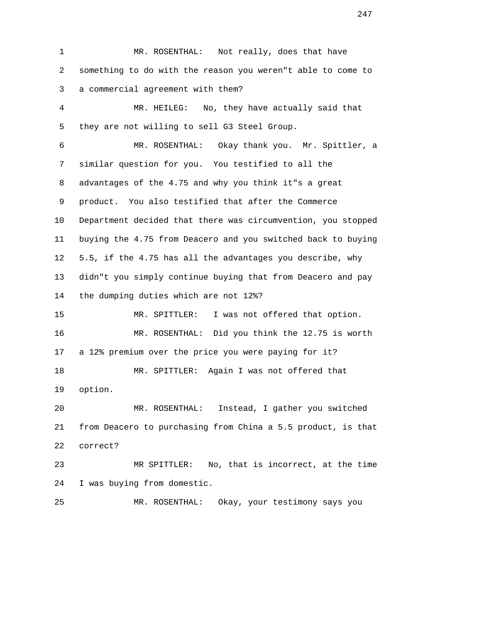1 MR. ROSENTHAL: Not really, does that have 2 something to do with the reason you weren"t able to come to 3 a commercial agreement with them? 4 MR. HEILEG: No, they have actually said that 5 they are not willing to sell G3 Steel Group. 6 MR. ROSENTHAL: Okay thank you. Mr. Spittler, a 7 similar question for you. You testified to all the 8 advantages of the 4.75 and why you think it"s a great 9 product. You also testified that after the Commerce 10 Department decided that there was circumvention, you stopped 11 buying the 4.75 from Deacero and you switched back to buying 12 5.5, if the 4.75 has all the advantages you describe, why 13 didn"t you simply continue buying that from Deacero and pay 14 the dumping duties which are not 12%? 15 MR. SPITTLER: I was not offered that option. 16 MR. ROSENTHAL: Did you think the 12.75 is worth 17 a 12% premium over the price you were paying for it? 18 MR. SPITTLER: Again I was not offered that 19 option. 20 MR. ROSENTHAL: Instead, I gather you switched 21 from Deacero to purchasing from China a 5.5 product, is that 22 correct? 23 MR SPITTLER: No, that is incorrect, at the time 24 I was buying from domestic. 25 MR. ROSENTHAL: Okay, your testimony says you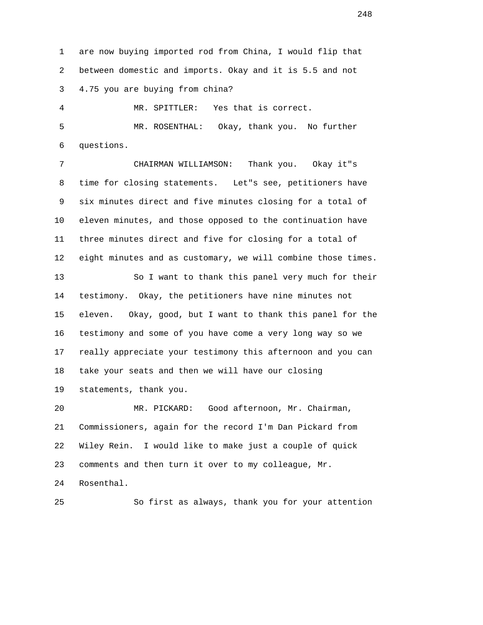1 are now buying imported rod from China, I would flip that 2 between domestic and imports. Okay and it is 5.5 and not 3 4.75 you are buying from china?

 4 MR. SPITTLER: Yes that is correct. 5 MR. ROSENTHAL: Okay, thank you. No further 6 questions.

 7 CHAIRMAN WILLIAMSON: Thank you. Okay it"s 8 time for closing statements. Let"s see, petitioners have 9 six minutes direct and five minutes closing for a total of 10 eleven minutes, and those opposed to the continuation have 11 three minutes direct and five for closing for a total of 12 eight minutes and as customary, we will combine those times. 13 So I want to thank this panel very much for their 14 testimony. Okay, the petitioners have nine minutes not 15 eleven. Okay, good, but I want to thank this panel for the 16 testimony and some of you have come a very long way so we 17 really appreciate your testimony this afternoon and you can 18 take your seats and then we will have our closing 19 statements, thank you.

 20 MR. PICKARD: Good afternoon, Mr. Chairman, 21 Commissioners, again for the record I'm Dan Pickard from 22 Wiley Rein. I would like to make just a couple of quick 23 comments and then turn it over to my colleague, Mr. 24 Rosenthal.

25 So first as always, thank you for your attention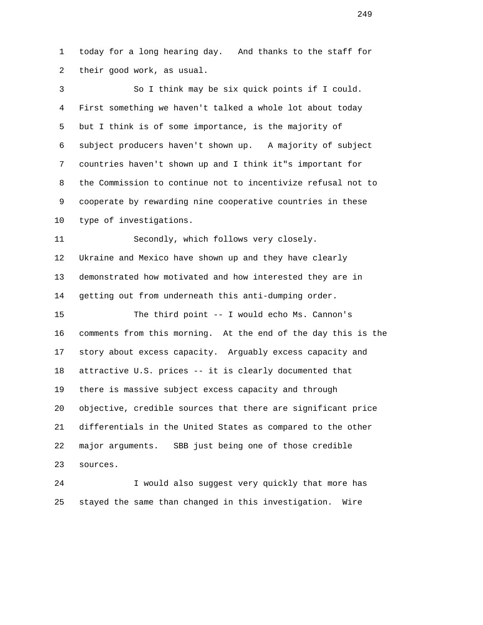1 today for a long hearing day. And thanks to the staff for 2 their good work, as usual.

 3 So I think may be six quick points if I could. 4 First something we haven't talked a whole lot about today 5 but I think is of some importance, is the majority of 6 subject producers haven't shown up. A majority of subject 7 countries haven't shown up and I think it"s important for 8 the Commission to continue not to incentivize refusal not to 9 cooperate by rewarding nine cooperative countries in these 10 type of investigations.

 11 Secondly, which follows very closely. 12 Ukraine and Mexico have shown up and they have clearly 13 demonstrated how motivated and how interested they are in 14 getting out from underneath this anti-dumping order.

 15 The third point -- I would echo Ms. Cannon's 16 comments from this morning. At the end of the day this is the 17 story about excess capacity. Arguably excess capacity and 18 attractive U.S. prices -- it is clearly documented that 19 there is massive subject excess capacity and through 20 objective, credible sources that there are significant price 21 differentials in the United States as compared to the other 22 major arguments. SBB just being one of those credible 23 sources.

 24 I would also suggest very quickly that more has 25 stayed the same than changed in this investigation. Wire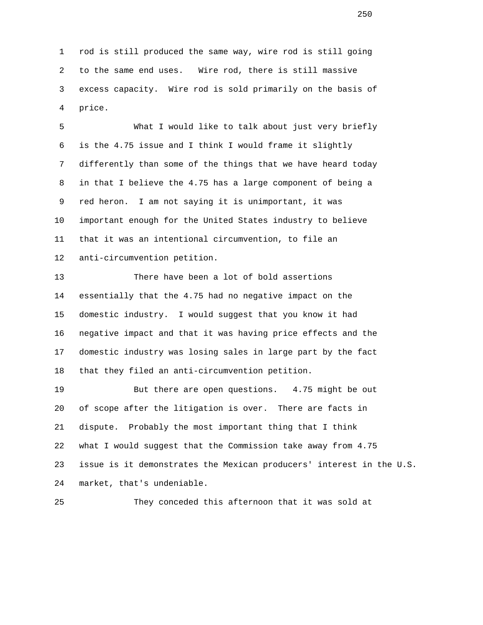1 rod is still produced the same way, wire rod is still going 2 to the same end uses. Wire rod, there is still massive 3 excess capacity. Wire rod is sold primarily on the basis of 4 price.

 5 What I would like to talk about just very briefly 6 is the 4.75 issue and I think I would frame it slightly 7 differently than some of the things that we have heard today 8 in that I believe the 4.75 has a large component of being a 9 red heron. I am not saying it is unimportant, it was 10 important enough for the United States industry to believe 11 that it was an intentional circumvention, to file an 12 anti-circumvention petition.

 13 There have been a lot of bold assertions 14 essentially that the 4.75 had no negative impact on the 15 domestic industry. I would suggest that you know it had 16 negative impact and that it was having price effects and the 17 domestic industry was losing sales in large part by the fact 18 that they filed an anti-circumvention petition.

 19 But there are open questions. 4.75 might be out 20 of scope after the litigation is over. There are facts in 21 dispute. Probably the most important thing that I think 22 what I would suggest that the Commission take away from 4.75 23 issue is it demonstrates the Mexican producers' interest in the U.S. 24 market, that's undeniable.

25 They conceded this afternoon that it was sold at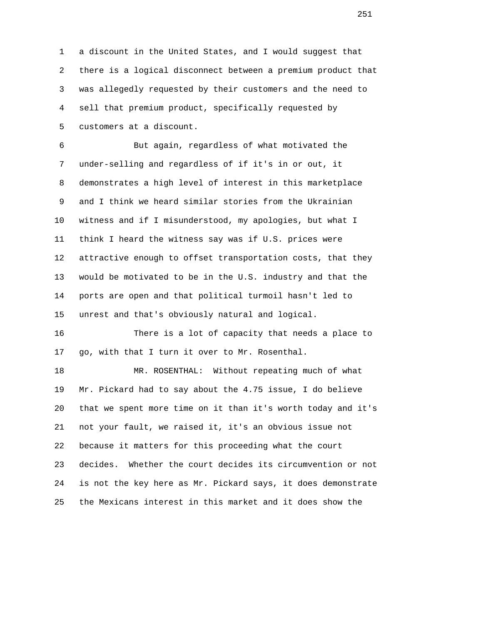1 a discount in the United States, and I would suggest that 2 there is a logical disconnect between a premium product that 3 was allegedly requested by their customers and the need to 4 sell that premium product, specifically requested by 5 customers at a discount.

 6 But again, regardless of what motivated the 7 under-selling and regardless of if it's in or out, it 8 demonstrates a high level of interest in this marketplace 9 and I think we heard similar stories from the Ukrainian 10 witness and if I misunderstood, my apologies, but what I 11 think I heard the witness say was if U.S. prices were 12 attractive enough to offset transportation costs, that they 13 would be motivated to be in the U.S. industry and that the 14 ports are open and that political turmoil hasn't led to 15 unrest and that's obviously natural and logical.

 16 There is a lot of capacity that needs a place to 17 go, with that I turn it over to Mr. Rosenthal.

 18 MR. ROSENTHAL: Without repeating much of what 19 Mr. Pickard had to say about the 4.75 issue, I do believe 20 that we spent more time on it than it's worth today and it's 21 not your fault, we raised it, it's an obvious issue not 22 because it matters for this proceeding what the court 23 decides. Whether the court decides its circumvention or not 24 is not the key here as Mr. Pickard says, it does demonstrate 25 the Mexicans interest in this market and it does show the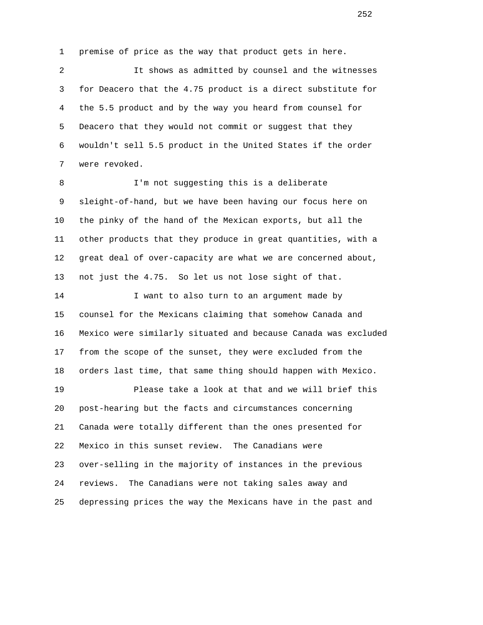1 premise of price as the way that product gets in here.

 2 It shows as admitted by counsel and the witnesses 3 for Deacero that the 4.75 product is a direct substitute for 4 the 5.5 product and by the way you heard from counsel for 5 Deacero that they would not commit or suggest that they 6 wouldn't sell 5.5 product in the United States if the order 7 were revoked.

 8 I'm not suggesting this is a deliberate 9 sleight-of-hand, but we have been having our focus here on 10 the pinky of the hand of the Mexican exports, but all the 11 other products that they produce in great quantities, with a 12 great deal of over-capacity are what we are concerned about, 13 not just the 4.75. So let us not lose sight of that.

 14 I want to also turn to an argument made by 15 counsel for the Mexicans claiming that somehow Canada and 16 Mexico were similarly situated and because Canada was excluded 17 from the scope of the sunset, they were excluded from the 18 orders last time, that same thing should happen with Mexico.

 19 Please take a look at that and we will brief this 20 post-hearing but the facts and circumstances concerning 21 Canada were totally different than the ones presented for 22 Mexico in this sunset review. The Canadians were 23 over-selling in the majority of instances in the previous 24 reviews. The Canadians were not taking sales away and 25 depressing prices the way the Mexicans have in the past and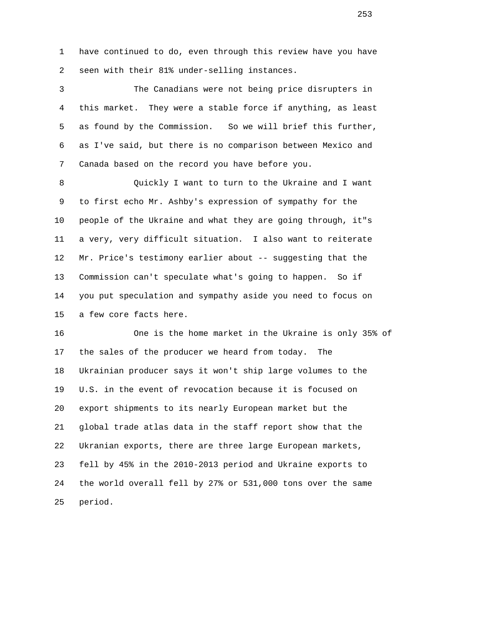1 have continued to do, even through this review have you have 2 seen with their 81% under-selling instances.

 3 The Canadians were not being price disrupters in 4 this market. They were a stable force if anything, as least 5 as found by the Commission. So we will brief this further, 6 as I've said, but there is no comparison between Mexico and 7 Canada based on the record you have before you.

 8 Quickly I want to turn to the Ukraine and I want 9 to first echo Mr. Ashby's expression of sympathy for the 10 people of the Ukraine and what they are going through, it"s 11 a very, very difficult situation. I also want to reiterate 12 Mr. Price's testimony earlier about -- suggesting that the 13 Commission can't speculate what's going to happen. So if 14 you put speculation and sympathy aside you need to focus on 15 a few core facts here.

 16 One is the home market in the Ukraine is only 35% of 17 the sales of the producer we heard from today. The 18 Ukrainian producer says it won't ship large volumes to the 19 U.S. in the event of revocation because it is focused on 20 export shipments to its nearly European market but the 21 global trade atlas data in the staff report show that the 22 Ukranian exports, there are three large European markets, 23 fell by 45% in the 2010-2013 period and Ukraine exports to 24 the world overall fell by 27% or 531,000 tons over the same 25 period.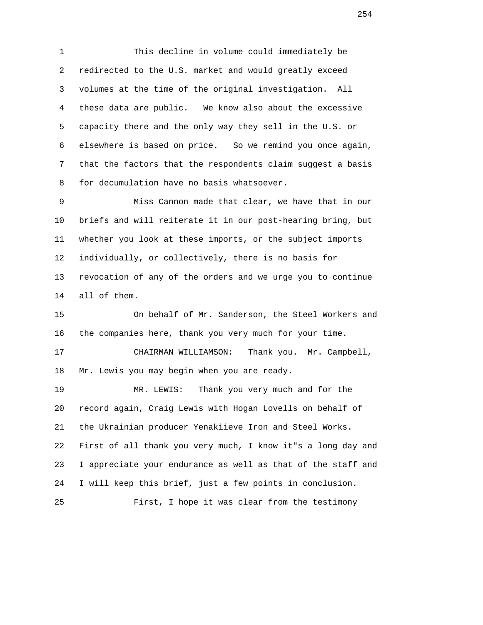1 This decline in volume could immediately be 2 redirected to the U.S. market and would greatly exceed 3 volumes at the time of the original investigation. All 4 these data are public. We know also about the excessive 5 capacity there and the only way they sell in the U.S. or 6 elsewhere is based on price. So we remind you once again, 7 that the factors that the respondents claim suggest a basis 8 for decumulation have no basis whatsoever.

 9 Miss Cannon made that clear, we have that in our 10 briefs and will reiterate it in our post-hearing bring, but 11 whether you look at these imports, or the subject imports 12 individually, or collectively, there is no basis for 13 revocation of any of the orders and we urge you to continue 14 all of them.

 15 On behalf of Mr. Sanderson, the Steel Workers and 16 the companies here, thank you very much for your time.

 17 CHAIRMAN WILLIAMSON: Thank you. Mr. Campbell, 18 Mr. Lewis you may begin when you are ready.

 19 MR. LEWIS: Thank you very much and for the 20 record again, Craig Lewis with Hogan Lovells on behalf of 21 the Ukrainian producer Yenakiieve Iron and Steel Works. 22 First of all thank you very much, I know it"s a long day and 23 I appreciate your endurance as well as that of the staff and 24 I will keep this brief, just a few points in conclusion. 25 First, I hope it was clear from the testimony

254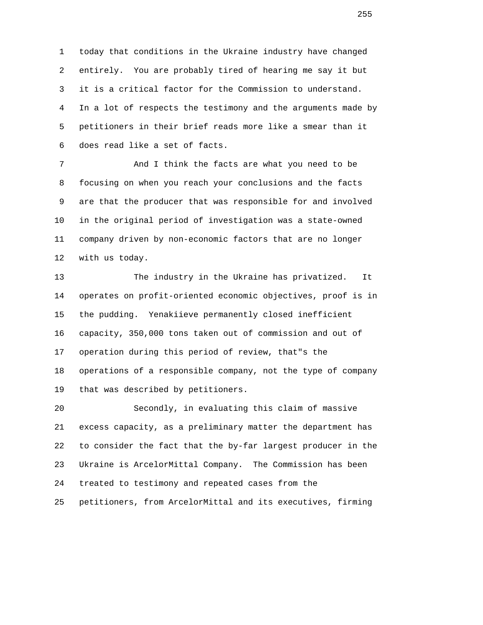1 today that conditions in the Ukraine industry have changed 2 entirely. You are probably tired of hearing me say it but 3 it is a critical factor for the Commission to understand. 4 In a lot of respects the testimony and the arguments made by 5 petitioners in their brief reads more like a smear than it 6 does read like a set of facts.

 7 And I think the facts are what you need to be 8 focusing on when you reach your conclusions and the facts 9 are that the producer that was responsible for and involved 10 in the original period of investigation was a state-owned 11 company driven by non-economic factors that are no longer 12 with us today.

 13 The industry in the Ukraine has privatized. It 14 operates on profit-oriented economic objectives, proof is in 15 the pudding. Yenakiieve permanently closed inefficient 16 capacity, 350,000 tons taken out of commission and out of 17 operation during this period of review, that"s the 18 operations of a responsible company, not the type of company 19 that was described by petitioners.

 20 Secondly, in evaluating this claim of massive 21 excess capacity, as a preliminary matter the department has 22 to consider the fact that the by-far largest producer in the 23 Ukraine is ArcelorMittal Company. The Commission has been 24 treated to testimony and repeated cases from the 25 petitioners, from ArcelorMittal and its executives, firming

<u>255</u>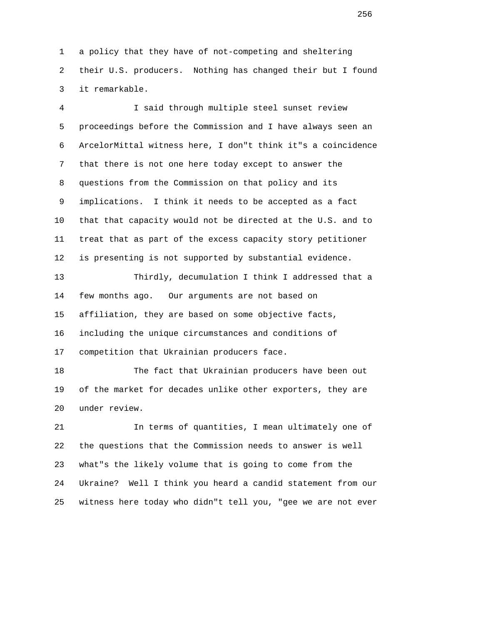1 a policy that they have of not-competing and sheltering 2 their U.S. producers. Nothing has changed their but I found 3 it remarkable.

 4 I said through multiple steel sunset review 5 proceedings before the Commission and I have always seen an 6 ArcelorMittal witness here, I don"t think it"s a coincidence 7 that there is not one here today except to answer the 8 questions from the Commission on that policy and its 9 implications. I think it needs to be accepted as a fact 10 that that capacity would not be directed at the U.S. and to 11 treat that as part of the excess capacity story petitioner 12 is presenting is not supported by substantial evidence.

 13 Thirdly, decumulation I think I addressed that a 14 few months ago. Our arguments are not based on 15 affiliation, they are based on some objective facts, 16 including the unique circumstances and conditions of 17 competition that Ukrainian producers face.

 18 The fact that Ukrainian producers have been out 19 of the market for decades unlike other exporters, they are 20 under review.

 21 In terms of quantities, I mean ultimately one of 22 the questions that the Commission needs to answer is well 23 what"s the likely volume that is going to come from the 24 Ukraine? Well I think you heard a candid statement from our 25 witness here today who didn"t tell you, "gee we are not ever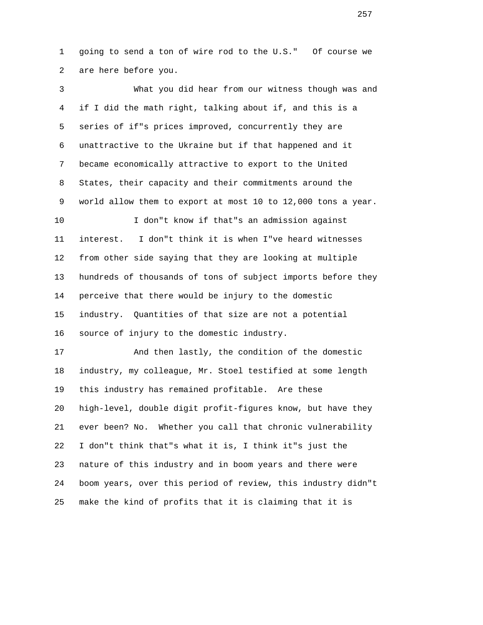1 going to send a ton of wire rod to the U.S." Of course we 2 are here before you.

 3 What you did hear from our witness though was and 4 if I did the math right, talking about if, and this is a 5 series of if"s prices improved, concurrently they are 6 unattractive to the Ukraine but if that happened and it 7 became economically attractive to export to the United 8 States, their capacity and their commitments around the 9 world allow them to export at most 10 to 12,000 tons a year. 10 I don"t know if that"s an admission against 11 interest. I don"t think it is when I"ve heard witnesses 12 from other side saying that they are looking at multiple 13 hundreds of thousands of tons of subject imports before they 14 perceive that there would be injury to the domestic 15 industry. Quantities of that size are not a potential 16 source of injury to the domestic industry. 17 And then lastly, the condition of the domestic 18 industry, my colleague, Mr. Stoel testified at some length 19 this industry has remained profitable. Are these 20 high-level, double digit profit-figures know, but have they 21 ever been? No. Whether you call that chronic vulnerability

 22 I don"t think that"s what it is, I think it"s just the 23 nature of this industry and in boom years and there were 24 boom years, over this period of review, this industry didn"t 25 make the kind of profits that it is claiming that it is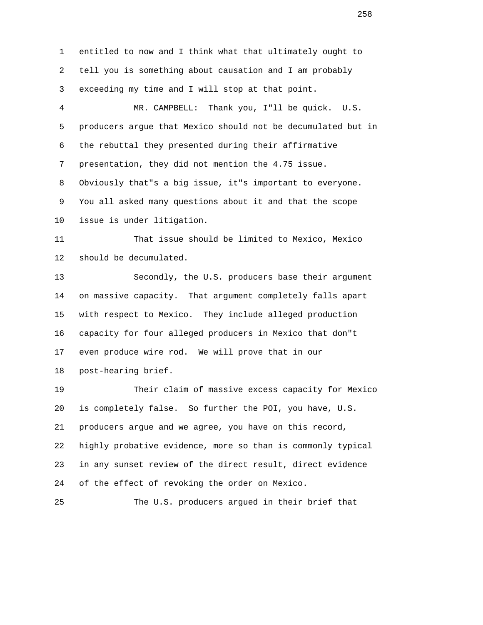1 entitled to now and I think what that ultimately ought to 2 tell you is something about causation and I am probably 3 exceeding my time and I will stop at that point. 4 MR. CAMPBELL: Thank you, I"ll be quick. U.S. 5 producers argue that Mexico should not be decumulated but in 6 the rebuttal they presented during their affirmative 7 presentation, they did not mention the 4.75 issue. 8 Obviously that"s a big issue, it"s important to everyone. 9 You all asked many questions about it and that the scope 10 issue is under litigation. 11 That issue should be limited to Mexico, Mexico 12 should be decumulated. 13 Secondly, the U.S. producers base their argument 14 on massive capacity. That argument completely falls apart 15 with respect to Mexico. They include alleged production 16 capacity for four alleged producers in Mexico that don"t 17 even produce wire rod. We will prove that in our 18 post-hearing brief. 19 Their claim of massive excess capacity for Mexico 20 is completely false. So further the POI, you have, U.S. 21 producers argue and we agree, you have on this record, 22 highly probative evidence, more so than is commonly typical 23 in any sunset review of the direct result, direct evidence 24 of the effect of revoking the order on Mexico. 25 The U.S. producers argued in their brief that

<u>258</u>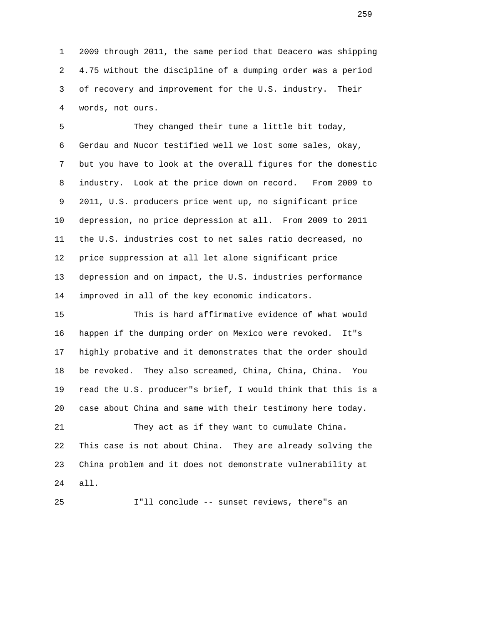1 2009 through 2011, the same period that Deacero was shipping 2 4.75 without the discipline of a dumping order was a period 3 of recovery and improvement for the U.S. industry. Their 4 words, not ours.

 5 They changed their tune a little bit today, 6 Gerdau and Nucor testified well we lost some sales, okay, 7 but you have to look at the overall figures for the domestic 8 industry. Look at the price down on record. From 2009 to 9 2011, U.S. producers price went up, no significant price 10 depression, no price depression at all. From 2009 to 2011 11 the U.S. industries cost to net sales ratio decreased, no 12 price suppression at all let alone significant price 13 depression and on impact, the U.S. industries performance 14 improved in all of the key economic indicators.

 15 This is hard affirmative evidence of what would 16 happen if the dumping order on Mexico were revoked. It"s 17 highly probative and it demonstrates that the order should 18 be revoked. They also screamed, China, China, China. You 19 read the U.S. producer"s brief, I would think that this is a 20 case about China and same with their testimony here today.

 21 They act as if they want to cumulate China. 22 This case is not about China. They are already solving the 23 China problem and it does not demonstrate vulnerability at 24 all.

25 I"ll conclude -- sunset reviews, there"s an